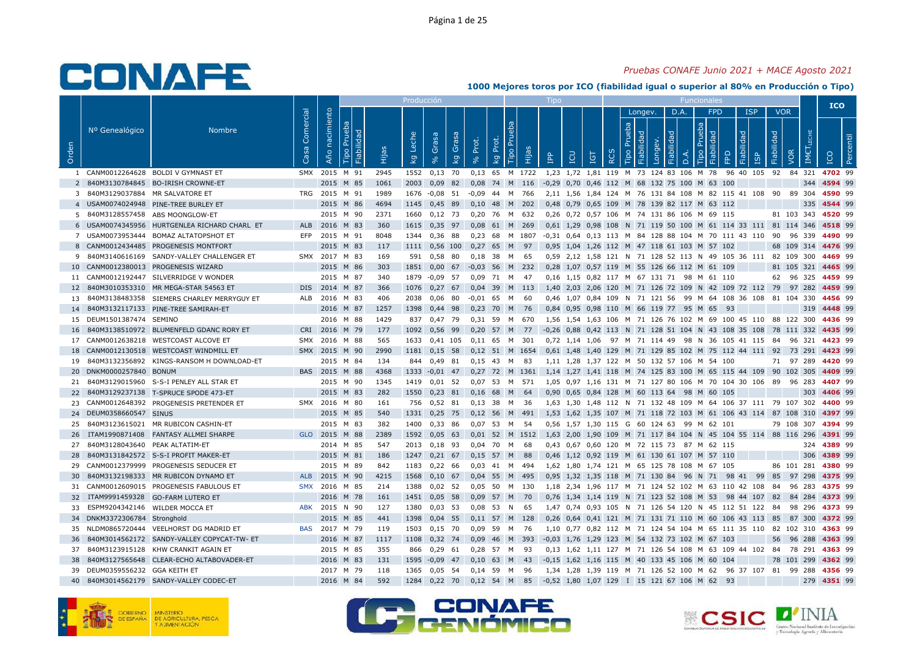### *Pruebas CONAFE Junio 2021 + MACE Agosto 2021*

|                |                                |                                              |            |                |                |                     | Producción  |                                    |             |                   |             |                        |                | Tipo                                       |                      |            |            |                |                       |                   |      | <b>Funcionales</b>                           |                                                               |                   |            |            |                  | <b>ICO</b>  |           |
|----------------|--------------------------------|----------------------------------------------|------------|----------------|----------------|---------------------|-------------|------------------------------------|-------------|-------------------|-------------|------------------------|----------------|--------------------------------------------|----------------------|------------|------------|----------------|-----------------------|-------------------|------|----------------------------------------------|---------------------------------------------------------------|-------------------|------------|------------|------------------|-------------|-----------|
|                | Nº Genealógico                 | <b>Nombre</b>                                | Comercial  |                |                |                     |             |                                    |             |                   |             |                        |                |                                            |                      |            |            |                | Longev.               |                   | D.A. | <b>FPD</b>                                   |                                                               | <b>ISP</b>        |            | <b>VOR</b> |                  |             |           |
| Orden          |                                |                                              | Casa       | Año nacimiento | Prueba<br>Tipo | Fiabilidad<br>Hijas | Leche<br>kg | Grasa<br>$\mathbf{e}_{\mathbf{e}}$ | Grasa<br>ΔÃ | Prot.<br>$\delta$ | Prot.<br>kg | P <sub>U</sub><br>Tipo | Hijas          | <b>AdI</b>                                 | LCU                  | <b>TGT</b> | <b>RCS</b> | Prueba<br>Tipo | Fiabilidad<br>Longev. | <b>Fiabilidad</b> | D.A  | Prueba<br>Fiabilidad<br>Tipo                 | <b>A</b>                                                      | <b>Fiabilidad</b> | Fiabilidad | VOR        | <b>IMETLECHE</b> | ICO         | Percentil |
|                |                                | 1 CANM0012264628 BOLDI V GYMNAST ET          | <b>SMX</b> | 2015 M 91      |                | 2945                | 1552        | $0,13$ 70                          |             | 0,13 65 M 1722    |             |                        |                |                                            |                      |            |            |                |                       |                   |      | 1,23 1,72 1,81 119 M 73 124 83 106 M 78      | 96 40 105 92                                                  |                   |            |            | 84 321           | 4702 99     |           |
| 2              |                                | 840M3130784845 BO-IRISH CROWNE-ET            |            | 2015 M 85      |                | 1061                | 2003        | $0,09$ 82                          |             | 0,08              |             |                        | 74 M 116       |                                            |                      |            |            |                |                       |                   |      | -0,29 0,70 0,46 112 M 68 132 75 100 M 63 100 |                                                               |                   |            |            | 344              | 4594 99     |           |
| 3              | 840M3129037884 MR SALVATORE ET |                                              |            | TRG 2015 M 91  |                | 1989                | 1676        | $-0.08$ 51                         |             | -0.09             | 44          | <b>M</b>               | 766            |                                            |                      |            |            |                |                       |                   |      |                                              | 2.11 1.56 1.84 124 M 76 131 84 108 M 82 115 41 108            |                   |            | 90<br>-89  | 304              | 4590 99     |           |
|                |                                | 4 USAM0074024948 PINE-TREE BURLEY ET         |            | 2015 M 86      |                | 4694                | 1145        | 0,45 89                            |             | $0,10$ 48         |             | M 202                  |                |                                            |                      |            |            |                |                       |                   |      | 0,48 0,79 0,65 109 M 78 139 82 117 M 63 112  |                                                               |                   |            |            | 335              | 4544 99     |           |
| -5             | 840M3128557458                 | ABS MOONGLOW-ET                              |            | 2015 M 90      |                | 2371                | 1660        | $0,12$ 73                          |             | 0.20              | 76          | M                      | 632            |                                            |                      |            |            |                |                       |                   |      | 0,26 0,72 0,57 106 M 74 131 86 106 M 69 115  |                                                               |                   |            |            | 81 103 343       | 4520 99     |           |
|                |                                | 6 USAM0074345956 HURTGENLEA RICHARD CHARL ET |            | ALB 2016 M 83  |                | 360                 | 1615        | $0,35$ 97                          |             | $0.08$ 61 M       |             |                        | 269            |                                            |                      |            |            |                |                       |                   |      |                                              | 0,61 1,29 0,98 108 N 71 119 50 100 M 61 114 33 111 81 114 346 |                   |            |            |                  | 4518 99     |           |
| $\overline{7}$ | USAM0073953444                 | <b>BOMAZ ALTATOPSHOT ET</b>                  | EFP        | 2015           | M 91           | 8048                | 1344        | 0,36 88                            |             | 0.23              | 68          |                        | M 1807         |                                            |                      |            |            |                |                       |                   |      |                                              | -0,31 0,64 0,13 113 M 84 128 88 104 M 70 111 43 110 90        |                   |            |            | 96 339           | 4490 99     |           |
| 8              |                                | CANM0012434485 PROGENESIS MONTFORT           |            | 2015 M 83      |                | 117                 | 1111        | 0,56 100                           |             | 0,27              | 65          | M                      | 97             |                                            |                      |            |            |                |                       |                   |      | 0,95 1,04 1,26 112 M 47 118 61 103 M 57 102  |                                                               |                   |            |            | 68 109 314       | 4476 99     |           |
| 9              | 840M3140616169                 | SANDY-VALLEY CHALLENGER ET                   |            | SMX 2017 M 83  |                | 169                 | 591         | 0,58 80                            |             | 0,18              | 38          | M                      | 65             |                                            |                      |            |            |                |                       |                   |      |                                              | 0,59 2,12 1,58 121 N 71 128 52 113 N 49 105 36 111 82 109 300 |                   |            |            |                  | 4469 99     |           |
| 10             |                                | CANM0012380013 PROGENESIS WIZARD             |            | 2015           | M 86           | 303                 | 1851        | 0,00                               | 67          | $-0.03$           | 56          | M                      | 232            | 0.28                                       |                      |            |            |                |                       |                   |      | 1.07 0.57 119 M 55 126 66 112 M 61 109       |                                                               |                   |            | 81         | 105 321          | 4465 99     |           |
| 11             |                                | CANM0012192447 SILVERRIDGE V WONDER          |            | 2015 M 87      |                | 340                 | 1879        | $-0.09$ 57                         |             | 0,09 71 M         |             |                        | - 47           |                                            |                      |            |            |                |                       |                   |      | 0,16 1,15 0,82 117 M 67 131 71 98 M 61 110   |                                                               |                   |            |            | 62 96 325        | 4459 99     |           |
| 12             |                                | 840M3010353310 MR MEGA-STAR 54563 ET         |            | DIS 2014 M 87  |                | 366                 | 1076        | $0,27$ 67                          |             | 0,04 39 M 113     |             |                        |                |                                            |                      |            |            |                |                       |                   |      |                                              | 1,40 2,03 2,06 120 M 71 126 72 109 N 42 109 72 112 79         |                   |            |            | 97 282           | 4459 99     |           |
| 13             |                                | 840M3138483358 SIEMERS CHARLEY MERRYGUY ET   | <b>ALB</b> | 2016           | M 83           | 406                 | 2038        | $0,06$ 80                          |             | -0.01             | 65          | M                      | 60             |                                            |                      |            |            |                |                       |                   |      |                                              | 0,46 1,07 0,84 109 N 71 121 56 99 M 64 108 36 108             |                   |            |            | 81 104 330       | 4456 99     |           |
| 14             |                                | 840M3132117133 PINE-TREE SAMIRAH-ET          |            | 2016 M 87      |                | 1257                | 1398        | 0,44 98                            |             | $0,23$ 70         |             | M                      | 76             |                                            |                      |            |            |                |                       |                   |      | 0,84 0,95 0,98 110 M 66 119 77 95 M 65       | 93                                                            |                   |            |            | 319              | 4448 99     |           |
| 15             | DEUM1501387474                 | SEMINO                                       |            | 2016           | M 88           | 1429                | 837         | 0.47 79                            |             | 0.31              | 59          | M                      | 670            |                                            |                      |            |            |                |                       |                   |      |                                              | 1.56 1.54 1.63 106 M 71 126 76 102 M 69 100 45                | 110               |            |            | 88 122 300       | 4436 99     |           |
| 16             |                                | 840M3138510972 BLUMENFELD GDANC RORY ET      |            | CRI 2016 M 79  |                | 177                 | 1092        | 0,56 99                            |             | $0,20$ 57         |             | M                      | 77             |                                            |                      |            |            |                |                       |                   |      |                                              | -0,26 0,88 0,42 113 N 71 128 51 104 N 43 108 35 108           |                   |            |            | 78 111 332       | 4435 99     |           |
| 17             |                                | CANM0012638218 WESTCOAST ALCOVE ET           |            | SMX 2016       | M 88           | 565                 | 1633        | 0,41 105                           |             | $0,11$ 65         |             | M                      | 301            |                                            | 0,72 1,14 1,06       |            |            |                |                       |                   |      |                                              | 97 M 71 114 49 98 N 36 105 41 115 84                          |                   |            |            | 96 321           | 4423 99     |           |
| 18             |                                | CANM0012130518 WESTCOAST WINDMILL ET         |            | SMX 2015       | M 90           | 2990                | 1181        | $0,15$ 58                          |             | 0,12 51 M 1654    |             |                        |                |                                            | 0,61 1,48 1,40 129   |            |            |                |                       |                   |      |                                              | M 71 129 85 102 M 75 112 44 111 92                            |                   |            |            | 73 291           | 4423 99     |           |
| 19             |                                | 840M3132356892 KINGS-RANSOM H DOWNLOAD-ET    |            | 2015 M 84      |                | 134                 | 844         | 0,49 81                            |             | $0,15$ 43         |             | M                      | 83             |                                            |                      |            |            |                |                       |                   |      | 1,11 1,28 1,37 122 M 50 132 57 106 M 54 100  |                                                               |                   |            | 71         | 97 289           | 4420 99     |           |
| 20             | DNKM0000257840 BONUM           |                                              |            | BAS 2015       | M              | 88<br>4368          | 1333        | $-0.01$ 47                         |             | 0,27              | 72          | M                      | 1361           |                                            |                      |            |            |                |                       |                   |      |                                              | 1,14 1,27 1,41 118 M 74 125 83 100 M 65 115 44 109            |                   | 90         |            | 102 305          | 4409 99     |           |
| 21             |                                | 840M3129015960 S-S-I PENLEY ALL STAR ET      |            | 2015 M 90      |                | 1345                | 1419        | $0,01$ 52                          |             | 0,07 53 M 571     |             |                        |                |                                            |                      |            |            |                |                       |                   |      |                                              | 1,05 0,97 1,16 131 M 71 127 80 106 M 70 104 30 106 89 96 283  |                   |            |            |                  | 4407 99     |           |
| 22             |                                | 840M3129237138 T-SPRUCE SPODE 473-ET         |            | 2015 M 83      |                | 282                 | 1550        | $0,23$ 81                          |             | 0,16              | 68          | M                      | 64             |                                            |                      |            |            |                |                       |                   |      | 0,90 0,65 0,84 128 M 60 113 64 98 M 60 105   |                                                               |                   |            |            | 303              | 4406 99     |           |
| 23             |                                | CANM0012648392 PROGENESIS PRETENDER ET       | SMX        | 2016 M 80      |                | 161                 | 756         | $0,52$ 81                          |             | $0,13$ 38         |             | M                      | - 36           |                                            |                      |            |            |                |                       |                   |      |                                              | 1,63 1,30 1,48 112 N 71 132 48 109 M 64 106 37 111 79 107 302 |                   |            |            |                  | 4400 99     |           |
| 24             | DEUM0358660547 SINUS           |                                              |            | 2015 M 85      |                | 540                 | 1331        | $0,25$ 75                          |             | $0,12$ 56         |             | M                      | 491            |                                            |                      |            |            |                |                       |                   |      |                                              | 1,53 1,62 1,35 107 M 71 118 72 103 M 61 106 43 114 87 108 310 |                   |            |            |                  | 4397 99     |           |
| 25             | 840M3123615021                 | MR RUBICON CASHIN-ET                         |            | 2015           | M 83           | 382                 | 1400        | 0,33 86                            |             | 0,07              | 53          | M                      | - 54           |                                            | 0,56 1,57 1,30 115 G |            |            |                | 60 124 63             |                   |      | 99 M 62 101                                  |                                                               |                   |            |            | 79 108 307       | 4394 99     |           |
| 26             |                                | ITAM1990871408 FANTASY ALLMEI SHARPE         |            | GLO 2015 M 88  |                | 2389                | 1592        | $0,05$ 63                          |             |                   |             |                        | 0,01 52 M 1512 |                                            |                      |            |            |                |                       |                   |      |                                              | 1,63 2,00 1,90 109 M 71 117 84 104 N 45 104 55 114 88 116 296 |                   |            |            |                  | 4391 99     |           |
| 27             | 840M3128043640                 | PEAK ALTATIM-ET                              |            | 2014 M 85      |                | 547                 | 2013        | $0,18$ 93                          |             | 0,04              | 70          | M                      | 68             |                                            |                      |            |            |                |                       |                   |      | 0,43 0,67 0,60 120 M 72 115 73 87 M 62 115   |                                                               |                   |            |            | 324              | 4389 99     |           |
| 28             |                                | 840M3131842572 S-S-I PROFIT MAKER-ET         |            | 2015 M 81      |                | 186                 | 1247        | $0,21$ 67                          |             | 0,15              | 57          | M                      | 88             |                                            |                      |            |            |                |                       |                   |      | 0,46 1,12 0,92 119 M 61 130 61 107 M 57 110  |                                                               |                   |            |            | 306              | 4389 99     |           |
| 29             |                                | CANM0012379999 PROGENESIS SEDUCER ET         |            | 2015 M 89      |                | 842                 | 1183        | $0,22$ 66                          |             | $0,03$ 41         |             | M                      | 494            |                                            |                      |            |            |                |                       |                   |      | 1,62 1,80 1,74 121 M 65 125 78 108 M 67 105  |                                                               |                   |            |            | 86 101 281       | 4380 99     |           |
| 30             |                                | 840M3132198333 MR RUBICON DYNAMO ET          | <b>ALB</b> | 2015           | M 90           | 4215                | 1568        | $0,10$ 67                          |             | $0.04$ 55 M       |             |                        | 495            |                                            |                      |            |            |                |                       |                   |      |                                              | 0,95 1,32 1,35 118 M 71 130 84 96 N 71 98 41                  |                   | 99<br>85   |            | 97 298           | 4375 99     |           |
| 31             |                                | CANM0012609015 PROGENESIS FABULOUS ET        |            | SMX 2016 M 85  |                | 214                 | 1388        | $0,02$ 52                          |             | 0,05 50 M 130     |             |                        |                |                                            |                      |            |            |                |                       |                   |      |                                              | 1,18 2,34 1,96 117 M 71 124 52 102 M 63 110 42 108            |                   | 84         |            | 96 283           | 4375 99     |           |
| 32             |                                | ITAM9991459328 GO-FARM LUTERO ET             |            | 2016 M 78      |                | 161                 | 1451        | $0,05$ 58                          |             | 0,09              | 57 M        |                        | 70             |                                            |                      |            |            |                |                       |                   |      |                                              | 0,76 1,34 1,14 119 N 71 123 52 108 M 53 98 44 107 82          |                   |            |            | 84 284           | 4373 99     |           |
| 33             | ESPM9204342146 WILDER MOCCA ET |                                              | ABK        | 2015 N 90      |                | 127                 | 1380        | $0,03$ 53                          |             | 0,08              | - 53        | N                      | 65             |                                            |                      |            |            |                |                       |                   |      |                                              | 1,47 0,74 0,93 105 N 71 126 54 120 N 45 112 51 122            |                   | 84         |            | 98 296           | 4373 99     |           |
| 34             | DNKM3372306784 Stronghold      |                                              |            | 2015 M 85      |                | 441                 | 1398        | 0,04                               | 55          | $0,11$ 57         |             | M                      | 128            |                                            |                      |            |            |                |                       |                   |      |                                              | 0,26 0,64 0,41 121 M 71 131 71 110 M 60 106 43 113 85         |                   |            |            | 87 300           | 4372 99     |           |
| 35             | NLDM0865720444                 | VEELHORST DG MADRID ET                       | <b>BAS</b> | 2017 M 79      |                | 119                 | 1503        | $0,15$ 70                          |             | 0,09              | 59          | M                      | - 76           |                                            |                      |            |            |                |                       |                   |      |                                              | 1,10 0,77 0,82 112 M 71 124 54 104 M 65 111 35 110 82         |                   |            |            | 102 310          | 4363 99     |           |
| 36             |                                | 840M3014562172 SANDY-VALLEY COPYCAT-TW- ET   |            | 2016 M 87      |                | 1117                | 1108        | 0,32 74                            |             | 0,09              | 46          | M                      | 393            |                                            |                      |            |            |                |                       |                   |      | -0,03 1,76 1,29 123 M 54 132 73 102 M 67 103 |                                                               |                   |            | 56         | 96 288           | 4363 99     |           |
| 37             |                                | 840M3123915128 KHW CRANKIT AGAIN ET          |            | 2015 M 85      |                | 355                 | 866         | 0,29                               | 61          | 0,28              | 57          | M                      | 93             |                                            |                      |            |            |                |                       |                   |      |                                              | 0,13 1,62 1,11 127 M 71 126 54 108 M 63 109 44 102            |                   | 84         |            | 78 291           | 4363 99     |           |
| 38             |                                | 840M3127565648 CLEAR-ECHO ALTABOVADER-ET     |            | 2016 M 83      |                | 131                 | 1595        | $-0,09$                            | 47          | 0,10              | 63          | M                      | 43             |                                            |                      |            |            |                |                       |                   |      | -0,15 1,62 1,16 115 M 40 133 45 106 M 60 104 |                                                               |                   |            |            | 78 101 299       | 4362 99     |           |
| 39             | DEUM0359556232 GGA KEITH ET    |                                              |            | 2017 M 79      |                | 118                 | 1365        | $0,05$ 54                          |             | 0,14 59           |             | M                      | 96             |                                            |                      |            |            |                |                       |                   |      |                                              | 1,34 1,28 1,39 119 M 71 126 52 100 M 62 96 37 107 81 99 288   |                   |            |            |                  | 4356 99     |           |
| 40             |                                | 840M3014562179 SANDY-VALLEY CODEC-ET         |            | 2016 M 84      |                | 592                 | 1284        | $0,22$ 70                          |             | $0,12$ 54 M       |             |                        | 85             | $-0.52$ 1.80 1.07 129 I 15 121 67 106 M 62 |                      |            |            |                |                       |                   |      |                                              | 93                                                            |                   |            |            |                  | 279 4351 99 |           |
|                |                                |                                              |            |                |                |                     |             |                                    |             |                   |             |                        |                |                                            |                      |            |            |                |                       |                   |      |                                              |                                                               |                   |            |            |                  |             |           |





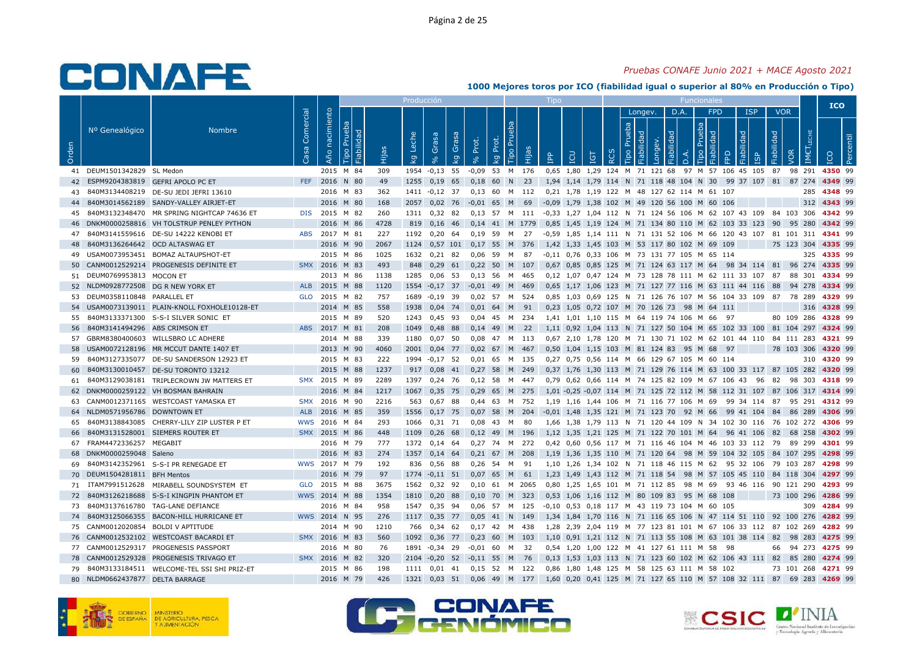### *Pruebas CONAFE Junio 2021 + MACE Agosto 2021*

|       |                                 |                                            |                   |                |                              |       | Producción  |                   |              |                   |             |              |        | Tipo       |     |                                |            |                |                                  |                    |           |                                                         |                                                                 |            |            |                   |                            | <b>ICO</b> |        |
|-------|---------------------------------|--------------------------------------------|-------------------|----------------|------------------------------|-------|-------------|-------------------|--------------|-------------------|-------------|--------------|--------|------------|-----|--------------------------------|------------|----------------|----------------------------------|--------------------|-----------|---------------------------------------------------------|-----------------------------------------------------------------|------------|------------|-------------------|----------------------------|------------|--------|
| Orden | Nº Genealógico                  | <b>Nombre</b>                              | Comercial<br>Casa | Año nacimiento | Prueba<br>Fiabilidad<br>Tipo | Hijas | Leche<br>Ιğ | Grasa<br>$\infty$ | Grasa<br>ΙŠΥ | Prot.<br>$\infty$ | Prot.<br>kg | Prue<br>Гiро | Hijas  | <b>AdI</b> | LCU | TGT                            | <b>RCS</b> | Prueba<br>Tipo | Longev.<br>Fiabilidad<br>Longev. | D.A.<br>Fiabilidad |           | <b>FPD</b><br>Prueba<br>Tipo                            | Fiabilidad<br>EPD                                               | <b>ISP</b> | Fiabilidad | <b>VOR</b><br>VOR | LECHE<br>IMET <sub>I</sub> |            | centil |
|       | 41 DEUM1501342829 SL Medon      |                                            |                   | 2015 M 84      |                              | 309   |             | 1954 -0,13 55     |              | $-0,09$           | 53 M 176    |              |        |            |     | 0,65 1,80 1,29 124 M 71 121 68 |            |                |                                  |                    | $\vec{a}$ |                                                         | 97 M 57 106 45 105                                              | ഇ          | 87         | 98 291            |                            | 4350 99    |        |
| 42    |                                 | ESPM9204383819 GEFRI APOLO PC ET           | FEF.              | 2016           | N 80                         | 49    | 1255        | 0,19              | 65           | 0,18              | 60          | N.           | 23     |            |     |                                |            |                |                                  |                    |           | 1,94 1,14 1,79 114 N 71 118 48 104 N 30                 | 99 37 107 81                                                    |            |            | 87 274            |                            | 4349 99    |        |
| 43    |                                 | 840M3134408219 DE-SU JEDI JEFRI 13610      |                   | 2016 M 83      |                              | 362   | 1411        | $-0,12$ 37        |              | 0,13 60 M 112     |             |              |        |            |     |                                |            |                |                                  |                    |           | 0,21 1,78 1,19 122 M 48 127 62 114 M 61 107             |                                                                 |            |            |                   | 285                        | 4348 99    |        |
| 44    |                                 | 840M3014562189 SANDY-VALLEY AIRJET-ET      |                   | 2016           | M 80                         | 168   | 2057        | $0.02$ 76         |              | $-0.01$ 65        |             | M            | 69     |            |     |                                |            |                |                                  |                    |           | -0.09 1.79 1.38 102 M 49 120 56 100 M 60 106            |                                                                 |            |            |                   | 312                        | 4343 99    |        |
| 45    |                                 | 840M3132348470 MR SPRING NIGHTCAP 74636 ET | <b>DIS</b>        | 2015 M 82      |                              | 260   | 1311        | $0,32$ 82         |              | 0.13              | 57 M        |              | - 111  |            |     |                                |            |                |                                  |                    |           |                                                         | -0,33 1,27 1,04 112 N 71 124 56 106 M 62 107 43 109 84 103 306  |            |            |                   |                            | 4342 99    |        |
| 46    |                                 | DNKM0000258816 VH TOLSTRUP PENLEY PYTHON   |                   | 2016 M 86      |                              | 4728  | 819         | $0,16$ 46         |              | 0,14 41 M 1779    |             |              |        |            |     |                                |            |                |                                  |                    |           |                                                         | 0,85 1,45 1,19 124 M 71 134 80 110 M 62 103 33 123 90 95 280    |            |            |                   |                            | 4342 99    |        |
| 47    |                                 | 840M3141559616 DE-SU 14222 KENOBI ET       | <b>ABS</b>        | 2017 M 81      |                              | 227   | 1192        | 0,20              | 64           | 0,19              | 59          | M            | 27     |            |     |                                |            |                |                                  |                    |           |                                                         | -0,59 1,85 1,14 111 N 71 131 52 106 M 66 120 43 107 81 101 311  |            |            |                   |                            | 4341 99    |        |
| 48    | 840M3136264642 OCD ALTASWAG ET  |                                            |                   | 2016 M 90      |                              | 2067  | 1124        | 0,57 101          |              | $0,17$ 55         |             | M            | 376    |            |     |                                |            |                |                                  |                    |           | 1,42 1,33 1,45 103 M 53 117 80 102 M 69 109             |                                                                 |            |            | 75 123 304        |                            | 4335 99    |        |
|       |                                 | USAM0073953451 BOMAZ ALTAUPSHOT-ET         |                   | 2015           | M 86                         | 1025  | 1632        | $0,21$ 82         |              | 0.06              | 59          | M            | 87     |            |     |                                |            |                |                                  |                    |           | -0.11  0.76  0.33  106  M  73  131  77  105  M  65  114 |                                                                 |            |            |                   | 325                        | 4335 99    |        |
| 50    |                                 | CANM0012529214 PROGENESIS DEFINITE ET      |                   | SMX 2016 M 83  |                              | 493   | 848         | $0,29$ 61         |              | 0,22              | 50          | M            | 107    |            |     | 0,67 0,85 0,85 125             |            |                |                                  |                    |           |                                                         | M 71 124 63 117 M 64 98 34 114 81 96 274                        |            |            |                   |                            | 4335 99    |        |
| 51    | DEUM0769953813 MOCON ET         |                                            |                   | 2013 M 86      |                              | 1138  | 1285        | $0,06$ 53         |              | 0,13,56           |             | M            | 465    |            |     |                                |            |                |                                  |                    |           |                                                         | 0,12 1,07 0,47 124 M 73 128 78 111 M 62 111 33 107 87           |            |            | 88 301            |                            | 4334 99    |        |
| 52    |                                 | NLDM0928772508 DG R NEW YORK ET            |                   | ALB 2015       | M 88                         | 1120  | 1554        | $-0,17$ 37        |              | $-0,01$           | -49         | M            | 469    |            |     |                                |            |                |                                  |                    |           |                                                         | 0,65 1,17 1,06 123 M 71 127 77 116 M 63 111 44 116 88           |            |            | 94 278            |                            | 4334 99    |        |
| 53    | DEUM0358110848 PARALLEL ET      |                                            | <b>GLO</b>        | 2015 M 82      |                              | 757   | 1689        | $-0,19$ 39        |              | $0.02$ 57         |             | M            | 524    |            |     |                                |            |                |                                  |                    |           |                                                         | 0,85 1,03 0,69 125 N 71 126 76 107 M 56 104 33 109 87           |            |            | 78 289            |                            | 4329 99    |        |
| 54    |                                 | USAM0073139011 PLAIN-KNOLL FOXHOLE10128-ET |                   | 2014 M 85      |                              | 558   | 1938        | $0,04$ 74         |              | $0,01$ 64         |             | M            | 91     |            |     |                                |            |                |                                  |                    |           | 0.23 1.05 0.72 107 M 70 126 73 98 M 64 111              |                                                                 |            |            |                   | 316                        | 4328 99    |        |
| 55    |                                 | 840M3133371300 S-S-I SILVER SONIC ET       |                   | 2015 M 89      |                              | 520   | 1243        | 0,45 93           |              | $0,04$ 45         |             | м            | 234    |            |     |                                |            |                |                                  |                    |           | 1,41 1,01 1,10 115 M 64 119 74 106 M 66                 | 97                                                              |            |            | 80 109 286        |                            | 4328 99    |        |
| 56    | 840M3141494296 ABS CRIMSON ET   |                                            |                   | ABS 2017 M 81  |                              | 208   | 1049        | 0,48 88           |              | $0,14$ 49         |             | M            | 22     |            |     |                                |            |                |                                  |                    |           |                                                         | 1,11 0,92 1,04 113 N 71 127 50 104 M 65 102 33 100 81 104 297   |            |            |                   |                            | 4324 99    |        |
| 57    |                                 | GBRM8380400603 WILLSBRO LC ADHERE          |                   | 2014 M 88      |                              | 339   | 1180        | $0.07$ 50         |              | 0.08              | 47          | M            | 113    |            |     |                                |            |                |                                  |                    |           |                                                         | 0.67 2.10 1.78 120 M 71 130 71 102 M 62 101 44 110 84 111 283   |            |            |                   |                            | 4321 99    |        |
| 58    |                                 | USAM0072128196 MR MCCUT DANTE 1407 ET      |                   | 2013 M 90      |                              | 4060  | 2001        | $0,04$ 77         |              | 0.02              | 67          | M            | 467    |            |     | 0,50 1,04 1,15 103             |            |                |                                  |                    |           | M 81 124 83 95 M 68                                     | 97                                                              |            |            | 78 103 306        |                            | 4320 99    |        |
| 59    |                                 | 840M3127335077 DE-SU SANDERSON 12923 ET    |                   | 2015 M 83      |                              | 222   |             | 1994 -0,17 52     |              | 0,01              | 65          | M            | - 135  |            |     |                                |            |                |                                  |                    |           | 0,27 0,75 0,56 114 M 66 129 67 105 M 60 114             |                                                                 |            |            |                   | 310                        | 4320 99    |        |
| 60    |                                 | 840M3130010457    DE-SU TORONTO 13212      |                   | 2015           | 88<br>M                      | 1237  | 917         | 0,08              | 41           | 0,27              | - 58        | M            | 249    |            |     |                                |            |                |                                  |                    |           |                                                         | 0,37 1,76 1,30 113 M 71 129 76 114 M 63 100 33 117 87 105 282   |            |            |                   |                            | 4320 99    |        |
| 61    |                                 | 840M3129038181 TRIPLECROWN JW MATTERS ET   |                   | SMX 2015 M 89  |                              | 2289  | 1397        | 0,24 76           |              | $0,12$ 58         |             | M            | 447    |            |     |                                |            |                |                                  |                    |           |                                                         | 0,79 0,62 0,66 114 M 74 125 82 109 M 67 106 43 96 82            |            |            | 98 303            |                            | 4318 99    |        |
|       |                                 | DNKM0000259122 VH BOSMAN BAHRAIN           |                   | 2016 M 84      |                              | 1217  | 1067        | $0,35$ 75         |              | $0,29$ 65 M       |             |              | 275    |            |     |                                |            |                |                                  |                    |           |                                                         | 1.01 -0.25 -0.07 114 M 71 125 72 112 M 58 112 31 107 87 106 317 |            |            |                   |                            | 4314 99    |        |
| 63    |                                 | CANM0012371165 WESTCOAST YAMASKA ET        | <b>SMX</b>        | 2016 M 90      |                              | 2216  | 563         | 0,67 88           |              | 0.44              | 63          | M            | 752    |            |     |                                |            |                |                                  |                    |           | 1,19 1,16 1,44 106 M 71 116 77 106 M 69                 | 99 34 114 87                                                    |            |            |                   | 95 291                     | 4312 99    |        |
| 64    | NLDM0571956786 DOWNTOWN ET      |                                            | <b>ALB</b>        | 2016 M 85      |                              | 359   | 1556        | $0,17$ 75         |              | 0,07              | 58          | M            | 204    |            |     |                                |            |                |                                  |                    |           | $-0.01$ 1.48 1.35 121 M 71 123 70 92 M 66               | 99 41 104 84                                                    |            |            | 86 289            |                            | 4306 99    |        |
| 65    |                                 | 840M3138843085 CHERRY-LILY ZIP LUSTER P ET | wws               | 2016           | M 84                         | 293   | 1066        | $0,31$ 71         |              | 0,08              | 43          | M            | 80     |            |     |                                |            |                |                                  |                    |           |                                                         | 1,66 1,38 1,79 113 N 71 120 44 109 N 34 102 30 116 76 102 272   |            |            |                   |                            | 4306 99    |        |
|       |                                 | 840M3131528001 SIEMERS ROUTER ET           |                   | SMX 2015 M 86  |                              | 448   | 1109        | $0,26$ 68         |              | $0,12$ 49         |             | M            | 196    |            |     |                                |            |                |                                  |                    |           |                                                         | 1,12 1,35 1,21 125 M 71 122 70 101 M 64 96 41 106 82            |            |            | 68 258            |                            | 4302 99    |        |
| 66    | 67 FRAM4472336257 MEGABIT       |                                            |                   | 2016 M 79      |                              | 777   | 1372        | $0.14$ 64         |              | $0.27$ 74         |             | M            | 272    |            |     |                                |            |                |                                  |                    |           |                                                         | 0.42 0.60 0.56 117 M 71 116 46 104 M 46 103 33 112 79           |            |            | 89 299            |                            | 4301 99    |        |
| 68    | DNKM0000259048 Saleno           |                                            |                   | 2016 M 83      |                              | 274   | 1357        | $0,14$ 64         |              | 0,21              | 67          | M            | 208    |            |     | 1,19 1,36 1,35 110             |            |                |                                  |                    |           |                                                         | M 71 120 64 98 M 59 104 32 105                                  |            |            | 84 107 295        |                            | 4298 99    |        |
| 69    |                                 | 840M3142352961 S-S-I PR RENEGADE ET        |                   | WWS 2017 M 79  |                              | 192   | 836         | 0,56 88           |              | $0.26$ 54         |             | M            | 91     |            |     |                                |            |                |                                  |                    |           |                                                         | 1,10 1,26 1,34 102 N 71 118 46 115 M 62 95 32 106 79 103 287    |            |            |                   |                            | 4298 99    |        |
| 70    | DEUM1504281811 BFH Mentos       |                                            |                   | 2016 M 79      |                              | 97    | 1774        | $-0,11$ 51        |              | 0,07              | 65          | M            | 61     |            |     |                                |            |                |                                  |                    |           |                                                         | 1,23 1,49 1,43 112 M 71 118 54 98 M 57 105 45 110               |            |            | 84 118 304        |                            | 4297 99    |        |
| 71    |                                 | ITAM7991512628 MIRABELL SOUNDSYSTEM ET     |                   | GLO 2015       | M 88                         | 3675  | 1562        | 0,32 92           |              | 0.10              | - 61        |              | M 2065 |            |     |                                |            |                |                                  |                    |           | 0.80 1.25 1.65 101 M 71 112 85 98 M 69                  | 93 46 116                                                       |            |            | 90 121 290        |                            | 4293 99    |        |
| 72    |                                 | 840M3126218688 S-S-I KINGPIN PHANTOM ET    |                   | WWS 2014 M 88  |                              | 1354  | 1810        | $0,20$ 88         |              | 0,10              | 70          | M            | 323    |            |     |                                |            |                |                                  |                    |           | 0,53 1,06 1,16 112 M 80 109 83 95 M 68 108              |                                                                 |            |            | 73 100 296        |                            | 4286 99    |        |
| 73    | 840M3137616780                  | TAG-LANE DEFIANCE                          |                   | 2016 M 84      |                              | 958   | 1547        | 0,35              | 94           | 0,06              | 57          | м            | 125    |            |     |                                |            |                |                                  |                    |           | -0,10 0,53 0,18 117 M 43 119 73 104 M 60 105            |                                                                 |            |            |                   | 309                        | 4284 99    |        |
| 74    |                                 | 840M3125066355 BACON-HILL HURRICANE ET     |                   | WWS 2014 N 95  |                              | 276   | 1117        | $0,35$ 77         |              | 0,05              | 41 N        |              | 149    |            |     |                                |            |                |                                  |                    |           |                                                         | 1,34 1,84 1,70 116 N 71 116 65 106 N 47 114 51 110 92 100 276   |            |            |                   |                            | 4282 99    |        |
| 75    | CANM0012020854 BOLDI V APTITUDE |                                            |                   | 2014           | M 90                         | 1210  | 766         | 0,34              | 62           | 0,17              | 42          | M            | 438    |            |     | 1,28 2,39 2,04 119             |            |                |                                  |                    |           |                                                         | M 77 123 81 101 M 67 106 33 112 87 102 269                      |            |            |                   |                            | 4282 99    |        |
| 76    |                                 | CANM0012532102 WESTCOAST BACARDI ET        |                   | SMX 2016 M 83  |                              | 560   | 1092        | 0,36 77           |              | 0,23              | 60          | M            | - 103  |            |     |                                |            |                |                                  |                    |           |                                                         | 1,10 0,91 1,21 112 N 71 113 55 108 M 63 101 38 114 82           |            |            | 98 283            |                            | 4275 99    |        |
|       |                                 | 77 CANM0012529317 PROGENESIS PASSPORT      |                   | 2016 M 80      |                              | 76    | 1891        | $-0,34$ 29        |              | $-0.01$ 60        |             | M            | 32     |            |     |                                |            |                |                                  |                    |           | 0,54 1,20 1,00 122 M 41 127 61 111 M 58                 | 98                                                              |            | 66         | 94 273            |                            | 4275 99    |        |
| 78    |                                 | CANM0012529328 PROGENESIS TRIVAGO ET       |                   | SMX 2016       | M 82                         | 320   | 2104        | $-0,20$ 52        |              | $-0.11$           | 55          | M            | 76     |            |     |                                |            |                |                                  |                    |           |                                                         | 0,13 1,53 1,03 113 N 71 123 60 102 M 62 106 43 111 82           |            |            |                   | 85 280                     | 4274 99    |        |
| 79    |                                 | 840M3133184511 WELCOME-TEL SSI SHI PRIZ-ET |                   | 2015 M 86      |                              | 198   | 1111        | 0,01              | - 41         | $0,15$ 52         |             | M            | 122    |            |     |                                |            |                |                                  |                    |           | 0,86 1,80 1,48 125 M 58 125 63 111 M 58 102             |                                                                 |            |            | 73 101 268        |                            | 4271 99    |        |
|       | 80 NLDM0662437877 DELTA BARRAGE |                                            |                   | 2016 M 79      |                              | 426   | 1321        | $0.03$ 51         |              |                   |             |              |        |            |     |                                |            |                |                                  |                    |           |                                                         |                                                                 |            |            |                   |                            |            |        |
|       |                                 |                                            |                   |                |                              |       |             |                   |              | 0.06              | 49          | M            | 177    |            |     |                                |            |                |                                  |                    |           |                                                         | 1,60 0,20 0,41 125 M 71 127 65 110 M 57 108 32 111 87           |            |            | 69 283            |                            | 4269 99    |        |







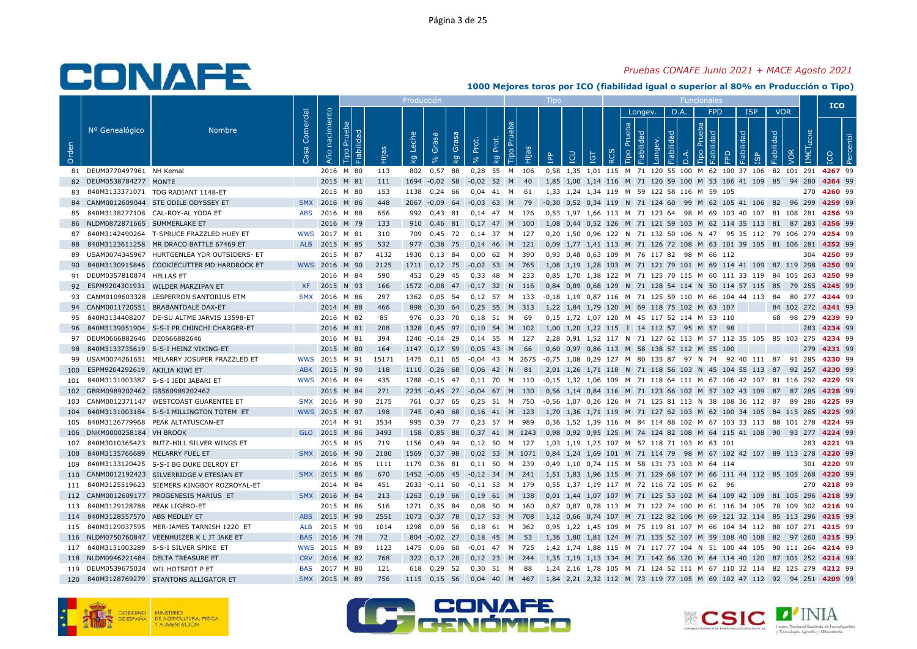### *Pruebas CONAFE Junio 2021 + MACE Agosto 2021*

|       |                                 |                                             |                   |                   |                                                 |       | Producción  |                   |             |                   |             |           |        | Tipo         |   |                                |                  |                |                       |            |                |                                              |                                                                      |            |            |            |                  | <b>ICO</b>  |            |
|-------|---------------------------------|---------------------------------------------|-------------------|-------------------|-------------------------------------------------|-------|-------------|-------------------|-------------|-------------------|-------------|-----------|--------|--------------|---|--------------------------------|------------------|----------------|-----------------------|------------|----------------|----------------------------------------------|----------------------------------------------------------------------|------------|------------|------------|------------------|-------------|------------|
|       |                                 |                                             |                   |                   |                                                 |       |             |                   |             |                   |             |           |        |              |   |                                |                  |                | Longev.               |            | D.A.           | <b>FPD</b>                                   |                                                                      | <b>ISP</b> | <b>VOR</b> |            |                  |             |            |
| Orden | Nº Genealógico                  | <b>Nombre</b>                               | Comercial<br>Casa | nacimiento<br>Año | Prueba<br>Fiabilidad<br>$\overline{\text{Lpo}}$ | Hijas | Leche<br>ΔĀ | Grasa<br>$\infty$ | Grasa<br>Κğ | Prot.<br>$\delta$ | Prot.<br>Ιğ | E<br>Tipo | Hijas  | $\mathbf{f}$ | m | <b>TGT</b>                     | $\tilde{\alpha}$ | Prueba<br>Tipo | Fiabilidad<br>Longev. | Fiabilidad | $\overline{a}$ | Prueba<br>Fiabilidad<br>Tipo                 | Fiabilidad<br>FPD                                                    |            | Fiabilidad | VOR        | <b>IMETLECHE</b> | <b>ICO</b>  | <b>Per</b> |
|       | 81 DEUM0770497961 NH Kemal      |                                             |                   |                   | 2016 M 80                                       | 113   | 802         | 0,57              | 88          | 0,28              | 55          | M 106     |        |              |   |                                |                  |                |                       |            |                |                                              | 0,58 1,35 1,01 115 M 71 120 55 100 M 62 100 37 106                   |            |            | 82 101 291 |                  | 4267 99     |            |
| 82    | DEUM0538784277 MONTE            |                                             |                   |                   | 2015 M 81                                       | 111   | 1694        | $-0,02$           | 58          | $-0,02$           | 52          | M         | 40     |              |   |                                |                  |                |                       |            |                |                                              | 1,85 1,00 1,14 116 M 71 120 59 100 M 53 106 41 109 85                |            |            | 94 280     |                  | 4264 99     |            |
| 83    |                                 | 840M3133371071 TOG RADIANT 1148-ET          |                   |                   | 2015 M 80                                       | 153   | 1138        | 0,24              | - 66        | $0.04$ 41         |             | M         | 61     |              |   |                                |                  |                |                       |            |                | 1.33 1.24 1.34 119 M 59 122 58 116 M 59 105  |                                                                      |            |            |            | 270              | 4260 99     |            |
| 84    |                                 | CANM0012609044 STE ODILE ODYSSEY ET         | <b>SMX</b>        | 2016              | M 86                                            | 448   | 2067        | $-0,09$           | 64          | $-0,03$ 63        |             | M         | 79     |              |   |                                |                  |                |                       |            |                |                                              | -0,30 0,52 0,34 119 N 71 124 60 99 M 62 105 41 106 82 96 299         |            |            |            |                  | 4259 99     |            |
| 85    |                                 | 840M3138277108 CAL-ROY-AL YODA ET           | <b>ABS</b>        | 2016 M 88         |                                                 | 656   | 992         | 0.43              | 81          | $0.14$ 47 M       |             |           | 176    |              |   | 0.53 1.97 1.66 113 M 71 123 64 |                  |                |                       |            |                |                                              | 98 M 69 103 40 107 81 108 281                                        |            |            |            |                  | 4256 99     |            |
| 86    | NLDM0872871665 SUMMERLAKE ET    |                                             |                   |                   | 2016 M 79                                       | 133   | 910         | $0,46$ 81         |             | 0,17 47 M 100     |             |           |        |              |   |                                |                  |                |                       |            |                |                                              | 1,08 0,44 0,52 126 M 71 121 59 103 M 62 114 35 113 81                |            |            | 87 283     |                  | 4256 99     |            |
| 87    |                                 | 840M3142490264 T-SPRUCE FRAZZLED HUEY ET    |                   | WWS 2017 M 81     |                                                 | 310   | 709         | 0.45              | 72          | 0.14              | 37          | M         | 127    |              |   |                                |                  |                |                       |            |                | 0.20 1.50 0.96 122 N 71 132 50 106 N 47      | 95 35 112 79                                                         |            |            | 106 279    |                  | 4254 99     |            |
| 88    |                                 | 840M3123611258 MR DRACO BATTLE 67469 ET     | <b>ALB</b>        | 2015 M 85         |                                                 | 532   | 977         | 0,38              | 75          | $0,14$ 46         |             | M 121     |        |              |   |                                |                  |                |                       |            |                |                                              | 0,09 1,77 1,41 113 M 71 126 72 108 M 63 101 39 105 81 106 281        |            |            |            |                  | 4252 99     |            |
| 89    |                                 | USAM0074345967 HURTGENLEA YDR OUTSIDERS- ET |                   | 2015              | M 87                                            | 4132  | 1930        | 0,13              | 84          | 0,00              | 62          | M         | 390    |              |   |                                |                  |                |                       |            |                | 0,93 0,48 0,63 109 M 76 117 82 98 M 66 112   |                                                                      |            |            |            | 304              | 4250 99     |            |
| 90    |                                 | 840M3130915846 COOKIECUTTER MD HARDROCK ET  |                   | WWS 2016 M 90     |                                                 | 2125  | 1711        | $0,12$ 75         |             | $-0.02$ 53 M      |             |           | 765    |              |   |                                |                  |                |                       |            |                |                                              | 1,08 1,19 1,28 103 M 71 121 79 101 M 69 114 41 109 87 119 298        |            |            |            |                  | 4250 99     |            |
| 91    | DEUM0357810874 HELLAS ET        |                                             |                   |                   | 2016 M 84                                       | 590   | 453         | $0,29$ 45         |             | $0,33$ 48         |             | M         | - 233  |              |   |                                |                  |                |                       |            |                |                                              | 0,85 1,70 1,38 122 M 71 125 70 115 M 60 111 33 119 84 105 263        |            |            |            |                  | 4250 99     |            |
| 92    |                                 | ESPM9204301931 WILDER MARZIPAN ET           | <b>XF</b>         | 2015              | N 93                                            | 166   | 1572        | $-0.08$ 47        |             | $-0,17$ 32        |             | N         | 116    |              |   |                                |                  |                |                       |            |                |                                              | 0,84 0,89 0,68 129 N 71 128 54 114 N 50 114 57 115 85                |            |            | 79 255     |                  | 4245 99     |            |
| 93    |                                 | CANM0109603328 LESPERRON SANTORIUS ETM      | <b>SMX</b>        | 2016              | M 86                                            | 297   | 1362        | $0,05$ 54         |             | $0,12$ 57         |             | M         | 133    |              |   |                                |                  |                |                       |            |                |                                              | -0,18 1,19 0,87 116 M 71 125 59 110 M 66 104 44 113 84               |            |            |            | 80 277           | 4244 99     |            |
| 94    |                                 | CANM0011720551 BRABANTDALE DAX-ET           |                   |                   | 2014 M 88                                       | 466   | 898         | $0,30$ 64         |             | 0,25 55 M 313     |             |           |        |              |   |                                |                  |                |                       |            |                | 1,22 1,84 1,79 120 M 69 118 75 102 M 63 107  |                                                                      |            |            | 84 102 272 |                  | 4241 99     |            |
| 95    | 840M3134408207                  | DE-SU ALTME JARVIS 13598-ET                 |                   |                   | 2016 M 82                                       | 85    | 976         | 0,33              | 70          | 0.18              | 51          | M         | 69     |              |   |                                |                  |                |                       |            |                | 0,15 1,72 1,07 120 M 45 117 52 114 M 53 110  |                                                                      |            | 68         | 98 279     |                  | 4239 99     |            |
| 96    |                                 | 840M3139051904 S-S-I PR CHINCHI CHARGER-ET  |                   |                   | 2016 M 81                                       | 208   | 1328        | 0,45 97           |             | $0,10$ 54 M       |             |           | 102    |              |   |                                |                  |                |                       |            |                | 1,00 1,20 1,22 115 I 14 112 57 95 M 57       | 98                                                                   |            |            |            | 283              | 4234 99     |            |
| 97    | DEUM0666882646 DE0666882646     |                                             |                   |                   | 2016 M 81                                       | 394   | 1240        | $-0,14$ 29        |             | $0,14$ 55         |             | M         | 127    |              |   |                                |                  |                |                       |            |                |                                              | 2,28 0,91 1,52 117 N 71 127 62 113 M 57 112 35 105                   |            |            | 85 103 275 |                  | 4234 99     |            |
| 98    |                                 | 840M3133735619 S-S-I HEINZ VIKING-ET        |                   |                   | 2015 M 80                                       | 164   | 1147        | $0,17$ 59         |             | 0,05              | 43          | M         | 66     |              |   |                                |                  |                |                       |            |                | 0,60 0,97 0,86 113 M 58 138 57 112 M 55 100  |                                                                      |            |            |            | 279              | 4231 99     |            |
| 99    |                                 | USAM0074261651 MELARRY JOSUPER FRAZZLED ET  |                   | WWS 2015 M 91     |                                                 | 15171 | 1475        | $0,11$ 65         |             | $-0.04$ 43 M 2675 |             |           |        |              |   |                                |                  |                |                       |            |                |                                              | -0,75 1,08 0,29 127 M 80 135 87 97 N 74 92 40 111 87                 |            |            | 91 285     |                  | 4230 99     |            |
| 100   | ESPM9204292619 AKILIA KIWI ET   |                                             | <b>ABK</b>        | 2015              | N 90                                            | 118   | 1110        | $0.26$ 68         |             | 0.06              | 42          | N.        | 81     |              |   |                                |                  |                |                       |            |                | 2.01 1.26 1.71 118 N 71 118 56 103 N 45      | 104 55 113 87                                                        |            |            | 92 257     |                  | 4230 99     |            |
| 101   |                                 | 840M3131003387 S-S-I JEDI JABARI ET         |                   | WWS 2016 M 84     |                                                 | 435   | 1788        | $-0,15$ 47        |             | 0.11 70 M 110     |             |           |        |              |   |                                |                  |                |                       |            |                |                                              | -0,15 1,32 1,06 109 M 71 118 64 111 M 67 106 42 107 81 116 292       |            |            |            |                  | 4229 99     |            |
| 102   | GBRM0989202462 GB560989202462   |                                             |                   |                   | 2015 M 84                                       | 271   | 2235        | $-0.45$ 27        |             | $-0,04$           | 67          | M         | 130    |              |   |                                |                  |                |                       |            |                |                                              | 0,56 1,14 0,84 116 M 71 123 66 102 M 57 102 43 109 87                |            |            | 87 285     |                  | 4228 99     |            |
| 103   |                                 | CANM0012371147 WESTCOAST GUARENTEE ET       |                   | SMX 2016          | M 90                                            | 2175  | 761         | 0,37 65           |             | 0,25              | 51          | M         | 750    |              |   |                                |                  |                |                       |            |                |                                              | -0,56 1,07 0,26 126 M 71 125 81 113 N 38 108 36 112 87               |            |            | 89 286     |                  | 4225 99     |            |
| 104   |                                 | 840M3131003184 S-S-I MILLINGTON TOTEM ET    |                   | WWS 2015 M 87     |                                                 | 198   | 745         | 0,40              | 68          | $0,16$ 41 M       |             |           | 123    |              |   |                                |                  |                |                       |            |                |                                              | 1,70 1,36 1,71 119 M 71 127 62 103 M 62 100 34 105 84 115 265        |            |            |            |                  | 4225 99     |            |
| 105   |                                 | 840M3126779968 PEAK ALTATUSCAN-ET           |                   |                   | 2014 M 91                                       | 3534  | 995         | 0.39              | 77          | $0.23$ 57         |             | M         | 989    |              |   |                                |                  |                |                       |            |                |                                              | 0.36 1.52 1.39 116 M 84 114 88 102 M 67 103 33 113 88 101 278        |            |            |            |                  | 4224 99     |            |
| 106   | DNKM0000258184 VH BROOK         |                                             |                   | GLO 2015 M 86     |                                                 | 3493  | 158         | 0,85 88           |             | 0,37 41 M 1243    |             |           |        |              |   |                                |                  |                |                       |            |                |                                              | 0,98 0,92 0,95 125 M 74 124 82 108 M 64 115 41 108 90 93 277 4224 99 |            |            |            |                  |             |            |
| 107   |                                 | 840M3010365423 BUTZ-HILL SILVER WINGS ET    |                   |                   | 2015 M 85                                       | 719   | 1156        | 0.49              | 94          | $0.12$ 50         |             | <b>M</b>  | 127    |              |   |                                |                  |                |                       |            |                | 1.03 1.19 1.25 107 M 57 118 71 103 M 63 101  |                                                                      |            |            |            | 283              | 4221 99     |            |
| 108   | 840M3135766689 MELARRY FUEL ET  |                                             |                   | SMX 2016 M 90     |                                                 | 2180  | 1569        | 0,37              | 98          | 0,02              | 53          |           | M 1071 |              |   |                                |                  |                |                       |            |                |                                              | 0,84 1,24 1,69 101 M 71 114 79 98 M 67 102 42 107 89 113 278         |            |            |            |                  | 4220 99     |            |
| 109   |                                 | 840M3133120425 S-S-I BG DUKE DELROY ET      |                   |                   | 2016 M 85                                       | 1111  | 1179        | 0,36 81           |             | $0,11$ 50         |             | M         | 239    |              |   |                                |                  |                |                       |            |                | -0,49 1,10 0,74 115 M 58 131 73 103 M 64 114 |                                                                      |            |            |            |                  | 301 4220 99 |            |
| 110   |                                 | CANM0012192423 SILVERRIDGE V ETESIAN ET     |                   | SMX 2015          | M 86                                            | 670   | 1452        | $-0.06$           | 45          | $-0.12$ 34        |             | M         | 241    |              |   |                                |                  |                |                       |            |                |                                              | 1.51 1.83 1.96 115 M 71 129 68 107 M 66 111 44 112 85 105 268        |            |            |            |                  | 4220 99     |            |
| 111   |                                 | 840M3125519623 SIEMERS KINGBOY ROZROYAL-ET  |                   |                   | 2014 M 84                                       | 451   | 2033        | $-0,11$ 60        |             | $-0,11$ 53        |             | M 179     |        |              |   |                                |                  |                |                       |            |                | 0.55 1.37 1.19 117 M 72 116 72 105 M 62 96   |                                                                      |            |            |            | 270              | 4218 99     |            |
| 112   |                                 | CANM0012609177 PROGENESIS MARIUS ET         |                   | SMX 2016 M 84     |                                                 | 213   | 1263        | $0,19$ 66         |             | 0,19 61 M 138     |             |           |        |              |   |                                |                  |                |                       |            |                |                                              | 0,01 1,44 1,07 107 M 71 125 53 102 M 64 109 42 109 81 105 296        |            |            |            |                  | 4218 99     |            |
| 113   | 840M3129128788                  | PEAK LIGERO-ET                              |                   |                   | 2015 M 86                                       | 516   | 1271        | 0,35 84           |             | 0,08              | 50          | M         | 160    |              |   |                                |                  |                |                       |            |                |                                              | 0,87 0,87 0,78 113 M 71 122 74 100 M 61 116 34 105 78 109 302        |            |            |            |                  | 4216 99     |            |
| 114   | 840M3128557570 ABS MEDLEY ET    |                                             |                   | ABS 2015 M 90     |                                                 | 2551  | 1073        | 0,37 78           |             | $0,17$ 53 M       |             |           | 708    |              |   |                                |                  |                |                       |            |                |                                              | 1,12 0,66 0,74 107 M 71 122 82 106 M 69 121 32 114 85 113 296        |            |            |            |                  | 4215 99     |            |
| 115   |                                 | 840M3129037595 MER-JAMES TARNISH 1220 ET    | ALB               | 2015              | M 90                                            | 1014  | 1298        | 0,09              | 56          | 0,18              | 61          | M         | 362    |              |   |                                |                  |                |                       |            |                |                                              | 0,95 1,22 1,45 109 M 75 119 81 107 M 66 104 54 112 88 107 271        |            |            |            |                  | 4215 99     |            |
| 116   |                                 | NLDM0750760847 VEENHUIZER K L JT JAKE ET    | <b>BAS</b>        | 2016              | M 78                                            | 72    |             | 804 - 0,02 27     |             | 0,18              | 45          | M         | - 53   |              |   |                                |                  |                |                       |            |                |                                              | 1,36 1,80 1,81 124 M 71 135 52 107 M 59 108 40 108                   |            | 82         | 97 260     |                  | 4215 99     |            |
| 117   |                                 | 840M3131003289 S-S-I SILVER SPIKE ET        |                   | WWS 2015 M 89     |                                                 | 1123  | 1475        | $0,06$ 60         |             | $-0,01$           | 47          | <b>M</b>  | 725    |              |   |                                |                  |                |                       |            |                |                                              | 1,42 1,74 1,88 115 M 71 117 77 104 N 51 100 44 105 90 111 264        |            |            |            |                  | 4214 99     |            |
| 118   |                                 | NLDM0946221484 DELTA TREASURE ET            | <b>CRV</b>        | 2016              | M 82                                            | 768   | 322         | 0,17              | 28          | 0,12              | 23          | M         | 244    | 1.35         |   | 1.19 1.13 134 M                |                  |                |                       |            |                |                                              | 71 142 66 120 M 64 114 40 120 87 101                                 |            |            |            | 252              | 4214 99     |            |
| 119   | DEUM0539675034 WIL HOTSPOT P ET |                                             | <b>BAS</b>        | 2017 M 80         |                                                 | 121   | 618         | 0,29              | 52          | 0,30,51           |             | M         | 88     |              |   |                                |                  |                |                       |            |                |                                              | 1,24 2,16 1,78 105 M 71 124 52 111 M 67 110 32 114 82 125 279        |            |            |            |                  | 4212 99     |            |
| 120   |                                 | 840M3128769279 STANTONS ALLIGATOR ET        | <b>SMX</b>        | 2015 M 89         |                                                 | 756   | 1115        | $0,15$ 56         |             | 0.04              | 40          | M         | 467    |              |   |                                |                  |                |                       |            |                |                                              | 1,84 2,21 2,32 112 M 73 119 77 105 M 69 102 47 112 92 94 251         |            |            |            |                  | 4209 99     |            |





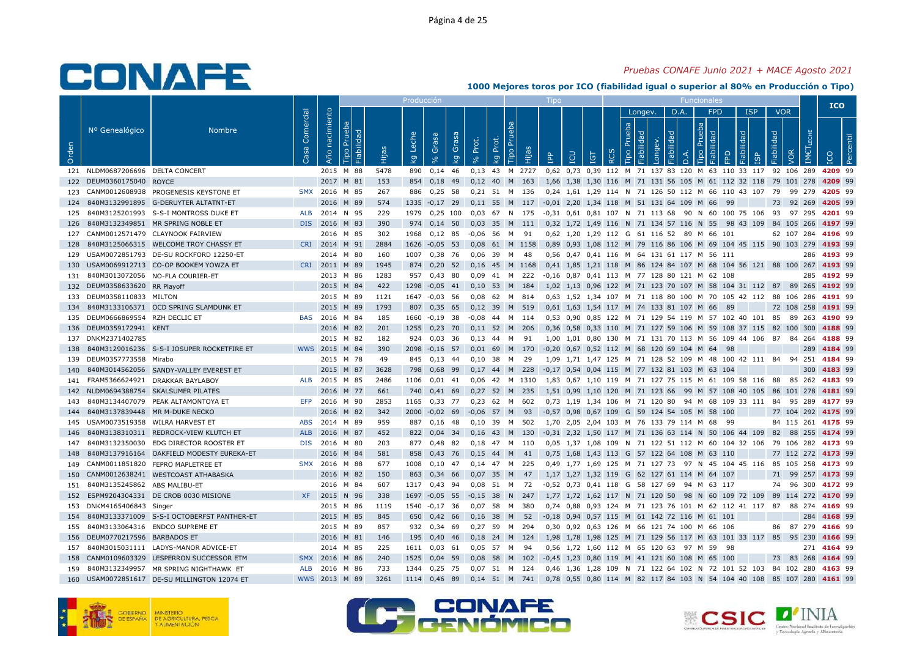### *Pruebas CONAFE Junio 2021 + MACE Agosto 2021*

|       |                                  |                                            |                   |                |                              |       | Producción  |                   |             |                   |             |                           |           |                       |           |                                 |   |                |            |                       |           |                                                               |           |                 |            |            |                      |             | <b>ICO</b> |
|-------|----------------------------------|--------------------------------------------|-------------------|----------------|------------------------------|-------|-------------|-------------------|-------------|-------------------|-------------|---------------------------|-----------|-----------------------|-----------|---------------------------------|---|----------------|------------|-----------------------|-----------|---------------------------------------------------------------|-----------|-----------------|------------|------------|----------------------|-------------|------------|
|       |                                  |                                            |                   |                |                              |       |             |                   |             |                   |             |                           |           |                       |           |                                 |   |                | Longev.    |                       | D.A.      | <b>FPD</b>                                                    |           | <b>ISP</b>      |            | <b>VOR</b> |                      |             |            |
| Orden | Nº Genealógico                   | <b>Nombre</b>                              | Comercial<br>Casa | Año nacimiento | Prueba<br>Fiabilidad<br>Tipo | Hijas | Leche<br>kg | Grasa<br>$\infty$ | Grasa<br>kg | Prot.<br>$\delta$ | Prot.<br>kg | Бa<br>$\tilde{E}$<br>Tipo | Hijas     | <b>AdI</b>            | LCU       | <b>TGT</b>                      | ᅆ | Prueba<br>Tipo | Fiabilidad | Fiabilidad<br>Longev. | $\vec{a}$ | Prueba<br>ᄝ<br>Tipo                                           | FPD       | Fiabilidad<br>ഇ | Fiabilidad | VOR        | LECHE<br><b>IMET</b> |             |            |
|       | 121 NLDM0687206696 DELTA CONCERT |                                            |                   |                | 2015 M 88                    | 5478  | 890         | $0,14$ 46         |             | 0,13              | 43          |                           | M 2727    |                       |           |                                 |   |                |            |                       |           | 0,62 0,73 0,39 112 M 71 137 83 120 M 63 110 33 117            |           |                 |            |            | 92 106 289           |             | 4209 99    |
| 122   | DEUM0360175040 ROYCE             |                                            |                   | 2017 M 81      |                              | 153   | 854         | 0,18              | 49          | 0,12              | 40          | M                         | 163       |                       |           |                                 |   |                |            |                       |           | 1,66 1,38 1,30 116 M 71 131 56 105 M 61 112 32 118            |           |                 |            |            | 79 101 278           | 4209 99     |            |
| 123   |                                  | CANM0012608938 PROGENESIS KEYSTONE ET      | <b>SMX</b>        | 2016 M 85      |                              | 267   | 886         | 0,25              | - 58        | $0,21$ 51 M       |             |                           | 136       |                       |           |                                 |   |                |            |                       |           | 0.24 1.61 1.29 114 N 71 126 50 112 M 66 110 43 107            |           |                 | 79         |            | 99 279               | 4205 99     |            |
| 124   |                                  | 840M3132991895 G-DERUYTER ALTATNT-ET       |                   | 2016           | M 89                         | 574   | 1335        | $-0,17$ 29        |             | $0,11$ 55 M       |             |                           | 117       |                       |           |                                 |   |                |            |                       |           | -0,01 2,20 1,34 118 M 51 131 64 109 M 66                      | -99       |                 | 73         |            | 92 269               | 4205 99     |            |
| 125   |                                  | 840M3125201993 S-S-I MONTROSS DUKE ET      | ALB               | 2014           | N 95                         | 229   | 1979        | $0.25$ 100        |             | 0.03              | 67          | <b>N</b>                  | 175       |                       |           |                                 |   |                |            |                       |           | 0.31 0.61 0.81 107 N 71 113 68 90 N 60 100 75 106             |           |                 | 93         |            | 97 295               | 4201 99     |            |
| 126   |                                  | 840M3132349851 MR SPRING NOBLE ET          | DIS .             | 2016 M 83      |                              | 390   | 974         | $0,14$ 50         |             | 0,03              | 35 M        |                           | 111       |                       |           |                                 |   |                |            |                       |           | 0,32 1,72 1,49 116 N 71 134 57 116 N 55                       | 98 43 109 |                 |            |            | 84 105 266           | 4197 99     |            |
| 127   |                                  | CANM0012571479 CLAYNOOK FAIRVIEW           |                   |                | 2016 M 85                    | 302   | 1968        | $0,12$ 85         |             | $-0.06$           | 56          | M                         | 91        |                       |           |                                 |   |                |            |                       |           | 0,62 1,20 1,29 112 G 61 116 52 89 M 66 101                    |           |                 |            |            | 62 107 284           | 4196 99     |            |
| 128   |                                  | 840M3125066315 WELCOME TROY CHASSY ET      | <b>CRI</b>        | 2014 M 91      |                              | 2884  | 1626        | $-0.05$ 53        |             | 0,08              |             |                           | 61 M 1158 |                       |           |                                 |   |                |            |                       |           | 0,89 0,93 1,08 112 M 79 116 86 106 M 69 104 45 115 90 103 279 |           |                 |            |            |                      | 4193 99     |            |
| 129   |                                  | USAM0072851793 DE-SU ROCKFORD 12250-ET     |                   |                | 2014 M 80                    | 160   | 1007        | 0,38              | - 76        | 0,06              | 39          | M                         | 48        |                       |           |                                 |   |                |            |                       |           | 0,56 0,47 0,41 116 M 64 131 61 117 M 56 111                   |           |                 |            |            | 286                  | 4193 99     |            |
| 130   |                                  | USAM0069912713 CO-OP BOOKEM YOWZA ET       | <b>CRI</b>        | 2011           | M 89                         | 1945  | 874         | $0,20$ 52         |             | 0.16              | 45          |                           | M 1168    |                       |           |                                 |   |                |            |                       |           | 0,41 1,85 1,21 118 M 86 124 84 107 M 68 104 56 121 88 100 267 |           |                 |            |            |                      | 4193 99     |            |
| 131   |                                  | 840M3013072056 NO-FLA COURIER-ET           |                   |                | 2013 M 86                    | 1283  | 957         | 0,43              | 80          | 0.09              | 41          | M                         | 222       |                       |           |                                 |   |                |            |                       |           | -0,16 0,87 0,41 113 M 77 128 80 121 M 62 108                  |           |                 |            |            | 285                  | 4192 99     |            |
| 132   | DEUM0358633620 RR Playoff        |                                            |                   | 2015 M 84      |                              | 422   | 1298        | $-0,05$           | 41          | 0,10              | 53          | M                         | 184       |                       |           |                                 |   |                |            |                       |           | 1,02 1,13 0,96 122 M 71 123 70 107 M 58 104 31 112 87 89 265  |           |                 |            |            |                      | 4192 99     |            |
| 133   | DEUM0358110833 MILTON            |                                            |                   | 2015 M 89      |                              | 1121  | 1647        | $-0.03$ 56        |             | 0,08              | 62 M        |                           | 814       |                       |           |                                 |   |                |            |                       |           | 0,63 1,52 1,34 107 M 71 118 80 100 M 70 105 42 112 88 106 286 |           |                 |            |            |                      | 4191 99     |            |
| 134   |                                  | 840M3133106371 OCD SPRING SLAMDUNK ET      |                   | 2015 M 89      |                              | 1793  | 807         | $0,35$ 65         |             | $0,12$ 39 M       |             |                           | 519       |                       |           |                                 |   |                |            |                       |           | 0,61 1,63 1,54 117 M 74 133 81 107 M 66                       | - 89      |                 |            |            | 72 108 258           | 4191 99     |            |
| 135   | DEUM0666869554                   | RZH DECLIC ET                              | <b>BAS</b>        | 2016 M 84      |                              | 185   | 1660        | $-0,19$           | 38          | $-0.08$           | 44          | M                         | 114       |                       |           |                                 |   |                |            |                       |           | 0,53 0,90 0,85 122 M 71 129 54 119 M 57 102 40 101            |           |                 | 85         |            | 89<br>263            | 4190 99     |            |
| 136   | DEUM0359172941 KENT              |                                            |                   | 2016 M 82      |                              | 201   | 1255        | $0,23$ 70         |             | 0,11              | 52          | M                         | 206       |                       |           |                                 |   |                |            |                       |           | 0.36 0.58 0.33 110 M 71 127 59 106 M 59 108 37 115            |           |                 | 82         |            | 100 300              | 4188 99     |            |
| 137   | DNKM2371402785                   |                                            |                   |                | 2015 M 82                    | 182   | 924         | 0,03              | 36          | 0,13              | 44          | M                         | 91        |                       |           |                                 |   |                |            |                       |           | 1,00 1,01 0,80 130 M 71 131 70 113 M 56 109 44 106 87         |           |                 |            |            | 84<br>264            | 4188 99     |            |
| 138   |                                  | 840M3129016236 S-S-I JOSUPER ROCKETFIRE ET |                   | WWS 2015 M 84  |                              | 390   | 2098        | $-0,16$ 57        |             | 0,01              | 69          | M                         | 170       |                       |           |                                 |   |                |            |                       |           | -0,20 0,67 0,52 112 M 68 120 69 104 M 64                      | 98        |                 |            |            | 289                  | 4184 99     |            |
| 139   | DEUM0357773558 Mirabo            |                                            |                   |                | 2015 M 78                    | 49    | 845         | $0,13$ 44         |             | 0,10              | -38         | M                         | 29        |                       |           |                                 |   |                |            |                       |           | 1,09 1,71 1,47 125 M 71 128 52 109 M 48 100 42 111 84         |           |                 |            | 94         | 251                  | 4184 99     |            |
| 140   |                                  | 840M3014562056 SANDY-VALLEY EVEREST ET     |                   | 2015           | M 87                         | 3628  | 798         | 0.68              | -99         | 0.17              | 44          | M                         | 228       | $-0.17$ 0.54 0.04 115 |           |                                 |   |                |            |                       |           | M 77 132 81 103 M 63                                          | 104       |                 |            |            | 300                  | 4183 99     |            |
| 141   | FRAM5366624921                   | DRAKKAR BAYLABOY                           | ALB               | 2015 M 85      |                              | 2486  | 1106        | $0.01$ 41         |             | 0.06              |             |                           | 42 M 1310 |                       |           |                                 |   |                |            |                       |           | 1.83 0.67 1.10 119 M 71 127 75 115 M 61 109 58 116 88 85 262  |           |                 |            |            |                      | 4183 99     |            |
| 142   |                                  | NLDM0694388754 SKALSUMER PILATES           |                   |                | 2016 M 77                    | 661   | 740         | $0,41$ 69         |             | 0,27              | 52 M        |                           | 235       |                       |           |                                 |   |                |            |                       |           | 1,51 0,99 1,10 120 M 71 123 66 99 M 57 108 40 105 86 101 278  |           |                 |            |            |                      | 4181 99     |            |
| 143   | 840M3134407079                   | PEAK ALTAMONTOYA ET                        | <b>EFP</b>        | 2016 M 90      |                              | 2853  | 1165        | 0,33              | 77          | 0,23              | 62          | M                         | 602       |                       |           | 0,73 1,19 1,34 106              |   |                |            | M 71 120 80           |           | 94 M 68 109 33 111                                            |           |                 | 84         |            | 95 289               | 4177 99     |            |
| 144   | 840M3137839448 MR M-DUKE NECKO   |                                            |                   | 2016 M 82      |                              | 342   | 2000        | $-0,02$           | 69          | $-0,06$           | 57          | M                         | 93        |                       |           |                                 |   |                |            |                       |           | -0,57 0,98 0,67 109 G 59 124 54 105 M 58 100                  |           |                 |            |            | 77 104 292           | 4175 99     |            |
| 145   | USAM0073519358                   | WILRA HARVEST ET                           | <b>ABS</b>        | 2014           | M 89                         | 959   | 887         | 0.16              | -48         | 0.10              | 39          | M                         | 502       | 1.70                  |           | 2.05 2.04 103 M 76 133 79 114 M |   |                |            |                       |           | 68                                                            | -99       |                 |            |            | 84 115 261           | 4175 99     |            |
| 146   |                                  | 840M3138310311 REDROCK-VIEW KLUTCH ET      | <b>ALB</b>        | 2016           | M 87                         | 452   | 822         | $0,04$ 34         |             | 0,16              | 43 M        |                           | 130       |                       |           |                                 |   |                |            |                       |           | -0,31 2,32 1,50 117 M 71 136 63 114 N 50 106 44 109           |           |                 | 82         |            | 88 255               | 4174 99     |            |
| 147   | 840M3132350030                   | EDG DIRECTOR ROOSTER ET                    | <b>DIS</b>        | 2016 M 80      |                              | 203   | 877         | 0.48              | 82          | 0.18              | 47 M        |                           | 110       |                       |           |                                 |   |                |            |                       |           | 0.05 1.37 1.08 109 N 71 122 51 112 M 60 104 32 106            |           |                 |            |            | 79 106 282           | 4173 99     |            |
| 148   |                                  | 840M3137916164 OAKFIELD MODESTY EUREKA-ET  |                   | 2016           | M 84                         | 581   | 858         | 0,43              | 76          | 0,15              | 44          | M                         | 41        |                       |           |                                 |   |                |            |                       |           | 0,75 1,68 1,43 113 G 57 122 64 108 M 63 110                   |           |                 |            |            | 77 112 272           | 4173 99     |            |
| 149   |                                  | CANM0011851820 FEPRO MAPLETREE ET          | <b>SMX</b>        | 2016 M 88      |                              | 677   | 1008        | 0,10              | 47          | $0,14$ 47         |             | M                         | 225       |                       |           |                                 |   |                |            |                       |           | 0,49 1,77 1,69 125 M 71 127 73 97 N 45 104 45 116             |           |                 | 85         |            | 105 258              | 4173 99     |            |
| 150   |                                  | CANM0012638241 WESTCOAST ATHABASKA         |                   | 2016           | M 82                         | 150   | 863         | $0.34$ 66         |             | 0.07              | 35          | M                         | 47        |                       |           |                                 |   |                |            |                       |           | 1.17 1.27 1.32 119 G 62 127 61 114 M 64                       | 107       |                 | 71         |            | 99 257               | 4173 99     |            |
| 151   | 840M3135245862 ABS MALIBU-ET     |                                            |                   |                | 2016 M 84                    | 607   | 1317        | $0.43$ 94         |             | 0.08              | 51          | M                         | 72        |                       |           |                                 |   |                |            |                       |           | -0,52 0,73 0,41 118 G 58 127 69 94 M 63 117                   |           |                 |            |            | 74 96 300            | 4172 99     |            |
| 152   |                                  | ESPM9204304331 DE CROB 0030 MISIONE        | <b>XF</b>         | 2015 N 96      |                              | 338   | 1697        | $-0.05$ 55        |             | $-0,15$           | 38          | N                         | 247       |                       |           |                                 |   |                |            |                       |           | 1,77 1,72 1,62 117 N 71 120 50 98 N 60 109 72 109             |           |                 |            |            | 89 114 272           | 4170 99     |            |
| 153   | DNKM4165406843 Singer            |                                            |                   | 2015 M 86      |                              | 1119  | 1540        | $-0,17$           | -36         | 0,07              | 58          | м                         | 380       |                       | 0,74 0,88 |                                 |   |                |            |                       |           | 0,93 124 M 71 123 76 101 M 62 112 41 117                      |           |                 | 87         |            | 88<br>274            | 4169 99     |            |
| 154   |                                  | 840M3133371009 S-S-I OCTOBERFST PANTHER-ET |                   | 2015 M 85      |                              | 845   | 650         | $0,42$ 66         |             | 0,16              | 38          | M                         | 52        |                       |           |                                 |   |                |            |                       |           | -0,18 0,94 0,57 115 M 61 142 72 116 M 61 101                  |           |                 |            |            | 284                  | 4168 99     |            |
| 155   |                                  | 840M3133064316 ENDCO SUPREME ET            |                   | 2015 M 89      |                              | 857   | 932         | 0,34              | 69          | 0,27              | 59          | M                         | 294       |                       |           | 0,30 0,92 0,63 126 M            |   |                |            |                       |           | 66 121 74 100 M 66 106                                        |           |                 | 86         |            | 87 279               | 4166 99     |            |
| 156   | DEUM0770217596 BARBADOS ET       |                                            |                   | 2016 M 81      |                              | 146   | 195         | 0,40              | 46          | 0.18              | 24          | M                         | 124       |                       |           | 1,98 1,78 1,98 125              |   |                |            |                       |           | M 71 129 56 117 M 63 101 33 117 85                            |           |                 |            |            | 95 230               | 4166 99     |            |
| 157   |                                  | 840M3015031111 LADYS-MANOR ADVICE-ET       |                   | 2014 M 85      |                              | 225   | 1611        | 0,03              | 61          | 0,05              | 57          | M                         | 94        |                       |           |                                 |   |                |            |                       |           | 0,56 1,72 1,60 112 M 65 120 63 97 M 59                        | 98        |                 |            |            |                      | 271 4164 99 |            |
| 158   | CANM0109603329                   | LESPERRON SUCCESSOR ETM                    | <b>SMX</b>        | 2016           | M 86                         | 240   | 1525        | 0.04              | 59          | 0.08              | 58          | M                         | 102       | $-0.45$               |           | 1,23 0,80 119                   |   |                |            |                       |           | M 41 121 60 108 M 65                                          | 100       |                 | 73         |            | 83 268               | 4164 99     |            |
| 159   |                                  | 840M3132349957 MR SPRING NIGHTHAWK ET      | <b>ALB</b>        |                | 2016 M 86                    | 733   | 1344        | 0,25              | - 75        | 0,07              | -51         | M                         | 124       |                       |           | 0,46 1,36 1,28 109              |   |                |            |                       |           | N 71 122 64 102 N 72 101 52 103 84 102 280                    |           |                 |            |            |                      | 4163 99     |            |
| 160   |                                  | USAM0072851617 DE-SU MILLINGTON 12074 ET   | <b>WWS</b>        | 2013 M 89      |                              | 3261  | 1114        | 0.46              | 89          | 0.14              | - 51        | M                         | 741       |                       |           |                                 |   |                |            |                       |           | 0,78 0,55 0,80 114 M 82 117 84 103 N 54 104 40 108            |           |                 |            |            | 85 107 280           | 4161 99     |            |







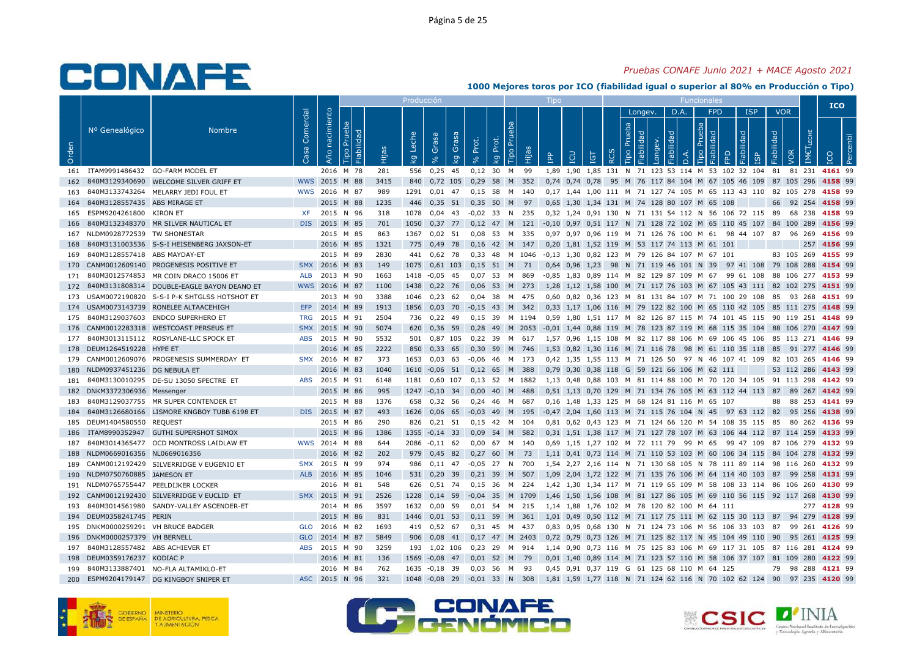### *Pruebas CONAFE Junio 2021 + MACE Agosto 2021*

|       |                                |                                             |                   |                   |                                     |       | Producción  |                   |             |                   |             |           |           |            |     |                |          |                |                              |            |          |                                              |                                                                |            |            |            |               | <b>ICO</b>                |            |
|-------|--------------------------------|---------------------------------------------|-------------------|-------------------|-------------------------------------|-------|-------------|-------------------|-------------|-------------------|-------------|-----------|-----------|------------|-----|----------------|----------|----------------|------------------------------|------------|----------|----------------------------------------------|----------------------------------------------------------------|------------|------------|------------|---------------|---------------------------|------------|
|       |                                |                                             |                   |                   |                                     |       |             |                   |             |                   |             |           |           |            |     |                |          |                | Longev.                      |            | D.A.     | <b>FPD</b>                                   |                                                                | <b>ISP</b> | <b>VOR</b> |            |               |                           |            |
| Orden | Nº Genealógico                 | <b>Nombre</b>                               | Comercial<br>Casa | nacimiento<br>Año | Prueba<br>Fiabilidad<br><b>Tipo</b> | Hijas | Leche<br>ΔÃ | Grasa<br>$\infty$ | Grasa<br>ΔÄ | Prot.<br>$\delta$ | Prot.<br>ΔÃ | E<br>Tipo | Hijas     | <b>AdI</b> | LCU | <b>TGT</b>     | $\alpha$ | Prueba<br>Tipo | <b>Fiabilidad</b><br>Longev. | Fiabilidad | $\Delta$ | Prueba<br>Fiabilidad<br>Tipo                 | FPD                                                            | Fiabilidad | Fiabilidad | VOR        | LECHE<br>IMET |                           | <b>Per</b> |
| 161   |                                | ITAM9991486432 GO-FARM MODEL ET             |                   |                   | 2016 M 78                           | 281   | 556         | 0,25              | 45          | $0,12$ 30 M       |             |           | 99        |            |     |                |          |                |                              |            |          |                                              | 1,89 1,90 1,85 131 N 71 123 53 114 M 53 102 32 104 81          |            |            | 81 231     |               | 4161 99                   |            |
| 162   | 840M3129340690                 | WELCOME SILVER GRIFF ET                     |                   | WWS 2015          | M 88                                | 3415  | 840         | 0,72 105          |             | 0,29              | 58          | M         | 352       |            |     |                |          |                |                              |            |          |                                              | 0,74 0,74 0,78 95 M 76 117 84 104 M 67 105 46 109 87 105 296   |            |            |            |               | 4158 99                   |            |
| 163   |                                | 840M3133743264 MELARRY JEDI FOUL ET         |                   | WWS 2016 M 87     |                                     | 989   | 1291        | $0.01$ 47         |             | 0.15 58 M 140     |             |           |           |            |     |                |          |                |                              |            |          |                                              | 0.17 1.44 1.00 111 M 71 127 74 105 M 65 113 43 110 82 105 278  |            |            |            |               | 4158 99                   |            |
| 164   | 840M3128557435 ABS MIRAGE ET   |                                             |                   |                   | 2015 M 88                           | 1235  | 446         | $0,35$ 51         |             | $0,35$ 50 M       |             |           | 97        |            |     |                |          |                |                              |            |          | 0.65 1.30 1.34 131 M 74 128 80 107 M 65 108  |                                                                |            | 66         | 92 254     |               | 4158 99                   |            |
| 165   | ESPM9204261800                 | KIRON ET                                    | <b>XF</b>         | 2015              | N 96                                | 318   | 1078        | $0,04$ 43         |             | $-0,02$ 33        |             | N         | 235       |            |     |                |          |                |                              |            |          |                                              | 0,32 1,24 0,91 130 N 71 131 54 112 N 56 106 72 115 89          |            |            |            | 68 238        | 4158 99                   |            |
| 166   |                                | 840M3132348370 MR SILVER NAUTICAL ET        |                   | DIS 2015 M 85     |                                     | 701   | 1050        | $0,37$ 77         |             | 0,12 47 M 121     |             |           |           |            |     |                |          |                |                              |            |          |                                              | -0,10 0,97 0,51 117 N 71 128 72 102 M 65 110 45 107 84 100 289 |            |            |            |               | 4156 99                   |            |
| 167   | NLDM0928772539 TW SHONESTAR    |                                             |                   |                   | 2015 M 85                           | 863   | 1367        | $0.02$ 51         |             | 0.08              | 53          | M         | 335       |            |     |                |          |                |                              |            |          |                                              | 0.97 0.97 0.96 119 M 71 126 76 100 M 61 98 44 107 87           |            |            | 96 269     |               | 4156 99                   |            |
| 168   |                                | 840M3131003536 S-S-I HEISENBERG JAXSON-ET   |                   | 2016 M 85         |                                     | 1321  | 775         | 0,49              | 78          | 0,16 42 M 147     |             |           |           |            |     |                |          |                |                              |            |          | 0,20 1,81 1,52 119 M 53 117 74 113 M 61 101  |                                                                |            |            |            | 257           | 4156 99                   |            |
| 169   | 840M3128557418 ABS MAYDAY-ET   |                                             |                   | 2015              | M 89                                | 2830  | 441         | $0,62$ 78         |             | 0.33              | 48          |           | M 1046    |            |     |                |          |                |                              |            |          | -0.13 1.30 0.82 123 M 79 126 84 107 M 67 101 |                                                                |            |            | 83 105 269 |               | 4155 99                   |            |
| 170   |                                | CANM0012609140 PROGENESIS POSITIVE ET       | <b>SMX</b>        | 2016              | M 83                                | 149   | 1075        | $0,61$ 103        |             | 0,15              | 51          | M         | 71        |            |     | 0,64 0,96 1,23 |          |                |                              |            |          | 98 N 71 119 46 101 N 39                      | 97 41 108 79 108 288                                           |            |            |            |               | 4154 99                   |            |
| 171   |                                | 840M3012574853 MR COIN DRACO 15006 ET       | <b>ALB</b>        | 2013 M 90         |                                     | 1663  | 1418        | $-0.05$ 45        |             | 0.07              | - 53        | <b>M</b>  | 869       |            |     |                |          |                |                              |            |          |                                              | -0.85 1.83 0.89 114 M 82 129 87 109 M 67 99 61 108             |            |            |            |               | 88 106 277 <b>4153</b> 99 |            |
| 172   |                                | 840M3131808314 DOUBLE-EAGLE BAYON DEANO ET  |                   | WWS 2016 M 87     |                                     | 1100  | 1438        | $0,22$ 76         |             | 0,06              | 53 M        |           | 273       |            |     |                |          |                |                              |            |          |                                              | 1,28 1,12 1,58 100 M 71 117 76 103 M 67 105 43 111 82 102 275  |            |            |            |               | 4151 99                   |            |
| 173   |                                | USAM0072190820 S-S-I P-K SHTGLSS HOTSHOT ET |                   |                   | 2013 M 90                           | 3388  | 1046        | 0,23              | 62          | 0,04              | -38         | M         | -475      |            |     |                |          |                |                              |            |          |                                              | 0,60 0,82 0,36 123 M 81 131 84 107 M 71 100 29 108 85 93 268   |            |            |            |               | 4151 99                   |            |
|       |                                | 174 USAM0073143739 RONELEE ALTAACEHIGH      | EFP               | 2014 M 89         |                                     | 1913  | 1856        | $0,03$ 70         |             | $-0.15$ 43 M 342  |             |           |           |            |     |                |          |                |                              |            |          |                                              | 0,33 1,17 1,06 116 M 79 122 82 100 M 65 110 42 105 85 111 275  |            |            |            |               | 4148 99                   |            |
| 175   |                                | 840M3129037603 ENDCO SUPERHERO ET           | <b>TRG</b>        | 2015              | M 91                                | 2504  | 736         | 0,22              | -49         | 0.15              | 39          |           | M 1194    |            |     |                |          |                |                              |            |          |                                              | 0.59 1.80 1.51 117 M 82 126 87 115 M 74 101 45 115 90 119 251  |            |            |            |               | 4148 99                   |            |
| 176   |                                | CANM0012283318 WESTCOAST PERSEUS ET         | <b>SMX</b>        | 2015              | M 90                                | 5074  | 620         | $0,36$ 59         |             | 0,28              |             |           | 49 M 2053 |            |     |                |          |                |                              |            |          |                                              | -0,01 1,44 0,88 119 M 78 123 87 119 M 68 115 35 104 88 106 270 |            |            |            |               | 4147 99                   |            |
| 177   |                                | 840M3013115112 ROSYLANE-LLC SPOCK ET        | <b>ABS</b>        | 2015              | M 90                                | 5532  | 501         | 0,87 105          |             | 0,22              | 39          | M         | 617       |            |     |                |          |                |                              |            |          |                                              | 1,57 0,96 1,15 108 M 82 117 88 106 M 69 106 45 106 85 113 271  |            |            |            |               | 4146 99                   |            |
| 178   | DEUM1264519228 HYPE ET         |                                             |                   | 2016 M 85         |                                     | 2222  | 850         | 0,33              | 65          | 0,30              | 59          | M         | 746       |            |     |                |          |                |                              |            |          |                                              | 1,53 0,82 1,30 116 M 71 116 78 98 M 61 110 35 118 85           |            |            | 91         | 277           | 4146 99                   |            |
| 179   |                                | CANM0012609076 PROGENESIS SUMMERDAY ET      |                   | SMX 2016 M 87     |                                     | 373   | 1653        | $0,03$ 63         |             | $-0,06$           | 46          | M         | 173       |            |     |                |          |                |                              |            |          |                                              | 0,42 1,35 1,55 113 M 71 126 50 97 N 46 107 41 109 82 103 265   |            |            |            |               | 4146 99                   |            |
| 180   | NLDM0937451236 DG NEBULA ET    |                                             |                   | 2016              | M 83                                | 1040  | 1610        | $-0.06$ 51        |             | 0.12              | 65          | M         | 388       |            |     |                |          |                |                              |            |          | 0.79 0.30 0.38 118 G 59 121 66 106 M 62 111  |                                                                |            |            | 53 112 286 |               | 4143 99                   |            |
| 181   |                                | 840M3130010295 DE-SU 13050 SPECTRE ET       |                   | ABS 2015 M 91     |                                     | 6148  | 1181        | 0,60 107          |             | 0,13 52 M 1882    |             |           |           |            |     |                |          |                |                              |            |          |                                              | 1,13 0,48 0,88 103 M 81 114 88 100 M 70 120 34 105 91 113 298  |            |            |            |               | 4142 99                   |            |
| 182   | DNKM3372306936 Messenger       |                                             |                   | 2015              | M 86                                | 995   | 1247        | $-0,10$ 34        |             | 0,00              | 40 M        |           | 488       |            |     |                |          |                |                              |            |          |                                              | 0,51 1,13 0,70 129 M 71 134 76 105 M 63 112 44 113 87          |            |            | 89 267     |               | 4142 99                   |            |
| 183   |                                | 840M3129037755 MR SUPER CONTENDER ET        |                   |                   | 2015 M 88                           | 1376  | 658         | 0,32 56           |             | 0,24              | -46         | M         | 687       |            |     |                |          |                |                              |            |          | 0,16 1,48 1,33 125 M 68 124 81 116 M 65 107  |                                                                |            | 88         |            | 88 253        | 4141 99                   |            |
| 184   |                                | 840M3126680166 LISMORE KNGBOY TUBB 6198 ET  |                   | DIS 2015 M 87     |                                     | 493   | 1626        | $0,06$ 65         |             | $-0.03$           | 49          | M         | 195       |            |     |                |          |                |                              |            |          | -0,47 2,04 1,60 113 M 71 115 76 104 N 45     | 97 63 112 82                                                   |            |            |            | 95 256        | 4138 99                   |            |
| 185   | DEUM1404580550 REQUEST         |                                             |                   | 2015 M 86         |                                     | 290   | 826         | $0,21$ 51         |             | $0.15$ 42 M       |             |           | 104       |            |     |                |          |                |                              |            |          |                                              | 0.81 0.62 0.43 123 M 71 124 66 120 M 54 108 35 115 85          |            |            |            | 80 262        | 4136 99                   |            |
| 186   |                                | ITAM8990352947 GUTHI SUPERSHOT SIMOX        |                   | 2015              | M 86                                | 1386  | 1355        | $-0,14$ 33        |             | 0,09              | 54          | M         | 582       |            |     |                |          |                |                              |            |          |                                              | 0,31 1,51 1,38 117 M 71 127 78 107 M 63 106 44 112 87 114 259  |            |            |            |               | 4133 99                   |            |
| 187   |                                | 840M3014365477 OCD MONTROSS LAIDLAW ET      |                   | WWS 2014 M 88     |                                     | 644   | 2086        | $-0,11$ 62        |             | 0,00              | 67 M        |           | 140       |            |     |                |          |                |                              |            |          |                                              | 0,69 1,15 1,27 102 M 72 111 79 99 M 65 99 47 109               |            |            | 87 106 279 |               | 4132 99                   |            |
| 188   | NLDM0669016356 NL0669016356    |                                             |                   | 2016 M 82         |                                     | 202   | 979         | 0,45              | 82          | 0,27              | 60          | M         | 73        |            |     |                |          |                |                              |            |          |                                              | 1,11 0,41 0,73 114 M 71 110 53 103 M 60 106 34 115 84 104 278  |            |            |            |               | 4132 99                   |            |
| 189   |                                | CANM0012192429 SILVERRIDGE V EUGENIO ET     |                   | SMX 2015          | N 99                                | 974   | 986         | $0.11$ 47         |             | $-0.05$ 27 N 700  |             |           |           |            |     |                |          |                |                              |            |          |                                              | 1,54 2,27 2,16 114 N 71 130 68 105 N 78 111 89 114 98 116 260  |            |            |            |               | 4132 99                   |            |
| 190   | NLDM0750760885 JAMESON ET      |                                             | <b>ALB</b>        | 2016              | M 85                                | 1046  | 531         | $0,20$ 39         |             | $0,21$ 39         |             | M         | 507       |            |     |                |          |                |                              |            |          |                                              | 1,09 2,04 1,72 122 M 71 135 76 106 M 64 114 40 103 87          |            |            | 99 258     |               | 4131 99                   |            |
| 191   |                                | NLDM0765755447 PEELDIJKER LOCKER            |                   |                   | 2016 M 81                           | 548   | 626         | 0,51 74           |             | $0,15$ 36 M       |             |           | 224       |            |     |                |          |                |                              |            |          |                                              | 1,42 1,30 1,34 117 M 71 119 65 109 M 58 108 33 114 86 106 260  |            |            |            |               | 4130 99                   |            |
| 192   |                                | CANM0012192430 SILVERRIDGE V EUCLID ET      |                   | SMX 2015 M 91     |                                     | 2526  | 1228        | $0,14$ 59         |             | $-0,04$           | 35          |           | M 1709    |            |     |                |          |                |                              |            |          |                                              | 1,46 1,50 1,56 108 M 81 127 86 105 M 69 110 56 115 92 117 268  |            |            |            |               | 4130 99                   |            |
| 193   | 840M3014561980                 | SANDY-VALLEY ASCENDER-ET                    |                   |                   | 2014 M 86                           | 3597  | 1632        | 0,00              | 59          | 0.01              | 54          | M         | 215       |            |     |                |          |                |                              |            |          | 1,14 1,88 1,76 102 M 78 120 82 100 M 64 111  |                                                                |            |            |            | 277           | 4128 99                   |            |
| 194   | DEUM0358241745 PERIN           |                                             |                   | 2015 M 86         |                                     | 831   | 1446        | $0,01$ 53         |             | $0,11$ 59         |             | M         | 361       |            |     |                |          |                |                              |            |          |                                              | 1,01 0,49 0,50 112 M 71 117 75 111 M 62 115 30 113 87 94 279   |            |            |            |               | 4128 99                   |            |
| 195   | DNKM0000259291 VH BRUCE BADGER |                                             | <b>GLO</b>        | 2016              | M 82                                | 1693  | 419         | 0,52 67           |             | 0.31              | 45          | <b>M</b>  | -437      |            |     |                |          |                |                              |            |          |                                              | 0.83 0.95 0.68 130 N 71 124 73 106 M 56 106 33 103 87          |            |            | 99         | 261           | 4126 99                   |            |
| 196   | DNKM0000257379 VH BERNELL      |                                             | <b>GLO</b>        | 2014              | M 87                                | 5849  | 906         | $0,08$ 41         |             | $0.17$ 47         |             |           | M 2403    |            |     |                |          |                |                              |            |          |                                              | 0,72 0,79 0,73 126 M 71 125 82 117 N 45 104 49 110 90          |            |            | 95 261     |               | 4125 99                   |            |
| 197   | 840M3128557482 ABS ACHIEVER ET |                                             | <b>ABS</b>        | 2015 M 90         |                                     | 3259  | 193         | 1,02 106          |             | 0,23 29           |             | M         | 914       |            |     |                |          |                |                              |            |          |                                              | 1.14 0.90 0.73 116 M 75 125 83 106 M 69 117 31 105 87 116 281  |            |            |            |               | 4124 99                   |            |
| 198   | DEUM0359176237 KODIAC P        |                                             |                   | 2016 M 81         |                                     | 136   | 1569        | $-0,08$           | 47          | $0,01$ 52         |             | M         | 79        |            |     |                |          |                |                              |            |          |                                              | 0,01 1,40 0,89 114 M 71 123 57 110 M 58 106 37 107 81 109 280  |            |            |            |               | 4122 99                   |            |
| 199   |                                | 840M3133887401 NO-FLA ALTAMIKLO-ET          |                   |                   | 2016 M 84                           | 762   | 1635        | $-0,18$ 39        |             | 0.03              | -56         | M         | 93        |            |     |                |          |                |                              |            |          | 0,45 0,91 0,37 119 G 61 125 68 110 M 64 125  |                                                                |            | 79         |            | 98 288        | 4121 99                   |            |
|       |                                |                                             |                   |                   |                                     | 321   | 1048        | $-0.08$ 29        |             |                   |             |           |           |            |     |                |          |                |                              |            |          |                                              |                                                                |            |            |            |               | 4120 99                   |            |
| 200   |                                | ESPM9204179147 DG KINGBOY SNIPER ET         |                   | ASC 2015 N 96     |                                     |       |             |                   |             | $-0.01$ 33 N      |             |           | 308       |            |     |                |          |                |                              |            |          |                                              | 1,81 1,59 1,77 118 N 71 124 62 116 N 70 102 62 124 90          |            |            |            | 97 235        |                           |            |







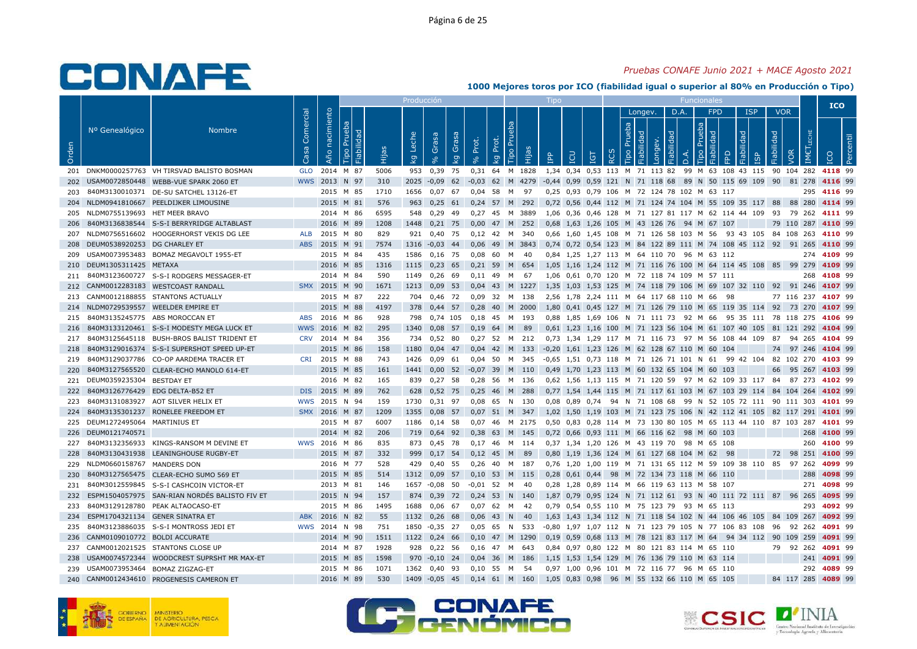### *Pruebas CONAFE Junio 2021 + MACE Agosto 2021*

|       |                                |                                               |                   |                   |                                     |       | Producci <u>ón</u> |                   |              |                   |             |                        |              | Tipo                  |     |                    |            |                |                       |            |          | Funcionales                                                   |                      |                   |                      |            |               | <b>ICO</b>  |    |
|-------|--------------------------------|-----------------------------------------------|-------------------|-------------------|-------------------------------------|-------|--------------------|-------------------|--------------|-------------------|-------------|------------------------|--------------|-----------------------|-----|--------------------|------------|----------------|-----------------------|------------|----------|---------------------------------------------------------------|----------------------|-------------------|----------------------|------------|---------------|-------------|----|
|       |                                |                                               |                   |                   |                                     |       |                    |                   |              |                   |             |                        |              |                       |     |                    |            |                | Longev.               |            | D.A.     | <b>FPD</b>                                                    |                      | <b>ISP</b>        |                      | <b>VOR</b> |               |             |    |
| Orden | Nº Genealógico                 | <b>Nombre</b>                                 | Comercial<br>Casa | nacimiento<br>Año | Prueba<br><b>Fiabilidad</b><br>Tipo | Hijas | Leche<br>ΔÃ        | Grasa<br>$\infty$ | Grasa<br>ΙŠΥ | Prot.<br>$\delta$ | Prot.<br>kg | $\overline{P}$<br>Tipo | <b>Beilt</b> | <b>Add</b>            | LCU | TGT                | <b>RCS</b> | Prueba<br>Tipo | Fiabilidad<br>Longev. | Fiabilidad | $\Delta$ | Prueba<br>Tipo                                                | FPD                  | Fiabilidad<br>ഗ്ര | Fiabilidad           |            | LECHE<br>IMET |             | -ā |
| 201   |                                | DNKM0000257763 VH TIRSVAD BALISTO BOSMAN      | <b>GLO</b>        | 2014 M 87         |                                     | 5006  | 953                | 0,39              | 75           | 0,31              |             |                        | 64 M 1828    |                       |     |                    |            |                |                       |            |          | 1,34 0,34 0,53 113 M 71 113 82 99 M 63 108 43 115             |                      |                   |                      | 90 104 282 |               | 4118 99     |    |
| 202   |                                | USAM0072850448 WEBB-VUE SPARK 2060 ET         |                   | WWS 2013          | N 97                                | 310   | 2025               | $-0.09$ 62        |              | $-0,03$           |             |                        | 62 M 4279    |                       |     |                    |            |                |                       |            |          | -0,44 0,99 0,59 121 N 71 118 68 89 N 50 115 69 109 90         |                      |                   |                      |            | 81 278        | 4116 99     |    |
| 203   |                                | 840M3130010371 DE-SU SATCHEL 13126-ET         |                   | 2015 M 85         |                                     | 1710  | 1656               | $0.07$ 67         |              | $0.04$ 58         |             | M                      | 97           |                       |     |                    |            |                |                       |            |          | 0.25 0.93 0.79 106 M 72 124 78 102 M 63 117                   |                      |                   |                      |            | 295           | 4116 99     |    |
| 204   |                                | NLDM0941810667 PEELDIJKER LIMOUSINE           |                   | 2015 M 81         |                                     | 576   | 963                | $0,25$ 61         |              | $0,24$ 57 M       |             |                        | 292          |                       |     |                    |            |                |                       |            |          | 0,72 0,56 0,44 112 M 71 124 74 104 M 55 109 35 117 88         |                      |                   |                      |            | 88 280        | 4114 99     |    |
| 205   | NLDM0755139693 HET MEER BRAVO  |                                               |                   | 2014 M 86         |                                     | 6595  | 548                | 0,29              | 49           | 0,27              | 45          | м                      | 3889         |                       |     |                    |            |                |                       |            |          | 1,06 0,36 0,46 128 M 71 127 81 117 M 62 114 44 109 93         |                      |                   |                      |            | 79 262        | 4111 99     |    |
| 206   |                                | 840M3136838544 S-S-I BERRYRIDGE ALTABLAST     |                   | 2016 M 89         |                                     | 1208  | 1448               | $0,21$ 75         |              | 0,00              | 47 M        |                        | 252          |                       |     |                    |            |                |                       |            |          | 0,68 1,63 1,26 105 M 43 126 76 94 M 67 107                    |                      |                   |                      | 79 110 287 |               | 4110 99     |    |
| 207   |                                | NLDM0756516602 HOOGERHORST VEKIS DG LEE       | <b>ALB</b>        | 2015              | M 80                                | 829   | 921                | 0.40 75           |              | $0.12$ 42 M       |             |                        | 340          |                       |     |                    |            |                |                       |            |          | 0.66 1.60 1.45 108 M 71 126 58 103 M 56 93 43 105 84 108 263  |                      |                   |                      |            |               | 4110 99     |    |
| 208   | DEUM0538920253 DG CHARLEY ET   |                                               | <b>ABS</b>        | 2015 M 91         |                                     | 7574  | 1316               | $-0,03$           | 44           | 0.06              | 49          | M                      | 3843         |                       |     | 0,74 0,72 0,54 123 |            |                |                       |            |          | M 84 122 89 111 M 74 108 45 112 92                            |                      |                   |                      |            | 91 265        | 4110 99     |    |
| 209   |                                | USAM0073953483 BOMAZ MEGAVOLT 1955-ET         |                   | 2015 M 84         |                                     | 435   | 1586               | 0,16 75           |              | 0,08              | 60          | M                      | 40           |                       |     |                    |            |                |                       |            |          | 0,84 1,25 1,27 113 M 64 110 70 96 M 63 112                    |                      |                   |                      |            |               | 274 4109 99 |    |
| 210   | DEUM1305311425 METAXA          |                                               |                   | 2016 M 85         |                                     | 1316  | 1115               | 0,23              | 65           | 0,21              | 59          | M                      | 654          | 1,05                  |     |                    |            |                |                       |            |          | 1,16 1,24 112 M 71 116 76 100 M 64 114 45 108 85 99 279       |                      |                   |                      |            |               | 4109 99     |    |
| 211   |                                | 840M3123600727 S-S-I RODGERS MESSAGER-ET      |                   | 2014 M 84         |                                     | 590   | 1149               | $0,26$ 69         |              | $0.11$ 49         |             | M                      | - 67         |                       |     |                    |            |                |                       |            |          | 1.06  0.61  0.70  120  M  72  118  74  109  M  57  111        |                      |                   |                      |            | 268           | 4108 99     |    |
| 212   |                                | CANM0012283183 WESTCOAST RANDALL              |                   | SMX 2015 M 90     |                                     | 1671  | 1213               | $0,09$ 53         |              | 0.04              |             |                        | 43 M 1227    |                       |     |                    |            |                |                       |            |          | 1,35 1,03 1,53 125 M 74 118 79 106 M 69 107 32 110 92 91 246  |                      |                   |                      |            |               | 4107 99     |    |
| 213   |                                | CANM0012188855 STANTONS ACTUALLY              |                   | 2015 M 87         |                                     | 222   | 704                | 0,46 72           |              | 0,09              | 32          | M                      | 138          |                       |     |                    |            |                |                       |            |          | 2,56 1,78 2,24 111 M 64 117 68 110 M 66                       | - 98                 |                   |                      | 77 116 237 |               | 4107 99     |    |
| 214   |                                | NLDM0729539557 WEELDER EMPIRE ET              |                   | 2015              | M 88                                | 4197  | 378                | $0,44$ 57         |              | 0,28              | 40          | M                      | 2000         |                       |     |                    |            |                |                       |            |          | 1,80 0,41 0,45 127 M 71 126 79 110 M 65 119 35 114 92 73 270  |                      |                   |                      |            |               | 4107 99     |    |
| 215   |                                | 840M3135245775 ABS MOROCCAN ET                | <b>ABS</b>        | 2016              | M 86                                | 928   | 798                | 0.74 105          |              | 0.18              | 45          | M                      | - 193        |                       |     |                    |            |                |                       |            |          | 0.88 1.85 1.69 106 N 71 111 73 92 M 66                        | 95 35 111 78 118 275 |                   |                      |            |               | 4106 99     |    |
| 216   |                                | 840M3133120461 S-S-I MODESTY MEGA LUCK ET     |                   | WWS 2016 M 82     |                                     | 295   | 1340               | 0,08 57           |              | $0,19$ 64         |             | M                      | 89           |                       |     |                    |            |                |                       |            |          | 0,61 1,23 1,16 100 M 71 123 56 104 M 61 107 40 105 81 121 292 |                      |                   |                      |            |               | 4104 99     |    |
| 217   |                                | 840M3125645118 BUSH-BROS BALIST TRIDENT ET    |                   | CRV 2014 M 84     |                                     | 356   | 734                | 0,52 80           |              | $0,27$ 52         |             | M                      | 212          |                       |     |                    |            |                |                       |            |          | 0,73 1,34 1,29 117 M 71 116 73 97 M 56 108 44 109 87          |                      |                   |                      |            | 94 265        | 4104 99     |    |
| 218   |                                | 840M3129016374 S-S-I SUPERSHOT SPEED UP-ET    |                   | 2015 M 86         |                                     | 158   | 1180               | 0,04              | 47           | 0,04              | 42          | M                      | 133          | $-0,20$ 1,61 1,23 126 |     |                    |            |                |                       |            |          | M 62 128 67 110 M 60                                          | 104                  |                   | 74                   |            | 97 246        | 4104 99     |    |
| 219   |                                | 840M3129037786 CO-OP AARDEMA TRACER ET        | CRI               | 2015              | M 88                                | 743   | 1426               | $0.09$ 61         |              | $0.04$ 50         |             | M                      | 345          |                       |     |                    |            |                |                       |            |          | -0.65 1.51 0.73 118 M 71 126 71 101 N 61 99 42 104 82 102 270 |                      |                   |                      |            |               | 4103 99     |    |
| 220   |                                | 840M3127565520 CLEAR-ECHO MANOLO 614-ET       |                   | 2015 M 85         |                                     | 161   | 1441               | $0.00$ 52         |              | $-0.07$           | 39          | M                      | 110          |                       |     |                    |            |                |                       |            |          | 0.49 1.70 1.23 113 M 60 132 65 104 M 60 103                   |                      |                   | 66                   |            | 95 267        | 4103 99     |    |
| 221   | DEUM0359235304 BESTDAY ET      |                                               |                   | 2016 M 82         |                                     | 165   | 839                | $0,27$ 58         |              | 0.28              | 56          | M                      | 136          |                       |     |                    |            |                |                       |            |          | 0,62 1,56 1,13 115 M 71 120 59 97 M 62 109 33 117 84          |                      |                   |                      |            | 87 273        | 4102 99     |    |
| 222   |                                | 840M3126776429 EDG DELTA-B52 ET               |                   | DIS 2015 M 89     |                                     | 762   | 628                | $0,52$ 75         |              | 0,25              | -46         | M                      | 288          |                       |     |                    |            |                |                       |            |          | 0,77 1,54 1,44 115 M 71 117 61 103 M 67 103 29 114 84 104 264 |                      |                   |                      |            |               | 4102 99     |    |
| 223   |                                | 840M3131083927 AOT SILVER HELIX ET            | wws               | 2015              | N 94                                | 159   | 1730               | 0,31              | 97           | 0,08              | 65          | N                      | 130          | 0,08                  |     | 0,89 0,74          |            |                |                       |            |          | 94 N 71 108 68 99 N 52 105 72 111 90 111 303                  |                      |                   |                      |            |               | 4101 99     |    |
| 224   |                                | 840M3135301237 RONELEE FREEDOM ET             |                   | SMX 2016 M 87     |                                     | 1209  | 1355               | 0,08 57           |              | $0.07$ 51 M       |             |                        | 347          |                       |     |                    |            |                |                       |            |          | 1,02 1,50 1,19 103 M 71 123 75 106 N 42 112 41 105 82 117 291 |                      |                   |                      |            |               | 4101 99     |    |
| 225   | DEUM1272495064 MARTINIUS ET    |                                               |                   | 2015              | M 87                                | 6007  | 1186               | 0.14              | 58           | 0.07              | 46          |                        | M 2175       | 0.50                  |     |                    |            |                |                       |            |          | 0.83 0.28 114 M 73 130 80 105 M 65 113 44 110                 |                      |                   |                      | 87 103 287 |               | 4101 99     |    |
| 226   | DEUM0121740571                 |                                               |                   | 2014              | M 82                                | 206   | 719                | $0,64$ 92         |              | 0,38              | 63          | M                      | 145          |                       |     |                    |            |                |                       |            |          | 0,72 0,66 0,93 111 M 66 116 62 98 M 60 103                    |                      |                   |                      |            | 268           | 4100 99     |    |
| 227   |                                | 840M3132356933 KINGS-RANSOM M DEVINE ET       |                   | WWS 2016 M 86     |                                     | 835   | 873                | 0,45 78           |              | $0,17$ 46         |             | M 114                  |              |                       |     |                    |            |                |                       |            |          | 0,37 1,34 1,20 126 M 43 119 70 98 M 65 108                    |                      |                   |                      |            | 260           | 4100 99     |    |
| 228   |                                | 840M3130431938 LEANINGHOUSE RUGBY-ET          |                   | 2015 M 87         |                                     | 332   | 999                | 0.17              | 54           | 0.12              | 45 M        |                        | 89           |                       |     |                    |            |                |                       |            |          | 0,80 1,19 1,36 124 M 61 127 68 104 M 62                       | 98                   |                   |                      | 72 98 251  |               | 4100 99     |    |
| 229   | NLDM0660158767 MANDERS DON     |                                               |                   | 2016 M 77         |                                     | 528   | 429                | 0,40 55           |              | 0.26              | 40          | M                      | 187          |                       |     |                    |            |                |                       |            |          | 0,76 1,20 1,00 119 M 71 131 65 112 M 59 109 38 110 85 97 262  |                      |                   |                      |            |               | 4099 99     |    |
| 230   |                                | 840M3127565475 CLEAR-ECHO SUMO 569 ET         |                   | 2015 M 85         |                                     | 514   | 1312               | 0,09              | 57           | 0,10              | 53          | M                      | 115          |                       |     | 0,28 0,61 0,44     | 98         |                |                       |            |          | M 72 134 73 118 M 66 110                                      |                      |                   |                      |            | 288           | 4098 99     |    |
| 231   |                                | 840M3012559845 S-S-I CASHCOIN VICTOR-ET       |                   | 2013 M 81         |                                     | 146   | 1657               | -0,08             | 50           | $-0,01$           | 52          | M                      | 40           |                       |     |                    |            |                |                       |            |          | 0,28 1,28 0,89 114 M 66 119 63 113 M 58 107                   |                      |                   |                      |            | 271           | 4098 99     |    |
| 232   |                                | ESPM1504057975 SAN-RIAN NORDÉS BALISTO FIV ET |                   | 2015 N 94         |                                     | 157   | 874                | 0,39 72           |              | $0,24$ 53         |             | N                      | - 140        |                       |     |                    |            |                |                       |            |          | 1.87 0.79 0.95 124 N 71 112 61 93 N 40 111 72 111 87 96 265   |                      |                   |                      |            |               | 4095 99     |    |
| 233   |                                | 840M3129128780 PEAK ALTAOCASO-ET              |                   | 2015 M 86         |                                     | 1495  | 1688               | $0,06$ 67         |              | 0,07              | 62          | M                      | 42           |                       |     |                    |            |                |                       |            |          | 0,79 0,54 0,55 110 M 75 123 79 93 M 65 113                    |                      |                   |                      |            | 293           | 4092 99     |    |
| 234   |                                | ESPM1704321134 GENER SINATRA ET               | <b>ABK</b>        | 2016              | N 82                                | 55    | 1132               | $0,26$ 68         |              | 0,06              | 43          | N                      | 40           |                       |     |                    |            |                |                       |            |          | 1,63 1,43 1,34 112 N 71 118 54 102 N 44 106 46 105 84 109 267 |                      |                   |                      |            |               | 4092 99     |    |
| 235   |                                | 840M3123886035 S-S-I MONTROSS JEDI ET         | wws               | 2014 N 98         |                                     | 751   | 1850               | $-0,35$ 27        |              | 0,05              | 65          | N                      | 533          |                       |     |                    |            |                |                       |            |          | -0,80 1,97 1,07 112 N 71 123 79 105 N 77 106 83 108           |                      |                   | 96                   | 92         | 262           | 4091 99     |    |
| 236   | CANM0109010772 BOLDI ACCURATE  |                                               |                   | 2014 M 90         |                                     | 1511  | 1122               | 0,24 66           |              | 0.10              | 47          | M                      | 1290         |                       |     |                    |            |                |                       |            |          | 0.19 0.59 0.68 113 M 78 121 83 117 M 64                       |                      |                   | 94 34 112 90 109 259 |            |               | 4091 99     |    |
| 237   |                                | CANM0012021525 STANTONS CLOSE UP              |                   | 2014 M 87         |                                     | 1928  | 928                | $0,22$ 56         |              | $0.16$ 47 M       |             |                        | 643          |                       |     |                    |            |                |                       |            |          | 0.84 0.97 0.80 122 M 80 121 83 114 M 65 110                   |                      |                   |                      | 79 92 262  |               | 4091 99     |    |
| 238   |                                | USAM0074572344 WOODCREST SUPRSHT MR MAX-ET    |                   | 2015 M 85         |                                     | 1598  | 970                | $-0,10$ 24        |              | $0,04$ 36         |             | M                      | 186          |                       |     |                    |            |                |                       |            |          | 1,15 1,53 1,54 129 M 76 136 79 110 M 63 114                   |                      |                   |                      |            | 241           | 4091 99     |    |
| 239   | USAM0073953464 BOMAZ ZIGZAG-ET |                                               |                   | 2015 M 86         |                                     | 1071  | 1362               | 0,40 93           |              | 0,10              | 55          | M                      | 54           |                       |     |                    |            |                |                       |            |          | 0,97 1,00 0,96 101 M 72 116 77 96 M 65 110                    |                      |                   |                      |            | 292           | 4089 99     |    |
|       |                                | 240 CANM0012434610 PROGENESIS CAMERON ET      |                   | 2016 M            | 89                                  | 530   | 1409               | $-0.05$ 45        |              | $0,14$ 61 M       |             |                        | 160          |                       |     |                    |            |                |                       |            |          | 1,05 0,83 0,98 96 M 55 132 66 110 M 65 105                    |                      |                   |                      | 84 117 285 |               | 4089 99     |    |







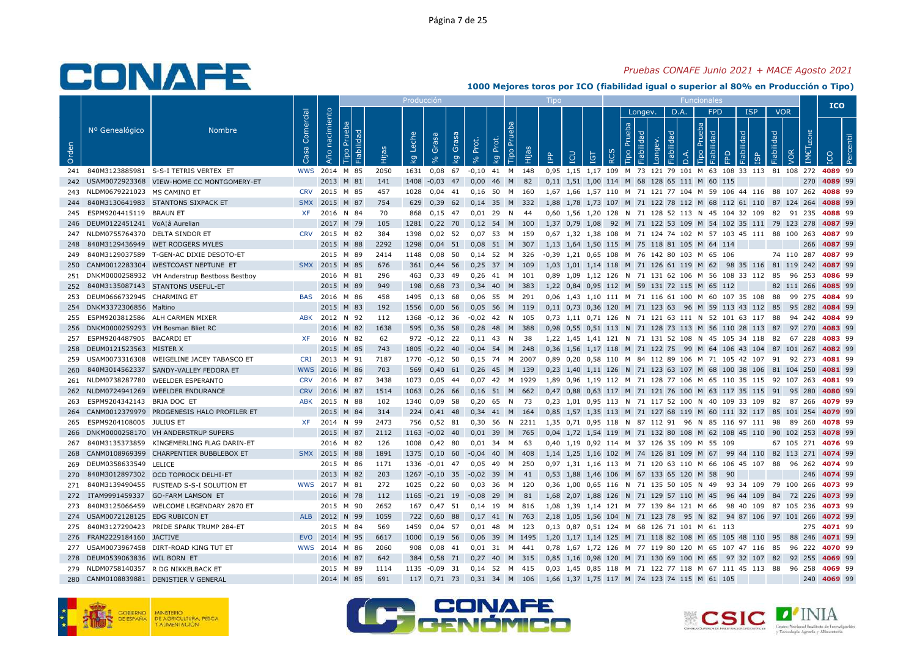### *Pruebas CONAFE Junio 2021 + MACE Agosto 2021*

|       |                                |                                               |                   |                   |                              |       | Producción  |                         |             |                         |             |                            |           | Tipo       |                      |     |   |                |                       |            |     | Funcionales                                                                         |                                                               |                        |            |            |             | <b>ICO</b> |  |
|-------|--------------------------------|-----------------------------------------------|-------------------|-------------------|------------------------------|-------|-------------|-------------------------|-------------|-------------------------|-------------|----------------------------|-----------|------------|----------------------|-----|---|----------------|-----------------------|------------|-----|-------------------------------------------------------------------------------------|---------------------------------------------------------------|------------------------|------------|------------|-------------|------------|--|
|       |                                |                                               |                   |                   |                              |       |             |                         |             |                         |             |                            |           |            |                      |     |   |                | Longev.               | D.A.       |     | <b>FPD</b>                                                                          |                                                               | <b>ISP</b>             |            | <b>VOR</b> |             |            |  |
| Orden | Nº Genealógico                 | <b>Nombre</b>                                 | Comercial<br>Casa | nacimiento<br>Año | Prueba<br>Fiabilidad<br>Tipo | Hijas | Leche<br>kg | Grasa<br>8 <sup>o</sup> | Grasa<br>kg | Prot.<br>8 <sup>o</sup> | Prot.<br>kg | eba<br>$\tilde{E}$<br>Tipo | Hijas     | <b>AdI</b> | LCU                  | ΙGΤ | 죤 | Prueba<br>Tipo | Fiabilidad<br>Longev. | Fiabilidad | D.A | Prueba<br>Tipo                                                                      | FPD                                                           | Fiabilidad<br><u>ர</u> | Fiabilidad | VOR        | <b>IMET</b> |            |  |
| 241   |                                | 840M3123885981 S-S-I TETRIS VERTEX ET         | <b>WWS</b>        | 2014 M 85         |                              | 2050  | 1631        | 0,08                    | 67          | $-0,10$                 |             | 41 M 148                   |           |            | 0,95 1,15 1,17 109   |     |   |                |                       |            |     |                                                                                     | M 73 121 79 101 M 63 108 33 113                               |                        |            |            | 81 108 272  | 4089 99    |  |
| 242   |                                | USAM0072923368 VIEW-HOME CC MONTGOMERY-ET     |                   | 2013              | M 81                         | 141   | 1408        | $-0,03$                 | 47          | 0,00                    | 46          | M                          | 82        |            |                      |     |   |                |                       |            |     | 0,11 1,51 1,00 114 M 68 128 65 111 M 60                                             | 115                                                           |                        |            |            | 270         | 4089 99    |  |
| 243   | NLDM0679221023                 | MS CAMINO ET                                  | <b>CRV</b>        | 2015              | M 85                         | 457   | 1028        | $0,04$ 41               |             | 0,16                    | 50          | M 160                      |           |            |                      |     |   |                |                       |            |     |                                                                                     | 1,67 1,66 1,57 110 M 71 121 77 104 M 59 106 44 116 88 107 262 |                        |            |            |             | 4088 99    |  |
| 244   |                                | 840M3130641983 STANTONS SIXPACK ET            | <b>SMX</b>        | 2015              | M 87                         | 754   | 629         | $0,39$ 62               |             | 0,14                    | 35          | M                          | 332       |            |                      |     |   |                |                       |            |     |                                                                                     | 1,88 1,78 1,73 107 M 71 122 78 112 M 68 112 61 110            |                        |            | 87 124 264 |             | 4088 99    |  |
| 245   | ESPM9204415119                 | <b>BRAUN ET</b>                               | <b>XF</b>         |                   | 2016 N 84                    | 70    | 868         | $0,15$ 47               |             | 0.01                    | 29          | N                          | 44        |            | 0.60 1.56 1.20 128   |     |   |                |                       |            |     |                                                                                     | N 71 128 52 113 N 45 104 32 109                               |                        | 82         |            | 91 235      | 4088 99    |  |
| 246   | DEUM0122451241 VoA¦â Aurelian  |                                               |                   |                   | 2017 M 79                    | 105   | 1281        | $0,22$ 70               |             | 0,12                    | 54          |                            | M 100     |            | 1,37 0,79 1,08       |     |   |                |                       |            |     |                                                                                     | 92 M 71 122 53 109 M 54 102 35 111 79 123 278                 |                        |            |            |             | 4087 99    |  |
| 247   | NLDM0755764370 DELTA SINDOR ET |                                               | <b>CRV</b>        | 2015 M 82         |                              | 384   | 1398        | $0,02$ 52               |             | 0.07                    | 53          | M                          | 159       |            |                      |     |   |                |                       |            |     |                                                                                     | 0,67 1,32 1,38 108 M 71 124 74 102 M 57 103 45 111 88 100 263 |                        |            |            |             | 4087 99    |  |
| 248   |                                | 840M3129436949 WET RODGERS MYLES              |                   |                   | 2015 M 88                    | 2292  | 1298        | $0,04$ 51               |             | 0,08                    |             | 51 M 307                   |           |            |                      |     |   |                |                       |            |     | 1,13 1,64 1,50 115 M 75 118 81 105 M 64 114                                         |                                                               |                        |            |            | 266         | 4087 99    |  |
| 249   |                                | 840M3129037589 T-GEN-AC DIXIE DESOTO-ET       |                   |                   | 2015 M 89                    | 2414  | 1148        | 0,08                    | - 50        | $0,14$ 52               |             | M                          | 326       |            |                      |     |   |                |                       |            |     | -0,39    1,21    0,65    108         M     76    142    80    103    M    65    106 |                                                               |                        |            | 74 110 287 |             | 4087 99    |  |
| 250   |                                | CANM0012283304 WESTCOAST NEPTUNE ET           | <b>SMX</b>        | 2015 M 85         |                              | 676   | 361         | 0,44 56                 |             | 0,25                    | 37          | M                          | 109       |            |                      |     |   |                |                       |            |     | 1,03 1,01 1,14 118 M 71 126 61 119 M 62                                             | 98 35 116                                                     |                        |            |            | 81 119 242  | 4087 99    |  |
| 251   |                                | DNKM0000258932 VH Anderstrup Bestboss Bestboy |                   |                   | 2016 M 81                    | 296   | 463         | 0,33                    | - 49        | 0,26                    |             | 41 M 101                   |           |            |                      |     |   |                |                       |            |     |                                                                                     | 0.89 1.09 1.12 126 N 71 131 62 106 M 56 108 33 112            |                        | 85         |            | 96 253      | 4086 99    |  |
| 252   |                                | 840M3135087143 STANTONS USEFUL-ET             |                   |                   | 2015 M 89                    | 949   | 198         | 0,68                    | 73          | 0,34                    | 40          | M                          | 383       |            |                      |     |   |                |                       |            |     | 1,22 0,84 0,95 112 M 59 131 72 115 M 65 112                                         |                                                               |                        |            | 82 111 266 |             | 4085 99    |  |
| 253   | DEUM0666732945 CHARMING ET     |                                               | <b>BAS</b>        | 2016              | M 86                         | 458   | 1495        | 0,13                    | 68          | 0,06                    | 55          | M                          | 291       |            |                      |     |   |                |                       |            |     |                                                                                     | 0,06 1,43 1,10 111 M 71 116 61 100 M 60 107 35 108            |                        | 88         |            | 99 275      | 4084 99    |  |
| 254   | DNKM3372306856 Maltino         |                                               |                   | 2015              | M 83                         | 192   | 1556        | $0,00$ 56               |             | 0,05                    | 56          |                            | M 119     |            |                      |     |   |                |                       |            |     |                                                                                     | 0,11 0,73 0,36 120 M 71 123 63 96 M 59 113 43 112             |                        | 85         |            | 95 282      | 4084 99    |  |
| 255   |                                | ESPM9203812586 ALH CARMEN MIXER               | <b>ABK</b>        | 2012 N 92         |                              | 112   | 1368        | $-0,12$ 36              |             | $-0.02$                 | 42          | N                          | 105       |            |                      |     |   |                |                       |            |     |                                                                                     | 0,73 1,11 0,71 126 N 71 121 63 111 N 52 101 63 117            |                        | 88         |            | 94 242      | 4084 99    |  |
| 256   |                                | DNKM0000259293 VH Bosman Bliet RC             |                   | 2016              | M 82                         | 1638  | 595         | $0,36$ 58               |             | 0,28                    |             | 48 M 388                   |           |            |                      |     |   |                |                       |            |     |                                                                                     | 0,98 0,55 0,51 113 N 71 128 73 113 M 56 110 28 113 87         |                        |            |            | 97 270      | 4083 99    |  |
| 257   | ESPM9204487905 BACARDI ET      |                                               | <b>XF</b>         |                   | 2016 N 82                    | 62    | 972         | $-0,12$ 22              |             | 0,11                    | 43          | N                          | - 38      |            |                      |     |   |                |                       |            |     |                                                                                     | 1,22 1,45 1,41 121 N 71 131 52 108 N 45 105 34 118 82         |                        |            |            | 67 228      | 4083 99    |  |
| 258   | DEUM0121523563 MISTER X        |                                               |                   |                   | 2015 M 85                    | 743   | 1805        | $-0,22$                 | 40          | $-0,04$                 | 54          | M                          | 248       |            | $0,36$ 1,56 1,17 118 |     |   |                |                       |            |     |                                                                                     | M 71 122 75 99 M 64 106 43 104 87 101 267                     |                        |            |            |             | 4082 99    |  |
| 259   |                                | USAM0073316308 WEIGELINE JACEY TABASCO ET     | <b>CRI</b>        | 2013 M 91         |                              | 7187  |             | 1770 -0,12 50           |             | 0,15 74 M 2007          |             |                            |           |            |                      |     |   |                |                       |            |     |                                                                                     | 0,89 0,20 0,58 110 M 84 112 89 106 M 71 105 42 107 91 92 273  |                        |            |            |             | 4081 99    |  |
| 260   | 840M3014562337                 | SANDY-VALLEY FEDORA ET                        | <b>WWS</b>        | 2016              | M 86                         | 703   | 569         | 0.40                    | 61          | 0.26                    | 45          | M                          | 139       |            | $0.23$ 1.40 1.11 126 |     |   |                |                       |            |     |                                                                                     | N 71 123 63 107 M 68 100 38 106                               |                        | 81         |            | 104 250     | 4081 99    |  |
| 261   |                                | NLDM0738287780 WEELDER ESPERANTO              | <b>CRV</b>        |                   | 2016 M 87                    | 3438  | 1073        | $0,05$ 44               |             | 0.07                    |             |                            | 42 M 1929 |            |                      |     |   |                |                       |            |     |                                                                                     | 1.89 0.96 1.19 112 M 71 128 77 106 M 65 110 35 115 92 107 263 |                        |            |            |             | 4081 99    |  |
| 262   |                                | NLDM0724941269 WEELDER ENDURANCE              | <b>CRV</b>        | 2016 M 87         |                              | 1514  | 1063        | $0,26$ 66               |             | 0,16                    | 51 M        |                            | 662       |            |                      |     |   |                |                       |            |     |                                                                                     | 0,47 0,88 0,63 117 M 71 121 76 100 M 63 117 35 115 91 95 280  |                        |            |            |             | 4080 99    |  |
| 263   | ESPM9204342143                 | BRIA DOC ET                                   | <b>ABK</b>        | 2015              | N 88                         | 102   | 1340        | 0,09                    | - 58        | 0,20                    | 65          | N                          | -73       |            |                      |     |   |                |                       |            |     |                                                                                     | 0,23 1,01 0,95 113 N 71 117 52 100 N 40 109 33 109            |                        | 82         |            | 87 266      | 4079 99    |  |
| 264   |                                | CANM0012379979 PROGENESIS HALO PROFILER ET    |                   |                   | 2015 M 84                    | 314   | 224         | 0,41                    | - 48        | 0,34                    | 41 M        |                            | 164       |            |                      |     |   |                |                       |            |     |                                                                                     | 0,85 1,57 1,35 113 M 71 127 68 119 M 60 111 32 117 85 101 254 |                        |            |            |             | 4079 99    |  |
| 265   | ESPM9204108005                 | JULIUS ET                                     | <b>XF</b>         | 2014              | N 99                         | 2473  | 756         | $0.52$ 81               |             | 0.30                    | -56         | N                          | 2211      | 1.35       |                      |     |   |                |                       |            |     |                                                                                     | 0.71 0.95 118 N 87 112 91 96 N 85 116 97 111 98               |                        |            |            | 89 260      | 4078 99    |  |
| 266   |                                | DNKM0000258170 VH ANDERSTRUP SUPERS           |                   |                   | 2015 M 87                    | 2112  | 1163        | $-0.02$ 40              |             | $0,01$ 39               |             | M                          | 765       |            |                      |     |   |                |                       |            |     |                                                                                     | 0,04 1,72 1,54 119 M 71 132 80 108 M 62 108 45 110 90 102 253 |                        |            |            |             | 4078 99    |  |
| 267   |                                | 840M3135373859 KINGEMERLING FLAG DARIN-ET     |                   |                   | 2016 M 82                    | 126   | 1008        | $0,42$ 80               |             | 0.01                    | 34          | M                          | -63       |            |                      |     |   |                |                       |            |     | 0,40 1,19 0,92 114 M 37 126 35 109 M 55 109                                         |                                                               |                        |            |            | 67 105 271  | 4076 99    |  |
| 268   |                                | CANM0108969399 CHARPENTIER BUBBLEBOX ET       | <b>SMX</b>        | 2015 M 88         |                              | 1891  | 1375        | $0,10$ 60               |             | $-0,04$                 | 40          | M                          | 408       |            |                      |     |   |                |                       |            |     | 1,14 1,25 1,16 102 M 74 126 81 109 M 67                                             | 99 44 110                                                     |                        |            |            | 82 113 271  | 4074 99    |  |
| 269   | DEUM0358633549 LELICE          |                                               |                   |                   | 2015 M 86                    | 1171  | 1336        | $-0.01$ 47              |             | 0,05                    | 49          | M 250                      |           |            |                      |     |   |                |                       |            |     |                                                                                     | 0,97 1,31 1,16 113 M 71 120 63 110 M 66 106 45 107 88         |                        |            |            | 96 262      | 4074 99    |  |
| 270   |                                | 840M3012897302 OCD TOPROCK DELHI-ET           |                   |                   | 2013 M 82                    | 203   | 1267        | $-0.10$ 35              |             | $-0.02$                 | 39          | M                          | 41        |            |                      |     |   |                |                       |            |     | 0.53 1.88 1.46 106 M 67 133 65 120 M 58                                             | 90                                                            |                        |            |            | 246         | 4074 99    |  |
| 271   |                                | 840M3139490455 FUSTEAD S-S-I SOLUTION ET      |                   | WWS 2017 M 81     |                              | 272   | 1025        | 0,22                    | 60          | 0.03                    | 36          | M                          | 120       | 0.36       |                      |     |   |                |                       |            |     | 1.00 0.65 116 N 71 135 50 105 N 49                                                  | 93 34 109 79 100 266                                          |                        |            |            |             | 4073 99    |  |
| 272   |                                | ITAM9991459337 GO-FARM LAMSON ET              |                   |                   | 2016 M 78                    | 112   | 1165        | $-0,21$ 19              |             | $-0,08$                 | 29          | M                          | 81        |            |                      |     |   |                |                       |            |     | 1,68 2,07 1,88 126 N 71 129 57 110 M 45                                             | 96 44 109                                                     |                        | 84         |            | 72 226      | 4073 99    |  |
| 273   | 840M3125066459                 | WELCOME LEGENDARY 2870 ET                     |                   |                   | 2015 M 90                    | 2652  | 167         | 0,47                    | 51          | 0,14                    | 19          | M                          | 816       | 1,08       |                      |     |   |                |                       |            |     | 1,39 1,14 121 M 77 139 84 121 M 66                                                  |                                                               | 98 40 109              |            | 87 105 236 |             | 4073 99    |  |
| 274   | USAM0072128125 EDG RUBICON ET  |                                               |                   | ALB 2012 N 99     |                              | 1059  | 722         | 0,60                    | 88          | 0,17                    | 41 N        |                            | 763       |            |                      |     |   |                |                       |            |     |                                                                                     | 2,18 1,05 1,56 104 N 71 123 78 95 N 82 94 87 106 97 101 266   |                        |            |            |             | 4072 99    |  |
| 275   |                                | 840M3127290423 PRIDE SPARK TRUMP 284-ET       |                   |                   | 2015 M 84                    | 569   | 1459        | 0,04                    | - 57        | 0,01                    | 48          | M                          | 123       |            |                      |     |   |                |                       |            |     | 0,13 0,87 0,51 124 M 68 126 71 101 M 61 113                                         |                                                               |                        |            |            | 275         | 4071 99    |  |
| 276   | FRAM2229184160 JACTIVE         |                                               | <b>EVO</b>        | 2014              | M 95                         | 6617  | 1000        | $0,19$ 56               |             | 0.06                    | 39          |                            | M 1495    |            | 1,20 1,17 1,14 125   |     |   |                |                       |            |     |                                                                                     | M 71 118 82 108 M 65 105 48 110 95                            |                        |            |            | 88 246      | 4071 99    |  |
| 277   |                                | USAM0073967458 DIRT-ROAD KING TUT ET          | <b>WWS</b>        | 2014 M 86         |                              | 2060  | 908         | 0,08                    | 41          | $0,01$ 31               |             | M                          | 441       |            |                      |     |   |                |                       |            |     |                                                                                     | 0,78 1,67 1,72 126 M 77 119 80 120 M 65 107 47 116 85         |                        |            |            | 96 222      | 4070 99    |  |
| 278   | DEUM0539063836 WIL BORN ET     |                                               |                   | 2016              | M 87                         | 642   | 384         | 0,58                    | 71          | 0,27                    | 40          | M                          | 315       | 0.85       | 1.16 0.98 120        |     |   |                |                       |            |     | M 71 130 69 100 M 65                                                                |                                                               | 97 32 107              | 82         | 92         | 255         | 4069 99    |  |
| 279   |                                | NLDM0758140357 R DG NIKKELBACK ET             |                   |                   | 2015 M 89                    | 1114  | 1135        | $-0,09$                 | 31          | 0,14                    | 52          | M                          | 415       |            | 0,03 1,45 0,85 118   |     |   |                |                       |            |     |                                                                                     | M 71 122 77 118 M 67 111 45 113 88                            |                        |            |            | 96 258      | 4069 99    |  |
| 280   |                                | CANM0108839881 DENISTIER V GENERAL            |                   |                   | 2014 M 85                    | 691   | 117         | 0.71                    | 73          | $0.31$ 34               |             | <b>M</b>                   | 106       |            |                      |     |   |                |                       |            |     | 1,66 1,37 1,75 117 M 74 123 74 115 M 61 105                                         |                                                               |                        |            |            | 240         | 4069 99    |  |







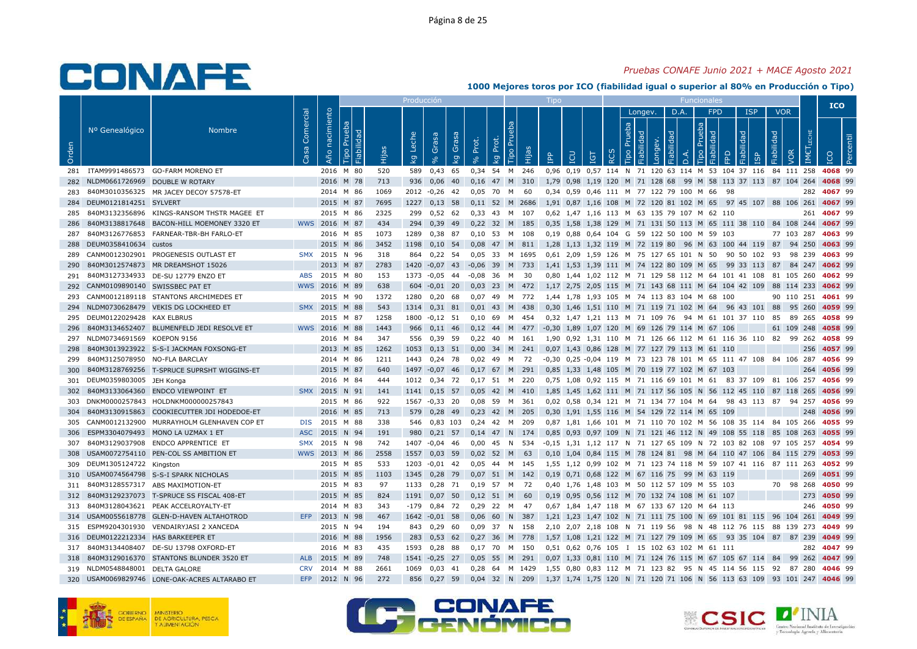### *Pruebas CONAFE Junio 2021 + MACE Agosto 2021*

|       |                                 |                                               |            |                |                              |       | Producción  |                   |             |              |             |            |       |            |     |                       |            |                              |         |            |                     |                                             |                                                                |            |            |            |                      | <b>ICO</b> |            |
|-------|---------------------------------|-----------------------------------------------|------------|----------------|------------------------------|-------|-------------|-------------------|-------------|--------------|-------------|------------|-------|------------|-----|-----------------------|------------|------------------------------|---------|------------|---------------------|---------------------------------------------|----------------------------------------------------------------|------------|------------|------------|----------------------|------------|------------|
|       |                                 |                                               | Comercial  |                |                              |       |             |                   |             |              |             |            |       |            |     |                       |            |                              | Longev. |            | D.A.                | <b>FPD</b>                                  |                                                                | <b>ISP</b> |            | <b>VOR</b> |                      |            |            |
| Orden | Nº Genealógico                  | <b>Nombre</b>                                 | Casa       | Año nacimiento | Prueba<br>Fiabilidad<br>Tipo | Hijas | Leche<br>Ιğ | Grasa<br>$\aleph$ | Grasa<br>kg | Prot.<br>9/6 | Prot.<br>kg | Prú<br>oqi | Hijas | <b>Add</b> | LCU | <u>For</u>            | <b>RCS</b> | Prueba<br>Fiabilidad<br>Tipo | Longey. | Fiabilidad | $\overline{\Omega}$ | Prueba<br>Fiabilida<br>Tipo                 | <b>BD</b>                                                      | Fiabilidad | Fiabilidad | VOR        | <b>IMETLECHE</b>     | <b>ICO</b> | <b>Per</b> |
| 281   |                                 | ITAM9991486573 GO-FARM MORENO ET              |            |                | 2016 M 80                    | 520   | 589         | 0,43              | 65          | 0,34 54      |             | M          | 246   | 0,96       |     |                       |            |                              |         |            |                     |                                             | 0,19 0,57 114 N 71 120 63 114 M 53 104 37 116                  |            |            |            | 84 111 258           | 4068 99    |            |
| 282   |                                 | NLDM0661726969 DOUBLE W ROTARY                |            |                | 2016 M 78                    | 713   | 936         | 0,06              | 40          | 0,16         | 47          | M          | 310   | 1,79       |     | 0,98 1,19 120         |            |                              |         |            |                     |                                             | M 71 128 68 99 M 58 113 37 113 87 104                          |            |            |            | 264                  | 4068 99    |            |
| 283   |                                 | 840M3010356325 MR JACEY DECOY 57578-ET        |            |                | 2014 M 86                    | 1069  | 2012        | $-0,26$ 42        |             | 0.05         | 70          | M          | 60    |            |     |                       |            |                              |         |            |                     | 0.34 0.59 0.46 111 M 77 122 79 100 M 66     | - 98                                                           |            |            |            | 282                  | 4067 99    |            |
| 284   | DEUM0121814251 SYLVERT          |                                               |            |                | 2015 M 87                    | 7695  | 1227        | $0,13$ 58         |             | $0,11$ 52 M  |             |            | 2686  |            |     |                       |            |                              |         |            |                     | 1,91 0,87 1,16 108 M 72 120 81 102 M 65     |                                                                |            |            |            | 97 45 107 88 106 261 | 4067 99    |            |
| 285   | 840M3132356896                  | KINGS-RANSOM THSTR MAGEE ET                   |            |                | 2015 M 86                    | 2325  | 299         | $0,52$ 62         |             | 0,33         | 43          | M          | 107   |            |     |                       |            |                              |         |            |                     | 0,62 1,47 1,16 113 M 63 135 79 107 M 62 110 |                                                                |            |            |            | 261                  | 4067 99    |            |
| 286   | 840M3138817648                  | BACON-HILL MOEMONEY 3320 ET                   |            | WWS 2016 M 87  |                              | 434   | 294         | 0,39 49           |             | $0,22$ 32 M  |             |            | 185   |            |     |                       |            |                              |         |            |                     |                                             | 0,35 1,58 1,38 129 M 71 131 50 113 M 65 111 38 110 84 108 244  |            |            |            |                      | 4067 99    |            |
| 287   | 840M3126776853                  | FARNEAR-TBR-BH FARLO-ET                       |            |                | 2016 M 85                    | 1073  | 1289        | 0,38              | 87          | 0.10         | 53          | M          | 108   |            |     | 0.19 0.88 0.64 104 G  |            |                              |         |            |                     | 59 122 50 100 M 59                          | 103                                                            |            |            | 77 103     | 287                  | 4063 99    |            |
| 288   | DEUM0358410634 custos           |                                               |            |                | 2015 M 86                    | 3452  | 1198        | $0,10$ 54         |             | 0,08         | 47 M        |            | 811   |            |     |                       |            |                              |         |            |                     |                                             | 1,28 1,13 1,32 119 M 72 119 80 96 M 63 100 44 119 87           |            |            |            | 94 250               | 4063 99    |            |
| 289   |                                 | CANM0012302901 PROGENESIS OUTLAST ET          |            | SMX 2015       | N 96                         | 318   | 864         | $0,22$ 54         |             | 0.05         | 33          | M          | 1695  |            |     |                       |            |                              |         |            |                     | 0,61 2,09 1,59 126 M 75 127 65 101 N 50     | 90 50 102                                                      |            | 93         |            | 98 239               | 4063 99    |            |
| 290   |                                 | 840M3012574873 MR DREAMSHOT 15026             |            | 2013           | M 87                         | 2783  | 1420        | $-0.07$ 43        |             | $-0,06$      | 39          | M          | 733   |            |     |                       |            |                              |         |            |                     | 1,41 1,53 1,39 111 M 74 122 80 109 M 65     | 99 33 113 87                                                   |            |            |            | 84 247               | 4062 99    |            |
| 291   |                                 | 840M3127334933 DE-SU 12779 ENZO ET            | <b>ABS</b> | 2015 M 80      |                              | 153   | 1373        | -0,05             | 44          | $-0,08$      | 36          | M          | 30    |            |     |                       |            |                              |         |            |                     |                                             | 0,80 1,44 1,02 112 M 71 129 58 112 M 64 101 41 108             |            |            |            | 81 105 260           | 4062 99    |            |
| 292   | CANM0109890140 SWISSBEC PAT ET  |                                               |            | WWS 2016       | M 89                         | 638   | 604         | $-0.01$           | 20          | 0.03         | 23          | M          | 472   |            |     | 1.17 2.75 2.05 115    |            |                              |         |            |                     |                                             | M 71 143 68 111 M 64 104 42 109 88                             |            |            |            | 114 233              | 4062 99    |            |
| 293   |                                 | CANM0012189118 STANTONS ARCHIMEDES ET         |            |                | 2015 M 90                    | 1372  | 1280        | $0,20$ 68         |             | 0.07         | 49          | M          | 772   |            |     |                       |            |                              |         |            |                     | 1,44 1,78 1,93 105 M 74 113 83 104 M 68 100 |                                                                |            |            |            | 90 110 251           | 4061 99    |            |
| 294   |                                 | NLDM0730628479 VEKIS DG LOCKHEED ET           | <b>SMX</b> | 2015           | M 88                         | 543   | 1314        | $0,31$ 81         |             | 0.01         | 43          | M          | 438   |            |     |                       |            |                              |         |            |                     | 0,30 1,46 1,51 110 M 71 119 71 102 M 64     | 96 43 101                                                      |            | 88         |            | 95 260               | 4059 99    |            |
| 295   | DEUM0122029428 KAX ELBRUS       |                                               |            | 2015           | M 87                         | 1258  | 1800        | $-0,12$ 51        |             | 0,10         | 69          | м          | 454   |            |     |                       |            |                              |         |            |                     |                                             | 0,32 1,47 1,21 113 M 71 109 76 94 M 61 101 37 110              |            | 85         | 89         | 265                  | 4058 99    |            |
| 296   |                                 | 840M3134652407 BLUMENFELD JEDI RESOLVE ET     |            | WWS 2016 M 88  |                              | 1443  | 966         | $0,11$ 46         |             | 0,12         | 44          | M          | 477   |            |     | $-0.30$ 1,89 1,07 120 |            |                              |         |            |                     | M 69 126 79 114 M 67 106                    |                                                                |            |            |            | 61 109 248           | 4058 99    |            |
| 297   | NLDM0734691569                  | KOEPON 9156                                   |            |                | 2016 M 84                    | 347   | 556         | 0,39              | -59         | 0,22         | 40          | м          | 161   |            |     |                       |            |                              |         |            |                     |                                             | 1,90 0,92 1,31 110 M 71 126 66 112 M 61 116 36 110 82          |            |            |            | 99 262               | 4058 99    |            |
| 298   |                                 | 840M3013923922 S-S-I JACKMAN FOXSONG-ET       |            |                | 2013 M 85                    | 1262  | 1053        | $0,13$ 51         |             | 0.00         | 34          | M          | 241   |            |     |                       |            |                              |         |            |                     | 0,07 1,43 0,86 128 M 77 127 79 113 M 61 110 |                                                                |            |            |            | 256                  | 4057 99    |            |
| 299   | 840M3125078950                  | NO-FLA BARCLAY                                |            |                | 2014 M 86                    | 1211  | 1443        | $0,24$ 78         |             | 0.02         | 49          | M          | 72    |            |     |                       |            |                              |         |            |                     |                                             | -0,30 0,25 -0,04 119 M 73 123 78 101 M 65 111 47 108           |            |            | 84 106     | 287                  | 4056 99    |            |
| 300   |                                 | 840M3128769256 T-SPRUCE SUPRSHT WIGGINS-ET    |            |                | 2015 M 87                    | 640   | 1497        | $-0,07$           | 46          | 0,17         | 67          | M          | 291   | 0,85       |     | 1,33 1,48 105         |            |                              |         |            |                     | M 70 119 77 102 M 67 103                    |                                                                |            |            |            | 264                  | 4056 99    |            |
| 301   | DEUM0359803005 JEH Konga        |                                               |            |                | 2016 M 84                    | 444   | 1012        | 0,34 72           |             | $0,17$ 51 M  |             |            | 220   |            |     |                       |            |                              |         |            |                     |                                             | 0,75 1,08 0,92 115 M 71 116 69 101 M 61 83 37 109 81 106 257   |            |            |            |                      | 4056 99    |            |
| 302   |                                 | 840M3133064360 ENDCO VIEWPOINT ET             |            | SMX 2015 N 91  |                              | 141   | 1141        | $0,15$ 57         |             | 0,05         | 42 M        |            | 410   |            |     |                       |            |                              |         |            |                     |                                             | 1,85 1,45 1,62 111 M 71 117 56 105 N 56 112 45 110 87 118 265  |            |            |            |                      | 4056 99    |            |
| 303   |                                 | DNKM0000257843 HOLDNKM000000257843            |            |                | 2015 M 86                    | 922   | 1567        | $-0,33$ 20        |             | 0.08         | 59          | M          | -361  |            |     |                       |            |                              |         |            |                     | 0.02 0.58 0.34 121 M 71 134 77 104 M 64     | 98 43 113 87                                                   |            |            |            | 94 257               | 4056 99    |            |
| 304   |                                 | 840M3130915863 COOKIECUTTER JDI HODEDOE-ET    |            | 2016           | M 85                         | 713   | 579         | 0,28 49           |             | 0,23         | 42          | M          | 205   |            |     |                       |            |                              |         |            |                     | 0,30 1,91 1,55 116 M 54 129 72 114 M 65 109 |                                                                |            |            |            | 248                  | 4056 99    |            |
| 305   | CANM0012132900                  | MURRAYHOLM GLENHAVEN COP ET                   | <b>DIS</b> | 2015           | M 88                         | 338   | 546         | 0.83 103          |             | 0.24         | 42          | M          | 209   | 0.87       |     | 1.81 1.66 101         |            | M                            |         |            |                     |                                             | 71 110 70 102 M 56 108 35                                      | 114        |            | 84 105     | 266                  | 4055 99    |            |
| 306   |                                 | ESPM3304079493 MONO LA UZMAX 1 ET             | <b>ASC</b> | 2015 N 94      |                              | 191   | 980         | $0,21$ 57         |             | $0,14$ 47 N  |             |            | 174   |            |     |                       |            |                              |         |            |                     |                                             | 0,85 0,93 0,97 109 N 71 121 46 112 N 49 108 55 118 85 108 263  |            |            |            |                      | 4055 99    |            |
| 307   |                                 | 840M3129037908 ENDCO APPRENTICE ET            | <b>SMX</b> | 2015           | N 98                         | 742   | 1407        | $-0,04$           | -46         | 0,00         | 45          | N          | 534   |            |     |                       |            |                              |         |            |                     |                                             | -0,15 1,31 1,12 117 N 71 127 65 109 N 72 103 82 108 97 105 257 |            |            |            |                      | 4054 99    |            |
| 308   |                                 | USAM0072754110 PEN-COL SS AMBITION ET         | <b>WWS</b> | 2013 M 86      |                              | 2558  | 1557        | 0,03              | 59          | 0,02         | 52          | M          | 63    |            |     | 0,10 1,04 0,84 115    |            | M 78 124 81                  |         |            |                     |                                             | 98 M 64 110 47 106                                             |            |            |            | 84 115 279           | 4053 99    |            |
| 309   | DEUM1305124722 Kingston         |                                               |            |                | 2015 M 85                    | 533   | 1203        | $-0.01$ 42        |             | 0.05         | 44          | M          | -145  |            |     |                       |            |                              |         |            |                     |                                             | 1.55 1.12 0.99 102 M 71 123 74 118 M 59 107 41 116 87 111 263  |            |            |            |                      | 4052 99    |            |
| 310   |                                 | USAM0074564798 S-S-I SPARK NICHOLAS           |            | 2015 M         | 85                           | 1103  | 1345        | 0,28              | 79          | 0.07         | 51          | M          | 142   |            |     | $0.19$ 0.71 0.68 122  |            | M                            |         | 67 116 75  | 99                  | M 63                                        | 119                                                            |            |            |            | 269                  | 4051 99    |            |
| 311   |                                 | 840M3128557317 ABS MAXIMOTION-ET              |            |                | 2015 M 83                    | 97    | 1133        | $0,28$ 71         |             | $0,19$ 57    |             | M          | 72    |            |     |                       |            |                              |         |            |                     | 0,40 1,76 1,48 103 M 50 112 57 109 M 55 103 |                                                                |            |            |            | 70 98 268            | 4050 99    |            |
| 312   |                                 | 840M3129237073 T-SPRUCE SS FISCAL 408-ET      |            |                | 2015 M 85                    | 824   | 1191        | $0,07$ 50         |             | $0,12$ 51 M  |             |            | -60   |            |     |                       |            |                              |         |            |                     | 0,19 0,95 0,56 112 M 70 132 74 108 M 61 107 |                                                                |            |            |            | 273                  | 4050 99    |            |
| 313   | 840M3128043621                  | PEAK ACCELROYALTY-ET                          |            |                | 2014 M 83                    | 343   | $-179$      | 0,84 72           |             | 0,29         | 22          | м          | 47    |            |     |                       |            |                              |         |            |                     | 0,67 1,84 1,47 118 M 67 133 67 120 M 64 113 |                                                                |            |            |            | 246                  | 4050 99    |            |
| 314   | USAM0055618778                  | <b>GLEN-D-HAVEN ALTAHOTROD</b>                | EFP        | 2013           | N 98                         | 467   | 1642        | $-0.01$           | 58          | 0,06         | 60          | N          | 387   |            |     |                       |            |                              |         |            |                     |                                             | 1,21 1,23 1,47 102 N 71 111 75 100 N 69 101 81 115 96 104      |            |            |            | 261                  | 4049 99    |            |
| 315   | ESPM9204301930                  | VENDAIRYJASI 2 XANCEDA                        |            | 2015           | N 94                         | 194   | 843         | 0.29              | 60          | 0.09         | 37          | N          | 158   | 2.10       |     | 2.07 2.18 108         |            |                              |         |            |                     |                                             | N 71 119 56 98 N 48 112 76 115 88 139                          |            |            |            | 273                  | 4049 99    |            |
| 316   | DEUM0122212334 HAS BARKEEPER ET |                                               |            |                | 2016 M 88                    | 1956  | 283         | $0,53$ 62         |             | 0,27,36      |             | M          | 778   |            |     |                       |            |                              |         |            |                     | 1,57 1,08 1,21 122 M 71 127 79 109 M 65     | 93 35 104 87                                                   |            |            |            | 87 239               | 4049 99    |            |
| 317   | 840M3134408407                  | DE-SU 13798 OXFORD-ET                         |            |                | 2016 M 83                    | 435   | 1593        | 0,28              | 88          | $0,17$ 70    |             | M          | 150   |            |     |                       |            |                              |         |            |                     | 0,51 0,62 0,76 105 I 15 102 63 102 M 61 111 |                                                                |            |            |            | 282                  | 4047 99    |            |
| 318   | 840M3129016370                  | <b>STANTONS BLUNDER 3520 ET</b>               | <b>ALB</b> | 2015           | M 89                         | 748   | 1541        | $-0,25$           | 27          | 0,05         | 55          | M          | 291   | 0,07       |     | 1,33 0,81 110         |            |                              |         |            |                     |                                             | M 71 124 76 115 M 67 105 67 114                                |            | 84         |            | 99 262               | 4047 99    |            |
| 319   | NLDM0548848001                  | <b>DELTA GALORE</b>                           | <b>CRV</b> |                | 2014 M 88                    | 2661  | 1069        | 0,03              | 41          | 0,28         | 64          | M          | 1429  |            |     |                       |            |                              |         |            |                     |                                             | 1,55 0,80 0,83 112 M 71 123 82 95 N 45 114 56 115 92           |            |            |            | 87 280               | 4046 99    |            |
|       |                                 | 320 USAM0069829746 LONE-OAK-ACRES ALTARABO ET | <b>EFP</b> |                | 2012 N 96                    | 272   | 856         | $0,27$ 59         |             | $0,04$ 32 N  |             |            | 209   |            |     |                       |            |                              |         |            |                     |                                             | 1,37 1,74 1,75 120 N 71 120 71 106 N 56 113 63 109 93 101 247  |            |            |            |                      | 4046 99    |            |





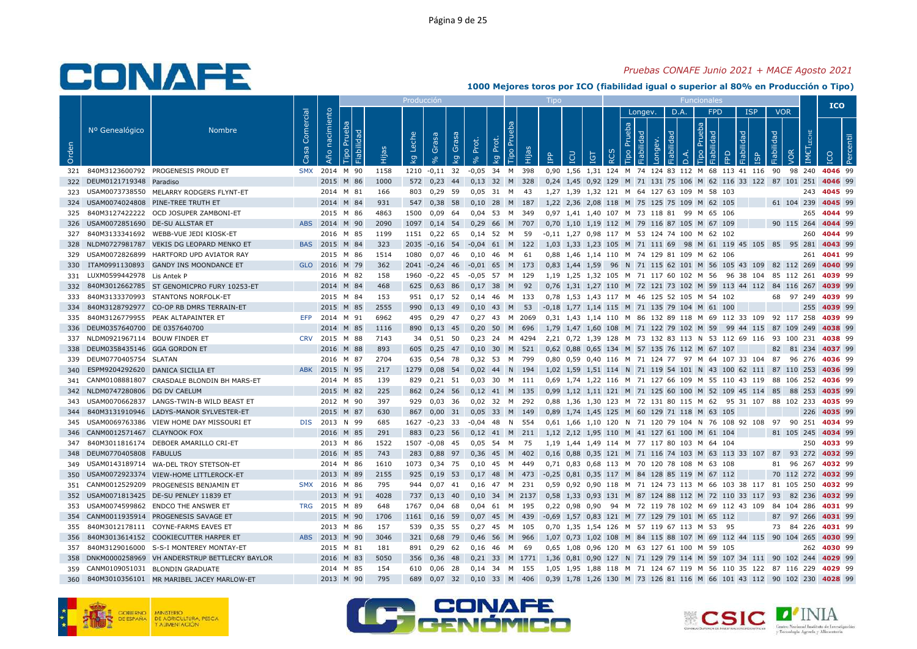### *Pruebas CONAFE Junio 2021 + MACE Agosto 2021*

|            |                                 |                                               |                   |                   |                              |              | Producción  |                 |             |              |             |                |            |            |                      |            |    |                |                       |                       |          |                                                     |                                                                                                |                          |            |                   |                      | <b>ICO</b>         |  |
|------------|---------------------------------|-----------------------------------------------|-------------------|-------------------|------------------------------|--------------|-------------|-----------------|-------------|--------------|-------------|----------------|------------|------------|----------------------|------------|----|----------------|-----------------------|-----------------------|----------|-----------------------------------------------------|------------------------------------------------------------------------------------------------|--------------------------|------------|-------------------|----------------------|--------------------|--|
| Orden      | Nº Genealógico                  | <b>Nombre</b>                                 | Comercial<br>Casa | nacimiento<br>Año | Prueba<br>Fiabilidad<br>Tipo | Hijas        | Leche<br>ΙŞ | Grasa           | Grasa<br>kg | Prot.        | Prot.<br>ΔÄ | Prueba<br>Tipo | Hijas      | <b>AdI</b> | LCU                  | <b>TGT</b> | 55 | Prueba<br>Tipo | Longev.<br>Fiabilidad | Fiabilidad<br>Longev. | D.A.     | <b>FPD</b><br>Prueba<br>$\mathbb{R}$<br><b>Tipo</b> | FPD                                                                                            | <b>ISP</b><br>Fiabilidad | Fiabilidad | <b>VOR</b><br>VOR | LECHE<br><b>IMET</b> |                    |  |
|            |                                 |                                               |                   |                   |                              |              |             | 8 <sup>o</sup>  |             | $\delta$     |             |                |            |            |                      |            |    |                |                       |                       | $\Delta$ |                                                     |                                                                                                | $\overline{5}$           |            |                   |                      |                    |  |
| 321        |                                 | 840M3123600792 PROGENESIS PROUD ET            | <b>SMX</b>        | 2015              | 2014 M 90<br>M 86            | 1158<br>1000 | 1210<br>572 | $-0,11$         | 32<br>44    | $-0.05$      | 34          | M              | 398<br>328 | 0.90       | 1.56                 |            |    |                |                       |                       |          |                                                     | 1.31 124 M 74 124 83 112 M 68 113 41 116<br>0,24 1,45 0,92 129 M 71 131 75 106 M 62 116 33 122 |                          | 90         | 98<br>87 101 251  | 240                  | 4046 99<br>4046 99 |  |
| 322<br>323 | DEUM0121719348 Paradiso         | USAM0073738550 MELARRY RODGERS FLYNT-ET       |                   |                   | 2014 M 81                    | 166          | 803         | 0,23<br>0,29 59 |             | 0,13<br>0.05 | 32<br>31    | M<br>M         | - 43       |            |                      |            |    |                |                       |                       |          | 1.27 1.39 1.32 121 M 64 127 63 109 M 58 103         |                                                                                                |                          |            |                   | 243                  | 4045 99            |  |
| 324        |                                 | USAM0074024808 PINE-TREE TRUTH ET             |                   | 2014 M 84         |                              | 931          | 547         | 0,38 58         |             | 0,10         | 28          | M              | 187        |            |                      |            |    |                |                       |                       |          | 1,22 2,36 2,08 118 M 75 125 75 109 M 62 105         |                                                                                                |                          |            | 61 104 239        |                      | 4045 99            |  |
| 325        |                                 | 840M3127422222 OCD JOSUPER ZAMBONI-ET         |                   |                   | 2015 M 86                    | 4863         | 1500        | $0,09$ 64       |             | 0,04         | -53         |                | M 349      |            |                      |            |    |                |                       |                       |          | 0,97 1,41 1,40 107 M 73 118 81 99 M 65 106          |                                                                                                |                          |            |                   | 265                  | 4044 99            |  |
|            | USAM0072851690 DE-SU ALLSTAR ET |                                               |                   | ABS 2014 M 90     |                              | 2090         | 1097        |                 |             |              |             |                |            |            |                      |            |    |                |                       |                       |          | 0,70 1,10 1,19 112 M 79 116 87 105 M 67 109         |                                                                                                |                          |            | 90 115 264        |                      | 4044 99            |  |
| 326        |                                 |                                               |                   |                   |                              |              |             | $0,14$ 54       |             | 0,29         | 66          | M 707          |            |            |                      |            |    |                |                       |                       |          |                                                     |                                                                                                |                          |            |                   |                      |                    |  |
| 327        |                                 | 840M3133341692 WEBB-VUE JEDI KIOSK-ET         |                   | BAS 2015 M 84     | 2016 M 85                    | 1199         | 1151        | $0,22$ 65       |             | 0,14         | 52          | M              | 59         |            |                      |            |    |                |                       |                       |          | -0,11 1,27 0,98 117 M 53 124 74 100 M 62 102        |                                                                                                |                          |            |                   | 260                  | 4044 99            |  |
| 328        | NLDM0727981787                  | VEKIS DG LEOPARD MENKO ET                     |                   |                   |                              | 323          | 2035        | $-0,16$ 54      |             | $-0,04$      | 61          | M              | 122        |            |                      |            |    |                |                       |                       |          |                                                     | 1,03 1,33 1,23 105 M 71 111 69 98 M 61 119 45 105                                              |                          |            | 85 95 281         |                      | 4043 99            |  |
| 329        | USAM0072826899                  | HARTFORD UPD AVIATOR RAY                      |                   |                   | 2015 M 86                    | 1514         | 1080        | 0.07            | -46         | 0.10         | 46          | M              | 61         |            |                      |            |    |                |                       |                       |          | 0.88 1.46 1.14 110 M 74 129 81 109 M 62 106         |                                                                                                |                          |            |                   | 261                  | 4041 99            |  |
| 330        |                                 | ITAM0991130893 GANDY INS MOONDANCE ET         |                   | GLO 2016 M 79     |                              | 362          | 2041        | $-0,24$ 46      |             | $-0.01$      | 65          |                | M 173      |            | 0,83 1,44 1,59       |            | 96 |                |                       |                       |          |                                                     | N 71 115 62 101 M 56 105 43 109 82 112 269                                                     |                          |            |                   |                      | 4040 99            |  |
| 331        | LUXM0599442978 Lis Antek P      |                                               |                   |                   | 2016 M 82                    | 158          | 1960        | $-0,22$ 45      |             | $-0,05$      | 57          |                | M 129      |            |                      |            |    |                |                       |                       |          |                                                     | 1,19 1,25 1,32 105 M 71 117 60 102 M 56 96 38 104 85 112 261                                   |                          |            |                   |                      | 4039 99            |  |
| 332        | 840M3012662785                  | ST GENOMICPRO FURY 10253-ET                   |                   |                   | 2014 M 84                    | 468          | 625         | $0,63$ 86       |             | 0,17         | 38          | M              | 92         |            | $0,76$ 1,31 1,27 110 |            |    |                |                       |                       |          |                                                     | M 72 121 73 102 M 59 113 44 112                                                                |                          | 84         | 116 267           |                      | 4039 99            |  |
| 333        |                                 | 840M3133370993 STANTONS NORFOLK-ET            |                   |                   | 2015 M 84                    | 153          | 951         | $0,17$ 52       |             | 0,14         | 46          | M 133          |            |            |                      |            |    |                |                       |                       |          | 0,78 1,53 1,43 117 M 46 125 52 105 M 54 102         |                                                                                                |                          |            | 68 97 249         |                      | 4039 99            |  |
| 334        | 840M3128792977                  | CO-OP RB DMRS TERRAIN-ET                      |                   | 2015              | M 85                         | 2555         | 990         | $0.13$ 49       |             | 0.10         | 43          | M              | 53         |            |                      |            |    |                |                       |                       |          |                                                     |                                                                                                |                          |            |                   | 255                  | 4039 99            |  |
| 335        | 840M3126779955                  | PEAK ALTAPAINTER ET                           | EFP               | 2014 M 91         |                              | 6962         | 495         | 0,29 47         |             | 0.27         | 43          |                | M 2069     |            |                      |            |    |                |                       |                       |          |                                                     | 0,31 1,43 1,14 110 M 86 132 89 118 M 69 112 33 109                                             |                          |            | 92 117 258        |                      | 4039 99            |  |
| 336        | DEUM0357640700 DE 0357640700    |                                               |                   | 2014              | M 85                         | 1116         | 890         | $0,13$ 45       |             | 0,20         | 50          |                | M 696      |            |                      |            |    |                |                       |                       |          | 1,79 1,47 1,60 108 M 71 122 79 102 M 59             | 99 44 115                                                                                      |                          |            | 87 109 249        |                      | 4038 99            |  |
| 337        | NLDM0921967114 BOUW FINDER ET   |                                               | <b>CRV</b>        | 2015 M 88         |                              | 7143         | 34          | $0,51$ 50       |             | 0,23         | 24          |                | M 4294     |            |                      |            |    |                |                       |                       |          |                                                     | 2,21 0,72 1,39 128 M 73 132 83 113 N 53 112 69 116 93 100 231                                  |                          |            |                   |                      | 4038 99            |  |
| 338        | DEUM0358435146 GGA GORDON ET    |                                               |                   |                   | 2016 M 88                    | 893          | 605         | 0,25            | 47          | 0,10         | 30          | M              | 521        |            |                      |            |    |                |                       |                       |          | 0,62 0,88 0,65 134 M 57 135 76 112 M 67 107         |                                                                                                |                          | 82         | 81 234            |                      | 4037 99            |  |
| 339        | DEUM0770405754 SLATAN           |                                               |                   |                   | 2016 M 87                    | 2704         | 635         | 0,54 78         |             | 0,32         | - 53        |                | M 799      |            |                      |            |    |                |                       |                       |          |                                                     | 0,80 0,59 0,40 116 M 71 124 77 97 M 64 107 33 104                                              |                          | 87         |                   | 96 276               | 4036 99            |  |
| 340        |                                 | ESPM9204292620 DANICA SICILIA ET              | <b>ABK</b>        | 2015              | N 95                         | 217          | 1279        | 0,08 54         |             | 0,02         | 44          | N              | 194        |            |                      |            |    |                |                       |                       |          |                                                     | 1,02 1,59 1,51 114 N 71 119 54 101 N 43 100 62 111 87 110 253                                  |                          |            |                   |                      | 4036 99            |  |
| 341        |                                 | CANM0108881807 CRASDALE BLONDIN BH MARS-ET    |                   |                   | 2014 M 85                    | 139          | 829         | $0,21$ 51       |             | 0.03         | 30          | M 111          |            |            |                      |            |    |                |                       |                       |          |                                                     | 0.69 1.74 1.22 116 M 71 127 66 109 M 55 110 43 119                                             |                          |            | 88 106 252        |                      | 4036 99            |  |
| 342        | NLDM0747280806 DG DV CAELUM     |                                               |                   | 2015 M 82         |                              | 225          | 862         | $0,24$ 56       |             | 0,12         |             |                | 41 M 135   |            |                      |            |    |                |                       |                       |          |                                                     | 0,99 1,12 1,11 121 M 71 125 60 100 M 52 109 45 114 85                                          |                          |            | 88 253            |                      | 4035 99            |  |
| 343        |                                 | USAM0070662837 LANGS-TWIN-B WILD BEAST ET     |                   |                   | 2012 M 90                    | 397          | 929         | $0,03$ 36       |             | $0,02$ 32    |             | M 292          |            |            |                      |            |    |                |                       |                       |          |                                                     | 0,88 1,36 1,30 123 M 72 131 80 115 M 62 95 31 107 88 102 233                                   |                          |            |                   |                      | 4035 99            |  |
| 344        |                                 | 840M3131910946 LADYS-MANOR SYLVESTER-ET       |                   |                   | 2015 M 87                    | 630          | 867         | $0,00$ 31       |             | 0,05         | 33          | M 149          |            |            |                      |            |    |                |                       |                       |          | 0,89 1,74 1,45 125 M 60 129 71 118 M 63 105         |                                                                                                |                          |            |                   | 226                  | 4035 99            |  |
| 345        |                                 | USAM0069763386 VIEW HOME DAY MISSOURI ET      | <b>DIS</b>        | 2013 N 99         |                              | 685          | 1627        | $-0,23$ 33      |             | -0.04        | 48          | N              | 554        |            | 0,61 1,66 1,10 120   |            |    |                |                       |                       |          |                                                     | N 71 120 79 104 N 76 108 92 108                                                                |                          | 97         | 90                | 251                  | 4034 99            |  |
| 346        | CANM0012571467 CLAYNOOK FOX     |                                               |                   |                   | 2016 M 85                    | 291          | 883         | 0,23,56         |             | 0,12         | 41 M 211    |                |            |            |                      |            |    |                |                       |                       |          | 1,12 2,12 1,95 110 M 41 127 61 100 M 61 104         |                                                                                                |                          |            | 81 105 245        |                      | 4034 99            |  |
| 347        |                                 | 840M3011816174 DEBOER AMARILLO CRI-ET         |                   |                   | 2013 M 86                    | 1522         | 1507        | $-0.08$ 45      |             | 0,05         | 54          | M 75           |            |            |                      |            |    |                |                       |                       |          | 1,19 1,44 1,49 114 M 77 117 80 103 M 64 104         |                                                                                                |                          |            |                   | 250                  | 4033 99            |  |
| 348        | DEUM0770405808 FABULUS          |                                               |                   | 2016 M 85         |                              | 743          | 283         | 0,88 97         |             | 0.36         | 45          |                | M 402      |            | $0.16$ 0.88 0.35 121 |            |    |                |                       |                       |          |                                                     | M 71 116 74 103 M 63 113 33 107                                                                |                          | 87         | 93 272            |                      | 4032 99            |  |
| 349        |                                 | USAM0143189714 WA-DEL TROY STETSON-ET         |                   |                   | 2014 M 86                    | 1610         | 1073        | 0,34 75         |             | 0.10         | 45          | M              | 449        |            |                      |            |    |                |                       |                       |          | 0,71 0,83 0,68 113 M 70 120 78 108 M 63 108         |                                                                                                |                          | 81         |                   | 96 267               | 4032 99            |  |
| 350        |                                 | USAM0072923374 VIEW-HOME LITTLEROCK-ET        |                   | 2013              | M 89                         | 2155         | 925         | $0,19$ 53       |             | 0.17         | 48          | M              | 473        |            |                      |            |    |                |                       |                       |          | -0.25 0.81 0.35 117 M 84 128 85 119 M 67 112        |                                                                                                |                          | 70         | 112 272           |                      | 4032 99            |  |
| 351        | CANM0012529209                  | PROGENESIS BENJAMIN ET                        | <b>SMX</b>        | 2016 M 86         |                              | 795          | 944         | $0,07$ 41       |             | 0,16         | 47 M 231    |                |            |            |                      |            |    |                |                       |                       |          |                                                     | 0,59 0,92 0,90 118 M 71 124 73 113 M 66 103 38 117 81 105 250                                  |                          |            |                   |                      | 4032 99            |  |
| 352        |                                 | USAM0071813425 DE-SU PENLEY 11839 ET          |                   |                   | 2013 M 91                    | 4028         | 737         | $0,13$ 40       |             | 0,10         | 34          |                | M 2137     |            |                      |            |    |                |                       |                       |          |                                                     | 0,58 1,33 0,93 131 M 87 124 88 112 M 72 110 33 117 93                                          |                          |            | 82 236            |                      | 4032 99            |  |
| 353        |                                 | USAM0074599862 ENDCO THE ANSWER ET            | <b>TRG</b>        | 2015 M 89         |                              | 648          | 1767        | $0,04$ 68       |             | 0,04         | 61          | M              | - 195      |            | 0,22 0,98 0,90       |            |    |                |                       |                       |          |                                                     | 94 M 72 119 78 102 M 69 112 43 109                                                             |                          |            | 84 104 286        |                      | 4031 99            |  |
| 354        |                                 | CANM0011935914 PROGENESIS SAVAGE ET           |                   |                   | 2015 M 90                    | 1706         | 1161        | $0,16$ 59       |             | 0,07         | 45          |                | M 439      |            |                      |            |    |                |                       |                       |          | -0.69 1.57 0.83 121 M 77 129 79 101 M 65 112        |                                                                                                |                          | 87         |                   | 97 266               | 4031 99            |  |
| 355        |                                 | 840M3012178111 COYNE-FARMS EAVES ET           |                   |                   | 2013 M 86                    | 157          | 539         | 0,35 55         |             | 0.27         | 45          |                | M 105      |            | 0.70 1.35 1.54 126   |            |    |                |                       |                       |          | M 57 119 67 113 M 53                                | 95                                                                                             |                          | 73         |                   | 84 226               | 4031 99            |  |
| 356        |                                 | 840M3013614152 COOKIECUTTER HARPER ET         | <b>ABS</b>        | 2013 M 90         |                              | 3046         | 321         | 0,68 79         |             | 0,46         | 56          |                | M 966      |            |                      |            |    |                |                       |                       |          |                                                     | 1,07 0,73 1,02 108 M 84 115 88 107 M 69 112 44 115 90 104 265                                  |                          |            |                   |                      | 4030 99            |  |
| 357        |                                 | 840M3129016000 S-S-I MONTEREY MONTAY-ET       |                   |                   | 2015 M 81                    | 181          | 891         | $0,29$ 62       |             | 0,16         | 46          | M              | - 69       |            |                      |            |    |                |                       |                       |          | 0,65 1,08 0,96 120 M 63 127 61 100 M 59 105         |                                                                                                |                          |            |                   | 262                  | 4030 99            |  |
| 358        |                                 | DNKM0000258969 VH ANDERSTRUP BETTLECRY BAYLOR |                   | 2016 M 83         |                              | 5050         | 356         | 0,36            | 48          | 0,21         | 33          |                | M 1771     |            | 1,36 0,81 0,90 127   |            |    |                |                       |                       |          |                                                     | N 71 129 79 114 M 59 107 34 111 90 102 244                                                     |                          |            |                   |                      | 4029 99            |  |
| 359        | CANM0109051031                  | <b>BLONDIN GRADUATE</b>                       |                   |                   | 2014 M 85                    | 154          | 610         | 0,06            | -28         | 0,14         | - 34        |                | M 155      |            |                      |            |    |                |                       |                       |          |                                                     | 1,05 1,95 1,88 118 M 71 124 67 119 M 56 110 35 122 87 116 229                                  |                          |            |                   |                      | 4029 99            |  |
| 360        |                                 | 840M3010356101 MR MARIBEL JACEY MARLOW-ET     |                   |                   | 2013 M 90                    | 795          | 689         | 0,07            | 32          | 0,10         | 33          | M              | 406        |            |                      |            |    |                |                       |                       |          |                                                     | 0,39 1,78 1,26 130 M 73 126 81 116 M 66 101 43 112                                             |                          |            | 90 102 230        |                      | 4028 99            |  |
|            |                                 |                                               |                   |                   |                              |              |             |                 |             |              |             |                |            |            |                      |            |    |                |                       |                       |          |                                                     |                                                                                                |                          |            |                   |                      |                    |  |







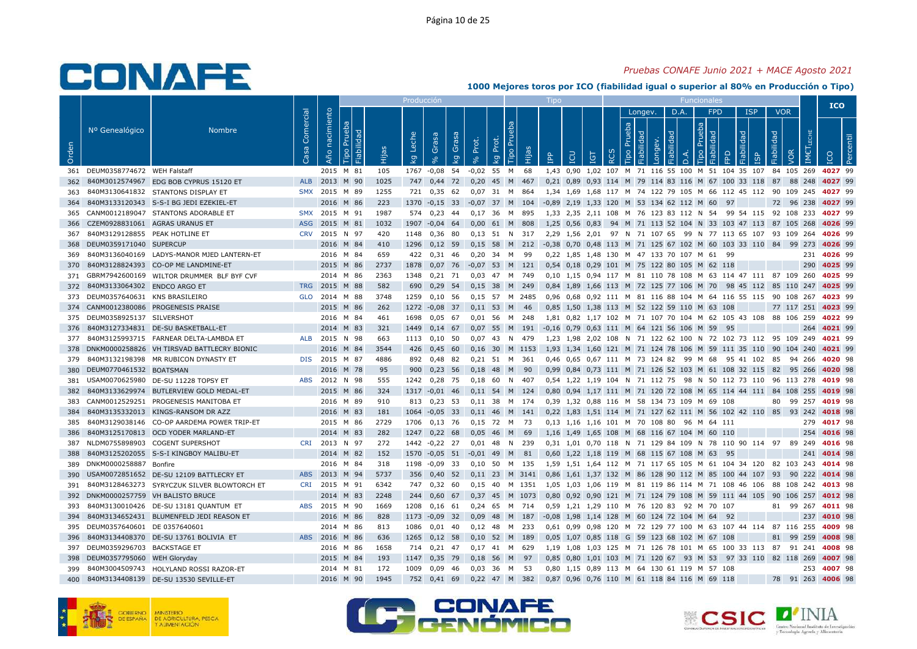### *Pruebas CONAFE Junio 2021 + MACE Agosto 2021*

|       |                                |                                             |                   |                   |                              |       | <u>Producción</u> |                         |                    |              |             |                        |           | Tipo                                                          |                                |            |                  |                |                       |            |                                      | <b>Funcionales</b>                                            |        |            |                      |            |                  |     | <b>ICO</b> |            |
|-------|--------------------------------|---------------------------------------------|-------------------|-------------------|------------------------------|-------|-------------------|-------------------------|--------------------|--------------|-------------|------------------------|-----------|---------------------------------------------------------------|--------------------------------|------------|------------------|----------------|-----------------------|------------|--------------------------------------|---------------------------------------------------------------|--------|------------|----------------------|------------|------------------|-----|------------|------------|
|       |                                |                                             |                   |                   |                              |       |                   |                         |                    |              |             |                        |           |                                                               |                                |            |                  |                | Longev.               |            | D.A.                                 | <b>FPD</b>                                                    |        | <b>ISP</b> |                      | <b>VOR</b> |                  |     |            |            |
| Orden | Nº Genealógico                 | <b>Nombre</b>                               | Comercial<br>Casa | nacimiento<br>Año | Prueba<br>Fiabilidad<br>Tipo | Hijas | Leche<br>ΔÃ       | Grasa<br>8 <sup>o</sup> | Grasa<br><b>Lo</b> | Prot.<br>వ   | Prot.<br>ΔÄ | P <sub>U</sub><br>Tipo | 旧         | <u>ድ</u>                                                      | LCU                            | <b>TGT</b> | $\tilde{\alpha}$ | Prueba<br>Tipo | Fiabilidad<br>Longev. | Fiabilidad | $\overline{a}$                       | Prueba<br>Fiabilidad<br>Tipo                                  | EPD    | Fiabilidad | Fiabilidad           |            | <b>IMETLECHE</b> |     | <b>ICO</b> | <b>Per</b> |
| 361   | DEUM0358774672 WEH Falstaff    |                                             |                   | 2015 M 81         |                              | 105   | 1767              | $-0,08$                 | 54                 | $-0.02$ 55   |             | M                      | 68        |                                                               |                                |            |                  |                |                       |            |                                      | 1,43 0,90 1,02 107 M 71 116 55 100 M 51 104 35 107            |        |            |                      | 84 105 269 |                  |     | 4027 99    |            |
| 362   |                                | 840M3012574967 EDG BOB CYPRUS 15120 ET      | <b>ALB</b>        | 2013 M 90         |                              | 1025  | 747               | 0,44                    | 72                 | 0,20         | 45 M        |                        | 467       |                                                               |                                |            |                  |                |                       |            |                                      | 0,21 0,89 0,93 114 M 79 114 83 116 M 67 100 33 118            |        |            |                      | 87         | 88 248           |     | 4027 99    |            |
| 363   |                                | 840M3130641832 STANTONS DISPLAY ET          | <b>SMX</b>        | 2015 M 89         |                              | 1255  | 721               | 0.35                    | 62                 | 0.07         | 31          | M                      | 864       |                                                               |                                |            |                  |                |                       |            |                                      | 1.34 1.69 1.68 117 M 74 122 79 105 M 66 112 45 112 90 109 245 |        |            |                      |            |                  |     | 4027 99    |            |
| 364   |                                | 840M3133120343 S-S-I BG JEDI EZEKIEL-ET     |                   | 2016 M 86         |                              | 223   | 1370              | $-0,15$                 | 33                 | $-0.07$ 37 M |             |                        | 104       | -0,89 2,19 1,33 120 M 53 134 62 112 M 60                      |                                |            |                  |                |                       |            |                                      |                                                               | 97     |            |                      | 72         | 96 238           |     | 4027 99    |            |
| 365   | CANM0012189047                 | STANTONS ADORABLE ET                        | <b>SMX</b>        | 2015 M 91         |                              | 1987  | 574               | 0,23                    | 44                 | 0,17         | -36         | M                      | 895       | 1,33                                                          |                                |            |                  |                |                       |            |                                      | 2,35 2,11 108 M 76 123 83 112 N 54                            |        | 99 54 115  |                      | 92<br>108  | 233              |     | 4027 99    |            |
| 366   | CZEM0928831061 AGRAS URANUS ET |                                             | <b>ASG</b>        | 2015 M 81         |                              | 1032  | 1907              | $-0,04$                 | 64                 | $0,00$ 61 M  |             |                        | 808       |                                                               | 1,25 0,56 0,83                 |            |                  |                |                       |            |                                      | 94 M 71 113 52 104 N 33 103 47 113 87 105 268                 |        |            |                      |            |                  |     | 4026 99    |            |
| 367   | 840M3129128855 PEAK HOTLINE ET |                                             | <b>CRV</b>        | 2015 N 97         |                              | 420   | 1148              | 0,36                    | 80                 | 0.13         | 51          | N                      | 317       |                                                               |                                |            |                  |                |                       |            |                                      | 2.29 1.56 2.01 97 N 71 107 65 99 N 77 113 65 107 93 109 264   |        |            |                      |            |                  |     | 4026 99    |            |
| 368   | DEUM0359171040 SUPERCUP        |                                             |                   | 2016 M 84         |                              | 410   | 1296              | 0,12                    | 59                 | 0.15         | 58          | M                      | 212       | -0,38 0,70 0,48 113 M 71 125 67 102 M 60 103 33 110 84 99 273 |                                |            |                  |                |                       |            |                                      |                                                               |        |            |                      |            |                  |     | 4026 99    |            |
| 369   |                                | 840M3136040169 LADYS-MANOR MJED LANTERN-ET  |                   | 2016 M 84         |                              | 659   | 422               | 0,31                    | - 46               | 0,20         | 34          | M                      | 99        |                                                               |                                |            |                  |                |                       |            |                                      | 0,22 1,85 1,48 130 M 47 133 70 107 M 61 99                    |        |            |                      |            |                  | 231 | 4026 99    |            |
| 370   |                                | 840M3128824393 CO-OP ME LANDMINE-ET         |                   | 2015 M 86         |                              | 2737  | 1878              | 0,07                    | 76                 | $-0,07$      | 53          | M                      | 121       |                                                               |                                |            |                  |                |                       |            |                                      | 0,54 0,18 0,29 101 M 75 122 80 105 M 62 118                   |        |            |                      |            |                  | 290 | 4025 99    |            |
| 371   |                                | GBRM7942600169 WILTOR DRUMMER BLF BYF CVF   |                   | 2014 M 86         |                              | 2363  | 1348              | $0,21$ 71               |                    | 0.03         | 47          |                        | M 749     |                                                               |                                |            |                  |                |                       |            |                                      | 0.10 1.15 0.94 117 M 81 110 78 108 M 63 114 47 111 87 109 260 |        |            |                      |            |                  |     | 4025 99    |            |
| 372   | 840M3133064302 ENDCO ARGO ET   |                                             | <b>TRG</b>        | 2015 M 88         |                              | 582   | 690               | 0,29                    | 54                 | 0.15         | 38          | M                      | 249       |                                                               |                                |            |                  |                |                       |            |                                      | 0,84 1,89 1,66 113 M 72 125 77 106 M 70 98 45 112 85 110 247  |        |            |                      |            |                  |     | 4025 99    |            |
| 373   | DEUM0357640631 KNS BRASILEIRO  |                                             | <b>GLO</b>        | 2014 M 88         |                              | 3748  | 1259              | 0,10                    | 56                 | 0,15         | 57          |                        | M 2485    |                                                               |                                |            |                  |                |                       |            |                                      | 0,96 0,68 0,92 111 M 81 116 88 104 M 64 116 55 115            |        |            |                      | 90 108     | 267              |     | 4023 99    |            |
| 374   |                                | CANM0012380086 PROGENESIS PRAISE            |                   | 2015 M 86         |                              | 262   | 1272              | $-0,08$                 | - 37               | 0,11         | 53          | M                      | -46       |                                                               |                                |            |                  |                |                       |            |                                      | 0,85 1,50 1,38 113 M 52 122 59 110 M 63 108                   |        |            |                      | 77 117 251 |                  |     | 4023 99    |            |
| 375   | DEUM0358925137 SILVERSHOT      |                                             |                   | 2016 M 84         |                              | 461   | 1698              | 0.05                    | - 67               | 0.01         | 56          | M                      | 248       |                                                               |                                |            |                  |                |                       |            |                                      | 1.81 0.82 1.17 102 M 71 107 70 104 M 62 105 43                |        |            | 108                  | 88 106 259 |                  |     | 4022 99    |            |
| 376   |                                | 840M3127334831 DE-SU BASKETBALL-ET          |                   | 2014 M 83         |                              | 321   | 1449              | $0,14$ 67               |                    | $0.07$ 55    |             | M                      | 191       | $-0.16$ 0.79 0.63 111 M 64 121 56 106 M 59                    |                                |            |                  |                |                       |            |                                      |                                                               | 95     |            |                      |            |                  | 264 | 4021 99    |            |
| 377   |                                | 840M3125993715 FARNEAR DELTA-LAMBDA ET      | <b>ALB</b>        | 2015 N 98         |                              | 663   | 1113              | 0,10                    | 50                 | $0,07$ 43    |             | N                      | 479       |                                                               |                                |            |                  |                |                       |            |                                      | 1,23 1,98 2,02 108 N 71 122 62 100 N 72 102 73 112 95 109 249 |        |            |                      |            |                  |     | 4021 99    |            |
| 378   |                                | DNKM0000258826 VH TIRSVAD BATTLECRY BIONIC  |                   | 2016 M 84         |                              | 3544  | 426               | 0,45                    | 60                 | 0,16         | 30          |                        | M 1153    |                                                               |                                |            |                  |                |                       |            |                                      | 1,93 1,34 1,60 121 M 71 124 78 106 M 59 111 35 110 90         |        |            |                      | 104        |                  | 240 | 4021 99    |            |
| 379   |                                | 840M3132198398 MR RUBICON DYNASTY ET        | <b>DIS</b>        | 2015 M 87         |                              | 4886  | 892               | 0.48                    | 82                 | $0.21$ 51    |             | M 361                  |           |                                                               |                                |            |                  |                |                       |            |                                      | 0.46 0.65 0.67 111 M 73 124 82 99 M 68                        |        |            | 95 41 102 85         |            | 94 266           |     | 4020 98    |            |
| 380   | DEUM0770461532 BOATSMAN        |                                             |                   | 2016 M 78         |                              | 95    | 900               | 0.23                    | 56                 | 0.18         | 48          | M                      | 90        |                                                               |                                |            |                  |                |                       |            |                                      | 0.99 0.84 0.73 111 M 71 126 52 103 M 61 108 32 115            |        |            |                      | 82         | 95 266           |     | 4020 98    |            |
| 381   |                                | USAM0070625980 DE-SU 11228 TOPSY ET         | <b>ABS</b>        | 2012 N 98         |                              | 555   | 1242              | 0,28                    | 75                 | 0.18         | 60          | N                      | 407       |                                                               |                                |            |                  |                |                       |            |                                      | 0,54 1,22 1,19 104 N 71 112 75 98 N 50 112 73 110 96 113 278  |        |            |                      |            |                  |     | 4019 98    |            |
| 382   |                                | 840M3133629974 BUTLERVIEW GOLD MEDAL-ET     |                   | 2015 M 86         |                              | 324   | 1317              | $-0,01$                 | 46                 | 0,11         | 54          |                        | M 124     |                                                               |                                |            |                  |                |                       |            |                                      | 0,80 0,94 1,17 111 M 71 120 72 108 M 65 114 44 111 84 108 255 |        |            |                      |            |                  |     | 4019 98    |            |
| 383   | CANM0012529251                 | PROGENESIS MANITOBA ET                      |                   | 2016 M 89         |                              | 910   | 813               | 0,23                    | -53                | 0,11         | 38          |                        | M 174     |                                                               |                                |            |                  |                |                       |            | 0,39 1,32 0,88 116 M 58 134 73 109 M |                                                               | 69 108 |            |                      | 80         | 99<br>257        |     | 4019 98    |            |
| 384   |                                | 840M3135332013 KINGS-RANSOM DR AZZ          |                   | 2016 M 83         |                              | 181   | 1064              | $-0,05$                 | 33                 | $0,11$ 46    |             |                        | M 141     |                                                               |                                |            |                  |                |                       |            |                                      | 0,22 1,83 1,51 114 M 71 127 62 111 M 56 102 42 110 85         |        |            |                      |            | 93 242           |     | 4018 98    |            |
| 385   |                                | 840M3129038146 CO-OP AARDEMA POWER TRIP-ET  |                   | 2015 M 86         |                              | 2729  | 1706              | 0.13                    | - 76               | 0.15         | 72          | M                      | - 73      |                                                               | 0.13 1.16 1.16 101 M 70 108 80 |            |                  |                |                       |            |                                      | 96 M 64 111                                                   |        |            |                      |            |                  | 279 | 4017 98    |            |
| 386   |                                | 840M3125170813 OCD YODER MARLAND-ET         |                   | 2014 M 83         |                              | 282   | 1247              | 0,22                    | 68                 | 0,05         | 46          | M                      | 69        |                                                               |                                |            |                  |                |                       |            |                                      | 1,16 1,49 1,65 108 M 68 116 67 104 M 60 110                   |        |            |                      |            |                  | 254 | 4016 98    |            |
| 387   |                                | NLDM0755898903 COGENT SUPERSHOT             | <b>CRI</b>        | 2013 N 97         |                              | 272   | 1442              | $-0,22$                 | 27                 | 0,01         | 48          | N                      | 239       |                                                               |                                |            |                  |                |                       |            |                                      | 0,31 1,01 0,70 118 N 71 129 84 109 N 78 110 90 114 97 89      |        |            |                      |            |                  | 249 | 4016 98    |            |
| 388   |                                | 840M3125202055 S-S-I KINGBOY MALIBU-ET      |                   | 2014 M 82         |                              | 152   | 1570              | $-0,05$                 | 51                 | $-0,01$      | 49          | M                      | 81        |                                                               |                                |            |                  |                |                       |            |                                      | 0,60 1,22 1,18 119 M 68 115 67 108 M 63                       | 95     |            |                      |            |                  | 241 | 4014 98    |            |
| 389   | DNKM0000258887 Bonfire         |                                             |                   | 2016 M 84         |                              | 318   | 1198              | $-0,09$                 | 33                 | 0.10         | 50          |                        | M 135     |                                                               |                                |            |                  |                |                       |            |                                      | 1,59 1,51 1,64 112 M 71 117 65 105 M 61 104 34 120 82 103 243 |        |            |                      |            |                  |     | 4014 98    |            |
| 390   |                                | USAM0072851652 DE-SU 12109 BATTLECRY ET     | <b>ABS</b>        | 2013 M 94         |                              | 5737  | 356               | 0,40                    | 52                 | 0.11         |             |                        | 23 M 3141 |                                                               |                                |            |                  |                |                       |            |                                      | 0,86 1,61 1,37 132 M 86 128 90 112 M 85 100 44 107 93         |        |            |                      |            | 90<br>222        |     | 4014 98    |            |
| 391   |                                | 840M3128463273 SYRYCZUK SILVER BLOWTORCH ET | <b>CRI</b>        | 2015 M 91         |                              | 6342  | 747               | 0,32                    | 60                 | 0,15         | 40          |                        | M 1351    |                                                               |                                |            |                  |                |                       |            |                                      | 1,05 1,03 1,06 119 M 81 119 86 114 M 71 108 46 106            |        |            |                      | 88 108     | 242              |     | 4013 98    |            |
| 392   |                                | DNKM0000257759 VH BALISTO BRUCE             |                   | 2014 M 83         |                              | 2248  | 244               | 0,60                    | 67                 | 0,37         |             |                        | 45 M 1073 |                                                               |                                |            |                  |                |                       |            |                                      | 0.80 0.92 0.90 121 M 71 124 79 108 M 59 111 44 105 90 106 257 |        |            |                      |            |                  |     | 4012 98    |            |
| 393   |                                | 840M3130010426 DE-SU 13181 QUANTUM ET       | <b>ABS</b>        | 2015 M 90         |                              | 1669  | 1208              | 0,16                    | 61                 | 0,24         | 65          |                        | M 714     |                                                               | 0,59 1,21 1,29 110 M 76 120 83 |            |                  |                |                       |            |                                      | 92 M 70 107                                                   |        |            |                      | 81         | 99 267           |     | 4011 98    |            |
| 394   |                                | 840M3134652431 BLUMENFELD JEDI REASON ET    |                   | 2016 M 86         |                              | 828   | 1173              | $-0,09$                 | 32                 | 0.09         | 48          | M                      | 187       | $-0.08$                                                       |                                |            |                  |                |                       |            | 1,98 1,14 128 M 60 124 72 104 M      | 64                                                            | 92     |            |                      |            |                  | 237 | 4010 98    |            |
| 395   | DEUM0357640601 DE 0357640601   |                                             |                   | 2014 M 86         |                              | 813   | 1086              | 0,01                    | 40                 | 0,12         | 48          | M                      | 233       |                                                               |                                |            |                  |                |                       |            |                                      | 0,61 0,99 0,98 120 M 72 129 77 100 M 63 107 44 114 87 116 255 |        |            |                      |            |                  |     | 4009 98    |            |
| 396   |                                | 840M3134408370 DE-SU 13761 BOLIVIA ET       | <b>ABS</b>        | 2016 M 86         |                              | 636   | 1265              | 0,12                    | 58                 | 0.10         | 52          | M                      | - 189     |                                                               |                                |            |                  |                |                       |            |                                      | 0.05 1.07 0.85 118 G 59 123 68 102 M 67 108                   |        |            |                      | 81         | 99               | 259 | 4008 98    |            |
| 397   | DEUM0359296703 BACKSTAGE ET    |                                             |                   | 2016 M 86         |                              | 1658  | 714               | $0,21$ 47               |                    | $0.17$ 41    |             |                        | M 629     |                                                               |                                |            |                  |                |                       |            |                                      | 1.19 1.08 1.03 125 M 71 126 78 101 M 65 100 33 113 87         |        |            |                      |            | 91 241           |     | 4008 98    |            |
| 398   | DEUM0357795060 WEH Gloryday    |                                             |                   | 2015 M 84         |                              | 193   | 1147              | 0,35                    | 79                 | 0.18         | 56          | M                      | 97        |                                                               |                                |            |                  |                |                       |            |                                      | 0,85 0,80 1,01 103 M 71 120 67 93 M 53                        |        |            | 97 33 110 82 118 269 |            |                  |     | 4007 98    |            |
| 399   |                                | 840M3004509743 HOLYLAND ROSSI RAZOR-ET      |                   | 2014 M 81         |                              | 172   | 1009              | 0,09                    | -46                | 0,03         | -36         | M                      | -53       |                                                               |                                |            |                  |                |                       |            |                                      | 0,80 1,15 0,89 113 M 64 130 61 119 M 57 108                   |        |            |                      |            |                  | 253 | 4007 98    |            |
| 400   |                                | 840M3134408139 DE-SU 13530 SEVILLE-ET       |                   | 2016 M 90         |                              | 1945  | 752               | $0,41$ 69               |                    | $0,22$ 47 M  |             |                        | 382       |                                                               |                                |            |                  |                |                       |            |                                      | 0,87 0,96 0,76 110 M 61 118 84 116 M 69 118                   |        |            |                      | 78 91 263  |                  |     | 4006 98    |            |







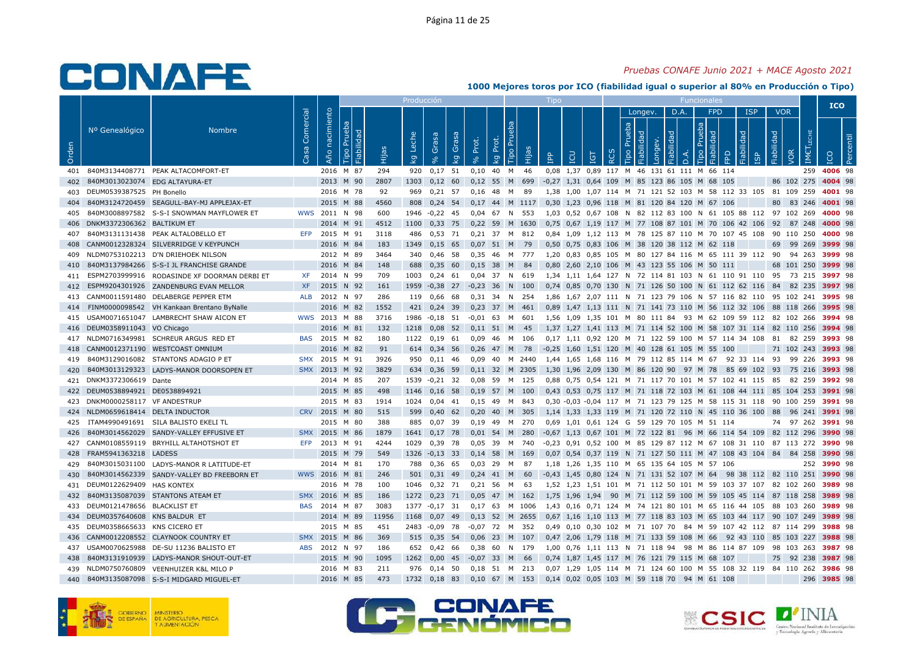### *Pruebas CONAFE Junio 2021 + MACE Agosto 2021*

|       |                                 |                                              |                   |                   |                                     |       | Producci <u>ón</u> |                         |              |                   |             |                        |        | Tipo       |     |                      |            |                              |         |            |                  | Funcionales                                                    |           |                  |                      |            |                  | <b>ICO</b>  |                      |
|-------|---------------------------------|----------------------------------------------|-------------------|-------------------|-------------------------------------|-------|--------------------|-------------------------|--------------|-------------------|-------------|------------------------|--------|------------|-----|----------------------|------------|------------------------------|---------|------------|------------------|----------------------------------------------------------------|-----------|------------------|----------------------|------------|------------------|-------------|----------------------|
|       |                                 |                                              |                   |                   |                                     |       |                    |                         |              |                   |             |                        |        |            |     |                      |            |                              | Longev. | D.A.       |                  | <b>FPD</b>                                                     |           | <b>ISP</b>       |                      | <b>VOR</b> |                  |             |                      |
| Orden | Nº Genealógico                  | <b>Nombre</b>                                | Comercial<br>Casa | nacimiento<br>Año | Prueba<br><b>Fiabilidad</b><br>Tipo | Hijas | Leche<br>ΙŞ        | Grasa<br>8 <sup>o</sup> | Grasa<br>ΙŠΥ | Prot.<br>$\delta$ | Prot.<br>kg | P <sub>U</sub><br>Tipo | Hijas  | <b>AdI</b> | LCU | TGT                  | <b>RCS</b> | Prueba<br>Fiabilidad<br>Tipo | Longev. | Fiabilidad | $\overline{a}$ . | Prueba<br>ᄝ<br>ᅙ<br>Бij<br>Tipo                                | FPD       | Fiabilidad<br>Ωņ | Fiabilidad           | VOR        | <b>IMETLECHE</b> |             | centil<br><b>Per</b> |
| 401   |                                 | 840M3134408771 PEAK ALTACOMFORT-ET           |                   | 2016 M 87         |                                     | 294   | 920                | 0,17                    | 51           | 0,10              | 40          | M                      | 46     |            |     |                      |            |                              |         |            |                  | 0,08 1,37 0,89 117 M 46 131 61 111 M 66 114                    |           |                  |                      |            | 259              | 4006 98     |                      |
| 402   | 840M3013023074 EDG ALTAYURA-ET  |                                              |                   | 2013 M 90         |                                     | 2807  | 1303               | 0,12                    | 60           | 0,12              | 55 M        |                        | 699    |            |     |                      |            |                              |         |            |                  | -0,27 1,31 0,64 109 M 85 123 86 105 M 68 105                   |           |                  |                      | 86 102 275 |                  | 4004 98     |                      |
| 403   | DEUM0539387525 PH Bonello       |                                              |                   | 2016 M 78         |                                     | 92    | 969                | $0.21$ 57               |              | 0.16              | 48          | M                      | 89     |            |     |                      |            |                              |         |            |                  | 1.38 1.00 1.07 114 M 71 121 52 103 M 58 112 33 105             |           |                  |                      | 81 109 259 |                  | 4001 98     |                      |
| 404   |                                 | 840M3124720459 SEAGULL-BAY-MJ APPLEJAX-ET    |                   | 2015              | M 88                                | 4560  | 808                | $0,24$ 54               |              | 0,17 44 M 1117    |             |                        |        |            |     |                      |            |                              |         |            |                  | 0,30 1,23 0,96 118 M 81 120 84 120 M 67 106                    |           |                  | 80                   |            | 83 246           | 4001 98     |                      |
| 405   |                                 | 840M3008897582 S-S-I SNOWMAN MAYFLOWER ET    | wws               | 2011 N 98         |                                     | 600   | 1946               | $-0,22$                 | -45          | 0,04              | 67          | N                      | 553    | 1,03       |     |                      |            |                              |         |            |                  | 0,52 0,67 108 N 82 112 83 100 N 61 105 88 112 97               |           |                  |                      |            | 102 269          | 4000 98     |                      |
| 406   | DNKM3372306362 BALTIKUM ET      |                                              |                   | 2014 M 91         |                                     | 4512  | 1100               | 0,33 75                 |              | $0,22$ 59 M       |             |                        | 1630   |            |     |                      |            |                              |         |            |                  | 0,75 0,67 1,19 117 M 77 108 87 101 M 70 106 42 106             |           |                  | 92                   |            | 87 248           | 4000 98     |                      |
| 407   |                                 | 840M3131131438 PEAK ALTALOBELLO ET           | <b>EFP</b>        | 2015              | M 91                                | 3118  | 486                | 0,53 71                 |              | $0.21$ 37         |             | M                      | 812    |            |     |                      |            |                              |         |            |                  | 0.84 1.09 1.12 113 M 78 125 87 110 M 70 107 45 108 90 110 250  |           |                  |                      |            |                  | 4000 98     |                      |
| 408   |                                 | CANM0012328324 SILVERRIDGE V KEYPUNCH        |                   | 2016 M 84         |                                     | 183   | 1349               | $0,15$ 65               |              | $0,07$ 51         |             | M                      | 79     |            |     | 0,50 0,75 0,83 106   |            |                              |         |            |                  | M 38 120 38 112 M 62 118                                       |           |                  | 69                   |            | 99 269           | 3999 98     |                      |
| 409   |                                 | NLDM0753102213 D'N DRIEHOEK NILSON           |                   | 2012 M 89         |                                     | 3464  | 340                | 0,46 58                 |              | 0,35              | 46          | M                      | 777    |            |     |                      |            |                              |         |            |                  | 1,20 0,83 0,85 105 M 80 127 84 116 M 65 111 39 112             |           |                  | 90                   |            | 94 263           | 3999 98     |                      |
| 410   |                                 | 840M3137984266 S-S-I JL FRANCHISE GRANDE     |                   | 2016              | M 84                                | 148   | 688                | 0,35                    | 60           | 0,15              | 38          | M                      | 84     |            |     |                      |            |                              |         |            |                  | 0,80 2,60 2,10 106 M 43 123 55 106 M 50 111                    |           |                  | 68                   |            | 101 250          | 3999 98     |                      |
| 411   |                                 | ESPM2703999916 RODASINDE XF DOORMAN DERBI ET | <b>XF</b>         | 2014 N 99         |                                     | 709   | 1003               | $0.24$ 61               |              | $0.04$ 37 N       |             |                        | 619    |            |     |                      |            |                              |         |            |                  | 1.34 1.11 1.64 127 N 72 114 81 103 N 61 110 91 110 95 73 215   |           |                  |                      |            |                  | 3997 98     |                      |
| 412   |                                 | ESPM9204301926 ZANDENBURG EVAN MELLOR        | <b>XF</b>         | 2015              | N 92                                | 161   | 1959               | $-0,38$ 27              |              | $-0,23$ 36        |             | N                      | 100    |            |     |                      |            |                              |         |            |                  | 0,74 0,85 0,70 130 N 71 126 50 100 N 61 112 62 116             |           |                  | 84                   |            | 82 235           | 3997 98     |                      |
| 413   |                                 | CANM0011591480 DELABERGE PEPPER ETM          | <b>ALB</b>        | 2012 N 97         |                                     | 286   | 119                | 0,66                    | 68           | 0,31              | 34          | N                      | 254    |            |     |                      |            |                              |         |            |                  | 1,86 1,67 2,07 111 N 71 123 79 106 N 57 116 82 110             |           |                  |                      | 95 102 241 |                  | 3995 98     |                      |
| 414   |                                 | FINM0000098542 VH Kankaan Brentano ByNalle   |                   | 2016              | M 82                                | 1552  | 421                | 0,24                    | -39          | 0,23              | 37          | M                      | 461    |            |     |                      |            |                              |         |            |                  | 0,89 1,47 1,13 111 N 71 141 73 110 M 56 112 32 106 88 118 266  |           |                  |                      |            |                  | 3995 98     |                      |
| 415   |                                 | USAM0071651047 LAMBRECHT SHAW AICON ET       |                   | WWS 2013          | M 88                                | 3716  | 1986               | $-0.18$                 | - 51         | $-0.01$           | - 63        | M                      | 601    |            |     |                      |            |                              |         |            |                  | 1.56 1.09 1.35 101 M 80 111 84 93 M 62 109 59 112 82 102 266   |           |                  |                      |            |                  | 3994 98     |                      |
| 416   | DEUM0358911043 VO Chicago       |                                              |                   | 2016 M 81         |                                     | 132   | 1218               | $0,08$ 52               |              | $0,11$ 51         |             | M                      | 45     |            |     |                      |            |                              |         |            |                  | 1,37 1,27 1,41 113 M 71 114 52 100 M 58 107 31 114 82 110 256  |           |                  |                      |            |                  | 3994 98     |                      |
|       |                                 | 417 NLDM0716349981 SCHREUR ARGUS RED ET      |                   | BAS 2015 M 82     |                                     | 180   | 1122               | 0.19                    | 61           | 0,09              | 46          | M                      | 106    |            |     |                      |            |                              |         |            |                  | 0,17 1,11 0,92 120 M 71 122 59 100 M 57 114 34 108             |           |                  | 81                   |            | 82 259           | 3993 98     |                      |
| 418   |                                 | CANM0012371190 WESTCOAST OMNIUM              |                   | 2016 M 82         |                                     | 91    | 614                | 0,34 56                 |              | 0,26              | 47          | M                      | 78     | $-0,25$    |     | 1,60 1,51 120        |            |                              |         |            |                  | M 40 128 61 105 M 55 100                                       |           |                  |                      | 71 102 243 |                  | 3993 98     |                      |
| 419   |                                 | 840M3129016082 STANTONS ADAGIO P ET          | <b>SMX</b>        | 2015              | M 91                                | 3926  | 950                | $0.11$ 46               |              | 0.09              | 40          | M                      | 2440   |            |     |                      |            |                              |         |            |                  | 1.44 1.65 1.68 116 M 79 112 85 114 M 67 92 33 114 93           |           |                  |                      |            | 99 226           | 3993 98     |                      |
| 420   |                                 | 840M3013129323 LADYS-MANOR DOORSOPEN ET      | <b>SMX</b>        | 2013 M 92         |                                     | 3829  | 634                | 0.36                    | 59           | $0.11$ 32 M       |             |                        | 2305   |            |     |                      |            |                              |         |            |                  | 1.30 1.96 2.09 130 M 86 120 90 97 M 78                         | 85 69 102 |                  | 93                   |            | 75 216           | 3993 98     |                      |
| 421   | DNKM3372306619 Dante            |                                              |                   | 2014 M 85         |                                     | 207   | 1539               | $-0,21$ 32              |              | 0.08              | 59          | M                      | 125    |            |     |                      |            |                              |         |            |                  | 0,88 0,75 0,54 121 M 71 117 70 101 M 57 102 41 115 85          |           |                  |                      |            | 82 259           | 3992 98     |                      |
|       | 422 DEUM0538894921 DE0538894921 |                                              |                   | 2015 M 85         |                                     | 498   | 1146               | $0,16$ 58               |              | 0,19              | 57          | M                      | 100    |            |     |                      |            |                              |         |            |                  | 0,43 0,53 0,75 117 M 71 118 72 103 M 61 108 44 111 85 104 253  |           |                  |                      |            |                  | 3991 98     |                      |
| 423   | DNKM0000258117 VF ANDESTRUP     |                                              |                   | 2015              | M 83                                | 1914  | 1024               | 0,04                    | 41           | 0,15              | -49         | м                      | 843    |            |     |                      |            |                              |         |            |                  | 0,30 -0,03 -0,04 117 M 71 123 79 125 M 58 115 31 118           |           |                  |                      | 90 100 259 |                  | 3991 98     |                      |
| 424   | NLDM0659618414 DELTA INDUCTOR   |                                              |                   | CRV 2015 M 80     |                                     | 515   | 599                | $0.40\quad 62$          |              | 0,20              | 40          | M                      | 305    |            |     |                      |            |                              |         |            |                  | 1,14 1,33 1,33 119 M 71 120 72 110 N 45 110 36 100 88          |           |                  |                      |            | 96 241           | 3991 98     |                      |
| 425   |                                 | ITAM4990491691 SILA BALISTO EKELI TL         |                   | 2015 M 80         |                                     | 388   | 885                | 0.07                    | 39           | 0.19              | 49          | M                      | 270    | 0.69       |     |                      |            |                              |         |            |                  | 1.01 0.61 124 G 59 129 70 105 M 51 114                         |           |                  | 74                   |            | 97 262           | 3991 98     |                      |
| 426   |                                 | 840M3014562029 SANDY-VALLEY EFFUSIVE ET      | <b>SMX</b>        | 2015              | M 86                                | 1879  | 1641               | 0,17                    | 78           | 0,01              | 54          | M                      | 280    |            |     |                      |            |                              |         |            |                  | -0,67 1,13 0,67 101 M 72 122 81 96 M 66 114 54 109 82 112 296  |           |                  |                      |            |                  | 3990 98     |                      |
| 427   |                                 | CANM0108559119 BRYHILL ALTAHOTSHOT ET        | <b>EFP</b>        | 2013 M 91         |                                     | 4244  | 1029               | 0,39                    | - 78         | 0,05              | - 39        | м                      | 740    |            |     |                      |            |                              |         |            |                  | -0,23 0,91 0,52 100 M 85 129 87 112 M 67 108 31 110 87 113 272 |           |                  |                      |            |                  | 3990 98     |                      |
| 428   | FRAM5941363218 LADESS           |                                              |                   | 2015              | M 79                                | 549   | 1326               | $-0,13$ 33              |              | $0,14$ 58         |             | M                      | 169    |            |     |                      |            |                              |         |            |                  | 0,07 0,54 0,37 119 N 71 127 50 111 M 47 108 43 104 84          |           |                  |                      |            | 84 258           | 3990 98     |                      |
| 429   |                                 | 840M3015031100 LADYS-MANOR R LATITUDE-ET     |                   | 2014 M 81         |                                     | 170   | 788                | 0,36 65                 |              | $0.03$ 29         |             | M                      | -87    |            |     |                      |            |                              |         |            |                  | 1,18 1,26 1,35 110 M 65 135 64 105 M 57 106                    |           |                  |                      |            |                  | 252 3990 98 |                      |
| 430   |                                 | 840M3014562339 SANDY-VALLEY BD FREEBORN ET   |                   | WWS 2016          | M 81                                | 246   | 501                | $0,31$ 49               |              | $0,24$ 41         |             | M                      | 60     |            |     |                      |            |                              |         |            |                  | -0,43 1,45 0,80 124 N 71 131 52 107 M 64                       |           |                  | 98 38 112 82 110 251 |            |                  | 3990 98     |                      |
| 431   | DEUM0122629409 HAS KONTEX       |                                              |                   | 2016 M 78         |                                     | 100   | 1046               | 0,32 71                 |              | 0,21              | 56          | M                      | 63     |            |     |                      |            |                              |         |            |                  | 1,52 1,23 1,51 101 M 71 112 50 101 M 59 103 37 107 82 102 260  |           |                  |                      |            |                  | 3989 98     |                      |
| 432   |                                 | 840M3135087039 STANTONS ATEAM ET             | <b>SMX</b>        | 2016 M 85         |                                     | 186   | 1272               | 0,23                    | 71           | 0.05              | 47 M        |                        | 162    |            |     | 1.75 1.96 1.94 90    |            |                              |         |            |                  | M 71 112 59 100 M 59 105 45 114 87 118 258                     |           |                  |                      |            |                  | 3989 98     |                      |
| 433   | DEUM0121478656 BLACKLIST ET     |                                              | <b>BAS</b>        | 2014 M 87         |                                     | 3083  | 1377               | $-0,17$ 31              |              | $0,17$ 63         |             |                        | M 1006 |            |     |                      |            |                              |         |            |                  | 1,43 0,16 0,71 124 M 74 121 80 101 M 65 116 44 105 88 103 260  |           |                  |                      |            |                  | 3989 98     |                      |
| 434   | DEUM0357640608 KNS BALDUR ET    |                                              |                   | 2014 M 89         |                                     | 11956 | 1168               | 0,07                    | 49           | 0.13              | 52          | M                      | 2655   |            |     | $0.67$ 1.16 1.10 113 |            |                              |         |            |                  | M 77 118 83 103 M 65 103 44 117 90 107 249                     |           |                  |                      |            |                  | 3989 98     |                      |
| 435   | DEUM0358665633 KNS CICERO ET    |                                              |                   | 2015              | M 85                                | 451   | 2483               | $-0,09$                 | - 78         | $-0,07$ 72        |             | M                      | 352    |            |     |                      |            |                              |         |            |                  | 0,49 0,10 0,30 102 M 71 107 70 84 M 59 107 42 112 87 114 299   |           |                  |                      |            |                  | 3988 98     |                      |
| 436   |                                 | CANM0012208552 CLAYNOOK COUNTRY ET           | <b>SMX</b>        | 2015              | M 86                                | 369   | 515                | $0,35$ 54               |              | 0.06              | -23         | M                      | 107    |            |     | 0.47 2.06 1.79 118   |            |                              |         |            |                  | M 71 133 59 108 M 66                                           | 92 43 110 |                  |                      | 85 103 227 |                  | 3988 98     |                      |
| 437   |                                 | USAM0070625988 DE-SU 11236 BALISTO ET        | <b>ABS</b>        | 2012 N 97         |                                     | 186   | 652                | $0,42$ 66               |              | $0.38 \quad 60$   |             | N 179                  |        |            |     |                      |            |                              |         |            |                  | 1.00 0.76 1.11 113 N 71 118 94 98 M 86 114 87 109              |           |                  |                      | 98 103 263 |                  | 3987 98     |                      |
| 438   |                                 | 840M3131910939 LADYS-MANOR SHOUT-OUT-ET      |                   | 2015 M 90         |                                     | 1095  | 1262               | 0.00                    | 45           | $-0.07$ 33        |             | M                      | 66     |            |     |                      |            |                              |         |            |                  | 0,74 1,87 1,45 117 M 76 121 79 115 M 68 107                    |           |                  | 75                   |            | 92 238           | 3987 98     |                      |
| 439   |                                 | NLDM0750760809 VEENHUIZER K&L MILO P         |                   | 2016 M 83         |                                     | 211   | 976                | $0,14$ 50               |              | 0,18              | 51          | M                      | 213    |            |     |                      |            |                              |         |            |                  | 0,07 1,29 1,05 114 M 71 124 60 100 M 55 108 32 119 84 110 262  |           |                  |                      |            |                  | 3986 98     |                      |
| 440   |                                 | 840M3135087098 S-S-I MIDGARD MIGUEL-ET       |                   | 2016 M            | 85                                  | 473   | 1732               | $0,18$ 83               |              | $0,10$ 67 M       |             |                        | 153    |            |     |                      |            |                              |         |            |                  | 0,14 0,02 0,05 103 M 59 118 70 94 M 61 108                     |           |                  |                      |            | 296              | 3985 98     |                      |







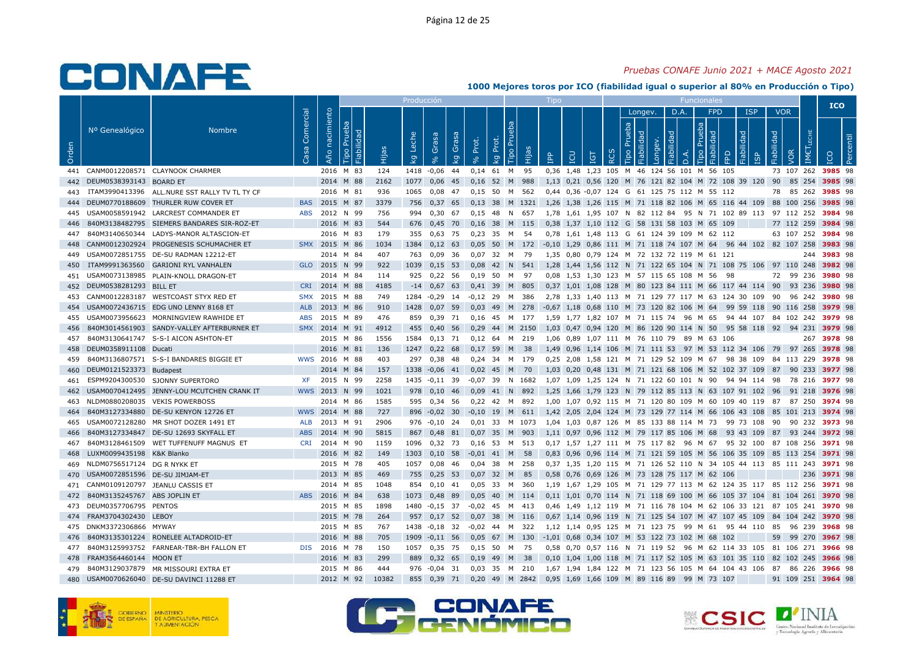### *Pruebas CONAFE Junio 2021 + MACE Agosto 2021*

|       |                                 |                                               |                   |                   |                                     |       | Producción  |                         |              |                         |             |                                  |        | Tipo       |     |                                        |            |                |                       |            |      | Funcionales                                                   |     |                      |            |            |                   | <b>ICO</b>         |            |
|-------|---------------------------------|-----------------------------------------------|-------------------|-------------------|-------------------------------------|-------|-------------|-------------------------|--------------|-------------------------|-------------|----------------------------------|--------|------------|-----|----------------------------------------|------------|----------------|-----------------------|------------|------|---------------------------------------------------------------|-----|----------------------|------------|------------|-------------------|--------------------|------------|
|       |                                 |                                               |                   |                   |                                     |       |             |                         |              |                         |             |                                  |        |            |     |                                        |            |                | Longev.               |            | D.A. | <b>FPD</b>                                                    |     | <b>ISP</b>           |            | <b>VOR</b> |                   |                    |            |
| Orden | Nº Genealógico                  | <b>Nombre</b>                                 | Comercial<br>Casa | nacimiento<br>Año | Prueba<br><b>Fiabilidad</b><br>Tipo | Hijas | Leche<br>kg | Grasa<br>8 <sup>o</sup> | Grasa<br>ΙŠΥ | Prot.<br>8 <sup>o</sup> | Prot.<br>kg | P <sub>U</sub><br>$\overline{a}$ | Hijas  | <b>AdI</b> | LCU | <b>TGT</b>                             | <b>RCS</b> | Prueba<br>Tipo | Fiabilidad<br>Longev. | Fiabilidad | D.A. | Prueba<br><b>Fiabilida</b><br>Tipo                            | FPD | Fiabilidad<br>Ξg     | Fiabilidad | VOR        | IMET <sub>1</sub> |                    | <b>P</b> a |
| 441   |                                 | CANM0012208571 CLAYNOOK CHARMER               |                   | 2016 M 83         |                                     | 124   | 1418        | $-0,06$                 | 44           | $0,14$ 61               |             | M                                | 95     |            |     | 0,36 1,48 1,23 105                     |            | M              |                       |            |      | 46 124 56 101 M 56 105                                        |     |                      |            | 73 107 262 |                   | 3985 98            |            |
| 442   | DEUM0538393143 BOARD ET         |                                               |                   | 2014 M 88         |                                     | 2162  | 1077        | 0.06                    | 45           | 0.16                    | 52 M        |                                  | 988    |            |     |                                        |            |                |                       |            |      | 1,13 0,21 0,56 120 M 76 121 82 104 M 72 108 39 120            |     |                      | 90         |            | 85 254            | 3985 98            |            |
| 443   |                                 | ITAM3990413396 ALL.NURE SST RALLY TV TL TY CF |                   | 2016 M 81         |                                     | 936   | 1065        | $0.08$ 47               |              | 0.15, 50                |             | M                                | 562    |            |     |                                        |            |                |                       |            |      | 0,44 0,36 -0,07 124 G 61 125 75 112 M 55 112                  |     |                      | 78         | 85 262     |                   | 3985 98            |            |
| 444   |                                 | DEUM0770188609 THURLER RUW COVER ET           | <b>BAS</b>        | 2015              | M 87                                | 3379  | 756         | $0,37$ 65               |              | $0,13$ 38               |             |                                  | M 1321 |            |     |                                        |            |                |                       |            |      | 1,26 1,38 1,26 115 M 71 118 82 106 M 65 116 44 109            |     |                      |            | 88 100 256 |                   | 3985 98            |            |
| 445   |                                 | USAM0058591942 LARCREST COMMANDER ET          | <b>ABS</b>        | 2012 N 99         |                                     | 756   | 994         | 0,30                    | 67           | 0,15                    | 48          | N                                | 657    |            |     |                                        |            |                |                       |            |      | 1,78 1,61 1,95 107 N 82 112 84 95 N 71 102 89 113             |     |                      |            | 97 112 252 |                   | 3984 98            |            |
| 446   |                                 | 840M3138482795 SIEMERS BANDARES SIR-ROZ-ET    |                   | 2016 M 83         |                                     | 544   | 676         | $0,45$ 70               |              | 0,16                    | 38          | M                                | 115    |            |     |                                        |            |                |                       |            |      | 0,38 1,37 1,10 112 G 58 131 58 103 M 65 109                   |     |                      |            | 77 112 259 |                   | 3984 98            |            |
| 447   |                                 | 840M3140650344 LADYS-MANOR ALTASCION-ET       |                   | 2016 M 83         |                                     | 179   | 355         | $0,63$ 75               |              | $0,23$ 35               |             | M                                | 54     |            |     |                                        |            |                |                       |            |      | 0,78 1,61 1,48 113 G 61 124 39 109 M 62 112                   |     |                      |            |            |                   | 63 107 252 3984 98 |            |
| 448   |                                 | CANM0012302924 PROGENESIS SCHUMACHER ET       |                   | SMX 2015 M 86     |                                     | 1034  | 1384        | $0,12$ 63               |              | 0,05                    | 50          | M                                | 172    |            |     |                                        |            |                |                       |            |      | -0,10 1,29 0,86 111 M 71 118 74 107 M 64 96 44 102 82 107 258 |     |                      |            |            |                   | 3983 98            |            |
| 449   |                                 | USAM0072851755 DE-SU RADMAN 12212-ET          |                   | 2014 M 84         |                                     | 407   | 763         | 0,09                    | -36          | 0,07                    | 32          | M                                | -79    |            |     |                                        |            |                |                       |            |      | 1,35 0,80 0,79 124 M 72 132 72 119 M 61 121                   |     |                      |            |            |                   | 244 3983 98        |            |
| 450   |                                 | ITAM9991363560 GARIONI RYL VANHALEN           |                   | GLO 2015          | N 99                                | 922   | 1039        | 0,15                    | 53           | 0,08                    | 42          | N                                | 541    |            |     |                                        |            |                |                       |            |      | 1,28 1,44 1,56 112 N 71 122 65 104 N 71 108 75 106 97 110 248 |     |                      |            |            |                   | 3982 98            |            |
| 451   |                                 | USAM0073138985 PLAIN-KNOLL DRAGON-ET          |                   | 2014 M 84         |                                     | 114   | 925         | $0,22$ 56               |              | $0.19$ 50               |             | M                                | - 97   |            |     |                                        |            |                |                       |            |      | 0,08 1,53 1,30 123 M 57 115 65 108 M 56 98                    |     |                      |            | 72 99 236  |                   | 3980 98            |            |
| 452   | DEUM0538281293 BILL ET          |                                               |                   | CRI 2014          | M 88                                | 4185  | $-14$       | $0,67$ 63               |              | 0,41 39 M               |             |                                  | 805    |            |     |                                        |            |                |                       |            |      | 0,37 1,01 1,08 128 M 80 123 84 111 M 66 117 44 114 90         |     |                      |            | 93 236     |                   | 3980 98            |            |
| 453   |                                 | CANM0012283187 WESTCOAST STYX RED ET          | SMX               | 2015              | M 88                                | 749   | 1284        | $-0,29$                 | 14           | $-0,12$                 | 29          | M                                | 386    |            |     |                                        |            |                |                       |            |      | 2,78 1,33 1,40 113 M 71 129 77 117 M 63 124 30 109            |     |                      | - 90       |            | 96 242            | 3980 98            |            |
| 454   |                                 | USAM0072436715 EDG UNO LENNY 8168 ET          | <b>ALB</b>        | 2013              | M 86                                | 910   | 1428        | 0,07                    | 59           | 0,03                    | 49          | M                                | 278    |            |     |                                        |            |                |                       |            |      | -0,67 1,18 0,68 110 M 73 120 82 106 M 64                      |     | 99 59 118 90 116 258 |            |            |                   | 3979 98            |            |
| 455   |                                 | USAM0073956623 MORNINGVIEW RAWHIDE ET         | <b>ABS</b>        | 2015              | M 89                                | 476   | 859         | 0,39                    | 71           | 0.16                    | 45          | M                                | 177    | 1,59       |     |                                        |            |                |                       |            |      | 1,77 1,82 107 M 71 115 74 96 M 65                             |     | 94 44 107            |            | 84 102 242 |                   | 3979 98            |            |
| 456   |                                 | 840M3014561903 SANDY-VALLEY AFTERBURNER ET    | <b>SMX</b>        | 2014 M 91         |                                     | 4912  | 455         | 0,40,56                 |              | 0,29                    | 44          | M                                | 2150   |            |     |                                        |            |                |                       |            |      | 1,03 0,47 0,94 120 M 86 120 90 114 N 50                       |     | 95 58 118 92 94 231  |            |            |                   | 3979 98            |            |
| 457   |                                 | 840M3130641747 S-S-I AICON ASHTON-ET          |                   | 2015 M 86         |                                     | 1556  | 1584        | $0.13$ 71               |              | $0.12 \quad 64$         |             | M                                | 219    |            |     |                                        |            |                |                       |            |      | 1.06 0.89 1.07 111 M 76 110 79 89 M 63 106                    |     |                      |            |            |                   | 267 3978 98        |            |
| 458   | DEUM0358911108 Ducati           |                                               |                   | 2016 M 81         |                                     | 136   | 1247        | 0,22                    | 68           | 0,17                    | 59          | M                                | 38     |            |     | 1,49 0,96 1,14 106                     |            |                |                       |            |      | M 71 111 53 97 M 53 112 34 106 79 97 265                      |     |                      |            |            |                   | 3978 98            |            |
| 459   |                                 | 840M3136807571 S-S-I BANDARES BIGGIE ET       |                   | WWS 2016          | M 88                                | 403   | 297         | $0,38$ 48               |              | 0,24 34                 |             | <b>M</b>                         | 179    |            |     |                                        |            |                |                       |            |      | 0,25 2,08 1,58 121 M 71 129 52 109 M 67                       |     | 98 38 109 84 113 229 |            |            |                   | 3978 98            |            |
| 460   | DEUM0121523373 Budapest         |                                               |                   | 2014              | M 84                                | 157   | 1338        | $-0,06$                 | 41           | 0,02                    | 45          | M                                | 70     |            |     |                                        |            |                |                       |            |      | 1,03 0,20 0,48 131 M 71 121 68 106 M 52 102 37 109            |     |                      | 87         | 90 233     |                   | 3977 98            |            |
| 461   |                                 | ESPM9204300530 SJONNY SUPERTORO               | XF.               | 2015              | N 99                                | 2258  | 1435        | $-0,11$ 39              |              | $-0.07$ 39              |             |                                  | N 1682 |            |     |                                        |            |                |                       |            |      | 1.07 1.09 1.25 124 N 71 122 60 101 N 90                       |     | 94 94 114 98         |            | 78 216     |                   | 3977 98            |            |
| 462   |                                 | USAM0070412495 JENNY-LOU MCUTCHEN CRANK IT    |                   | WWS 2013 N 99     |                                     | 1021  | 978         | 0,10                    | 46           | 0,09                    | 41 N        |                                  | 892    |            |     |                                        |            |                |                       |            |      | 1,25 1,66 1,79 123 N 79 112 85 113 N 63 107 91 102 96         |     |                      |            | 91 218     |                   | 3976 98            |            |
| 463   |                                 | NLDM0880208035 VEKIS POWERBOSS                |                   | 2014 M 86         |                                     | 1585  | 595         | 0,34                    | - 56         | 0,22                    | 42          | M                                | 892    | 1,00       |     |                                        |            |                |                       |            |      | 1,07 0,92 115 M 71 120 80 109 M 60 109 40 119                 |     |                      | 87         |            | 87 250            | 3974 98            |            |
| 464   |                                 | 840M3127334880 DE-SU KENYON 12726 ET          |                   | WWS 2014 M 88     |                                     | 727   | 896         | $-0,02$                 | 30           | $-0,10$ 19 M            |             |                                  | 611    |            |     |                                        |            |                |                       |            |      | 1,42 2,05 2,04 124 M 73 129 77 114 M 66 106 43 108            |     |                      |            | 85 101 213 |                   | 3974 98            |            |
| 465   |                                 | USAM0072128280 MR SHOT DOZER 1491 ET          | <b>ALB</b>        | 2013              | M 91                                | 2906  | 976         | $-0.10$ 24              |              | 0.01                    | 33          | M                                | 1073   |            |     |                                        |            |                |                       |            |      | 1.04 1.03 0.87 126 M 85 133 88 114 M 73                       |     | 99 73 108            | 90         |            | 90 232            | 3973 98            |            |
| 466   |                                 | 840M3127334847 DE-SU 12693 SKYFALL ET         | <b>ABS</b>        | 2014              | M 90                                | 5815  | 867         | 0,48                    | 81           | 0.07                    | 35          | M                                | 903    |            |     |                                        |            |                |                       |            |      | 1,11 0,97 0,96 112 M 79 117 85 106 M 68                       |     | 93 43 109            | 87         | 93 244     |                   | 3972 98            |            |
| 467   |                                 | 840M3128461509 WET TUFFENUFF MAGNUS ET        | <b>CRI</b>        | 2014 M 90         |                                     | 1159  | 1096        | $0,32$ 73               |              | $0,16$ 53               |             | M                                | 513    |            |     |                                        |            |                |                       |            |      | 0,17 1,57 1,27 111 M 75 117 82 96 M 67                        |     | 95 32 100 87 108 256 |            |            |                   | 3971 98            |            |
| 468   | LUXM0099435198 K&K Blanko       |                                               |                   | 2016 M 82         |                                     | 149   | 1303        | $0,10$ 58               |              | $-0,01$                 | 41 M        |                                  | 58     |            |     |                                        |            |                |                       |            |      | 0,83 0,96 0,96 114 M 71 121 59 105 M 56 106 35 109 85 113 254 |     |                      |            |            |                   | 3971 98            |            |
| 469   | NLDM0756517124 DG R NYKK ET     |                                               |                   | 2015 M 78         |                                     | 405   | 1057        | $0.08$ 46               |              | $0.04$ 38               |             | M                                | 258    |            |     |                                        |            |                |                       |            |      | 0.37 1.35 1.20 115 M 71 126 52 110 N 34 105 44 113 85 111 243 |     |                      |            |            |                   | 3971 98            |            |
| 470   | USAM0072851596 DE-SU JIMJAM-ET  |                                               |                   | 2013 M 85         |                                     | 469   | 755         | $0,25$ 53               |              | $0,07$ 32               |             | M                                | 85     |            |     |                                        |            |                |                       |            |      | 0,58 0,76 0,69 126 M 73 128 75 117 M 62 106                   |     |                      |            |            | 236               | 3971 98            |            |
| 471   | CANM0109120797 JEANLU CASSIS ET |                                               |                   | 2014 M 85         |                                     | 1048  | 854         | 0,10                    | 41           | 0,05                    | 33          | м                                | 360    |            |     |                                        |            |                |                       |            |      | 1,19 1,67 1,29 105 M 71 129 77 113 M 62 124 35 117 85 112 256 |     |                      |            |            |                   | 3971 98            |            |
| 472   | 840M3135245767 ABS JOPLIN ET    |                                               |                   | ABS 2016 M 84     |                                     | 638   | 1073        | 0,48                    | -89          | 0,05                    | 40 M        |                                  | 114    |            |     |                                        |            |                |                       |            |      | 0,11 1,01 0,70 114 N 71 118 69 100 M 66 105 37 104 81 104 261 |     |                      |            |            |                   | 3970 98            |            |
| 473   | DEUM0357706795 PENTOS           |                                               |                   | 2015 M 85         |                                     | 1898  | 1480        | $-0,15$ 37              |              | $-0,02$                 | 45          | M                                | 413    |            |     |                                        |            |                |                       |            |      | 0,46 1,49 1,12 119 M 71 116 78 104 M 62 106 33 121 87 105 241 |     |                      |            |            |                   | 3970 98            |            |
| 474   | FRAM3704302430 LEBOY            |                                               |                   | 2015 M 78         |                                     | 264   | 957         | $0,17$ 52               |              | 0.07                    | 38          | M                                | 116    |            |     | 0,67 1,14 0,96 119                     |            |                |                       |            |      | N 71 125 54 107 M 47 107 45 109                               |     |                      |            | 84 104 242 |                   | 3970 98            |            |
| 475   | DNKM3372306866 MYWAY            |                                               |                   | 2015 M 85         |                                     | 767   | 1438        | $-0,18$                 | 32           | $-0,02$                 | -44         | M                                | 322    |            |     |                                        |            |                |                       |            |      | 1,12 1,14 0,95 125 M 71 123 75 99 M 61 95 44 110              |     |                      | 85         | 96 239     |                   | 3968 98            |            |
| 476   |                                 | 840M3135301224 RONELEE ALTADROID-ET           |                   | 2016              | M 88                                | 705   | 1909        | $-0,11$ 56              |              | 0,05                    | - 67        | M                                | 130    |            |     |                                        |            |                |                       |            |      | $-1,01$ 0,68 0,34 107 M 53 122 73 102 M 68 102                |     |                      | 59         | 99 270     |                   | 3967 98            |            |
| 477   |                                 | 840M3125993752 FARNEAR-TBR-BH FALLON ET       |                   | DIS 2016 M 78     |                                     | 150   | 1057        | 0,35 75                 |              | $0.15$ 50               |             | M                                | 75     |            |     |                                        |            |                |                       |            |      | 0.58 0.70 0.57 116 N 71 119 52 96 M 62 114 33 105 81 106 271  |     |                      |            |            |                   | 3966 98            |            |
| 478   | FRAM3564460144 MOON ET          |                                               |                   | 2016 M 83         |                                     | 299   | 889         | $0,32$ 65               |              | 0.19                    | 49          | M                                | 38     |            |     | $0.10 \quad 1.04 \quad 1.00 \quad 118$ |            |                |                       |            |      | M 71 117 52 105 M 63 101 35 110                               |     |                      |            | 82 102 245 |                   | 3966 98            |            |
| 479   |                                 | 840M3129037879 MR MISSOURI EXTRA ET           |                   | 2015 M 86         |                                     | 444   | 976         | $-0,04$ 31              |              | $0,03$ 35               |             | M                                | 210    |            |     |                                        |            |                |                       |            |      | 1,67 1,94 1,84 122 M 71 123 56 105 M 64 104 43 106 87         |     |                      |            | 86 226     |                   | 3966 98            |            |
| 480   |                                 | USAM0070626040 DE-SU DAVINCI 11288 ET         |                   | 2012 M            | 92                                  | 10382 | 855         | $0,39$ 71               |              | $0,20$ 49               |             | M                                | 2842   |            |     |                                        |            |                |                       |            |      | 0,95 1,69 1,66 109 M 89 116 89 99 M 73 107                    |     |                      |            | 91 109 251 |                   | 3964 98            |            |





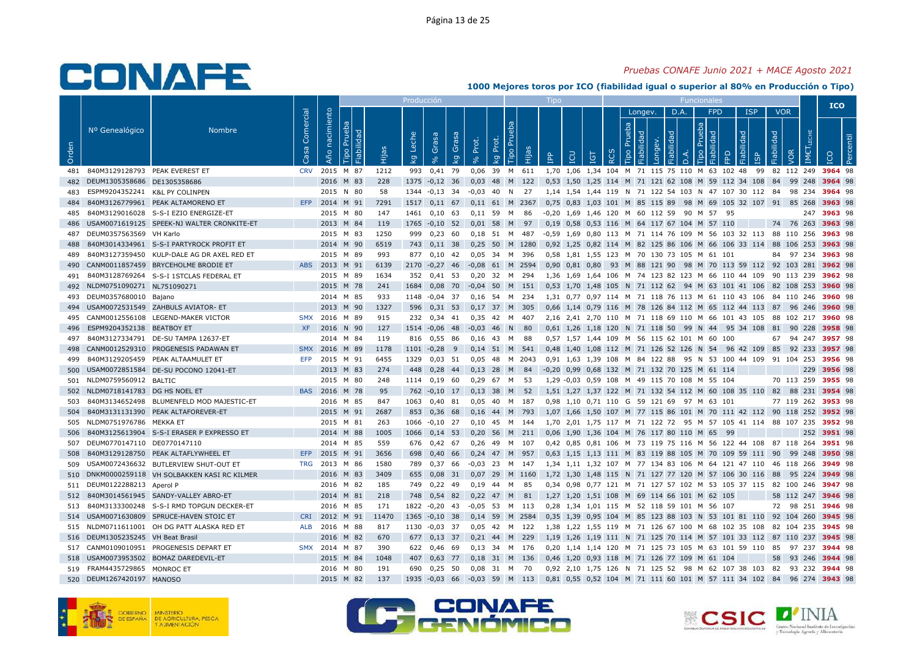### *Pruebas CONAFE Junio 2021 + MACE Agosto 2021*

|       |                                |                                            |                   |                   |                              |       | Producción  |                   |                                |                   |             |                           |           |            |     |                      |          |                |                       |            |           |                                              |                                                                       |            |                   |            |                            | <b>ICO</b>     |        |
|-------|--------------------------------|--------------------------------------------|-------------------|-------------------|------------------------------|-------|-------------|-------------------|--------------------------------|-------------------|-------------|---------------------------|-----------|------------|-----|----------------------|----------|----------------|-----------------------|------------|-----------|----------------------------------------------|-----------------------------------------------------------------------|------------|-------------------|------------|----------------------------|----------------|--------|
|       |                                |                                            |                   |                   |                              |       |             |                   |                                |                   |             |                           |           |            |     |                      |          |                | Longev.               |            | D.A.      | <b>FPD</b>                                   |                                                                       | <b>ISP</b> | <b>VOR</b>        |            |                            |                |        |
| Orden | Nº Genealógico                 | <b>Nombre</b>                              | Comercial<br>Casa | nacimiento<br>Año | Prueba<br>Fiabilidad<br>Tipo | Hijas | Leche<br>kg | Grasa<br>$\infty$ | Grasa <sub>l</sub><br><b>L</b> | Prot.<br>$\delta$ | Prot.<br>kg | Бa<br>$\tilde{E}$<br>Tipo | Hijas     | <b>AdI</b> | LCU | <b>TGT</b>           | $\alpha$ | Prueba<br>Tipo | Fiabilidad<br>Longev. | Fiabilidad | $\vec{a}$ | Prueba<br>요<br>Tipo                          | Fiabilidad<br>FPD                                                     | ഇ          | <b>Fiabilidad</b> | <b>VOR</b> | LECHE<br>IMET <sub>I</sub> |                | centil |
| 481   | 840M3129128793 PEAK EVEREST ET |                                            | <b>CRV</b>        | 2015              | M 87                         | 1212  | 993         | 0,41              | 79                             | 0.06              | 39          | M                         | 611       |            |     |                      |          |                |                       |            |           |                                              | 1,70 1,06 1,34 104 M 71 115 75 110 M 63 102 48                        | 99         |                   | 82 112 249 |                            | 3964 98        |        |
| 482   | DEUM1305358686 DE1305358686    |                                            |                   | 2016              | M 83                         | 228   | 1375        | $-0,12$           | 36                             | 0,03              | 48          | M                         | 122       |            |     |                      |          |                |                       |            |           |                                              | 0,53 1,50 1,25 114 M 71 121 62 108 M 59 112 34 108                    |            | 84                | 99 248     |                            | 3964 98        |        |
| 483   | ESPM9204352241 K&L PY COLINPEN |                                            |                   |                   | 2015 N 80                    | 58    | 1344        | $-0.13$ 34        |                                | $-0.03$           | 40          | N                         | 27        |            |     |                      |          |                |                       |            |           |                                              | 1.14 1.54 1.44 119 N 71 122 54 103 N 47 107 30 112 84                 |            |                   | 98 234     |                            | 3964 98        |        |
| 484   |                                | 840M3126779961 PEAK ALTAMORENO ET          | EFP               | 2014 M 91         |                              | 7291  | 1517        | $0,11$ 67         |                                | $0,11$ 61 M       |             |                           | 2367      |            |     |                      |          |                |                       |            |           |                                              | 0,75 0,83 1,03 101 M 85 115 89 98 M 69 105 32 107 91 85 268           |            |                   |            |                            | 3963 98        |        |
| 485   | 840M3129016028                 | S-S-I EZIO ENERGIZE-ET                     |                   |                   | 2015 M 80                    | 147   | 1461        | $0,10$ 63         |                                | 0,11 59           |             | M                         | 86        | $-0.20$    |     |                      |          |                |                       |            |           | 1.69 1.46 120 M 60 112 59 90 M 57            | 95                                                                    |            |                   |            | 247                        | 3963 98        |        |
| 486   |                                | USAM0071619125 SPEEK-NJ WALTER CRONKITE-ET |                   | 2013 M 84         |                              | 119   | 1765        | $-0,10$ 52        |                                | 0,01              | 58          | M                         | 97        |            |     |                      |          |                |                       |            |           | 0,19 0,58 0,53 116 M 64 117 67 104 M 57 110  |                                                                       |            |                   | 74 76 263  |                            | 3963 98        |        |
| 487   | DEUM0357563569 VH Karlo        |                                            |                   |                   | 2015 M 83                    | 1250  | 999         | 0,23              | 60                             | 0,18              | 51 M        |                           | 487       |            |     |                      |          |                |                       |            |           |                                              | -0,59 1,69 0,80 113 M 71 114 76 109 M 56 103 32 113 88 110 256        |            |                   |            |                            | 3963 98        |        |
| 488   |                                | 840M3014334961 S-S-I PARTYROCK PROFIT ET   |                   |                   | 2014 M 90                    | 6519  | 743         | $0,11$ 38         |                                | 0,25              |             |                           | 50 M 1280 |            |     |                      |          |                |                       |            |           |                                              | 0,92 1,25 0,82 114 M 82 125 86 106 M 66 106 33 114 88 106 253         |            |                   |            |                            | 3963 98        |        |
| 489   | 840M3127359450                 | KULP-DALE AG DR AXEL RED ET                |                   |                   | 2015 M 89                    | 993   | 877         | 0.10              | 42                             | 0.05              | 34          | M                         | 396       |            |     |                      |          |                |                       |            |           | 0,58 1,81 1,55 123 M 70 130 73 105 M 61 101  |                                                                       |            | 84                | 97 234     |                            | 3963 98        |        |
| 490   |                                | CANM0011857459 BRYCEHOLME BRODIE ET        | <b>ABS</b>        | 2013 M 91         |                              | 6139  | 2170        | $-0,27$           | -46                            | $-0,08$           | 61 M        |                           | 2594      |            |     | $0,90$ $0,81$ $0,80$ |          |                |                       |            |           |                                              | 93 M 88 121 90 98 M 70 113 59 112 92 103 281                          |            |                   |            |                            | 3962 98        |        |
| 491   |                                | 840M3128769264 S-S-I 1STCLAS FEDERAL ET    |                   |                   | 2015 M 89                    | 1634  | 352         | $0,41$ 53         |                                | 0,20 32 M 294     |             |                           |           |            |     |                      |          |                |                       |            |           |                                              | 1,36 1,69 1,64 106 M 74 123 82 123 M 66 110 44 109 90 113 239         |            |                   |            |                            | 3962 98        |        |
| 492   | NLDM0751090271 NL751090271     |                                            |                   |                   | 2015 M 78                    | 241   | 1684        | $0.08$ 70         |                                | $-0.04$ 50 M      |             |                           | 151       |            |     |                      |          |                |                       |            |           |                                              | 0,53 1,70 1,48 105 N 71 112 62 94 M 63 101 41 106 82 108 253          |            |                   |            |                            | 3960 98        |        |
| 493   | DEUM0357680010 Bajano          |                                            |                   |                   | 2014 M 85                    | 933   | 1148        | $-0,04$ 37        |                                | 0.16              | 54          | M                         | 234       |            |     |                      |          |                |                       |            |           |                                              | 1,31 0,77 0,97 114 M 71 118 76 113 M 61 110 43 106                    |            |                   | 84 110 246 |                            | 3960 98        |        |
| 494   |                                | USAM0072531549 ZAHBULS AVIATOR- ET         |                   | 2013 M 90         |                              | 1327  | 596         | $0,31$ 53         |                                | $0,17$ 37 M       |             |                           | 305       |            |     |                      |          |                |                       |            |           |                                              | 0,66 1,14 0,79 116 M 78 126 84 112 M 65 112 44 113 87 96 246          |            |                   |            |                            | 3960 98        |        |
| 495   |                                | CANM0012556108 LEGEND-MAKER VICTOR         | <b>SMX</b>        | 2016              | M 89                         | 915   | 232         | 0,34              | 41                             | 0,35              | 42          | м                         | 407       |            |     | 2,16 2,41 2,70 110   |          |                |                       |            |           |                                              | M 71 118 69 110 M 66 101 43 105                                       |            | 88                | 102 217    |                            | 3960 98        |        |
| 496   | ESPM9204352138 BEATBOY ET      |                                            | <b>XF</b>         | 2016 N 90         |                              | 127   |             | 1514 -0,06        | 48                             | $-0,03$           | 46          | N                         | 80        |            |     |                      |          |                |                       |            |           |                                              | 0,61 1,26 1,18 120 N 71 118 50 99 N 44 95 34 108                      |            | 81                | 90 228     |                            | 3958 98        |        |
| 497   |                                | 840M3127334791 DE-SU TAMPA 12637-ET        |                   |                   | 2014 M 84                    | 119   | 816         | 0,55              | 86                             | 0.16              | 43          | M                         | 88        |            |     |                      |          |                |                       |            |           | 0,57 1,57 1,44 109 M 56 115 62 101 M 60      | 100                                                                   |            | 67                | 94 247     |                            | 3957 98        |        |
| 498   |                                | CANM0012529310 PROGENESIS PADAWAN ET       | <b>SMX</b>        | 2016              | M 89                         | 1178  | 1101        | $-0,28$           | 9                              | 0,14              | 51 M        |                           | 541       |            |     |                      |          |                |                       |            |           | 0,48 1,40 1,08 112 M 71 126 52 126 N 54      | 96 42 109                                                             |            | 85                | 92 233     |                            | 3957 98        |        |
| 499   | 840M3129205459                 | PEAK ALTAAMULET ET                         | <b>EFP</b>        |                   | 2015 M 91                    | 6455  | 1329        | $0.03$ 51         |                                | 0.05              | -48         |                           | M 2043    |            |     |                      |          |                |                       |            |           |                                              | 0.91 1.63 1.39 108 M 84 122 88 95 N 53 100 44 109 91 104 253          |            |                   |            |                            | 3956 98        |        |
| 500   |                                | USAM0072851584 DE-SU POCONO 12041-ET       |                   | 2013              | M 83                         | 274   | 448         | 0,28              | 44                             | 0,13              | 28          | M                         | 84        |            |     |                      |          |                |                       |            |           | -0.20 0.99 0.68 132 M 71 132 70 125 M 61 114 |                                                                       |            |                   |            | 229                        | 3956 98        |        |
| 501   | NLDM0759560912 BALTIC          |                                            |                   |                   | 2015 M 80                    | 248   | 1114        | 0,19              | 60                             | 0.29              | 67          | M                         | 53        |            |     |                      |          |                |                       |            |           | 1,29 -0,03 0,59 108 M 49 115 70 108 M 55 104 |                                                                       |            |                   | 70 113 259 |                            | 3955 98        |        |
| 502   | NLDM0718141783 DG HS NOEL ET   |                                            |                   | BAS 2016 M 78     |                              | 95    | 762         | $-0,10$ 17        |                                | 0,13              | 38          | M                         | 52        |            |     |                      |          |                |                       |            |           |                                              | 1,51 1,27 1,37 122 M 71 132 54 112 M 60 108 35 110                    |            | 82                | 88 231     |                            | 3954 98        |        |
| 503   | 840M3134652498                 | BLUMENFELD MOD MAJESTIC-ET                 |                   |                   | 2016 M 85                    | 847   | 1063        | 0.40              | 81                             | 0.05              | 40          | M                         | 187       | 0.98       |     |                      |          |                |                       |            |           | 1,10 0,71 110 G 59 121 69 97 M 63 101        |                                                                       |            |                   | 77 119 262 |                            | 3953 98        |        |
| 504   |                                | 840M3131131390 PEAK ALTAFOREVER-ET         |                   | 2015 M 91         |                              | 2687  | 853         | 0,36              | 68                             | 0,16              | 44 M        |                           | 793       |            |     |                      |          |                |                       |            |           |                                              | 1,07 1,66 1,50 107 M 77 115 86 101 M 70 111 42 112 90 118 252         |            |                   |            |                            | 3952 98        |        |
| 505   | NLDM0751976786                 | MEKKA ET                                   |                   |                   | 2015 M 81                    | 263   | 1066        | $-0,10$           | 27                             | 0,10              | 45          | M                         | 144       |            |     |                      |          |                |                       |            |           |                                              | 1,70 2,01 1,75 117 M 71 122 72 95 M 57 105 41 114                     |            |                   | 88 107 235 |                            | 3952 98        |        |
| 506   |                                | 840M3125613904 S-S-I ERASER P EXPRESSO ET  |                   | 2014 M 88         |                              | 1005  | 1066        | $0,14$ 53         |                                | 0.20              | - 56        | M                         | 211       |            |     |                      |          |                |                       |            |           | 0.06 1.90 1.36 104 M 76 117 80 110 M 65      | - 99                                                                  |            |                   |            | 252                        | 3951 98        |        |
| 507   | DEUM0770147110 DE0770147110    |                                            |                   |                   | 2014 M 85                    | 559   | 676         | $0,42$ 67         |                                | 0,26              | 49          | M                         | 107       |            |     |                      |          |                |                       |            |           |                                              | 0,42 0,85 0,81 106 M 73 119 75 116 M 56 122 44 108 87 118 264 3951 98 |            |                   |            |                            |                |        |
| 508   |                                | 840M3129128750 PEAK ALTAFLYWHEEL ET        | <b>EFP</b>        | 2015              | M 91                         | 3656  | 698         | 0,40              | 66                             | $0,24$ 47 M       |             |                           | 957       |            |     |                      |          |                |                       |            |           |                                              | 0,63 1,15 1,13 111 M 83 119 88 105 M 70 109 59 111 90                 |            |                   | 99 248     |                            | 3950 98        |        |
| 509   |                                | USAM0072436632 BUTLERVIEW SHUT-OUT ET      | <b>TRG</b>        | 2013 M 86         |                              | 1580  | 789         | 0,37 66           |                                | $-0.03$ 23        |             | M                         | - 147     |            |     |                      |          |                |                       |            |           |                                              | 1,34 1,11 1,32 107 M 77 134 83 106 M 64 121 47 110 46 118 266         |            |                   |            |                            | <b>3949</b> 98 |        |
| 510   |                                | DNKM0000259118 VH SOLBAKKEN KASI RC KILMER |                   | 2016 M 83         |                              | 3409  | 655         | $0.08$ 31         |                                | 0.07              | 29          |                           | M 1160    |            |     | 1.72 1.30 1.48 115   |          |                |                       |            |           |                                              | N 71 127 77 120 M 57 106 30 116                                       |            | 88                | 95 224     |                            | 3949 98        |        |
| 511   | DEUM0122288213 Aperol P        |                                            |                   |                   | 2016 M 82                    | 185   | 749         | 0,22              | 49                             | 0.19              | 44          | M                         | 85        |            |     |                      |          |                |                       |            |           |                                              | 0,34 0,98 0,77 121 M 71 127 57 102 M 53 105 37 115                    |            |                   | 82 100 246 |                            | 3947 98        |        |
| 512   |                                | 840M3014561945 SANDY-VALLEY ABRO-ET        |                   | 2014 M 81         |                              | 218   | 748         | 0,54 82           |                                | 0,22              | 47 M        |                           | 81        |            |     |                      |          |                |                       |            |           | 1,27 1,20 1,51 108 M 69 114 66 101 M 62 105  |                                                                       |            |                   | 58 112 247 |                            | 3946 98        |        |
| 513   |                                | 840M3133300248 S-S-I RMD TOPGUN DECKER-ET  |                   |                   | 2016 M 85                    | 171   | 1822        | $-0,20$ 43        |                                | $-0.05$           | 53 M        |                           | 113       |            |     |                      |          |                |                       |            |           | 0,28 1,34 1,01 115 M 52 118 59 101 M 56 107  |                                                                       |            |                   | 72 98 251  |                            | 3946 98        |        |
| 514   |                                | USAM0071630809 SPRUCE-HAVEN STOIC ET       | <b>CRI</b>        | 2012 M 91         |                              | 11470 | 1365        | $-0,10$ 38        |                                | $0.14$ 59         |             | M                         | 2584      |            |     |                      |          |                |                       |            |           |                                              | 0,35 1,39 0,95 104 M 85 123 88 103 N 53 101 81 110                    |            |                   | 92 104 260 |                            | 3945 98        |        |
| 515   |                                | NLDM0711611001 OH DG PATT ALASKA RED ET    | <b>ALB</b>        | 2016 M 88         |                              | 817   | 1130        | $-0,03$           | 37                             | 0,05              | 42          | M                         | 122       |            |     |                      |          |                |                       |            |           |                                              | 1,38 1,22 1,55 119 M 71 126 67 100 M 68 102 35 108                    |            |                   | 82 104 235 |                            | 3945 98        |        |
| 516   | DEUM1305235245 VH Beat Brasil  |                                            |                   | 2016              | M 82                         | 670   | 677         | $0,13$ 37         |                                | 0,21              | 44          | M                         | 229       |            |     |                      |          |                |                       |            |           |                                              | 1,19 1,26 1,19 111 N 71 125 70 114 M 57 101 33 112                    |            |                   | 87 110 237 |                            | 3945 98        |        |
| 517   |                                | CANM0109010951 PROGENESIS DEPART ET        |                   | SMX 2014 M 87     |                              | 390   | 622         | 0.46 69           |                                | 0.13 34 M 176     |             |                           |           |            |     |                      |          |                |                       |            |           |                                              | 0.20 1.14 1.14 120 M 71 125 73 105 M 63 101 59 110                    |            | 85                | 97 237     |                            | 3944 98        |        |
| 518   |                                | USAM0073953502 BOMAZ DAREDEVIL-ET          |                   | 2015              | M 84                         | 1048  | 407         | 0,63              | 77                             | 0,18              | 31          | M                         | 136       |            |     |                      |          |                |                       |            |           | 0,46 1,20 0,93 118 M 71 126 77 109 M 61 104  |                                                                       |            | 58                | 93 246     |                            | 3944 98        |        |
| 519   | FRAM4435729865 MONROC ET       |                                            |                   |                   | 2016 M 80                    | 191   | 690         | 0,25              | 50                             | 0,08              | 31          | M                         | 70        |            |     |                      |          |                |                       |            |           |                                              | 0,92 2,10 1,75 126 N 71 125 52 98 M 62 107 38 103                     |            | 82                | 93 232     |                            | 3944 98        |        |
|       | 520 DEUM1267420197 MANOSO      |                                            |                   | 2015 M 82         |                              | 137   | 1935        | $-0,03$           | 66                             | $-0,03$           | 59          | M                         | 113       |            |     |                      |          |                |                       |            |           |                                              | 0,81 0,55 0,52 104 M 71 111 60 101 M 57 111 34 102                    |            | 84                |            | 96 274                     | 3943 98        |        |





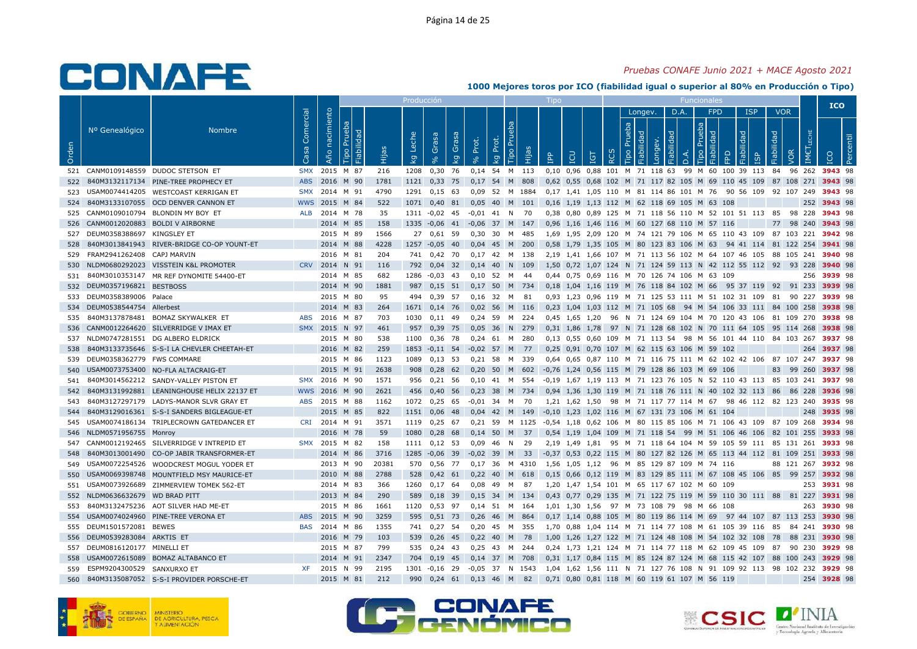### *Pruebas CONAFE Junio 2021 + MACE Agosto 2021*

|       |                             |                                            |                   |                |                              |       | Producción  |                                    |             |                   |             |           |        | Tipo       |     |                                |                  |                |                       |            |          |                                              |                                                                     |            |            |            |               | <b>ICO</b>                                                           |     |
|-------|-----------------------------|--------------------------------------------|-------------------|----------------|------------------------------|-------|-------------|------------------------------------|-------------|-------------------|-------------|-----------|--------|------------|-----|--------------------------------|------------------|----------------|-----------------------|------------|----------|----------------------------------------------|---------------------------------------------------------------------|------------|------------|------------|---------------|----------------------------------------------------------------------|-----|
|       |                             |                                            |                   |                |                              |       |             |                                    |             |                   |             |           |        |            |     |                                |                  |                | Longev.               |            | D.A.     | <b>FPD</b>                                   |                                                                     | <b>ISP</b> | <b>VOR</b> |            |               |                                                                      |     |
| Orden | Nº Genealógico              | <b>Nombre</b>                              | Comercial<br>Casa | Año nacimiento | Prueba<br>Fiabilidad<br>Tipo | Hijas | Leche<br>kg | Grasa<br>$\mathbf{e}_{\mathbf{e}}$ | Grasa<br>ΔÃ | Prot.<br>$\delta$ | Prot.<br>kg | 론<br>Гiро | Hijas  | <b>AdI</b> | LCU | <b>TOI</b>                     | $\tilde{\alpha}$ | Prueba<br>Tipo | Fiabilidad<br>Longev. | Fiabilidad | $\Delta$ | Prueba<br>Fiabilidad<br>Tipo                 | EPD                                                                 | Fiabilidad | Fiabilidad | VOR        | ШECHE<br>IMET |                                                                      | Per |
| 521   |                             | CANM0109148559 DUDOC STETSON ET            | <b>SMX</b>        | 2015           | M 87                         | 216   | 1208        | 0,30                               | 76          | 0,14 54 M 113     |             |           |        |            |     | 0,10 0,96 0,88 101 M 71 118 63 |                  |                |                       |            |          |                                              | 99 M 60 100 39 113                                                  |            | 84         | 96 262     |               | 3943 98                                                              |     |
| 522   |                             | 840M3132117134 PINE-TREE PROPHECY ET       | <b>ABS</b>        | 2016           | M 90                         | 1781  | 1121        | 0,33                               | 75          | 0,17              | 54          | M         | 808    |            |     |                                |                  |                |                       |            |          |                                              | 0,62 0,55 0,68 102 M 71 117 82 105 M 69 110 45 109 87 108 271       |            |            |            |               | 3943 98                                                              |     |
| 523   |                             | USAM0074414205 WESTCOAST KERRIGAN ET       | <b>SMX</b>        | 2014 M 91      |                              | 4790  | 1291        | $0,15$ 63                          |             | 0,09 52 M 1884    |             |           |        |            |     |                                |                  |                |                       |            |          |                                              | 0.17 1.41 1.05 110 M 81 114 86 101 M 76 90 56 109 92 107 249        |            |            |            |               | 3943 98                                                              |     |
| 524   |                             | 840M3133107055 OCD DENVER CANNON ET        | <b>WWS</b>        | 2015           | M 84                         | 522   | 1071        | $0,40$ 81                          |             | 0,05              | 40 M        |           | 101    |            |     |                                |                  |                |                       |            |          | 0,16 1,19 1,13 112 M 62 118 69 105 M 63 108  |                                                                     |            |            |            | 252           | 3943 98                                                              |     |
| 525   |                             | CANM0109010794 BLONDIN MY BOY ET           | <b>ALB</b>        | 2014 M 78      |                              | 35    | 1311        | $-0.02$ 45                         |             | -0.01             | 41          | N         | 70     |            |     |                                |                  |                |                       |            |          |                                              | 0.38 0.80 0.89 125 M 71 118 56 110 M 52 101 51 113 85               |            |            | 98 228     |               | 3943 98                                                              |     |
| 526   |                             | CANM0012020883 BOLDI V AIRBORNE            |                   | 2014 M 85      |                              | 158   |             | 1335 -0,06 41                      |             | $-0,06$           | 37 M 147    |           |        |            |     |                                |                  |                |                       |            |          | 0,96 1,16 1,46 116 M 60 127 68 110 M 57 116  |                                                                     |            |            | 77 98 240  |               | 3943 98                                                              |     |
| 527   | DEUM0358388697 KINGSLEY ET  |                                            |                   | 2015           | M 89                         | 1566  | 27          | 0,61 59                            |             | 0.30              | 30          | M         | 485    |            |     |                                |                  |                |                       |            |          |                                              | 1,69 1,95 2,09 120 M 74 121 79 106 M 65 110 43 109                  |            |            | 87 103 221 |               | 3942 98                                                              |     |
| 528   |                             | 840M3013841943 RIVER-BRIDGE CO-OP YOUNT-ET |                   | 2014 M 88      |                              | 4228  |             | 1257 -0,05                         | 40          | $0,04$ 45         |             | M         | 200    |            |     |                                |                  |                |                       |            |          |                                              | 0,58 1,79 1,35 105 M 80 123 83 106 M 63 94 41 114 81 122 254        |            |            |            |               | 3941 98                                                              |     |
| 529   | FRAM2941262408              | CAPJ MARVIN                                |                   | 2016           | M 81                         | 204   | 741         | 0,42 70                            |             | 0,17              | 42          | M         | 138    |            |     |                                |                  |                |                       |            |          |                                              | 2,19 1,41 1,66 107 M 71 113 56 102 M 64 107 46 105 88 105 241       |            |            |            |               | 3940 98                                                              |     |
| 530   |                             | NLDM0680292023 VISSTEIN K&L PROMOTER       | <b>CRV</b>        | 2014           | N 91                         | 116   | 792         | $0,04$ 32                          |             | 0.14              | 40          | N         | 109    |            |     |                                |                  |                |                       |            |          |                                              | 1,50 0,72 1,07 124 N 71 124 59 113 N 42 112 55 112 92 93 228        |            |            |            |               | 3940 98                                                              |     |
| 531   |                             | 840M3010353147 MR REF DYNOMITE 54400-ET    |                   | 2014 M 85      |                              | 682   | 1286        | $-0.03$ 43                         |             | $0,10$ 52         |             | M         | -44    |            |     |                                |                  |                |                       |            |          | 0.44 0.75 0.69 116 M 70 126 74 106 M 63 109  |                                                                     |            |            |            | 256           | 3939 98                                                              |     |
| 532   | DEUM0357196821 BESTBOSS     |                                            |                   | 2014 M 90      |                              | 1881  | 987         | $0,15$ 51                          |             | $0,17$ 50         |             | M         | 734    |            |     |                                |                  |                |                       |            |          | 0,18 1,04 1,16 119 M 76 118 84 102 M 66      | 95 37 119 92 91 233                                                 |            |            |            |               | 3939 98                                                              |     |
| 533   | DEUM0358389006 Palace       |                                            |                   | 2015 M 80      |                              | 95    | 494         | 0,39 57                            |             | $0,16$ 32         |             | M         | 81     |            |     |                                |                  |                |                       |            |          |                                              | 0,93 1,23 0,96 119 M 71 125 53 111 M 51 102 31 109 81 90 227        |            |            |            |               | 3939 98                                                              |     |
| 534   | DEUM0538544754 Allerbest    |                                            |                   | 2014           | M 83                         | 264   | 1671        | $0,14$ 76                          |             | $0.02$ 56 M       |             |           | 116    |            |     |                                |                  |                |                       |            |          |                                              | 0,23 1,04 1,03 112 M 71 105 68 94 M 54 106 33 111 84 100 258        |            |            |            |               | 3938 98                                                              |     |
| 535   | 840M3137878481              | <b>BOMAZ SKYWALKER ET</b>                  | <b>ABS</b>        | 2016           | M 87                         | 703   | 1030        | $0,11$ 49                          |             | 0.24              | 59          | M         | 224    |            |     | $0.45$ 1.65 1.20               |                  |                |                       |            |          |                                              | 96 N 71 124 69 104 M 70 120 43 106 81 109 270                       |            |            |            |               | 3938 98                                                              |     |
| 536   |                             | CANM0012264620 SILVERRIDGE V IMAX ET       | <b>SMX</b>        | 2015 N 97      |                              | 461   | 957         | 0,39 75                            |             | 0,05              | 36          | N         | 279    |            |     | 0.31 1.86 1.78                 |                  |                |                       |            |          |                                              | 97 N 71 128 68 102 N 70 111 64 105 95 114 268                       |            |            |            |               | 3938 98                                                              |     |
| 537   |                             | NLDM0747281551 DG ALBERO ELDRICK           |                   | 2015 M 80      |                              | 538   | 1100        | 0,36 78                            |             | 0,24              | 61          | M         | 280    |            |     |                                |                  |                |                       |            |          |                                              | 0,13 0,55 0,60 109 M 71 113 54 98 M 56 101 44 110 84 103 267        |            |            |            |               | 3937 98                                                              |     |
| 538   |                             | 840M3133735646 S-S-I LA CHEVLER CHEETAH-ET |                   | 2016 M 82      |                              | 259   | 1853        | $-0,11$ 54                         |             | $-0,02$           | 57          | M         | 77     |            |     |                                |                  |                |                       |            |          | 0,25 0,91 0,70 107 M 62 115 63 106 M 59 102  |                                                                     |            |            |            | 264           | 3937 98                                                              |     |
| 539   | DEUM0358362779 FWS COMMARE  |                                            |                   | 2015 M 86      |                              | 1123  | 1089        | $0,13$ 53                          |             | $0,21$ 58         |             | M         | 339    |            |     |                                |                  |                |                       |            |          |                                              | 0,64 0,65 0,87 110 M 71 116 75 111 M 62 102 42 106 87 107 247       |            |            |            |               | 3937 98                                                              |     |
| 540   |                             | USAM0073753400 NO-FLA ALTACRAIG-ET         |                   | 2015           | M 91                         | 2638  | 908         | 0.28                               | 62          | 0.20              | 50          | M         | 602    |            |     |                                |                  |                |                       |            |          | -0.76 1.24 0.56 115 M 79 128 86 103 M 69 106 |                                                                     |            | 83         | 99         | 260           | 3937 98                                                              |     |
| 541   |                             | 840M3014562212 SANDY-VALLEY PISTON ET      |                   | SMX 2016 M 90  |                              | 1571  | 956         | $0,21$ 56                          |             | 0.10 41 M 554     |             |           |        |            |     |                                |                  |                |                       |            |          |                                              | -0.19 1.67 1.19 113 M 71 123 76 105 N 52 110 43 113 85 103 241      |            |            |            |               | 3937 98                                                              |     |
| 542   |                             | 840M3131992881 LEANINGHOUSE HELIX 22137 ET | <b>WWS</b>        | 2016 M 90      |                              | 2621  | 456         | 0,40,56                            |             | $0,23$ 38         |             | M         | 734    |            |     |                                |                  |                |                       |            |          |                                              | 0,94 1,36 1,30 119 M 71 118 76 111 N 40 102 32 113 86               |            |            | 86 228     |               | 3936 98                                                              |     |
| 543   | 840M3127297179              | LADYS-MANOR SLVR GRAY ET                   | <b>ABS</b>        | 2015           | M 88                         | 1162  | 1072        | 0,25                               | - 65        | -0,01             | 34          | <b>M</b>  | 70     |            |     |                                |                  |                |                       |            |          |                                              | 1,21 1,62 1,50 98 M 71 117 77 114 M 67 98 46 112 82 123 240         |            |            |            |               | 3935 98                                                              |     |
| 544   |                             | 840M3129016361 S-S-I SANDERS BIGLEAGUE-ET  |                   | 2015 M 85      |                              | 822   | 1151        | 0,06                               | 48          | $0,04$ 42         |             | M         | 149    |            |     |                                |                  |                |                       |            |          | -0,10 1,23 1,02 116 M 67 131 73 106 M 61 104 |                                                                     |            |            |            | 248           | 3935 98                                                              |     |
| 545   | USAM0074186134              | TRIPLECROWN GATEDANCER ET                  | CRI               | 2014           | M 91                         | 3571  | 1119        | $0.25$ 67                          |             | 0.21              | 59          | M         | 1125   |            |     |                                |                  |                |                       |            |          |                                              | -0.54 1.18 0.62 106 M 80 115 85 106 M 71 106 43 109                 |            | 87 109     |            | 268           | 3934 98                                                              |     |
| 546   | NLDM0571956755 Monrov       |                                            |                   | 2016           | M 78                         | 59    | 1080        | $0,28$ 68                          |             | $0,14$ 50         |             | M         | 37     |            |     |                                |                  |                |                       |            |          |                                              | 0,54 1,19 1,04 109 M 71 118 54 99 M 51 106 46 106 82 101 255        |            |            |            |               | 3933 98                                                              |     |
| 547   |                             | CANM0012192465 SILVERRIDGE V INTREPID ET   |                   | SMX 2015       | M 82                         | 158   | 1111        | $0,12$ 53                          |             | 0,09              | 46          | N         | 29     |            |     | 2,19 1,49 1,81                 |                  |                |                       |            |          |                                              | 95 M 71 118 64 104 M 59 105 59 111 85 131 261                       |            |            |            |               | 3933 98                                                              |     |
| 548   |                             | 840M3013001490 CO-OP JABIR TRANSFORMER-ET  |                   | 2014 M 86      |                              | 3716  | 1285        | $-0,06$                            | 39          | $-0,02$           | 39          | M         | 33     |            |     |                                |                  |                |                       |            |          |                                              | -0,37 0,53 0,22 115 M 80 127 82 126 M 65 113 44 112 81 109 251      |            |            |            |               | 3933 98                                                              |     |
| 549   |                             | USAM0072254526 WOODCREST MOGUL YODER ET    |                   | 2013           | M 90                         | 20381 | 570         | 0,56 77                            |             | 0,17,36           |             |           | M 4310 |            |     |                                |                  |                |                       |            |          | 1,56 1,05 1,12 96 M 85 129 87 109 M 74 116   |                                                                     |            |            | 88 121 267 |               | 3932 98                                                              |     |
| 550   |                             | USAM0069398748 MOUNTFIELD MSY MAURICE-ET   |                   | 2010 M 88      |                              | 2788  | 528         | $0.42 \quad 61$                    |             | 0.22              | 40          | M         | 618    |            |     |                                |                  |                |                       |            |          |                                              | 0.15 0.66 0.12 119 M 83 129 85 111 M 67 108 45 106 85 99 257        |            |            |            |               | 3932 98                                                              |     |
| 551   |                             | USAM0073926689 ZIMMERVIEW TOMEK 562-ET     |                   | 2014 M 83      |                              | 366   | 1260        | $0,17$ 64                          |             | 0.08              | 49          | M         | 87     |            |     |                                |                  |                |                       |            |          | 1,20 1,47 1,54 101 M 65 117 67 102 M 60 109  |                                                                     |            |            |            | 253           | 3931 98                                                              |     |
| 552   | NLDM0636632679 WD BRAD PITT |                                            |                   | 2013 M 84      |                              | 290   | 589         | $0,18$ 39                          |             | 0,15              | 34 M 134    |           |        |            |     |                                |                  |                |                       |            |          |                                              |                                                                     |            |            |            |               | 0,43 0,77 0,29 135 M 71 122 75 119 M 59 110 30 111 88 81 227 3931 98 |     |
| 553   |                             | 840M3132475236 AOT SILVER HAD ME-ET        |                   | 2015           | M 86                         | 1661  | 1120        | 0,53                               | 97          | 0,14              | 51          | M         | 164    |            |     | 1,01 1,30 1,56                 |                  |                |                       |            |          | 97 M 73 108 79 98 M 66 108                   |                                                                     |            |            |            | 263           | 3930 98                                                              |     |
| 554   |                             | USAM0074024960 PINE-TREE VERONA ET         | <b>ABS</b>        | 2015 M 90      |                              | 3259  | 595         | 0,51 73                            |             | $0,26$ 46 M       |             |           | 864    |            |     |                                |                  |                |                       |            |          |                                              | 0,17 1,14 0,88 105 M 80 119 86 114 M 69 97 44 107 87 113 253        |            |            |            |               | 3930 98                                                              |     |
| 555   | DEUM1501572081 BEWES        |                                            | BAS               | 2014           | M 86                         | 1355  | 741         | 0,27                               | 54          | 0,20              | 45          | M         | 355    |            |     |                                |                  |                |                       |            |          |                                              | 1,70  0,88  1,04  114  M  71  114  77  108  M  61  105  39  116  85 |            |            | 84 241     |               | 3930 98                                                              |     |
| 556   | DEUM0539283084 ARKTIS ET    |                                            |                   | 2016 M 79      |                              | 103   | 539         | 0,26                               | 45          | 0,22              | 40          | M         | 78     |            |     |                                |                  |                |                       |            |          |                                              | 1,00 1,26 1,27 122 M 71 124 48 108 M 54 102 32 108                  |            | 78         | 88         | 231           | 3930 98                                                              |     |
| 557   | DEUM0816120177 MINELLI ET   |                                            |                   | 2015 M 87      |                              | 799   | 535         | $0,24$ 43                          |             | 0,25              | 43          | M         | 244    |            |     |                                |                  |                |                       |            |          |                                              | 0,24 1,73 1,21 124 M 71 114 77 118 M 62 109 45 109                  |            | 87         | 90 230     |               | 3929 98                                                              |     |
| 558   |                             | USAM0072615089 BOMAZ ALTABANCO ET          |                   | 2014           | M 91                         | 2347  | 704         | 0.19                               | 45          | 0,14              | 37          | M         | 708    |            |     | 0.31 1.17 0.84 115 M           |                  |                |                       |            |          |                                              | 85 124 87 124 M 68 115 42 107                                       |            | 88 100     |            | 243           | 3929 98                                                              |     |
| 559   | ESPM9204300529 SANXURXO ET  |                                            | <b>XF</b>         | 2015           | N 99                         | 2195  | 1301        | $-0,16$ 29                         |             | -0,05             | 37          | <b>N</b>  | 1543   |            |     |                                |                  |                |                       |            |          |                                              | 1,04 1,62 1,56 111 N 71 127 76 108 N 91 109 92 113 98 102 232       |            |            |            |               | 3929 98                                                              |     |
| 560   |                             | 840M3135087052 S-S-I PROVIDER PORSCHE-ET   |                   | 2015 M 81      |                              | 212   | 990         | $0,24$ 61                          |             | $0,13$ 46         |             | M         | 82     |            |     |                                |                  |                |                       |            |          | 0,71 0,80 0,81 118 M 60 119 61 107 M 56 119  |                                                                     |            |            |            |               | 254 3928 98                                                          |     |







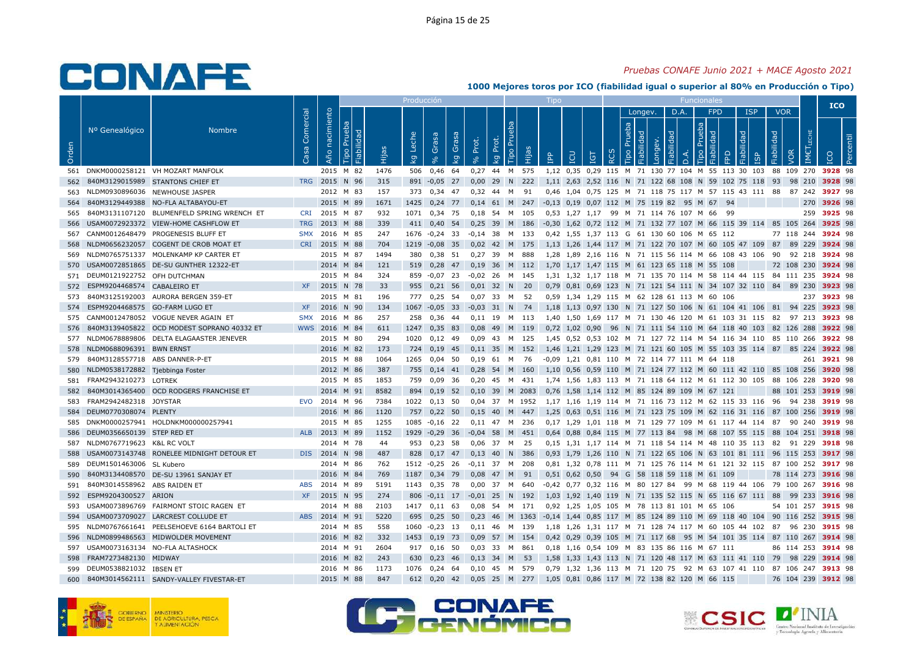### *Pruebas CONAFE Junio 2021 + MACE Agosto 2021*

|       |                                 |                                            |                   |                |                              |       | Producción  |                   |             |                  |             |           |        | Tipo                                         |     |                                     |          |                |                       |            |          |                                             |                                                                |            |            |            |               | <b>ICO</b>                                                             |
|-------|---------------------------------|--------------------------------------------|-------------------|----------------|------------------------------|-------|-------------|-------------------|-------------|------------------|-------------|-----------|--------|----------------------------------------------|-----|-------------------------------------|----------|----------------|-----------------------|------------|----------|---------------------------------------------|----------------------------------------------------------------|------------|------------|------------|---------------|------------------------------------------------------------------------|
|       |                                 |                                            |                   |                |                              |       |             |                   |             |                  |             |           |        |                                              |     |                                     |          |                | Longev.               |            | D.A.     | <b>FPD</b>                                  |                                                                | <b>ISP</b> |            | <b>VOR</b> |               |                                                                        |
| Orden | Nº Genealógico                  | <b>Nombre</b>                              | Comercial<br>Casa | Año nacimiento | Prueba<br>Fiabilidad<br>Tipo | Hijas | Leche<br>ΔÃ | Grasa<br>$\delta$ | Grasa<br>ΔÃ | Prot.            | Prot.<br>kg | 론<br>Гiро | Hijas  | <b>AdI</b>                                   | LCU | IGT                                 | $\alpha$ | Prueba<br>Tipo | Fiabilidad<br>Longev. | Fiabilidad | $\Delta$ | Prueba<br>Fiabilidad<br>Tipo                | FPD                                                            | Fiabilidad | Fiabilidad |            | LECHE<br>IMET |                                                                        |
| 561   |                                 | DNKM0000258121 VH MOZART MANFOLK           |                   | 2015 M 82      |                              | 1476  | 506         | 0,46              | 64          | 0,27             | 44 M 575    |           |        |                                              |     |                                     |          |                |                       |            |          |                                             | 1,12 0,35 0,29 115 M 71 130 77 104 M 55 113 30 103             |            |            | 88 109 270 |               | 3928 98                                                                |
| 562   |                                 | 840M3129015989 STANTONS CHIEF ET           |                   | TRG 2015       | N 96                         | 315   | 891         | $-0.05$ 27        |             | 0.00             | 29          | N         | 222    |                                              |     |                                     |          |                |                       |            |          |                                             | 1,11 2,63 2,52 116 N 71 122 68 108 N 59 102 75 118 93          |            |            | 98 210     |               | 3928 98                                                                |
| 563   |                                 | NLDM0930896036 NEWHOUSE JASPER             |                   | 2012 M 83      |                              | 157   | 373         | $0.34$ 47         |             | 0.32             | 44 M        |           | 91     |                                              |     |                                     |          |                |                       |            |          |                                             | 0.46 1.04 0.75 125 M 71 118 75 117 M 57 115 43 111 88          |            |            | 87 242     |               | 3927 98                                                                |
| 564   |                                 | 840M3129449388 NO-FLA ALTABAYOU-ET         |                   | 2015 M 89      |                              | 1671  | 1425        | $0,24$ 77         |             | $0,14$ 61 M      |             |           | 247    | -0,13 0,19 0,07 112 M 75 119 82 95 M 67      |     |                                     |          |                |                       |            |          |                                             | 94                                                             |            |            |            | 270           | 3926 98                                                                |
| 565   |                                 | 840M3131107120 BLUMENFELD SPRING WRENCH ET | <b>CRI</b>        | 2015           | M 87                         | 932   | 1071        | 0,34 75           |             | 0,18 54 M        |             |           | 105    |                                              |     | 0,53 1,27 1,17 99 M 71 114 76 107 M |          |                |                       |            |          | 66                                          | - 99                                                           |            |            |            | 259           | 3925 98                                                                |
| 566   |                                 | USAM0072923372 VIEW-HOME CASHFLOW ET       | <b>TRG</b>        | 2013 M 88      |                              | 339   | 411         | $0,40$ 54         |             | 0,25             | 39          |           | M 186  |                                              |     |                                     |          |                |                       |            |          |                                             |                                                                |            |            |            |               | -0,30 1,62 0,72 112 M 71 132 77 107 M 66 115 39 114 85 105 264 3925 98 |
| 567   |                                 | CANM0012648479 PROGENESIS BLUFF ET         | <b>SMX</b>        | 2016 M 85      |                              | 247   | 1676        | $-0,24$ 33        |             | $-0.14$ 38       |             |           | M 133  |                                              |     |                                     |          |                |                       |            |          | 0.42 1.55 1.37 113 G 61 130 60 106 M 65 112 |                                                                |            |            | 77 118 244 |               | 3924 98                                                                |
| 568   |                                 | NLDM0656232057 COGENT DE CROB MOAT ET      | <b>CRI</b>        | 2015 M 88      |                              | 704   |             | 1219 -0,08 35     |             | 0,02 42 M 175    |             |           |        |                                              |     |                                     |          |                |                       |            |          |                                             | 1,13 1,26 1,44 117 M 71 122 70 107 M 60 105 47 109 87          |            |            | 89 229     |               | 3924 98                                                                |
| 569   |                                 | NLDM0765751337 MOLENKAMP KP CARTER ET      |                   | 2015           | M 87                         | 1494  | 380         | 0,38 51           |             | 0,27,39          |             | M         | 888    |                                              |     |                                     |          |                |                       |            |          |                                             | 1,28 1,89 2,16 116 N 71 115 56 114 M 66 108 43 106             |            | 90         | 92 218     |               | 3924 98                                                                |
| 570   |                                 | USAM0072851865 DE-SU GUNTHER 12322-ET      |                   | 2014 M 84      |                              | 121   | 519         | 0,28              | 47          | 0,19             | 36          |           | M 112  |                                              |     |                                     |          |                |                       |            |          | 1,70 1,17 1,47 115 M 61 123 65 118 M 55 108 |                                                                |            |            | 72 108 230 |               | 3924 98                                                                |
| 571   | DEUM0121922752 OFH DUTCHMAN     |                                            |                   | 2015           | M 84                         | 324   |             | 859 -0,07 23      |             | $-0.02$ 26 M 145 |             |           |        |                                              |     |                                     |          |                |                       |            |          |                                             | 1,31 1,32 1,17 118 M 71 135 70 114 M 58 114 44 115 84 111 235  |            |            |            |               | 3924 98                                                                |
| 572   | ESPM9204468574 CABALEIRO ET     |                                            | <b>XF</b>         | 2015           | N 78                         | 33    | 955         | $0,21$ 56         |             | $0.01$ 32 N      |             |           | 20     |                                              |     |                                     |          |                |                       |            |          |                                             | 0,79 0,81 0,69 123 N 71 121 54 111 N 34 107 32 110 84 89 230   |            |            |            |               | 3923 98                                                                |
| 573   |                                 | 840M3125192003 AURORA BERGEN 359-ET        |                   | 2015 M 81      |                              | 196   | 777         | 0,25              | -54         | $0,07$ 33        |             | M         | -52    |                                              |     |                                     |          |                |                       |            |          | 0,59 1,34 1,29 115 M 62 128 61 113 M 60 106 |                                                                |            |            |            |               | 237 3923 98                                                            |
| 574   | ESPM9204468575 GO-FARM LUGO ET  |                                            | <b>XF</b>         | 2016           | N 90                         | 134   | 1067        | $-0.05$ 33        |             | $-0.03$ 31 N     |             |           | 74     |                                              |     |                                     |          |                |                       |            |          |                                             | 1,18 1,13 0,97 130 N 71 127 50 106 N 61 104 41 106 81 94 225   |            |            |            |               | 3923 98                                                                |
| 575   |                                 | CANM0012478052 VOGUE NEVER AGAIN ET        | <b>SMX</b>        | 2016           | M 86                         | 257   | 258         | 0,36              | -44         | 0.11             | 19          | M         | 113    |                                              |     |                                     |          |                |                       |            |          |                                             | 1,40 1,50 1,69 117 M 71 130 46 120 M 61 103 31 115 82          |            |            | 97 213     |               | 3923 98                                                                |
| 576   |                                 | 840M3139405822 OCD MODEST SOPRANO 40332 ET |                   | WWS 2016 M 84  |                              | 611   | 1247        | $0,35$ 83         |             | 0,08             | 49          | M         | 119    |                                              |     |                                     |          |                |                       |            |          |                                             | 0,72 1,02 0,90 96 N 71 111 54 110 M 64 118 40 103 82 126 288   |            |            |            |               | 3922 98                                                                |
| 577   |                                 | NLDM0678889806 DELTA ELAGAASTER JENEVER    |                   | 2015 M 80      |                              | 294   | 1020        | $0.12$ 49         |             | 0.09             | 43          | <b>M</b>  | 125    |                                              |     |                                     |          |                |                       |            |          |                                             | 1.45 0.52 0.53 102 M 71 127 72 114 M 54 116 34 110 85 110 266  |            |            |            |               | 3922 98                                                                |
| 578   | NLDM0688096391 BWN ERNST        |                                            |                   | 2016 M 82      |                              | 173   | 724         | 0,19              | 45          | 0.11             | 35          | M         | 152    |                                              |     |                                     |          |                |                       |            |          |                                             | 1,46 1,21 1,29 123 M 71 121 60 105 M 55 103 35 114 87 85 224   |            |            |            |               | 3922 98                                                                |
| 579   | 840M3128557718 ABS DANNER-P-ET  |                                            |                   | 2015           | M 88                         | 1064  | 1265        | $0,04$ 50         |             | $0,19$ 61        |             | M         | - 76   | -0,09 1,21 0,81 110 M 72 114 77 111 M 64 118 |     |                                     |          |                |                       |            |          |                                             |                                                                |            |            |            |               | 261 3921 98                                                            |
| 580   | NLDM0538172882 Tjebbinga Foster |                                            |                   | 2012           | M 86                         | 387   | 755         | $0,14$ 41         |             | 0,28             | 54          | M         | 160    |                                              |     |                                     |          |                |                       |            |          |                                             | 1,10 0,56 0,59 110 M 71 124 77 112 M 60 111 42 110 85 108 256  |            |            |            |               | 3920 98                                                                |
| 581   | FRAM2943210273 LOTREK           |                                            |                   | 2015 M 85      |                              | 1853  | 759         | $0.09$ 36         |             | $0.20$ 45 M      |             |           | 431    |                                              |     |                                     |          |                |                       |            |          |                                             | 1.74 1.56 1.83 113 M 71 118 64 112 M 61 112 30 105 88 106 228  |            |            |            |               | 3920 98                                                                |
| 582   |                                 | 840M3014365400 OCD RODGERS FRANCHISE ET    |                   | 2014 M 91      |                              | 8582  | 894         | $0,19$ 52         |             | 0,10 39 M 2083   |             |           |        |                                              |     |                                     |          |                |                       |            |          | 0,76 1,58 1,14 112 M 85 124 89 109 M 67 121 |                                                                |            |            | 88 101 253 |               | 3919 98                                                                |
| 583   | FRAM2942482318                  | <b>JOYSTAR</b>                             | <b>EVO</b>        | 2014 M 96      |                              | 7384  | 1022        | 0,13              | 50          | 0,04             | 37          |           | M 1952 |                                              |     |                                     |          |                |                       |            |          |                                             | 1,17 1,16 1,19 114 M 71 116 73 112 M 62 115 33 116 96          |            |            | 94 238     |               | 3919 98                                                                |
| 584   | DEUM0770308074 PLENTY           |                                            |                   | 2016 M 86      |                              | 1120  | 757         | $0,22$ 50         |             | $0,15$ 40        |             | M         | 447    |                                              |     |                                     |          |                |                       |            |          |                                             | 1,25 0,63 0,51 116 M 71 123 75 109 M 62 116 31 116 87 100 256  |            |            |            |               | 3919 98                                                                |
| 585   |                                 | DNKM0000257941 HOLDNKM000000257941         |                   | 2015 M 85      |                              | 1255  | 1085        | $-0.16$ 22        |             | 0.11             | 47          | M         | 236    |                                              |     |                                     |          |                |                       |            |          |                                             | 0.17 1.29 1.01 118 M 71 129 77 109 M 61 117 44 114 87          |            |            | 90 240     |               | 3919 98                                                                |
| 586   | DEUM0356650139 STEP RED ET      |                                            | <b>ALB</b>        | 2013 M 89      |                              | 1152  | 1929        | $-0,29$ 36        |             | $-0.04$ 58       |             | M         | 451    |                                              |     |                                     |          |                |                       |            |          |                                             | 0,64 0,88 0,84 115 M 77 113 84 98 M 68 107 55 115 88 104 251   |            |            |            |               | 3918 98                                                                |
| 587   | NLDM0767719623 K&L RC VOLT      |                                            |                   | 2014 M 78      |                              | 44    | 953         | $0,23$ 58         |             | 0,06             | 37          | M         | -25    |                                              |     |                                     |          |                |                       |            |          |                                             | 0,15 1,31 1,17 114 M 71 118 54 114 M 48 110 35 113 82 91 229   |            |            |            |               | 3918 98                                                                |
| 588   |                                 | USAM0073143748 RONELEE MIDNIGHT DETOUR ET  |                   | DIS 2014       | N 98                         | 487   | 828         | $0,17$ 47         |             | 0,13             | 40          | N.        | 386    |                                              |     |                                     |          |                |                       |            |          |                                             | 0,93 1,79 1,26 110 N 71 122 65 106 N 63 101 81 111 96 115 253  |            |            |            |               | 3917 98                                                                |
| 589   | DEUM1501463006 SL Kubero        |                                            |                   | 2014 M 86      |                              | 762   |             | 1512 -0,25 26     |             | $-0.11$ 37 M 208 |             |           |        |                                              |     |                                     |          |                |                       |            |          |                                             | 0,81 1,32 0,78 111 M 71 125 76 114 M 61 121 32 115 87 100 252  |            |            |            |               | 3917 98                                                                |
| 590   |                                 | 840M3134408570 DE-SU 13961 SANJAY ET       |                   | 2016           | M 84                         | 769   | 1187        | 0,34 79           |             | 0.08             | 47 M        |           | 91     |                                              |     |                                     |          |                |                       |            |          | 0.51 0.62 0.50 94 G 58 118 59 118 M 61 109  |                                                                |            |            | 78 114 273 |               | 3916 98                                                                |
| 591   | 840M3014558962 ABS RAIDEN ET    |                                            | <b>ABS</b>        | 2014 M 89      |                              | 5191  | 1143        | 0,35 78           |             | 0,00             | 37          | M         | 640    |                                              |     |                                     |          |                |                       |            |          |                                             | -0,42 0,77 0,32 116 M 80 127 84 99 M 68 119 44 106             |            |            | 79 100 267 |               | 3916 98                                                                |
| 592   | ESPM9204300527 ARION            |                                            | <b>XF</b>         | 2015 N 95      |                              | 274   | 806         | $-0,11$ 17        |             | $-0.01$          | 25          | N         | 192    |                                              |     |                                     |          |                |                       |            |          |                                             | 1,03 1,92 1,40 119 N 71 135 52 115 N 65 116 67 111 88          |            |            | 99 233     |               | 3916 98                                                                |
| 593   |                                 | USAM0073896769 FAIRMONT STOIC RAGEN ET     |                   | 2014 M 88      |                              | 2103  | 1417        | $0.11$ 63         |             | 0.08             | 54 M 171    |           |        |                                              |     |                                     |          |                |                       |            |          | 0,92 1,25 1,05 105 M 78 113 81 101 M 65 106 |                                                                |            |            | 54 101 257 |               | 3915 98                                                                |
| 594   |                                 | USAM0073709027 LARCREST COLLUDE ET         |                   | ABS 2014 M 91  |                              | 5220  | 695         | 0,25,50           |             | $0,23$ 46        |             |           | M 1363 |                                              |     |                                     |          |                |                       |            |          |                                             | -0,14 1,44 0,85 117 M 85 124 89 110 M 69 118 40 104 90 116 252 |            |            |            |               | 3915 98                                                                |
| 595   |                                 | NLDM0767661641 PEELSEHOEVE 6164 BARTOLI ET |                   | 2014 M 85      |                              | 558   | 1060        | $-0,23$ 13        |             | $0,11$ 46        |             | M         | 139    |                                              |     |                                     |          |                |                       |            |          |                                             | 1,18 1,26 1,31 117 M 71 128 74 117 M 60 105 44 102 87          |            |            |            | 96 230        | 3915 98                                                                |
| 596   |                                 | NLDM0899486563 MIDWOLDER MOVEMENT          |                   | 2016 M 82      |                              | 332   | 1453        | $0,19$ 73         |             | 0,09             | 57          | M         | 154    |                                              |     |                                     |          |                |                       |            |          |                                             | 0,42 0,29 0,39 105 M 71 117 68 95 M 54 101 35 114 87 110 267   |            |            |            |               | 3914 98                                                                |
| 597   |                                 | USAM0073163134 NO-FLA ALTASHOCK            |                   | 2014 M 91      |                              | 2604  | 917         | $0,16$ 50         |             | 0,03 33 M 861    |             |           |        |                                              |     |                                     |          |                |                       |            |          | 0,18 1,16 0,54 109 M 83 135 86 116 M 67 111 |                                                                |            |            | 86 114 253 |               | 3914 98                                                                |
| 598   | FRAM7273482130 MIDWAY           |                                            |                   | 2016 M 82      |                              | 243   | 630         | $0,23$ 46         |             | $0,13$ 34        |             | M         | 53     |                                              |     |                                     |          |                |                       |            |          |                                             | 1,58 1,33 1,43 113 N 71 120 48 117 M 63 111 41 110 79          |            |            | 98 229     |               | 3914 98                                                                |
| 599   | DEUM0538821032 IBSEN ET         |                                            |                   | 2016 M 86      |                              | 1173  | 1076        | $0,24$ 64         |             | $0,10$ 45        |             |           | M 579  |                                              |     |                                     |          |                |                       |            |          |                                             | 0,79 1,32 1,36 113 M 71 120 75 92 M 63 107 41 110 87 106 247   |            |            |            |               | 3913 98                                                                |
| 600   |                                 | 840M3014562111 SANDY-VALLEY FIVESTAR-ET    |                   | 2015 M 88      |                              | 847   | 612         | $0,20$ 42         |             | 0,05 25 M 277    |             |           |        |                                              |     |                                     |          |                |                       |            |          | 1,05 0,81 0,86 117 M 72 138 82 120 M 66 115 |                                                                |            |            | 76 104 239 |               | 3912 98                                                                |





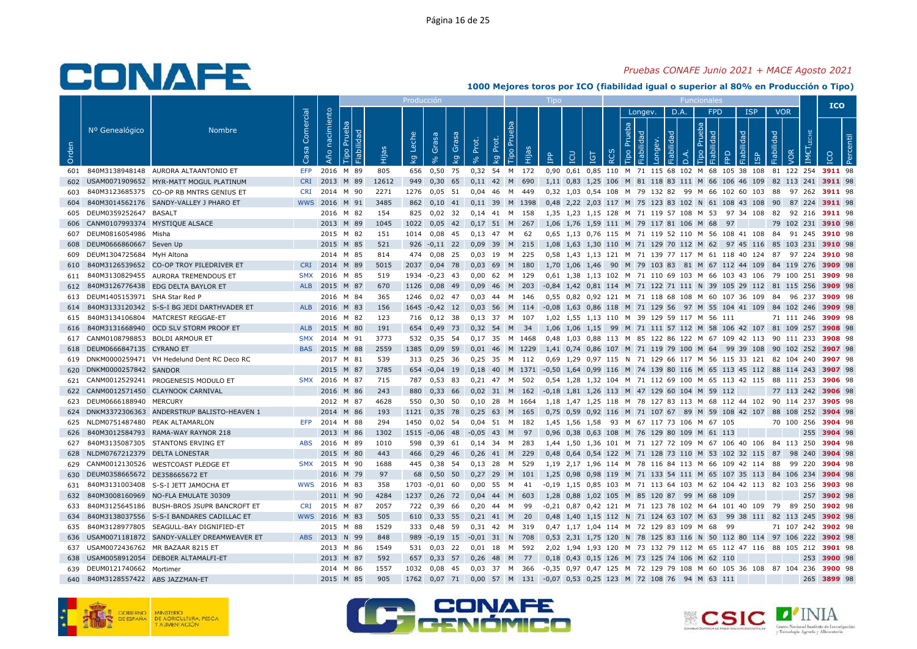### *Pruebas CONAFE Junio 2021 + MACE Agosto 2021*

|       |                                    |                                                |                   |                   |                              |       | Producción  |                         |             |                 |                                  |                             |        | Tipo                                         |                |            |                  |                |                       |            |          | <b>Funcionales</b>                          |                                                                |            |            |                      |                  | <b>ICO</b> |            |
|-------|------------------------------------|------------------------------------------------|-------------------|-------------------|------------------------------|-------|-------------|-------------------------|-------------|-----------------|----------------------------------|-----------------------------|--------|----------------------------------------------|----------------|------------|------------------|----------------|-----------------------|------------|----------|---------------------------------------------|----------------------------------------------------------------|------------|------------|----------------------|------------------|------------|------------|
|       |                                    |                                                |                   |                   |                              |       |             |                         |             |                 |                                  |                             |        |                                              |                |            |                  |                | Longev.               |            | D.A.     | <b>FPD</b>                                  |                                                                | <b>ISP</b> |            | <b>VOR</b>           |                  |            |            |
| Orden | Nº Genealógico                     | <b>Nombre</b>                                  | Comercial<br>Casa | nacimiento<br>Año | Prueba<br>Fiabilidad<br>Tipo | Hijas | Leche<br>ΣĀ | Grasa<br>8 <sup>o</sup> | Grasa<br>kg | Prot.<br>್ಗೆ    | Prot.<br>$\overline{\mathbf{g}}$ | 8<br>P <sub>U</sub><br>Tipo | Ê      | eq<br>E                                      | LCU            | <b>TGT</b> | $\tilde{\alpha}$ | Prueba<br>Tipo | Fiabilidad<br>Longev. | Fiabilidad | $\Delta$ | Prueba<br>Fiabilidad<br>Tipo                | <b>RD</b>                                                      | Fiabilidad | Fiabilidad |                      | <b>IMETLECHE</b> | <b>ICO</b> | <b>Per</b> |
| 601   |                                    | 840M3138948148 AURORA ALTAANTONIO ET           | <b>EFP</b>        |                   | 2016 M 89                    | 805   | 656         | 0,50                    | 75          | 0,32            | 54                               |                             | M 172  |                                              |                |            |                  |                |                       |            |          |                                             | 0,90 0,61 0,85 110 M 71 115 68 102 M 68 105 38 108             |            |            | 81 122 254           |                  | 3911 98    |            |
| 602   |                                    | USAM0071909652 MYR-MATT MOGUL PLATINUM         | <b>CRI</b>        |                   | 2013 M 89                    | 12612 | 949         | 0,30                    | 65          | 0,11            | 42 M                             |                             | 690    |                                              |                |            |                  |                |                       |            |          |                                             | 1,11 0,83 1,25 106 M 81 118 83 111 M 66 106 46 109 82 113 241  |            |            |                      |                  | 3911 98    |            |
| 603   |                                    | 840M3123685375 CO-OP RB MNTRS GENIUS ET        | <b>CRI</b>        | 2014 M 90         |                              | 2271  | 1276        | 0.05                    | 51          | 0.04            | 46                               | M                           | 449    |                                              |                |            |                  |                |                       |            |          |                                             | 0.32 1.03 0.54 108 M 79 132 82 99 M 66 102 60 103 88           |            |            |                      | 97 262           | 3911 98    |            |
| 604   |                                    | 840M3014562176 SANDY-VALLEY J PHARO ET         |                   | WWS 2016 M 91     |                              | 3485  | 862         | 0,10                    | 41          | 0,11 39 M 1398  |                                  |                             |        |                                              |                |            |                  |                |                       |            |          |                                             | 0,48 2,22 2,03 117 M 75 123 83 102 N 61 108 43 108 90          |            |            |                      | 87 224           | 3911 98    |            |
| 605   | DEUM0359252647                     | <b>BASALT</b>                                  |                   |                   | 2016 M 82                    | 154   | 825         | 0,02                    | 32          | 0,14            | 41                               | M                           | 158    |                                              |                |            |                  |                |                       |            |          | 1,35 1,23 1,15 128 M 71 119 57 108 M 53     |                                                                | 97 34 108  | 82         |                      | 92 216           | 3911 98    |            |
| 606   | CANM0107993374 MYSTIQUE ALSACE     |                                                |                   |                   | 2013 M 89                    | 1045  | 1022        | 0,05                    | 42          | $0,17$ 51 M 267 |                                  |                             |        |                                              |                |            |                  |                |                       |            |          | 1,06 1,76 1,59 111 M 79 117 81 106 M 68     | 97                                                             |            |            | 79 102 231           |                  | 3910 98    |            |
| 607   | DEUM0816054986 Misha               |                                                |                   |                   | 2015 M 82                    | 151   | 1014        | 0,08                    | 45          | $0.13$ 47       |                                  | M                           | 62     |                                              |                |            |                  |                |                       |            |          |                                             | 0,65 1,13 0,76 115 M 71 119 52 110 M 56 108 41 108             |            | 84         |                      | 91 245           | 3910 98    |            |
| 608   | DEUM0666860667 Seven Up            |                                                |                   |                   | 2015 M 85                    | 521   | 926         | $-0,11$ 22              |             | 0.09            | 39                               |                             | M 215  |                                              |                |            |                  |                |                       |            |          |                                             | 1,08 1,63 1,30 110 M 71 129 70 112 M 62 97 45 116 85 103 231   |            |            |                      |                  | 3910 98    |            |
| 609   | DEUM1304725684 MyH Altona          |                                                |                   |                   | 2014 M 85                    | 814   | 474         | 0,08                    | - 25        | 0,03            | 19                               | M                           | 225    |                                              |                |            |                  |                |                       |            |          |                                             | 0,58 1,43 1,13 121 M 71 139 77 117 M 61 118 40 124 87 97 224   |            |            |                      |                  | 3910 98    |            |
| 610   |                                    | 840M3126539652 CO-OP TROY PILEDRIVER ET        | <b>CRI</b>        | 2014              | M 89                         | 5015  | 2037        | 0,04                    | 78          | 0,03            | 69                               | M                           | 180    |                                              | 1,70 1,06 1,46 |            | 90               |                |                       |            |          |                                             | M 79 103 83 81 M 67 112 44 109 84 119 276                      |            |            |                      |                  | 3909 98    |            |
| 611   |                                    | 840M3130829455 AURORA TREMENDOUS ET            | <b>SMX</b>        | 2016 M 85         |                              | 519   | 1934        | $-0,23$                 | - 43        | 0.00            | 62 M 129                         |                             |        |                                              |                |            |                  |                |                       |            |          |                                             | 0.61 1.38 1.13 102 M 71 110 69 103 M 66 103 43 106 79 100 251  |            |            |                      |                  | 3909 98    |            |
| 612   |                                    | 840M3126776438 EDG DELTA BAYLOR ET             | <b>ALB</b>        | 2015 M 87         |                              | 670   | 1126        | 0,08                    | 49          | 0.09            | 46 M                             |                             | 203    |                                              |                |            |                  |                |                       |            |          |                                             | -0,84 1,42 0,81 114 M 71 122 71 111 N 39 105 29 112 81 115 256 |            |            |                      |                  | 3909 98    |            |
| 613   | DEUM1405153971 SHA Star Red P      |                                                |                   |                   | 2016 M 84                    | 365   | 1246        | $0,02$ 47               |             | 0,03            | 44                               | M                           | 146    |                                              |                |            |                  |                |                       |            |          |                                             | 0,55 0,82 0,92 121 M 71 118 68 108 M 60 107 36 109             |            | 84         |                      | 96 237           | 3909 98    |            |
| 614   |                                    | 840M3133120342 S-S-I BG JEDI DARTHVADER ET     |                   | ALB 2016 M 83     |                              | 156   | 1645        | $-0,42$                 | - 12        | 0,03            | - 56                             | M                           | -114   |                                              |                |            |                  |                |                       |            |          |                                             | -0,08 1,63 0,86 118 M 71 129 56 97 M 55 104 41 109 84 102 246  |            |            |                      |                  | 3909 98    |            |
| 615   |                                    | 840M3134106804 MATCREST REGGAE-ET              |                   |                   | 2016 M 82                    | 123   | 716         | $0.12$ 38               |             | 0.13            | 37                               | M                           | - 107  |                                              |                |            |                  |                |                       |            |          | 1.02 1.55 1.13 110 M 39 129 59 117 M 56 111 |                                                                |            |            | 71 111 246           |                  | 3909 98    |            |
| 616   |                                    | 840M3131668940 OCD SLV STORM PROOF ET          |                   | ALB 2015 M 80     |                              | 191   | 654         | 0,49                    | 73          | 0,32 54         |                                  | M                           | - 34   |                                              |                |            |                  |                |                       |            |          |                                             | 1,06 1,06 1,15 99 M 71 111 57 112 M 58 106 42 107 81 109 257   |            |            |                      |                  | 3908 98    |            |
|       | 617 CANM0108798853 BOLDI ARMOUR ET |                                                | <b>SMX</b>        | 2014 M 91         |                              | 3773  | 532         | 0,35                    | 54          | 0,17 35 M 1468  |                                  |                             |        |                                              |                |            |                  |                |                       |            |          |                                             | 0,48 1,03 0,88 113 M 85 122 86 122 M 67 109 42 113 90 111 233  |            |            |                      |                  | 3908 98    |            |
| 618   | DEUM0666847135 CYRANO ET           |                                                | <b>BAS</b>        | 2015              | M 88                         | 2559  | 1385        | 0,09                    | 59          | 0,01            | 46                               |                             | M 1229 |                                              |                |            |                  |                |                       |            |          |                                             | 1,41 0,74 0,86 107 M 71 119 79 100 M 64 99 39 108 90 102 252   |            |            |                      |                  | 3907 98    |            |
| 619   |                                    | DNKM0000259471 VH Hedelund Dent RC Deco RC     |                   |                   | 2017 M 81                    | 539   | 313         | $0,25$ 36               |             | 0.25 35 M 112   |                                  |                             |        |                                              |                |            |                  |                |                       |            |          |                                             | 0.69 1.29 0.97 115 N 71 129 66 117 M 56 115 33 121 82 104 240  |            |            |                      |                  | 3907 98    |            |
| 620   | DNKM0000257842 SANDOR              |                                                |                   | 2015              | M 87                         | 3785  | 654         | $-0.04$                 | 19          | 0.18            | 40                               |                             | M 1371 |                                              |                |            |                  |                |                       |            |          |                                             | -0.50 1.64 0.99 116 M 74 139 80 116 M 65 113 45 112 88 114 243 |            |            |                      |                  | 3907 98    |            |
| 621   |                                    | CANM0012529241 PROGENESIS MODULO ET            | <b>SMX</b>        | 2016 M 87         |                              | 715   | 787         | 0,53                    | -83         | $0.21$ 47 M     |                                  |                             | 502    |                                              |                |            |                  |                |                       |            |          |                                             | 0,54 1,28 1,32 104 M 71 112 69 100 M 65 113 42 115 88 111 253  |            |            |                      |                  | 3906 98    |            |
| 622   |                                    | CANM0012571450 CLAYNOOK CARNIVAL               |                   |                   | 2016 M 86                    | 243   | 880         | 0,33                    | 66          | 0,02 31 M 162   |                                  |                             |        | -0,18 1,81 1,26 113 M 47 129 60 104 M 59 112 |                |            |                  |                |                       |            |          |                                             |                                                                |            |            | 77 113 242           |                  | 3906 98    |            |
| 623   | DEUM0666188940                     | <b>MERCURY</b>                                 |                   |                   | 2012 M 87                    | 4628  | 550         | 0,30                    | 50          | 0,10            | 28                               | M                           | 1664   |                                              |                |            |                  |                |                       |            |          |                                             | 1,18 1,47 1,25 118 M 78 127 83 113 M 68 112 44 102             |            |            | 90 114 237           |                  | 3905 98    |            |
|       |                                    | 624 DNKM3372306363 ANDERSTRUP BALISTO-HEAVEN 1 |                   |                   | 2014 M 86                    | 193   | 1121        | 0,35                    | 78          | $0,25$ 63       |                                  | M                           | 165    |                                              |                |            |                  |                |                       |            |          |                                             | 0,75 0,59 0,92 116 M 71 107 67 89 M 59 108 42 107 88 108 252   |            |            |                      |                  | 3904 98    |            |
| 625   |                                    | NLDM0751487480 PEAK ALTAMARLON                 | <b>EFP</b>        | 2014              | M 88                         | 294   | 1450        | 0.02                    | -54         | 0.04            | 51                               | M                           | 182    |                                              | 1.45 1.56 1.58 |            |                  |                |                       |            |          | 93 M 67 117 73 106 M 67 105                 |                                                                |            |            | 70 100 256           |                  | 3904 98    |            |
| 626   |                                    | 840M3012584793 RAMA-WAY RAYNOR 218             |                   | 2013              | M 86                         | 1302  | 1515        | $-0,06$                 | 48          | $-0,05$         | 43                               | M                           | 97     |                                              |                |            |                  |                |                       |            |          | 0,96 0,38 0,63 108 M 76 129 80 109 M 61 113 |                                                                |            |            |                      | 255              | 3904 98    |            |
| 627   |                                    | 840M3135087305 STANTONS ERVING ET              | ABS               | 2016 M 89         |                              | 1010  | 598         | 0,39                    | 61          | $0,14$ 34       |                                  | M                           | 283    |                                              |                |            |                  |                |                       |            |          |                                             | 1,44 1,50 1,36 101 M 71 127 72 109 M 67 106 40 106 84 113 250  |            |            |                      |                  | 3904 98    |            |
| 628   | NLDM0767212379 DELTA LONESTAR      |                                                |                   |                   | 2015 M 80                    | 443   | 466         | 0,29                    | -46         | 0,26            | 41 M                             |                             | 229    |                                              |                |            |                  |                |                       |            |          |                                             | 0,48 0,64 0,54 122 M 71 128 73 110 M 53 102 32 115 87          |            |            |                      | 98 240           | 3904 98    |            |
| 629   |                                    | CANM0012130526 WESTCOAST PLEDGE ET             |                   | SMX 2015 M 90     |                              | 1688  | 445         | 0,38 54                 |             | 0,13 28 M 529   |                                  |                             |        |                                              |                |            |                  |                |                       |            |          |                                             | 1,19 2,17 1,96 114 M 78 116 84 113 M 66 109 42 114 88 99 220   |            |            |                      |                  | 3904 98    |            |
| 630   | DEUM0358665672 DE358665672 ET      |                                                |                   | 2016              | M 79                         | 97    | 68          | 0,50                    | 50          | 0,27            | 29                               | M                           | 101    | 1,25                                         |                |            |                  |                |                       |            |          |                                             | 0,98 0,98 119 M 71 133 54 111 M 65 107 35 113 84 106 234       |            |            |                      |                  | 3904 98    |            |
| 631   | 840M3131003408                     | S-S-I JETT JAMOCHA ET                          |                   | WWS 2016 M 83     |                              | 358   | 1703        | $-0,01$                 | 60          | 0,00            | 55                               | M                           | 41     |                                              |                |            |                  |                |                       |            |          |                                             | -0,19 1,15 0,85 103 M 71 113 64 103 M 62 104 42 113 82 103 256 |            |            |                      |                  | 3903 98    |            |
| 632   |                                    | 840M3008160969 NO-FLA EMULATE 30309            |                   |                   | 2011 M 90                    | 4284  | 1237        | 0,26                    | -72         | 0.04            | 44 M                             |                             | 603    |                                              |                |            |                  |                |                       |            |          | 1.28 0.88 1.02 105 M 85 120 87 99 M 68      | 109                                                            |            |            |                      | 257              | 3902 98    |            |
| 633   |                                    | 840M3125645186 BUSH-BROS JSUPR BANCROFT ET     | <b>CRI</b>        | 2015 M 87         |                              | 2057  | 722         | 0,39                    | 66          | 0,20            | 44                               | M                           | 99     |                                              |                |            |                  |                |                       |            |          |                                             | -0,21 0,87 0,42 121 M 71 123 78 102 M 64 101 40 109            |            | 79         |                      | 89 250           | 3902 98    |            |
| 634   |                                    | 840M3138037556 S-S-I BANDARES CADILLAC ET      |                   | WWS 2016 M 83     |                              | 505   | 610         | 0,33                    | 55          | 0,21            | 41                               | M                           | - 20   |                                              |                |            |                  |                |                       |            |          | 0,48 1,40 1,15 112 N 71 124 63 107 M 63     |                                                                |            |            | 99 38 111 82 113 245 |                  | 3902 98    |            |
| 635   |                                    | 840M3128977805 SEAGULL-BAY DIGNIFIED-ET        |                   |                   | 2015 M 88                    | 1529  | 333         | 0,48                    | 59          | 0,31            | 42                               | M                           | 319    |                                              |                |            |                  |                |                       |            |          | 0,47 1,17 1,04 114 M 72 129 83 109 M 68     | - 99                                                           |            |            | 71 107 242           |                  | 3902 98    |            |
| 636   |                                    | USAM0071181872 SANDY-VALLEY DREAMWEAVER ET     |                   | ABS 2013 N 99     |                              | 848   | 989         | $-0,19$                 | - 15        | $-0.01$         | 31 N                             |                             | 708    |                                              |                |            |                  |                |                       |            |          |                                             | 0,53 2,31 1,75 120 N 78 125 83 116 N 50 112 80 114 97 106 222  |            |            |                      |                  | 3902 98    |            |
| 637   |                                    | USAM0072436762 MR BAZAAR 8215 ET               |                   |                   | 2013 M 86                    | 1549  | 531         | $0,03$ 22               |             | 0.01 18 M 592   |                                  |                             |        |                                              |                |            |                  |                |                       |            |          |                                             | 2,02 1,94 1,93 120 M 73 132 79 112 M 65 112 47 116 88 105 212  |            |            |                      |                  | 3901 98    |            |
| 638   |                                    | USAM0058912054 DEBOER ALTAMALFI-ET             |                   | 2013 M 87         |                              | 592   | 657         | 0,33                    | 57          | 0.26            | 48 M                             |                             | 77     |                                              |                |            |                  |                |                       |            |          | 0,18 0,43 0,15 126 M 73 125 74 106 M 62 110 |                                                                |            |            |                      | 253              | 3900 98    |            |
| 639   | DEUM0121740662 Mortimer            |                                                |                   |                   | 2014 M 86                    | 1557  | 1032        | 0,08                    | 45          | 0,03            | 37 M                             |                             | 366    |                                              |                |            |                  |                |                       |            |          |                                             | -0,35 0,97 0,47 125 M 72 129 79 108 M 60 105 36 108 87 104 236 |            |            |                      |                  | 3900 98    |            |
| 640   | 840M3128557422 ABS JAZZMAN-ET      |                                                |                   |                   | 2015 M 85                    | 905   | 1762        | $0,07$ 71               |             | 0,00 57 M 131   |                                  |                             |        | -0,07 0,53 0,25 123 M 72 108 76 94 M 63 111  |                |            |                  |                |                       |            |          |                                             |                                                                |            |            |                      | 265              | 3899 98    |            |
|       |                                    |                                                |                   |                   |                              |       |             |                         |             |                 |                                  |                             |        |                                              |                |            |                  |                |                       |            |          |                                             |                                                                |            |            |                      |                  |            |            |







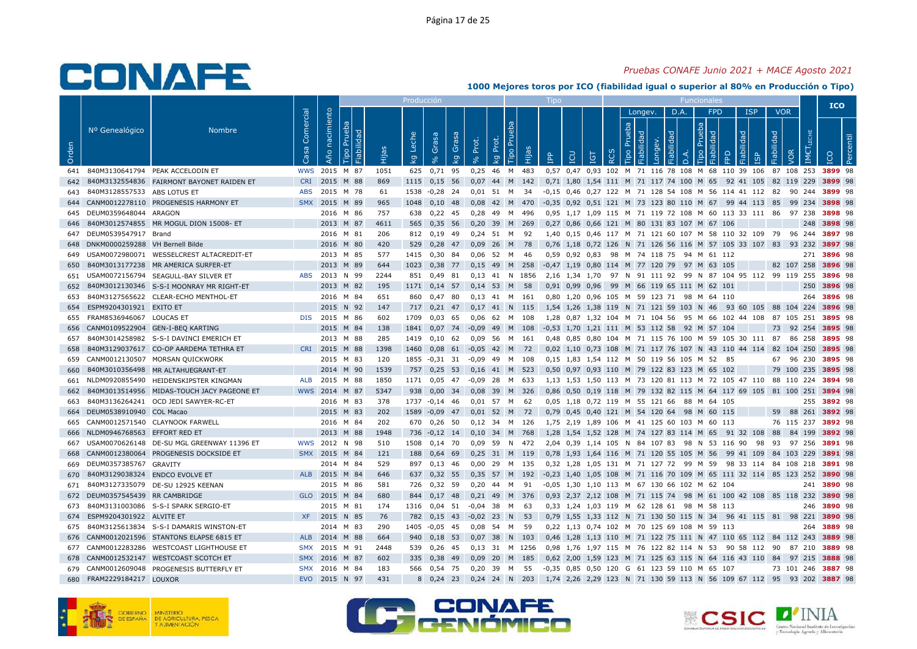### *Pruebas CONAFE Junio 2021 + MACE Agosto 2021*

|       |                                 |                                              |                   |                |                              |       | Producción  |                   |             |                   |             |              |        | Tipo                  |     |                                |            |                |            |                       |                | Funcionale                                                    |                      |            |    |            |                         |     | <b>ICO</b>  |           |
|-------|---------------------------------|----------------------------------------------|-------------------|----------------|------------------------------|-------|-------------|-------------------|-------------|-------------------|-------------|--------------|--------|-----------------------|-----|--------------------------------|------------|----------------|------------|-----------------------|----------------|---------------------------------------------------------------|----------------------|------------|----|------------|-------------------------|-----|-------------|-----------|
|       |                                 |                                              |                   |                |                              |       |             |                   |             |                   |             |              |        |                       |     |                                |            |                | Longev.    |                       | D.A.           | <b>FPD</b>                                                    |                      | <b>ISP</b> |    | <b>VOR</b> |                         |     |             |           |
| Orden | Nº Genealógico                  | <b>Nombre</b>                                | Comercial<br>Casa | Año nacimiento | Prueba<br>Fiabilidad<br>Tipo | Hijas | Leche<br>Ιğ | Grasa<br>$\aleph$ | Grasa<br>kg | Prot.<br>$\delta$ | Prot.<br>kg | Prue<br>Tipo | Hijas  | <b>AdI</b>            | LCU | <b>L</b> 91                    | <b>RCS</b> | Prueba<br>Tipo | Fiabilidad | Fiabilidad<br>Longev. | $\overline{a}$ | Prueba<br>Fiabilida<br>Tipo                                   | FPD                  | Fiabilidad |    | Fiabilidad | <b>IMETLECHE</b><br>VOR |     | <b>ICO</b>  | Percentil |
| 641   |                                 | 840M3130641794 PEAK ACCELODIN ET             | <b>WWS</b>        | 2015           | M 87                         | 1051  | 625         | 0,71              | 95          | 0,25              | 46          | M            | 483    |                       |     |                                |            |                |            |                       |                | 0,57 0,47 0,93 102 M 71 116 78 108 M 68 110 39 106            |                      |            |    |            | 87 108 253              |     | 3899 98     |           |
| 642   |                                 | 840M3132554836    FAIRMONT BAYONET RAIDEN ET | <b>CRI</b>        |                | 2015 M 88                    | 869   | 1115        | 0,15              | 56          | 0,07              | 44          | M            | 142    |                       |     |                                |            |                |            |                       |                | 0,71 1,80 1,54 111 M 71 117 74 100 M 65                       | 92 41 105            |            |    |            | 82 119 229              |     | 3899 98     |           |
| 643   | 840M3128557533 ABS LOTUS ET     |                                              | <b>ABS</b>        |                | 2015 M 78                    | 61    | 1538        | $-0,28$ 24        |             | 0.01              | 51          | M            | -34    |                       |     |                                |            |                |            |                       |                | -0.15 0.46 0.27 122 M 71 128 54 108 M 56 114 41 112 82        |                      |            |    |            | 90 244                  |     | 3899 98     |           |
| 644   |                                 | CANM0012278110 PROGENESIS HARMONY ET         | <b>SMX</b>        | 2015 M 89      |                              | 965   | 1048        | $0,10$ 48         |             | 0,08              | 42 M        |              | 470    |                       |     |                                |            |                |            |                       |                | -0,35 0,92 0,51 121 M 73 123 80 110 M 67                      | 99 44 113 85         |            |    |            | 99 234                  |     | 3898 98     |           |
| 645   | DEUM0359648044 ARAGON           |                                              |                   |                | 2016 M 86                    | 757   | 638         | $0,22$ 45         |             | 0.28              | 49          | M            | 496    |                       |     |                                |            |                |            |                       |                | 0.95 1.17 1.09 115 M 71 119 72 108 M 60 113 33 111 86         |                      |            |    |            | 97 238                  |     | 3898 98     |           |
| 646   |                                 | 840M3012574855 MR MOGUL DION 15008- ET       |                   |                | 2013 M 87                    | 4611  | 565         | $0,35$ 56         |             | 0,20              | 39          | M            | 269    |                       |     |                                |            |                |            |                       |                | 0,27 0,86 0,66 121 M 80 131 83 107 M 67 106                   |                      |            |    |            |                         | 248 | 3898 98     |           |
| 647   | DEUM0539547917 Brand            |                                              |                   |                | 2016 M 81                    | 206   | 812         | 0,19              | -49         | 0.24              | 51          | M            | -92    |                       |     |                                |            |                |            |                       |                | 1,40 0,15 0,46 117 M 71 121 60 107 M 58 110 32 109            |                      |            |    | 79         | 96 244                  |     | 3897 98     |           |
| 648   | DNKM0000259288 VH Bernell Bilde |                                              |                   |                | 2016 M 80                    | 420   | 529         | $0,28$ 47         |             | 0,09              | 26          | M            | 78     |                       |     |                                |            |                |            |                       |                | 0,76 1,18 0,72 126 N 71 126 56 116 M 57 105 33 107 83         |                      |            |    |            | 93 232                  |     | 3897 98     |           |
| 649   |                                 | USAM0072980071 WESSELCREST ALTACREDIT-ET     |                   |                | 2013 M 85                    | 577   | 1415        | 0,30              | 84          | 0,06              | 52          | м            | 46     |                       |     | $0,59$ $0,92$ $0,83$           | 98         |                |            |                       |                | M 74 118 75 94 M 61 112                                       |                      |            |    |            |                         | 271 | 3896 98     |           |
| 650   |                                 | 840M3013177238 MR AMERICA SURFER-ET          |                   |                | 2013 M 89                    | 644   | 1023        | 0.38              | 77          | 0.15              | 49          | M            | 258    |                       |     |                                |            |                |            |                       |                | -0,47 1,19 0,80 114 M 77 120 79 97 M 63 105                   |                      |            |    |            | 82 107 258              |     | 3896 98     |           |
| 651   |                                 | USAM0072156794 SEAGULL-BAY SILVER ET         | <b>ABS</b>        | 2013 N 99      |                              | 2244  | 851         | 0,49 81           |             | $0,13$ 41 N       |             |              | 1856   |                       |     |                                |            |                |            |                       |                | 2,16 1,34 1,70 97 N 91 111 92 99 N 87 104 95 112 99 119 255   |                      |            |    |            |                         |     | 3896 98     |           |
| 652   |                                 | 840M3012130346 S-S-I MOONRAY MR RIGHT-ET     |                   |                | 2013 M 82                    | 195   | 1171        | $0,14$ 57         |             | $0,14$ 53         |             | M            | 58     |                       |     | 0,91 0,99 0,96                 | 99         |                |            |                       |                | M 66 119 65 111 M 62 101                                      |                      |            |    |            |                         | 250 | 3896 98     |           |
| 653   |                                 | 840M3127565622 CLEAR-ECHO MENTHOL-ET         |                   | 2016 M 84      |                              | 651   | 860         | $0,47$ 80         |             | $0,13$ 41         |             | M            | 161    |                       |     |                                |            |                |            |                       |                | 0,80 1,20 0,96 105 M 59 123 71 98 M 64 110                    |                      |            |    |            |                         |     | 264 3896 98 |           |
| 654   | ESPM9204301921 EXITO ET         |                                              |                   |                | 2015 N 92                    | 147   | 717         | $0,21$ 47         |             | $0,17$ 41 N       |             |              | - 115  |                       |     |                                |            |                |            |                       |                | 1,54 1,26 1,38 119 N 71 121 59 103 N 46                       | 93 60 105 88 104 224 |            |    |            |                         |     | 3896 98     |           |
| 655   | FRAM8536946067 LOUCAS ET        |                                              | <b>DIS</b>        | 2015 M 86      |                              | 602   | 1709        | 0.03              | 65          | 0.06              | 62          | M            | 108    |                       |     |                                |            |                |            |                       |                | 1,28 0,87 1,32 104 M 71 104 56 95 M 66 102 44 108 87 105 251  |                      |            |    |            |                         |     | 3895 98     |           |
| 656   |                                 | CANM0109522904 GEN-I-BEQ KARTING             |                   |                | 2015 M 84                    | 138   | 1841        | $0,07$ 74         |             | $-0.09$           | 49          | M            | 108    |                       |     |                                |            |                |            |                       |                | -0,53 1,70 1,21 111 M 53 112 58 92 M 57 104                   |                      |            |    | 73         | 92 254                  |     | 3895 98     |           |
| 657   |                                 | 840M3014258982 S-S-I DAVINCI EMERICH ET      |                   |                | 2013 M 88                    | 285   | 1419        | 0.10              | 62          | 0,09              | 56          | M            | 161    |                       |     |                                |            |                |            |                       |                | 0,48 0,85 0,80 104 M 71 115 76 100 M 59 105 30 111 87         |                      |            |    |            | 86 258                  |     | 3895 98     |           |
| 658   |                                 | 840M3129037617 CO-OP AARDEMA TETHRA ET       | <b>CRI</b>        | 2015 M 88      |                              | 1398  | 1460        | $0,08$ 61         |             | $-0,05$           | 42          | M            | 72     |                       |     |                                |            |                |            |                       |                | 0,02 1,10 0,73 108 M 71 117 76 107 N 43 110 44 114 82         |                      |            |    |            | 104 250                 |     | 3895 98     |           |
| 659   |                                 | CANM0012130507 MORSAN QUICKWORK              |                   |                | 2015 M 83                    | 120   | 1855        | $-0,31$ 31        |             | $-0,09$           | 49          | M            | 108    |                       |     |                                |            |                |            |                       |                | 0,15 1,83 1,54 112 M 50 119 56 105 M 52                       | - 85                 |            |    | 67         | 96 230                  |     | 3895 98     |           |
| 660   |                                 | 840M3010356498 MR ALTAHUEGRANT-ET            |                   | 2014           | M 90                         | 1539  | 757         | 0.25              | 53          | 0.16              | 41          | M            | 523    |                       |     |                                |            |                |            |                       |                | 0.50 0.97 0.93 110 M 79 122 83 123 M 65                       | 102                  |            |    | 79         | 100 235                 |     | 3895 98     |           |
| 661   |                                 | NLDM0920855490 HEIDENSKIPSTER KINGMAN        | ALB               | 2015 M 88      |                              | 1850  | 1171        | $0,05$ 47         |             | $-0.09$ 28        |             | M            | 633    |                       |     |                                |            |                |            |                       |                | 1.13 1.53 1.50 113 M 73 120 81 113 M 72 105 47 110 88 110 224 |                      |            |    |            |                         |     | 3894 98     |           |
| 662   |                                 | 840M3013514956 MIDAS-TOUCH JACY PAGEONE ET   |                   | WWS 2014 M 87  |                              | 5347  | 938         | $0,00$ 34         |             | 0,08 39 M         |             |              | 326    |                       |     |                                |            |                |            |                       |                | 0,86 0,50 0,19 118 M 79 132 82 115 M 64 117 69 105 81 100 251 |                      |            |    |            |                         |     | 3894 98     |           |
| 663   |                                 | 840M3136264241 OCD JEDI SAWYER-RC-ET         |                   |                | 2016 M 83                    | 378   | 1737        | $-0,14$ 46        |             | 0,01              | 57          | M            | 62     |                       |     | 0,05 1,18 0,72 119 M 55 121 66 |            |                |            |                       |                | 88 M 64 105                                                   |                      |            |    |            |                         | 255 | 3892 98     |           |
| 664   | DEUM0538910940 COL Macao        |                                              |                   |                | 2015 M 83                    | 202   | 1589        | $-0.09$ 47        |             | $0.01$ 52 M       |             |              | 72     |                       |     |                                |            |                |            |                       |                | 0,79 0,45 0,40 121 M 54 120 64 98 M 60 115                    |                      |            |    | 59         | 88 261                  |     | 3892 98     |           |
| 665   |                                 | CANM0012571540 CLAYNOOK FARWELL              |                   |                | 2016 M 84                    | 202   | 670         | 0.26 50           |             | $0.12$ 34         |             | M            | 126    |                       |     |                                |            |                |            |                       |                | 1.75 2.19 1.89 106 M 41 125 60 103 M 60 113                   |                      |            |    |            | 76 115 237              |     | 3892 98     |           |
| 666   | NLDM0946768563 EFFORT RED ET    |                                              |                   |                | 2013 M 88                    | 1948  | 736         | $-0,12$ 14        |             | $0,10$ 34         |             | M            | 768    |                       |     |                                |            |                |            |                       |                | 1,28 1,54 1,52 128 M 74 127 83 114 M 65                       | 91 32 108            |            |    | 88         | 84 199                  |     | 3892 98     |           |
| 667   |                                 | USAM0070626148 DE-SU MGL GREENWAY 11396 ET   |                   | WWS 2012       | N 98                         | 510   | 1508        | $0.14$ 70         |             | 0.09              | 59          | N            | 472    |                       |     |                                |            |                |            |                       |                | 2.04 0.39 1.14 105 N 84 107 83 98 N 53 116 90                 |                      |            | 98 | 93         | 97 256                  |     | 3891 98     |           |
| 668   |                                 | CANM0012380064 PROGENESIS DOCKSIDE ET        |                   | SMX 2015 M 84  |                              | 121   | 188         | 0,64 69           |             | 0,25              | 31 M        |              | 119    | 0,78                  |     | 1,93 1,64 116                  |            |                |            |                       |                | M 71 120 55 105 M 56                                          | 99 41 109            |            |    |            | 84 103 229              |     | 3891 98     |           |
| 669   | DEUM0357385767 GRAVITY          |                                              |                   |                | 2014 M 84                    | 529   | 897         | $0,13$ 46         |             | 0,00              | 29          | M            | 135    |                       |     |                                |            |                |            |                       |                | 0,32 1,28 1,05 131 M 71 127 72 99 M 59 98 33 114 84 108 218   |                      |            |    |            |                         |     | 3891 98     |           |
| 670   | 840M3129038324 ENDCO EVOLVE ET  |                                              |                   | ALB 2015       | M 84                         | 646   | 637         | $0.32$ 55         |             | 0.35              | 57          | M            | 192    | $-0.23$ 1.40 1.05 108 |     |                                |            |                |            |                       |                | M 71 116 70 109 M 65 111 32 114 85 123 252                    |                      |            |    |            |                         |     | 3890 98     |           |
| 671   |                                 | 840M3127335079 DE-SU 12925 KEENAN            |                   |                | 2015 M 86                    | 581   | 726         | 0,32 59           |             | 0.20              | 44          | M            | 91     |                       |     |                                |            |                |            |                       |                | -0.05 1.30 1.10 113 M 67 130 66 102 M 62 104                  |                      |            |    |            |                         |     | 241 3890 98 |           |
| 672   | DEUM0357545439 RR CAMBRIDGE     |                                              |                   | GLO 2015 M 84  |                              | 680   | 844         | $0.17$ 48         |             | 0,21              | 49          | M            | 376    |                       |     |                                |            |                |            |                       |                | 0,93 2,37 2,12 108 M 71 115 74 98 M 61 100 42 108 85 118 232  |                      |            |    |            |                         |     | 3890 98     |           |
| 673   |                                 | 840M3131003086 S-S-I SPARK SERGIO-ET         |                   |                | 2015 M 81                    | 174   | 1316        | $0,04$ 51         |             | $-0,04$           | 38          | м            | 63     |                       |     |                                |            |                |            |                       |                | 0,33 1,24 1,03 119 M 62 128 61 98 M 58 113                    |                      |            |    |            |                         | 246 | 3890 98     |           |
| 674   | ESPM9204301922 ALVITE ET        |                                              | <b>XF</b>         | 2015 N 85      |                              | 76    | 782         | $0,15$ 43         |             | $-0,02$           | 23          | N            | 53     |                       |     |                                |            |                |            |                       |                | 0,79 1,55 1,33 112 N 71 130 50 115 N 34 96 41 115 81 98 221   |                      |            |    |            |                         |     | 3890 98     |           |
| 675   |                                 | 840M3125613834 S-S-I DAMARIS WINSTON-ET      |                   |                | 2014 M 83                    | 290   | 1405        | $-0,05$           | -45         | 0,08              | 54          | м            | -59    |                       |     |                                |            |                |            |                       |                | 0,22 1,13 0,74 102 M 70 125 69 108 M 59 113                   |                      |            |    |            |                         | 264 | 3889 98     |           |
| 676   |                                 | CANM0012021596 STANTONS ELAPSE 6815 ET       | <b>ALB</b>        | 2014           | M 88                         | 664   | 940         | $0,18$ 53         |             | 0,07              | 38          | N            | 103    |                       |     | 0,46 1,28 1,13 110             |            |                |            |                       |                | M 71 122 75 111 N 47 110 65 112 84 112 243                    |                      |            |    |            |                         |     | 3889 98     |           |
| 677   |                                 | CANM0012283286 WESTCOAST LIGHTHOUSE ET       | <b>SMX</b>        | 2015 M 91      |                              | 2448  | 539         | 0,26              | 45          | $0,13$ 31         |             |              | M 1256 |                       |     |                                |            |                |            |                       |                | 0,98 1,76 1,97 115 M 76 122 82 114 N 53                       | 90 58 112 90         |            |    |            | 87 210                  |     | 3889 98     |           |
| 678   |                                 | CANM0012532147 WESTCOAST SCOTCH ET           | <b>SMX</b>        | 2016           | M 87                         | 602   | 335         | 0,38              | 49          | 0.09              | 20          | M            | 185    |                       |     | 0,62 2,00 1,59 123             |            |                |            |                       |                | M 71 125 63 115 N 64 116 43 110 84                            |                      |            |    |            | 97 215                  |     | 3888 98     |           |
| 679   |                                 | CANM0012609048 PROGENESIS BUTTERFLY ET       | <b>SMX</b>        |                | 2016 M 84                    | 183   | 566         | 0,54 75           |             | 0,20              | 39          | M            | 55     |                       |     |                                |            |                |            |                       |                | -0,35  0,85  0,50  120  G  61  123  59  110  M  65  107       |                      |            |    |            | 73 101 246              |     | 3887 98     |           |
| 680   | FRAM2229184217 LOUXOR           |                                              |                   | EVO 2015 N 97  |                              | 431   | 8           | $0,24$ 23         |             | $0,24$ 24 N       |             |              | 203    |                       |     |                                |            |                |            |                       |                | 1,74 2,26 2,29 123 N 71 130 59 113 N 56 109 67 112 95         |                      |            |    |            | 93 202                  |     | 3887 98     |           |







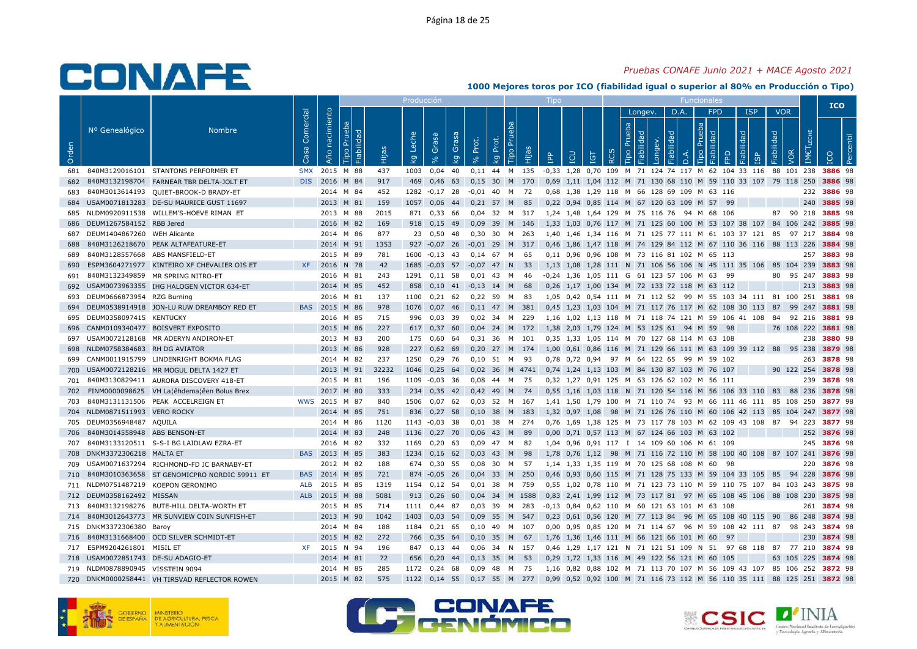### *Pruebas CONAFE Junio 2021 + MACE Agosto 2021*

|       |                              |                                               |            |            |                              |       | Producción  |            |             |                     |             |                |           |            |                    |            |          |                |                       |            |           | Funcionale                                   |                                                               |                 |            |            |                      | <b>ICO</b>                                                           |  |
|-------|------------------------------|-----------------------------------------------|------------|------------|------------------------------|-------|-------------|------------|-------------|---------------------|-------------|----------------|-----------|------------|--------------------|------------|----------|----------------|-----------------------|------------|-----------|----------------------------------------------|---------------------------------------------------------------|-----------------|------------|------------|----------------------|----------------------------------------------------------------------|--|
|       |                              |                                               | Comercial  | nacimiento |                              |       |             |            |             |                     |             |                |           |            |                    |            |          |                | Longev.               |            | D.A.      | <b>FPD</b>                                   |                                                               | <b>ISP</b>      |            | <b>VOR</b> |                      |                                                                      |  |
| Orden | Nº Genealógico               | <b>Nombre</b>                                 | Casa       | Año        | Prueba<br>Fiabilidad<br>Tipo | Hijas | Leche<br>kg | Grasa      | Grasa<br>kg | Prot.<br>$\sqrt{6}$ | Prot.<br>kg | Prueba<br>Tipo | Hijas     | <b>AdI</b> | LCU                | <b>TGT</b> | <b>Q</b> | Prueba<br>Tipo | Fiabilidad<br>Longev. | Fiabilidad | $\vec{a}$ | Prueba<br>$\mathbb{R}$<br><b>Tipo</b>        | FPD                                                           | Fiabilidad<br>ഇ | Fiabilidad | <b>VOR</b> | LECHE<br><b>IMET</b> |                                                                      |  |
| 681   |                              | 840M3129016101 STANTONS PERFORMER ET          | <b>SMX</b> |            | 2015 M 88                    | 437   | 1003        | 0,04       | 40          | 0,11                |             | 44 M 135       |           | $-0,33$    | 1,28               | 0,70 109   |          |                |                       |            |           |                                              | M 71 124 74 117 M 62 104 33 116                               |                 |            |            | 88 101 238           | 3886 98                                                              |  |
| 682   |                              | 840M3132198704 FARNEAR TBR DELTA-JOLT ET      | DIS        | 2016       | M 84                         | 917   | 469         | 0,46       | 63          | 0,15                | 30          | M 170          |           |            |                    |            |          |                |                       |            |           |                                              | 0,69 1,11 1,04 112 M 71 130 68 110 M 59 110 33 107 79 118 250 |                 |            |            |                      | 3886 98                                                              |  |
| 683   | 840M3013614193               | QUIET-BROOK-D BRADY-ET                        |            |            | 2014 M 84                    | 452   | 1282        | $-0,17$ 28 |             | $-0.01$             | 40          | M 72           |           |            |                    |            |          |                |                       |            |           | 0,68 1,38 1,29 118 M 66 128 69 109 M 63 116  |                                                               |                 |            |            |                      | 232 3886 98                                                          |  |
| 684   |                              | USAM0071813283 DE-SU MAURICE GUST 11697       |            |            | 2013 M 81                    | 159   | 1057        | 0,06       | 44          | $0,21$ 57           |             | M              | 85        |            |                    |            |          |                |                       |            |           | 0,22 0,94 0,85 114 M 67 120 63 109 M 57      | 99                                                            |                 |            |            | 240                  | 3885 98                                                              |  |
| 685   |                              | NLDM0920911538 WILLEM'S-HOEVE RIMAN ET        |            |            | 2013 M 88                    | 2015  | 871         | $0,33$ 66  |             | 0.04                | 32          | M 317          |           |            | 1.24 1.48 1.64 129 |            |          |                |                       |            |           | M 75 116 76 94 M 68 106                      |                                                               |                 | 87         |            | 90 218               | 3885 98                                                              |  |
| 686   | DEUM1267584152 RBB Jered     |                                               |            |            | 2016 M 82                    | 169   | 918         | $0,15$ 49  |             | 0,09                | 39          | M 146          |           |            |                    |            |          |                |                       |            |           |                                              | 1,33 1,03 0,76 117 M 71 125 60 100 M 53 107 38 107 84 106 242 |                 |            |            |                      | 3885 98                                                              |  |
| 687   | DEUM1404867260 WEH Alicante  |                                               |            |            | 2014 M 86                    | 877   | 23          | 0,50       | -48         | 0,30                | 30          | M 263          |           |            |                    |            |          |                |                       |            |           |                                              | 1,40 1,46 1,34 116 M 71 125 77 111 M 61 103 37 121 85         |                 |            |            | 97 217               | 3884 98                                                              |  |
| 688   |                              | 840M3126218670 PEAK ALTAFEATURE-ET            |            |            | 2014 M 91                    | 1353  | 927         | $-0.07$ 26 |             | $-0,01$             | 29          | M 317          |           |            |                    |            |          |                |                       |            |           |                                              | 0,46 1,86 1,47 118 M 74 129 84 112 M 67 110 36 116 88 113 226 |                 |            |            |                      | 3884 98                                                              |  |
| 689   | 840M3128557668               | ABS MANSFIELD-ET                              |            |            | 2015 M 89                    | 781   | 1600        | $-0,13$ 43 |             | 0,14                | 67          | M              | 65        |            |                    |            |          |                |                       |            |           | 0,11 0,96 0,96 108 M 73 116 81 102 M 65 113  |                                                               |                 |            |            | 257                  | 3883 98                                                              |  |
| 690   |                              | ESPM3604271977 KINTEIRO XF CHEVALIER OIS ET   | <b>XF</b>  |            | 2016 N 78                    | 42    | 1685        | $-0,03$ 57 |             | $-0.07$             | 47          | N              | 33        |            | 1.13 1.08          |            |          |                |                       |            |           |                                              | 1,28 111 N 71 106 56 106 N 45 111 35 106 85 104 239           |                 |            |            |                      | 3883 98                                                              |  |
| 691   |                              | 840M3132349859 MR SPRING NITRO-ET             |            |            | 2016 M 81                    | 243   | 1291        | $0,11$ 58  |             | 0,01                | 43          | M              | 46        |            |                    |            |          |                |                       |            |           | -0,24 1,36 1,05 111 G 61 123 57 106 M 63     | 99                                                            |                 | 80         |            | 95 247               | 3883 98                                                              |  |
| 692   |                              | USAM0073963355 IHG HALOGEN VICTOR 634-ET      |            |            | 2014 M 85                    | 452   | 858         | $0,10$ 41  |             | $-0,13$             | 14          | M              | 68        |            |                    |            |          |                |                       |            |           | 0,26 1,17 1,00 134 M 72 133 72 118 M 63 112  |                                                               |                 |            |            | 213                  | 3883 98                                                              |  |
| 693   | DEUM0666873954 RZG Burning   |                                               |            |            | 2016 M 81                    | 137   | 1100        | $0,21$ 62  |             | $0,22$ 59           |             | M 83           |           |            |                    |            |          |                |                       |            |           |                                              |                                                               |                 |            |            |                      | 1,05 0,42 0,54 111 M 71 112 52 99 M 55 103 34 111 81 100 251 3881 98 |  |
| 694   |                              | DEUM0538914918 JON-LU RUW DREAMBOY RED ET     | <b>BAS</b> | 2015 M 86  |                              | 978   | 1076        | $0,07$ 46  |             | 0,11 47 M 381       |             |                |           |            |                    |            |          |                |                       |            |           |                                              | 0,45 1,23 1,03 104 M 71 117 76 117 M 62 108 30 113            |                 | 87         |            | 99 247               | 3881 98                                                              |  |
| 695   | DEUM0358097415 KENTUCKY      |                                               |            |            | 2016 M 85                    | 715   | 996         | 0,03       | 39          | 0.02                | 34          | M              | 229       |            |                    |            |          |                |                       |            |           |                                              | 1.16 1.02 1.13 118 M 71 118 74 121 M 59 106 41 108            |                 | 84         |            | 92 216               | 3881 98                                                              |  |
| 696   |                              | CANM0109340477 BOISVERT EXPOSITO              |            |            | 2015 M 86                    | 227   | 617         | $0,37$ 60  |             | 0,04                | 24 M 172    |                |           |            |                    |            |          |                |                       |            |           | 1,38 2,03 1,79 124 M 53 125 61 94 M 59       | 98                                                            |                 |            |            | 76 108 222           | 3881 98                                                              |  |
| 697   |                              | USAM0072128168 MR ADERYN ANDIRON-ET           |            |            | 2013 M 83                    | 200   | 175         | $0,60$ 64  |             | 0,31                | 36          | M 101          |           |            |                    |            |          |                |                       |            |           | 0,35 1,33 1,05 114 M 70 127 68 114 M 63 108  |                                                               |                 |            |            |                      | 238 3880 98                                                          |  |
| 698   | NLDM0758384683 RH DG AVIATOR |                                               |            |            | 2013 M 86                    | 928   | 227         | $0,62$ 69  |             | 0,20                | 27          |                | M 174     |            |                    |            |          |                |                       |            |           |                                              | 1,00 0,61 0,86 116 M 71 129 66 111 M 63 109 39 112 88 95 238  |                 |            |            |                      | 3879 98                                                              |  |
| 699   |                              | CANM0011915799 LINDENRIGHT BOKMA FLAG         |            |            | 2014 M 82                    | 237   | 1250        | 0,29       | - 76        | 0,10                | -51         | M              | -93       |            | 0,78 0,72 0,94     |            |          |                |                       |            |           | 97 M 64 122 65 99 M 59 102                   |                                                               |                 |            |            | 263                  | 3878 98                                                              |  |
| 700   |                              | USAM0072128216 MR MOGUL DELTA 1427 ET         |            |            | 2013 M 91                    | 32232 | 1046        | 0.25       | 64          | 0.02                | 36          |                | M 4741    |            |                    |            |          |                |                       |            |           | 0.74 1.24 1.13 103 M 84 130 87 103 M 76 107  |                                                               |                 |            |            | 90 122 254           | 3878 98                                                              |  |
| 701   |                              | 840M3130829411 AURORA DISCOVERY 418-ET        |            |            | 2015 M 81                    | 196   | 1109        | $-0.03$ 36 |             | 0,08                | 44 M 75     |                |           |            |                    |            |          |                |                       |            |           | 0,32 1,27 0,91 125 M 63 126 62 102 M 56 111  |                                                               |                 |            |            | 239                  | 3878 98                                                              |  |
| 702   |                              | FINM0000098625 VH La¦êhdema¦êen Bolus Brex    |            |            | 2017 M 80                    | 333   | 234         | $0,35$ 42  |             | 0,42                | 49          | M              | 74        |            |                    |            |          |                |                       |            |           |                                              | 0,55 1,16 1,03 118 N 71 120 54 116 M 56 106 33 110 83 88 236  |                 |            |            |                      | 3878 98                                                              |  |
| 703   |                              | 840M3131131506 PEAK ACCELREIGN ET             | <b>WWS</b> | 2015 M 87  |                              | 840   | 1506        | $0,07$ 62  |             | 0,03                | 52          | M 167          |           |            | 1,41 1,50 1,79 100 |            |          |                |                       |            |           |                                              | M 71 110 74 93 M 66 111 46 111 85 108 250                     |                 |            |            |                      | 3877 98                                                              |  |
| 704   | NLDM0871511993 VERO ROCKY    |                                               |            |            | 2014 M 85                    | 751   | 836         | $0,27$ 58  |             | 0,10                | 38          | M 183          |           |            | 1,32 0,97 1,08     |            |          |                |                       |            |           |                                              | 98 M 71 126 76 110 M 60 106 42 113 85 104 247                 |                 |            |            |                      | 3877 98                                                              |  |
| 705   | DEUM0356948487 AQUILA        |                                               |            |            | 2014 M 86                    | 1120  | 1143        | $-0.03$ 38 |             | 0.01                | 38          | M 274          |           |            | 0.76 1.69 1.38 125 |            |          |                |                       |            |           |                                              | M 73 117 78 103 M 62 109 43 108                               |                 | 87         | 94         | 223                  | 3877 98                                                              |  |
| 706   | 840M3014558948 ABS BENSON-ET |                                               |            |            | 2014 M 83                    | 248   | 1136        | $0,27$ 70  |             | 0,06                | 43          | M              | 89        |            |                    |            |          |                |                       |            |           | 0,00 0,71 0,57 113 M 67 124 66 103 M 63 102  |                                                               |                 |            |            |                      | 252 3876 98                                                          |  |
| 707   |                              | 840M3133120511 S-S-I BG LAIDLAW EZRA-ET       |            |            | 2016 M 82                    | 332   | 1169        | $0,20$ 63  |             | 0.09                | 47          | M              | - 82      |            |                    |            |          |                |                       |            |           | 1,04 0,96 0,91 117 I 14 109 60 106 M 61 109  |                                                               |                 |            |            |                      | 245 3876 98                                                          |  |
| 708   | DNKM3372306218 MALTA ET      |                                               | <b>BAS</b> | 2013 M 85  |                              | 383   | 1234        | $0,16$ 62  |             | 0,03                | 43          | M              | 98        |            | 1,78 0,76 1,12     |            |          |                |                       |            |           |                                              | 98 M 71 116 72 110 M 58 100 40 108 87 107 241                 |                 |            |            |                      | 3876 98                                                              |  |
| 709   |                              | USAM0071637294 RICHMOND-FD JC BARNABY-ET      |            |            | 2012 M 82                    | 188   | 674         | 0,30 55    |             | 0,08                | 30          | M              | 57        |            |                    |            |          |                |                       |            |           | 1,14 1,33 1,35 119 M 70 125 68 108 M 60      | 98                                                            |                 |            |            |                      | 220 3876 98                                                          |  |
| 710   |                              | 840M3010363658 ST GENOMICPRO NORDIC 59911 ET  | <b>BAS</b> | 2014       | M 85                         | 721   | 874         | $-0.05$ 26 |             | 0.04                | 33          | M              | 250       |            |                    |            |          |                |                       |            |           |                                              | 0.46 0.93 0.60 115 M 71 128 75 133 M 59 104 33 105 85         |                 |            |            | 94 228               | 3876 98                                                              |  |
| 711   |                              | NLDM0751487219 KOEPON GERONIMO                | <b>ALB</b> |            | 2015 M 85                    | 1319  | 1154        | $0.12$ 54  |             | 0.01                | 38          | M 759          |           |            |                    |            |          |                |                       |            |           |                                              | 0.55 1.02 0.78 110 M 71 123 73 110 M 59 110 75 107 84 103 243 |                 |            |            |                      | 3875 98                                                              |  |
| 712   | DEUM0358162492 MISSAN        |                                               | <b>ALB</b> | 2015 M 88  |                              | 5081  | 913         | $0,26$ 60  |             | 0,04                |             |                | 34 M 1588 |            |                    |            |          |                |                       |            |           |                                              | 0,83 2,41 1,99 112 M 73 117 81 97 M 65 108 45 106 88 108 230  |                 |            |            |                      | 3875 98                                                              |  |
| 713   |                              | 840M3132198276 BUTE-HILL DELTA-WORTH ET       |            |            | 2015 M 85                    | 714   | 1111        | 0,44 87    |             | 0,03                | 39          | M              | 283       |            |                    |            |          |                |                       |            |           | -0,13 0,84 0,62 110 M 60 121 63 101 M 63 108 |                                                               |                 |            |            | 261                  | 3874 98                                                              |  |
| 714   | 840M3012643773               | MR SUNVIEW COIN SUNFISH-ET                    |            |            | 2013 M 90                    | 1042  | 1403        | $0,03$ 54  |             | 0,09                |             | 55 M 547       |           |            |                    |            |          |                |                       |            |           |                                              | 0,23 0,61 0,56 120 M 77 113 84 96 M 65 108 40 115 90 86 248   |                 |            |            |                      | 3874 98                                                              |  |
| 715   | DNKM3372306380               | Baroy                                         |            |            | 2014 M 84                    | 188   | 1184        | $0,21$ 65  |             | 0,10                | 49          |                | M 107     |            |                    |            |          |                |                       |            |           |                                              | 0,00 0,95 0,85 120 M 71 114 67 96 M 59 108 42 111 87          |                 |            | 98         | 243                  | 3874 98                                                              |  |
| 716   |                              | 840M3131668400 OCD SILVER SCHMIDT-ET          |            | 2015       | M 82                         | 272   | 766         | $0,35$ 64  |             | 0,10                | 35          | M              | - 67      |            |                    |            |          |                |                       |            |           | 1,76 1,36 1,46 111 M 66 121 66 101 M 60      | 97                                                            |                 |            |            | 230                  | 3874 98                                                              |  |
| 717   | ESPM9204261801 MISIL ET      |                                               | <b>XF</b>  |            | 2015 N 94                    | 196   | 847         | $0,13$ 44  |             | 0,06                | 34          | N              | 157       |            |                    |            |          |                |                       |            |           |                                              | 0,46 1,29 1,17 121 N 71 121 51 109 N 51 97 68 118             |                 | 87         |            | 77 210               | 3874 98                                                              |  |
| 718   | USAM0072851743               | <b>DE-SU ADAGIO-ET</b>                        |            | 2014       | M 81                         | 72    | 656         | 0.20       | 44          | 0,13                | 35          | M              | 53        | 0.29       | 1.72               | 1,33 116   |          |                |                       |            |           | M 49 122 56 121 M 60                         | 105                                                           |                 | 63         | 105        | 225                  | 3874 98                                                              |  |
| 719   | NLDM0878890945 VISSTEIN 9094 |                                               |            |            | 2014 M 85                    | 285   | 1172        | $0,24$ 68  |             | 0,09                | 48          | M 75           |           |            |                    |            |          |                |                       |            |           |                                              | 1,16 0,82 0,88 102 M 71 113 70 107 M 56 109 43 107 85 106 252 |                 |            |            |                      | 3872 98                                                              |  |
|       |                              | 720 DNKM0000258441 VH TIRSVAD REFLECTOR ROWEN |            |            | 2015 M 82                    | 575   | 1122        | $0,14$ 55  |             | $0,17$ 55           |             | M              | 277       |            |                    |            |          |                |                       |            |           |                                              | 0,99 0,52 0,92 100 M 71 116 73 112 M 56 110 35 111 88 125 251 |                 |            |            |                      | 3872 98                                                              |  |







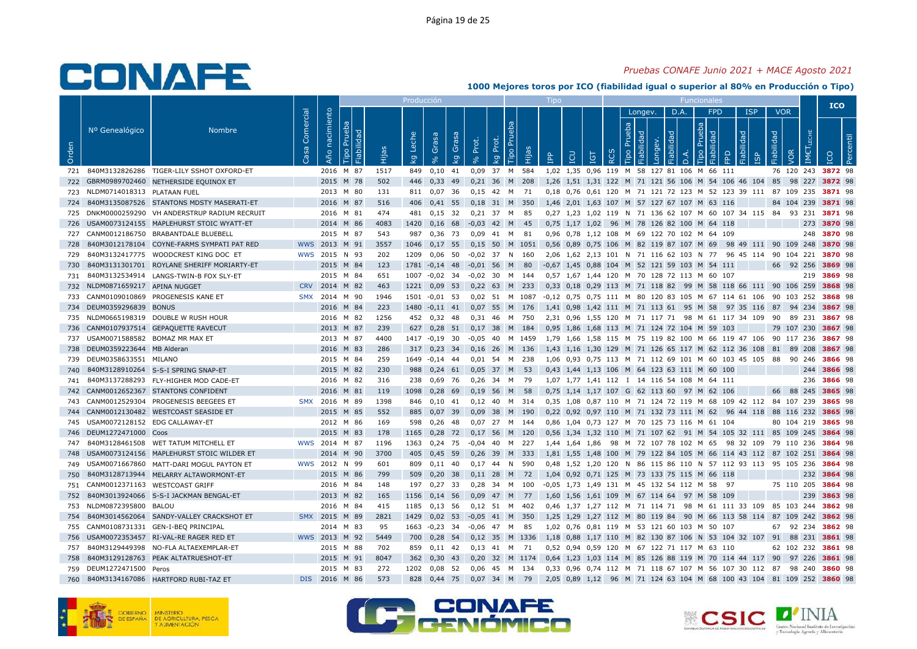### *Pruebas CONAFE Junio 2021 + MACE Agosto 2021*

|       |                                    |                                              |                   |                   |                              |       | Producci <u>ón</u> |                         |              |                   |             |                        |           | Tipo       |     |                    |            |                              |         |            |                  | Funcionales                                  |     |                                                                              |            |            |                      | <b>ICO</b>         |    |
|-------|------------------------------------|----------------------------------------------|-------------------|-------------------|------------------------------|-------|--------------------|-------------------------|--------------|-------------------|-------------|------------------------|-----------|------------|-----|--------------------|------------|------------------------------|---------|------------|------------------|----------------------------------------------|-----|------------------------------------------------------------------------------|------------|------------|----------------------|--------------------|----|
|       |                                    |                                              |                   |                   |                              |       |                    |                         |              |                   |             |                        |           |            |     |                    |            |                              | Longev. | D.A.       |                  | <b>FPD</b>                                   |     | <b>ISP</b>                                                                   |            | <b>VOR</b> |                      |                    |    |
| Orden | Nº Genealógico                     | <b>Nombre</b>                                | Comercial<br>Casa | nacimiento<br>Año | Prueba<br>Fiabilidad<br>Tipo | Hijas | Leche<br>ΙŞ        | Grasa<br>8 <sup>o</sup> | Grasa<br>ΙŠΥ | Prot.<br>$\delta$ | Prot.<br>kg | $\overline{P}$<br>Гiро | Hijas     | <b>AdI</b> | LCU | <b>L</b> 91        | <b>RCS</b> | Prueba<br>Fiabilidad<br>Tipo | Longev. | Fiabilidad | $\overline{a}$ . | Prueba<br>ᄝ<br>$\sigma$<br>這<br>Tipo         | FPD | Fiabilidad<br><u>ັທ</u>                                                      | Fiabilidad | VOR        | LECHE<br><b>IMET</b> |                    | -ā |
| 721   |                                    | 840M3132826286 TIGER-LILY SSHOT OXFORD-ET    |                   | 2016 M 87         |                              | 1517  | 849                | 0,10                    | 41           | 0,09              | 37 M 584    |                        |           |            |     |                    |            |                              |         |            |                  | 1,02 1,35 0,96 119 M 58 127 81 106 M 66 111  |     |                                                                              |            | 76 120 243 |                      | 3872 98            |    |
| 722   |                                    | GBRM0989702460 NETHERSIDE EQUINOX ET         |                   | 2015 M 78         |                              | 502   | 446                | 0,33                    | 49           | 0,21              | 36 M        |                        | 208       |            |     |                    |            |                              |         |            |                  |                                              |     | 1,26 1,51 1,31 122 M 71 121 56 106 M 54 106 46 104 85                        |            | 98 227     |                      | 3872 98            |    |
| 723   | NLDM0714018313 PLATAAN FUEL        |                                              |                   | 2013 M 80         |                              | 131   | 811                | 0.07 36                 |              | $0.15$ 42 M       |             |                        | 71        |            |     |                    |            |                              |         |            |                  |                                              |     | 0.18 0.76 0.61 120 M 71 121 72 123 M 52 123 39 111 87 109 235                |            |            |                      | 3871 98            |    |
| 724   |                                    | 840M3135087526 STANTONS MDSTY MASERATI-ET    |                   | 2016 M 87         |                              | 516   | 406                | 0,41 55                 |              | 0.18              | 31 M        |                        | 350       |            |     |                    |            |                              |         |            |                  | 1,46 2,01 1,63 107 M 57 127 67 107 M 63 116  |     |                                                                              |            | 84 104 239 |                      | 3871 98            |    |
| 725   |                                    | DNKM0000259290 VH ANDERSTRUP RADIUM RECRUIT  |                   | 2016 M 81         |                              | 474   | 481                | 0,15                    | 32           | 0,21              | 37          | м                      | 85        |            |     |                    |            |                              |         |            |                  |                                              |     | 0,27 1,23 1,02 119 N 71 136 62 107 M 60 107 34 115 84                        |            | 93 231     |                      | 3871 98            |    |
|       |                                    | 726 USAM0073124155 MAPLEHURST STOIC WYATT-ET |                   | 2014 M 86         |                              | 4083  | 1420               | $0,16$ 68               |              | $-0,03$ 42 M      |             |                        | 45        |            |     |                    |            |                              |         |            |                  | 0,75 1,17 1,02 96 M 78 126 82 100 M 64 118   |     |                                                                              |            |            | 273                  | 3870 98            |    |
| 727   |                                    | CANM0012186750 BRABANTDALE BLUEBELL          |                   | 2015 M 87         |                              | 543   | 987                | $0.36$ 73               |              | 0.09              | 41          | M                      | 81        |            |     |                    |            |                              |         |            |                  | 0,96 0,78 1,12 108 M 69 122 70 102 M 64 109  |     |                                                                              |            |            |                      | 248 3870 98        |    |
| 728   |                                    | 840M3012178104 COYNE-FARMS SYMPATI PAT RED   |                   | WWS 2013          | M 91                         | 3557  | 1046               | $0,17$ 55               |              | 0,15              | 50          |                        | M 1051    |            |     |                    |            |                              |         |            |                  | 0,56 0,89 0,75 106 M 82 119 87 107 M 69      |     | 98 49 111 90 109 248                                                         |            |            |                      | 3870 98            |    |
| 729   |                                    | 840M3132417775 WOODCREST KING DOC ET         |                   | WWS 2015 N 93     |                              | 202   | 1209               | $0,06$ 50               |              | $-0.02$ 37 N      |             |                        | 160       |            |     |                    |            |                              |         |            |                  |                                              |     | 2,06 1,62 2,13 101 N 71 116 62 103 N 77 96 45 114 90 104 221                 |            |            |                      | 3870 98            |    |
| 730   |                                    | 840M3131301701 ROYLANE SHERIFF MORIARTY-ET   |                   | 2015 M 84         |                              | 123   | 1781               | $-0,14$ 48              |              | $-0.01$           | 56          | M                      | 80        |            |     |                    |            |                              |         |            |                  | -0,67 1,45 0,88 104 M 52 121 59 103 M 54 111 |     |                                                                              | 66         | 92 256     |                      | 3869 98            |    |
| 731   |                                    | 840M3132534914 LANGS-TWIN-B FOX SLY-ET       |                   | 2015 M 84         |                              | 651   | 1007               | $-0.02$ 34              |              | $-0.02$ 30 M 144  |             |                        |           |            |     |                    |            |                              |         |            |                  | 0.57 1.67 1.44 120 M 70 128 72 113 M 60 107  |     |                                                                              |            |            | 219                  | 3869 98            |    |
| 732   | NLDM0871659217 APINA NUGGET        |                                              | <b>CRV</b>        | 2014 M 82         |                              | 463   | 1221               | $0,09$ 53               |              | $0,22$ 63 M       |             |                        | 233       |            |     |                    |            |                              |         |            |                  |                                              |     | 0,33 0,18 0,29 113 M 71 118 82 99 M 58 118 66 111 90 106 259                 |            |            |                      | 3868 98            |    |
| 733   |                                    | CANM0109010869 PROGENESIS KANE ET            | <b>SMX</b>        | 2014 M 90         |                              | 1946  | 1501               | $-0,01$                 | - 53         | 0,02              | - 51        |                        | M 1087    |            |     |                    |            |                              |         |            |                  |                                              |     | -0,12 0,75 0,75 111 M 80 120 83 105 M 67 114 61 106 90 103 252               |            |            |                      | 3868 98            |    |
| 734   | DEUM0359296839 BONUS               |                                              |                   | 2016 M 84         |                              | 223   | 1480               | $-0,11$ 41              |              | 0,07              | 55          | M                      | 176       |            |     |                    |            |                              |         |            |                  |                                              |     | 1,41 0,98 1,42 111 M 71 113 61 95 M 58 97 35 116 87                          |            | 94 234     |                      | 3867 98            |    |
| 735   |                                    | NLDM0665198319 DOUBLE W RUSH HOUR            |                   | 2016 M 82         |                              | 1256  | 452                | $0.32$ 48               |              | 0.31              | -46         | M                      | 750       |            |     |                    |            |                              |         |            |                  |                                              |     | 2.31 0.96 1.55 120 M 71 117 71 98 M 61 117 34 109                            | - 90       |            | 89 231               | 3867 98            |    |
| 736   |                                    | CANM0107937514 GEPAQUETTE RAVECUT            |                   | 2013 M 87         |                              | 239   | 627                | $0,28$ 51               |              | $0,17$ 38         |             | M                      | 184       |            |     |                    |            |                              |         |            |                  | 0,95 1,86 1,68 113 M 71 124 72 104 M 59 103  |     |                                                                              |            | 79 107 230 |                      | 3867 98            |    |
|       | 737 USAM0071588582 BOMAZ MR MAX ET |                                              |                   | 2013 M 87         |                              | 4400  |                    | 1417 -0,19 30           |              | $-0.05$           | 40          |                        | M 1459    |            |     |                    |            |                              |         |            |                  |                                              |     | 1,79 1,66 1,58 115 M 75 119 82 100 M 66 119 47 106 90 117 236                |            |            |                      | 3867 98            |    |
| 738   | DEUM0359223644 MB Alderan          |                                              |                   | 2016 M 83         |                              | 286   | 317                | 0,23                    | - 34         | 0,16              | 26          | M                      | 136       |            |     | 1,43 1,16 1,30 129 |            |                              |         |            |                  |                                              |     | M 71 126 65 117 M 62 112 36 108                                              | 81         | 89 208     |                      | 3867 98            |    |
| 739   | DEUM0358633551 MILANO              |                                              |                   | 2015 M 84         |                              | 259   | 1649               | $-0.14$ 44              |              | $0.01$ 54         |             | M                      | 238       |            |     |                    |            |                              |         |            |                  |                                              |     | 1.06  0.93  0.75  113  M  71  112  69  101  M  60  103  45  105  88  90  246 |            |            |                      | 3866 98            |    |
| 740   |                                    | 840M3128910264 S-S-I SPRING SNAP-ET          |                   | 2015 M 82         |                              | 230   | 988                | $0.24$ 61               |              | 0.05              | 37          | M                      | 53        |            |     |                    |            |                              |         |            |                  | 0,43 1,44 1,13 106 M 64 123 63 111 M 60 100  |     |                                                                              |            |            | 244                  | 3866 98            |    |
| 741   |                                    | 840M3137288293 FLY-HIGHER MOD CADE-ET        |                   | 2016 M 82         |                              | 316   | 238                | 0,69                    | 76           | 0.26              | -34         | M                      | 79        |            |     |                    |            |                              |         |            |                  | 1,07 1,77 1,41 112 I 14 116 54 108 M 64 111  |     |                                                                              |            |            | 236                  | 3866 98            |    |
| 742   |                                    | CANM0012652367 STANTONS CONFIDENT            |                   | 2016 M 81         |                              | 119   | 1098               | 0,28                    | 69           | 0,19              | 56          | M                      | 58        |            |     |                    |            |                              |         |            |                  | 0,75 1,14 1,17 107 G 62 113 60 97 M 62 106   |     |                                                                              |            | 66 88 245  |                      | 3865 98            |    |
| 743   |                                    | CANM0012529304 PROGENESIS BEEGEES ET         | <b>SMX</b>        | 2016              | M 89                         | 1398  | 846                | $0,10$ 41               |              | 0,12              | 40          | M                      | -314      |            |     |                    |            |                              |         |            |                  |                                              |     | 0,35 1,08 0,87 110 M 71 124 72 119 M 68 109 42 112 84 107 239                |            |            |                      | 3865 98            |    |
| 744   |                                    | CANM0012130482 WESTCOAST SEASIDE ET          |                   | 2015 M 85         |                              | 552   | 885                | $0,07$ 39               |              | $0,09$ 38         |             | M                      | 190       |            |     |                    |            |                              |         |            |                  |                                              |     | 0,22 0,92 0,97 110 M 71 132 73 111 M 62 96 44 118 88 116 232                 |            |            |                      | 3865 98            |    |
| 745   | USAM0072128152 EDG CALLAWAY-ET     |                                              |                   | 2012 M 86         |                              | 169   | 598                | 0.26                    | -48          | 0.07              | 27          | M                      | 144       |            |     |                    |            |                              |         |            |                  | 0.86 1.04 0.73 127 M 70 125 73 116 M 61 104  |     |                                                                              |            | 80 104 219 |                      | 3865 98            |    |
| 746   | DEUM1272471000 Coos                |                                              |                   | 2015 M 83         |                              | 178   | 1165               | 0,28                    | 72           | 0,17              | 56          | M                      | 120       |            |     |                    |            |                              |         |            |                  |                                              |     | 0,56 1,34 1,32 110 M 71 107 62 91 M 54 105 32 111 85 109 245                 |            |            |                      | 3864 98            |    |
| 747   |                                    | 840M3128461508 WET TATUM MITCHELL ET         |                   | WWS 2014 M 87     |                              | 1196  | 1363               | 0,24 75                 |              | $-0.04$ 40        |             | M                      | 227       |            |     |                    |            |                              |         |            |                  |                                              |     | 1,44 1,64 1,86 98 M 72 107 78 102 M 65 98 32 109 79 110 236                  |            |            |                      | 3864 98            |    |
| 748   |                                    | USAM0073124156 MAPLEHURST STOIC WILDER ET    |                   | 2014 M 90         |                              | 3700  | 405                | 0.45                    | 59           | 0,26              | 39          | M                      | 333       |            |     |                    |            |                              |         |            |                  |                                              |     | 1,81 1,55 1,48 100 M 79 122 84 105 M 66 114 43 112 87 102 251                |            |            |                      | 3864 98            |    |
| 749   |                                    | USAM0071667860 MATT-DARI MOGUL PAYTON ET     |                   | WWS 2012 N 99     |                              | 601   | 809                | $0.11$ 40               |              | $0.17$ 44         |             | N                      | 590       |            |     |                    |            |                              |         |            |                  |                                              |     | 0,48 1,52 1,20 120 N 86 115 86 110 N 57 112 93 113 95 105 236                |            |            |                      | 3864 98            |    |
| 750   |                                    | 840M3128713944 MELARRY ALTAWORMONT-ET        |                   | 2015 M 86         |                              | 799   | 509                | $0,20$ 38               |              | 0,11              | 28          | M                      | 72        |            |     |                    |            |                              |         |            |                  | 1,04 0,92 0,71 125 M 73 133 75 115 M 66 118  |     |                                                                              |            |            | 232                  | 3864 98            |    |
| 751   |                                    | CANM0012371163 WESTCOAST GRIFF               |                   | 2016 M 84         |                              | 148   | 197                | 0,27                    | - 33         | 0,28              | -34         | м                      | 100       |            |     |                    |            |                              |         |            |                  | -0,05 1,73 1,49 131 M 45 132 54 112 M 58     | 97  |                                                                              |            | 75 110 205 |                      | 3864 98            |    |
| 752   |                                    | 840M3013924066 S-S-I JACKMAN BENGAL-ET       |                   | 2013 M 82         |                              | 165   | 1156               | 0.14                    | - 56         | 0,09              | 47 M        |                        | 77        |            |     |                    |            |                              |         |            |                  | 1,60 1,56 1,61 109 M 67 114 64 97 M 58 109   |     |                                                                              |            |            | 239                  | 3863 98            |    |
| 753   | NLDM0872395800 BALOU               |                                              |                   | 2016 M 84         |                              | 415   | 1185               | $0,13$ 56               |              | $0,12$ 51         |             | M                      | 402       |            |     |                    |            |                              |         |            |                  |                                              |     | 0,46 1,37 1,27 112 M 71 114 71 98 M 61 111 33 109 85 103 244                 |            |            |                      | 3862 98            |    |
| 754   |                                    | 840M3014562064 SANDY-VALLEY CRACKSHOT ET     | <b>SMX</b>        | 2015 M 89         |                              | 2821  | 1429               | $0,02$ 53               |              | $-0,05$           | 41          | M                      | 350       |            |     |                    |            |                              |         |            |                  |                                              |     | 1,25 1,29 1,27 112 M 80 119 84 90 M 66 113 58 114 87 109 242                 |            |            |                      | 3862 98            |    |
|       |                                    | 755 CANM0108731331 GEN-I-BEQ PRINCIPAL       |                   | 2014 M 83         |                              | 95    | 1663               | $-0,23$ 34              |              | $-0,06$           | 47          | M                      | 85        |            |     |                    |            |                              |         |            |                  | 1,02 0,76 0,81 119 M 53 121 60 103 M 50 107  |     |                                                                              | 67         |            | 92 234               | 3862 98            |    |
| 756   |                                    | USAM0072353457 RI-VAL-RE RAGER RED ET        | WWS 2013          |                   | 92<br>M                      | 5449  | 700                | $0,28$ 54               |              | 0,12              | 35 M        |                        | 1336      |            |     |                    |            |                              |         |            |                  |                                              |     | 1,18 0,88 1,17 110 M 82 130 87 106 N 53 104 32 107 91                        |            | 88 231     |                      | 3861 98            |    |
| 757   |                                    | 840M3129449398 NO-FLA ALTAEXEMPLAR-ET        |                   | 2015 M 88         |                              | 702   | 859                | $0.11$ 42               |              | $0.13$ 41 M       |             |                        | 71        |            |     |                    |            |                              |         |            |                  | 0,52 0,94 0,59 120 M 67 122 71 117 M 63 110  |     |                                                                              |            |            |                      | 62 102 232 3861 98 |    |
| 758   |                                    | 840M3129128763 PEAK ALTATRUESHOT-ET          |                   | 2015 M 91         |                              | 8047  | 362                | $0,30$ 43               |              | 0,20              |             |                        | 32 M 1174 |            |     |                    |            |                              |         |            |                  |                                              |     | 0,64 1,23 1,03 114 M 85 126 88 119 M 70 114 44 117 90                        |            | 97 226     |                      | 3861 98            |    |
| 759   | DEUM1272471500 Peros               |                                              |                   | 2015 M 83         |                              | 272   | 1202               | $0,08$ 52               |              | 0,06              | 45 M        |                        | 134       |            |     |                    |            |                              |         |            |                  |                                              |     | 0,33 0,96 0,74 112 M 71 118 67 107 M 56 107 30 112 87                        |            | 98 240     |                      | 3860 98            |    |
| 760   |                                    | 840M3134167086 HARTFORD RUBI-TAZ ET          | DIS.              | 2016 M 86         |                              | 573   | 828                | $0,44$ 75               |              | 0,07 34 M 79      |             |                        |           |            |     |                    |            |                              |         |            |                  |                                              |     | 2,05 0,89 1,12 96 M 71 124 63 104 M 68 100 43 104 81 109 252                 |            |            |                      | 3860 98            |    |





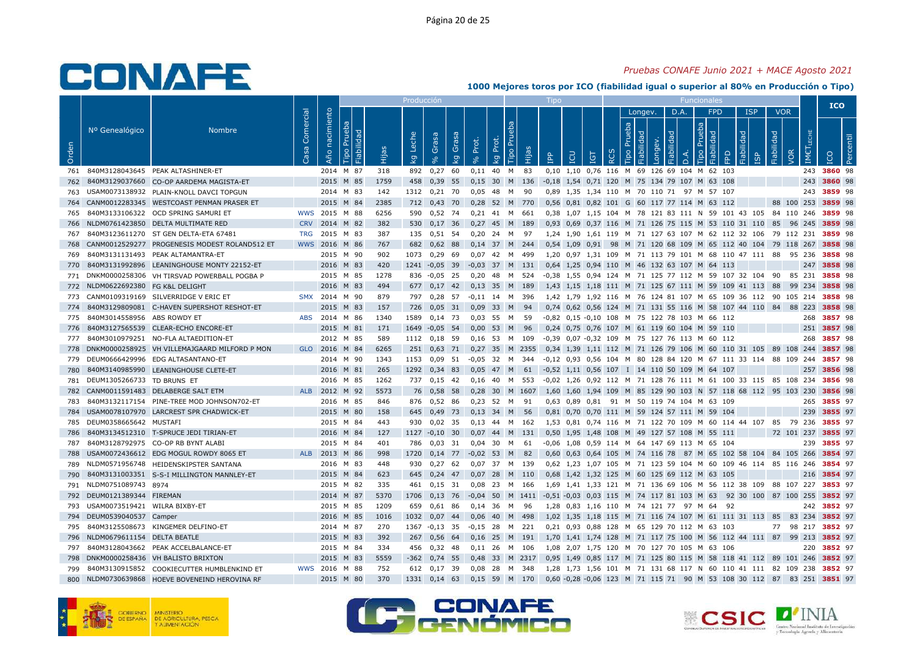### *Pruebas CONAFE Junio 2021 + MACE Agosto 2021*

|       |                               |                                               |            |            |                      |       | Producción |                |       |            |           |        |           |                       |                        |            |           |        |                       |                    |           | Funcionale                                               |                                                                |            |            |            |             | <b>ICO</b>         |  |
|-------|-------------------------------|-----------------------------------------------|------------|------------|----------------------|-------|------------|----------------|-------|------------|-----------|--------|-----------|-----------------------|------------------------|------------|-----------|--------|-----------------------|--------------------|-----------|----------------------------------------------------------|----------------------------------------------------------------|------------|------------|------------|-------------|--------------------|--|
|       | Nº Genealógico                | <b>Nombre</b>                                 | Comercial  | nacimiento | Prueba<br>Fiabilidad |       | Leche      | Grasa          | Grasa | Prot.      | Prot.     | Prueba |           |                       |                        |            |           | Prueba | Longev.<br>Fiabilidad | D.A.<br>Fiabilidad |           | <b>FPD</b><br>Prueba<br>$\mathbb{R}$                     | Fiabilidad                                                     | <b>ISP</b> | Fiabilidad | <b>VOR</b> | LECHE       |                    |  |
| Orden |                               |                                               | Casa       | Año        | Tipo                 | Hijas | Ιğ         | 8 <sup>o</sup> | kg    | $\sqrt{6}$ | <b>Lo</b> | Tipo   | Hijas     | <b>AdI</b>            | LCU                    | <b>TGT</b> | <b>RC</b> | Tipo   | Longev.               |                    | $\vec{a}$ | Fiabilid<br><b>Tipo</b>                                  | FPD                                                            |            |            | VOR        | <b>IMET</b> |                    |  |
| 761   |                               | 840M3128043645 PEAK ALTASHINER-ET             |            |            | 2014 M 87            | 318   | 892        | 0,27           | 60    | 0,11       | 40        | M      | 83        |                       |                        |            |           |        |                       |                    |           | 0,10 1,10 0,76 116 M 69 126 69 104 M 62 103              |                                                                |            |            |            | 243         | 3860 98            |  |
| 762   |                               | 840M3129037660 CO-OP AARDEMA MAGISTA-ET       |            | 2015 M 85  |                      | 1759  | 458        | 0,39           | 55    | 0,15       | 30        |        | M 136     |                       |                        |            |           |        |                       |                    |           | -0,18 1,54 0,71 120 M 75 134 79 107 M 63 108             |                                                                |            |            |            |             | 243 3860 98        |  |
| 763   |                               | USAM0073138932 PLAIN-KNOLL DAVCI TOPGUN       |            |            | 2014 M 83            | 142   | 1312       | $0,21$ 70      |       | 0,05       | 48        | M      | -90       |                       |                        |            |           |        |                       |                    |           | 0,89 1,35 1,34 110 M 70 110 71 97 M 57 107               |                                                                |            |            |            | 243         | 3859 98            |  |
| 764   |                               | CANM0012283345 WESTCOAST PENMAN PRASER ET     |            | 2015       | M 84                 | 2385  | 712        | $0.43$ 70      |       | 0.28       | 52 M      |        | 770       |                       |                        |            |           |        |                       |                    |           | 0.56 0.81 0.82 101 G 60 117 77 114 M 63 112              |                                                                |            |            | 88 100 253 |             | 3859 98            |  |
| 765   |                               | 840M3133106322 OCD SPRING SAMURI ET           | <b>WWS</b> | 2015 M 88  |                      | 6256  | 590        | 0,52 74        |       | 0.21       | 41        | M 661  |           |                       |                        |            |           |        |                       |                    |           |                                                          | 0,38 1,07 1,15 104 M 78 121 83 111 N 59 101 43 105 84 110 246  |            |            |            |             | 3859 98            |  |
| 766   |                               | NLDM0761423850 DELTA MULTIMATE RED            | <b>CRV</b> | 2014 M 82  |                      | 382   | 530        | $0,17$ 36      |       | $0,27$ 45  |           | M 189  |           |                       |                        |            |           |        |                       |                    |           |                                                          | 0,93 0,69 0,37 116 M 71 126 75 115 M 53 110 31 110 85          |            |            | 96 245     |             | 3859 98            |  |
| 767   |                               | 840M3123611270 ST GEN DELTA-ETA 67481         | <b>TRG</b> | 2015 M 83  |                      | 387   | 135        | 0,51 54        |       | 0,20       | 24        | M 97   |           |                       |                        |            |           |        |                       |                    |           |                                                          | 1,24 1,90 1,61 119 M 71 127 63 107 M 62 112 32 106 79 112 231  |            |            |            |             | 3859 98            |  |
| 768   |                               | CANM0012529277 PROGENESIS MODEST ROLAND512 ET | <b>WWS</b> | 2016 M 86  |                      | 767   | 682        | $0,62$ 88      |       | $0,14$ 37  |           |        | M 244     |                       | $0.54$ 1.09 0.91       |            |           |        |                       |                    |           |                                                          | 98 M 71 120 68 109 M 65 112 40 104 79 118 267                  |            |            |            |             | 3858 98            |  |
| 769   |                               | 840M3131131493 PEAK ALTAMANTRA-ET             |            |            | 2015 M 90            | 902   | 1073       | 0.29           | -69   | 0.07       | 42        | M      | 499       |                       | 1.20 0.97 1.31 109     |            |           |        |                       |                    |           |                                                          | M 71 113 79 101 M 68 110 47 111                                |            | 88         | 95 236     |             | 3858 98            |  |
| 770   |                               | 840M3131992896 LEANINGHOUSE MONTY 22152-ET    |            | 2016 M 83  |                      | 420   | 1241       | $-0.05$ 39     |       | $-0,03$    | 37        | M      | 131       |                       | $0,64$ 1,25            |            |           |        |                       |                    |           | 0,94 110 M 46 132 63 107 M 64 113                        |                                                                |            |            |            | 247         | 3858 98            |  |
| 771   |                               | DNKM0000258306 VH TIRSVAD POWERBALL POGBA P   |            |            | 2015 M 85            | 1278  | 836        | $-0.05$ 25     |       | 0,20       | 48        | M      | 524       |                       |                        |            |           |        |                       |                    |           |                                                          | -0,38 1,55 0,94 124 M 71 125 77 112 M 59 107 32 104            |            | 90         | 85 231     |             | 3858 98            |  |
| 772   | NLDM0622692380 FG K&L DELIGHT |                                               |            | 2016       | M 83                 | 494   | 677        | $0,17$ 42      |       | 0,13       | 35        | M      | 189       |                       |                        |            |           |        |                       |                    |           |                                                          | 1,43 1,15 1,18 111 M 71 125 67 111 M 59 109 41 113 88          |            |            | 99         | 234         | 3858 98            |  |
| 773   |                               | CANM0109319169 SILVERRIDGE V ERIC ET          | <b>SMX</b> | 2014 M 90  |                      | 879   | 797        | 0,28 57        |       | $-0.11$    | 14        |        | M 396     |                       |                        |            |           |        |                       |                    |           |                                                          | 1.42 1.79 1.92 116 M 76 124 81 107 M 65 109 36 112 90 105 214  |            |            |            |             | 3858 98            |  |
| 774   |                               | 840M3129809081 C-HAVEN SUPERSHOT RESHOT-ET    |            |            | 2015 M 83            | 157   | 726        | $0,05$ 31      |       | 0.09       | 33        | M      | 94        |                       |                        |            |           |        |                       |                    |           |                                                          | 0,74 0,62 0,56 124 M 71 131 55 116 M 58 107 44 110 84 88 223   |            |            |            |             | 3858 98            |  |
| 775   | 840M3014558956 ABS ROWDY ET   |                                               | <b>ABS</b> | 2014 M 86  |                      | 1340  | 1589       | $0,14$ 73      |       | 0,03       | -55       | M      | 59        |                       |                        |            |           |        |                       |                    |           | -0,82 0,15 -0,10 108 M 75 122 78 103 M 66 112            |                                                                |            |            |            | 268         | 3857 98            |  |
| 776   |                               | 840M3127565539 CLEAR-ECHO ENCORE-ET           |            |            | 2015 M 81            | 171   | 1649       | $-0,05$ 54     |       | 0,00       | 53        | M      | - 96      |                       |                        |            |           |        |                       |                    |           | 0,24 0,75 0,76 107 M 61 119 60 104 M 59 110              |                                                                |            |            |            |             | 251 3857 98        |  |
| 777   |                               | 840M3010979251 NO-FLA ALTAEDITION-ET          |            |            | 2012 M 85            | 589   | 1112       | 0.18 59        |       | 0.16       | - 53      |        | M 109     |                       |                        |            |           |        |                       |                    |           | -0.39  0.07  -0.32  109  M  75  127  76  113  M  60  112 |                                                                |            |            |            | 268         | 3857 98            |  |
| 778   |                               | DNKM0000258925 VH VILLEMAJGAARD MILFORD P MON | <b>GLO</b> | 2016 M 84  |                      | 6265  | 251        | $0,63$ 71      |       | 0.27       | 35        | M      | 2355      |                       |                        |            |           |        |                       |                    |           |                                                          | 0,34 1,39 1,11 112 M 71 126 79 106 M 60 110 31 105 89 108      |            |            |            | 244         | 3857 98            |  |
| 779   |                               | DEUM0666429996 EDG ALTASANTANO-ET             |            |            | 2014 M 90            | 1343  | 1153       | $0,09$ 51      |       | $-0.05$    | 32        | M      | 344       |                       |                        |            |           |        |                       |                    |           |                                                          | -0,12 0,93 0,56 104 M 80 128 84 120 M 67 111 33 114 88 109 244 |            |            |            |             | 3857 98            |  |
| 780   | 840M3140985990                | LEANINGHOUSE CLETE-ET                         |            | 2016       | M 81                 | 265   | 1292       | $0,34$ 83      |       | 0.05       | 47        | M      | 61        | $-0.52$ 1.11 0.56 107 |                        |            |           |        |                       |                    |           | I 14 110 50 109 M 64                                     | 107                                                            |            |            |            | 257         | 3856 98            |  |
| 781   | DEUM1305266733 TD BRUNS ET    |                                               |            |            | 2016 M 85            | 1262  | 737        | $0,15$ 42      |       | 0,16       | 40        |        | M 553     |                       |                        |            |           |        |                       |                    |           |                                                          | -0,02 1,26 0,92 112 M 71 128 76 111 M 61 100 33 115 85 108 234 |            |            |            |             | 3856 98            |  |
| 782   |                               | CANM0011591483 DELABERGE SALT ETM             | <b>ALB</b> | 2012       | M 92                 | 5573  | 76         | 0,58 58        |       | 0.28       |           |        | 30 M 1607 |                       |                        |            |           |        |                       |                    |           |                                                          | 1.60 1.60 1.94 109 M 85 129 90 103 N 57 118 68 112 95 103 230  |            |            |            |             | 3856 98            |  |
| 783   |                               | 840M3132117154 PINE-TREE MOD JOHNSON702-ET    |            |            | 2016 M 85            | 846   | 876        | 0,52 86        |       | 0.23       | 52        | M      | 91        |                       | 0,63 0,89 0,81         |            |           |        |                       |                    |           | 91 M 50 119 74 104 M 63 109                              |                                                                |            |            |            | 265         | 3855 97            |  |
| 784   |                               | USAM0078107970 LARCREST SPR CHADWICK-ET       |            | 2015 M 80  |                      | 158   | 645        | 0,49           | 73    | 0,13       | 34        | M      | 56        |                       |                        |            |           |        |                       |                    |           | 0,81 0,70 0,70 111 M 59 124 57 111 M 59 104              |                                                                |            |            |            | 239         | 3855 97            |  |
| 785   | DEUM0358665642 MUSTAFI        |                                               |            |            | 2015 M 84            | 443   | 930        | 0,02           | - 35  | 0,13       | 44        |        | M 162     |                       |                        |            |           |        |                       |                    |           |                                                          | 1,53 0,81 0,74 116 M 71 122 70 109 M 60 114 44 107             |            | 85         | - 79       | 236         | 3855 97            |  |
| 786   |                               | 840M3134512310 T-SPRUCE JEDI TIRIAN-ET        |            | 2016 M 84  |                      | 127   | 1127       | $-0,10$ 30     |       | 0,07       | 44        | M      | 131       |                       |                        |            |           |        |                       |                    |           | 0,50 1,95 1,48 108 M 49 127 57 108 M 55 111              |                                                                |            |            |            |             | 72 101 237 3855 97 |  |
| 787   |                               | 840M3128792975 CO-OP RB BYNT ALABI            |            |            | 2015 M 84            | 401   | 786        | $0,03$ 31      |       | $0.04$ 30  |           | M      | - 61      |                       |                        |            |           |        |                       |                    |           | -0.06 1.08 0.59 114 M 64 147 69 113 M 65 104             |                                                                |            |            |            | 239         | 3855 97            |  |
| 788   |                               | USAM0072436612 EDG MOGUL ROWDY 8065 ET        | <b>ALB</b> | 2013       | M 86                 | 998   | 1720       | $0,14$ 77      |       | $-0,02$    | 53        | M      | 82        |                       | 0,60 0,63 0,64 105     |            |           |        |                       |                    |           |                                                          | M 74 116 78 87 M 65 102 58 104 84 105 266                      |            |            |            |             | 3854 97            |  |
| 789   |                               | NLDM0571956748 HEIDENSKIPSTER SANTANA         |            |            | 2016 M 83            | 448   | 930        | $0,27$ 62      |       | 0,07       | 37        | M 139  |           |                       |                        |            |           |        |                       |                    |           |                                                          | 0,62 1,23 1,07 105 M 71 123 59 104 M 60 109 46 114 85 116 246  |            |            |            |             | 3854 97            |  |
| 790   |                               | 840M3131003351 S-S-I MILLINGTON MANNLEY-ET    |            | 2015 M 84  |                      | 623   | 645        | $0,24$ 47      |       | 0,07       | 28        | M      | 110       |                       |                        |            |           |        |                       |                    |           | 0,68 1,42 1,32 125 M 60 125 69 112 M 63 105              |                                                                |            |            |            | 216         | 3854 97            |  |
| 791   | NLDM0751089743 8974           |                                               |            |            | 2015 M 82            | 335   | 461        | $0,15$ 31      |       | 0.08       | - 23      |        | M 166     | 1.69                  |                        |            |           |        |                       |                    |           |                                                          | 1.41 1.33 121 M 71 136 69 106 M 56 112 38 109 88 107 227       |            |            |            |             | 3853 97            |  |
| 792   | DEUM0121389344 FIREMAN        |                                               |            | 2014 M 87  |                      | 5370  | 1706       | $0,13$ 76      |       | $-0,04$    | 50        |        | M 1411    |                       |                        |            |           |        |                       |                    |           |                                                          | -0,51 -0,03 0,03 115 M 74 117 81 103 M 63 92 30 100 87 100 255 |            |            |            |             | 3852 97            |  |
| 793   | USAM0073519421                | WILRA BIXBY-ET                                |            |            | 2015 M 85            | 1209  | 659        | 0,61           | 86    | 0,14       | -36       | M      | 96        |                       |                        |            |           |        |                       |                    |           | 1,28 0,83 1,16 110 M 74 121 77 97 M 64                   | 92                                                             |            |            |            | 242         | 3852 97            |  |
| 794   | DEUM0539040537 Camper         |                                               |            | 2016 M 85  |                      | 1016  | 1032       | $0,07$ 44      |       | 0,06       | 40        |        | M 498     |                       |                        |            |           |        |                       |                    |           |                                                          | 1,02 1,35 1,18 115 M 71 116 74 107 M 61 111 31 113 85          |            |            | 83 234     |             | 3852 97            |  |
| 795   |                               | 840M3125508673 KINGEMER DELFINO-ET            |            |            | 2014 M 87            | 270   | 1367       | $-0,13$ 35     |       | -0,15      | 28        | M      | 221       |                       |                        |            |           |        |                       |                    |           | 0,21 0,93 0,88 128 M 65 129 70 112 M 63 103              |                                                                |            | 77         |            | 98 217      | 3852 97            |  |
| 796   | NLDM0679611154 DELTA BEATLE   |                                               |            | 2015 M 83  |                      | 392   | 267        | 0,56 64        |       | 0.16       | 25        | M      | 191       |                       |                        |            |           |        |                       |                    |           |                                                          | 1,70 1,41 1,74 128 M 71 117 75 100 M 56 112 44 111 87          |            |            | 99 213     |             | 3852 97            |  |
| 797   |                               | 840M3128043662 PEAK ACCELBALANCE-ET           |            |            | 2015 M 84            | 334   | 456        | $0,32$ 48      |       | 0,11       | - 26      |        | M 106     |                       |                        |            |           |        |                       |                    |           | 1,08 2,07 1,75 120 M 70 127 70 105 M 63 106              |                                                                |            |            |            | 220         | 3852 97            |  |
| 798   |                               | DNKM0000258436 VH BALISTO BRIXTON             |            | 2015       | M 83                 | 5559  | $-362$     | 0.74 55        |       | 0.48       | 33        | M      | 2317      | 0.95                  |                        |            |           |        |                       |                    |           |                                                          | 1,49 0,85 117 M 71 125 80 115 M 58 118 41 112 89 101 246       |            |            |            |             | 3852 97            |  |
| 799   |                               | 840M3130915852 COOKIECUTTER HUMBLENKIND ET    | <b>WWS</b> | 2016 M 88  |                      | 752   | 612        | $0,17$ 39      |       | 0,08       | 28        | M      | 348       |                       |                        |            |           |        |                       |                    |           |                                                          | 1,28 1,73 1,56 101 M 71 131 68 117 N 60 110 41 111 82 109 238  |            |            |            |             | 3852 97            |  |
| 800   |                               | NLDM0730639868 HOEVE BOVENEIND HEROVINA RF    |            | 2015 M 80  |                      | 370   | 1331       | $0.14$ 63      |       | 0.15       | 59        | M      | 170       |                       | $0,60 -0.28 -0.06$ 123 |            |           |        |                       |                    |           |                                                          | M 71 115 71 90 M 53 108 30 112                                 |            | 87         | 83 251     |             | 3851 97            |  |







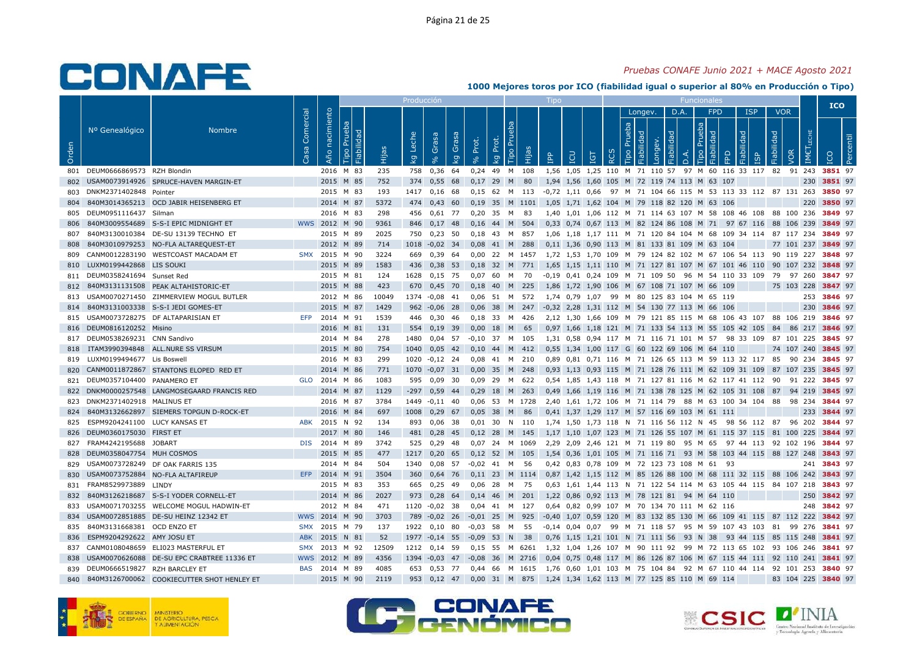### *Pruebas CONAFE Junio 2021 + MACE Agosto 2021*

|       |                               |                                            |                   |                |                              |       | Producción  |                                    |             |                   |             |           |           | Tipo       |                   |                                      |          |                |            |                       |          |                                                                |                      |            |            |         |               | <b>ICO</b>  |  |
|-------|-------------------------------|--------------------------------------------|-------------------|----------------|------------------------------|-------|-------------|------------------------------------|-------------|-------------------|-------------|-----------|-----------|------------|-------------------|--------------------------------------|----------|----------------|------------|-----------------------|----------|----------------------------------------------------------------|----------------------|------------|------------|---------|---------------|-------------|--|
|       |                               |                                            |                   |                |                              |       |             |                                    |             |                   |             |           |           |            |                   |                                      |          |                | Longev.    |                       | D.A.     | <b>FPD</b>                                                     |                      | <b>ISP</b> | <b>VOR</b> |         |               |             |  |
| Orden | Nº Genealógico                | <b>Nombre</b>                              | Comercial<br>Casa | Año nacimiento | Prueba<br>Fiabilidad<br>Tipo | Hijas | Leche<br>kg | Grasa<br>$\mathbf{e}_{\mathbf{e}}$ | Grasa<br>kg | Prot.<br>$\delta$ | Prot.<br>kg | 론<br>Гiро | Hijas     | <b>AdI</b> | LCU               | <b>TGT</b>                           | $\alpha$ | Prueba<br>Tipo | Fiabilidad | Fiabilidad<br>Longev. | $\Delta$ | Prueba<br>Fiabilidad<br>Tipo                                   | EPD                  | Fiabilidad | Fiabilidad |         | ШECHE<br>IMET | <b>DOI</b>  |  |
| 801   | DEUM0666869573 RZH Blondin    |                                            |                   | 2016           | M 83                         | 235   | 758         | 0,36                               | 64          | 0,24              | 49          | M 108     |           |            |                   |                                      |          |                |            |                       |          | 1,56 1,05 1,25 110 M 71 110 57 97 M 60 116 33 117              |                      |            | 82         | 91 243  |               | 3851 97     |  |
| 802   |                               | USAM0073914926 SPRUCE-HAVEN MARGIN-ET      |                   | 2015 M 85      |                              | 752   | 374         | 0,55                               | 68          | 0,17              | 29          | M         | 80        |            |                   | 1,94 1,56 1,60 105 M 72 119 74 113 M |          |                |            |                       |          |                                                                | 63 107               |            |            |         | 230           | 3851 97     |  |
| 803   | DNKM2371402848                | Pointer                                    |                   | 2015 M 83      |                              | 193   | 1417        | 0,16                               | - 68        | $0.15$ 62 M       |             |           | 113       |            |                   |                                      |          |                |            |                       |          | -0.72 1.11 0.66 97 M 71 104 66 115 M 53 113 33 112 87 131 263  |                      |            |            |         |               | 3850 97     |  |
| 804   |                               | 840M3014365213 OCD JABIR HEISENBERG ET     |                   | 2014 M 87      |                              | 5372  | 474         | $0,43$ 60                          |             | $0,19$ 35         |             |           | M 1101    |            |                   |                                      |          |                |            |                       |          | 1,05 1,71 1,62 104 M 79 118 82 120 M 63 106                    |                      |            |            |         | 220           | 3850 97     |  |
| 805   | DEUM0951116437 Silman         |                                            |                   | 2016 M 83      |                              | 298   | 456         | $0,61$ 77                          |             | 0.20              | 35          | M         | 83        |            |                   |                                      |          |                |            |                       |          | 1.40 1.01 1.06 112 M 71 114 63 107 M 58 108 46 108             |                      |            | 88 100 236 |         |               | 3849 97     |  |
| 806   |                               | 840M3009554689 S-S-I EPIC MIDNIGHT ET      |                   | WWS 2012 M 90  |                              | 9361  | 846         | $0,17$ 48                          |             | 0,16              | 44 M 504    |           |           |            |                   |                                      |          |                |            |                       |          | 0,33 0,74 0,67 113 M 82 124 86 108 M 71 97 67 116 88 106 239   |                      |            |            |         |               | 3849 97     |  |
| 807   | 840M3130010384                | DE-SU 13139 TECHNO ET                      |                   | 2015           | M 89                         | 2025  | 750         | 0,23                               | 50          | 0.18              | -43         | M         | 857       |            |                   |                                      |          |                |            |                       |          | 1.06 1.18 1.17 111 M 71 120 84 104 M 68 109 34 114 87 117 234  |                      |            |            |         |               | 3849 97     |  |
| 808   |                               | 840M3010979253 NO-FLA ALTAREQUEST-ET       |                   | 2012 M 89      |                              | 714   | 1018        | $-0,02$ 34                         |             | 0,08              | 41 M        |           | 288       |            |                   |                                      |          |                |            |                       |          | 0,11 1,36 0,90 113 M 81 133 81 109 M 63 104                    |                      |            | 77 101 237 |         |               | 3849 97     |  |
| 809   |                               | CANM0012283190 WESTCOAST MACADAM ET        |                   | SMX 2015       | M 90                         | 3224  | 669         | 0,39                               | 64          | 0,00              | 22          | M         | 1457      |            |                   |                                      |          |                |            |                       |          | 1,72 1,53 1,70 109 M 79 124 82 102 M 67 106 54 113             |                      |            | 90 119 227 |         |               | 3848 97     |  |
| 810   | LUXM0199442868 LIS SOUKI      |                                            |                   | 2015           | M 89                         | 1583  | 436         | $0,38$ 53                          |             | 0.18              | 32          | M         | 771       |            |                   |                                      |          |                |            |                       |          | 1.65 1.15 1.11 110 M 71 127 81 107 M 67 101 46 110 90 107 232  |                      |            |            |         |               | 3848 97     |  |
| 811   | DEUM0358241694 Sunset Red     |                                            |                   | 2015 M 81      |                              | 124   | 1628        | $0,15$ 75                          |             | 0.07              | 60          | M         | 70        |            |                   |                                      |          |                |            |                       |          | -0,19 0,41 0,24 109 M 71 109 50 96 M 54 110 33 109 79          |                      |            |            | 97 260  |               | 3847 97     |  |
| 812   |                               | 840M3131131508 PEAK ALTAHISTORIC-ET        |                   | 2015           | M 88                         | 423   | 670         | 0,45                               | 70          | 0,18              | 40          | M         | 225       |            |                   |                                      |          |                |            |                       |          | 1,86 1,72 1,90 106 M 67 108 71 107 M 66 109                    |                      |            | 75 103     |         | 228           | 3847 97     |  |
| 813   |                               | USAM0070271450 ZIMMERVIEW MOGUL BUTLER     |                   | 2012 M 86      |                              | 10049 | 1374        | $-0.08$ 41                         |             | 0,06 51 M         |             |           | 572       |            |                   |                                      |          |                |            |                       |          | 1,74 0,79 1,07 99 M 80 125 83 104 M 65 119                     |                      |            |            |         | 253           | 3846 97     |  |
| 814   |                               | 840M3131003338 S-S-I JEDI GOMES-ET         |                   | 2015           | M 87                         | 1429  | 962         | $-0.06$ 28                         |             | 0,06              | 38 M        |           | 247       |            |                   |                                      |          |                |            |                       |          | -0,32 2,28 1,31 112 M 54 130 77 113 M 66 106                   |                      |            |            |         | 230           | 3846 97     |  |
| 815   |                               | USAM0073728275 DF ALTAPARISIAN ET          | EFP               | 2014 M 91      |                              | 1539  | 446         | 0,30                               | 46          | 0.18              | 33          | M         | 426       |            |                   |                                      |          |                |            |                       |          | 2.12 1.30 1.66 109 M 79 121 85 115 M 68 106 43 107             |                      |            | 88 106 219 |         |               | 3846 97     |  |
| 816   | DEUM0816120252 Misino         |                                            |                   | 2016 M 81      |                              | 131   | 554         | $0,19$ 39                          |             | 0,00              | 18          | M         | 65        |            |                   |                                      |          |                |            |                       |          | 0,97 1,66 1,18 121 M 71 133 54 113 M 55 105 42 105             |                      |            | 84         | 86      | 217           | 3846 97     |  |
| 817   | DEUM0538269231 CNN Sandivo    |                                            |                   | 2014 M 84      |                              | 278   | 1480        | $0,04$ 57                          |             | $-0.10$           | 37          | M         | 105       |            |                   |                                      |          |                |            |                       |          | 1,31 0,58 0,94 117 M 71 116 71 101 M 57 98 33 109              |                      |            | 87 101 225 |         |               | 3845 97     |  |
| 818   |                               | ITAM3990394848 ALL.NURE SS VIRSUM          |                   | 2015 M 80      |                              | 754   | 1040        | 0,05                               | 42          | 0,10              | 44          | M         | 412       |            |                   |                                      |          |                |            |                       |          | 0,55 1,34 1,00 117 G 60 122 69 106 M 64 110                    |                      |            | 74 107 240 |         |               | 3845 97     |  |
| 819   | LUXM0199494677 Lis Boswell    |                                            |                   | 2016 M 83      |                              | 299   | 1020        | $-0,12$ 24                         |             | 0,08              | 41          | M         | 210       |            |                   |                                      |          |                |            |                       |          | 0,89 0,81 0,71 116 M 71 126 65 113 M 59 113 32 117 85          |                      |            |            | 90 234  |               | 3845 97     |  |
| 820   |                               | CANM0011872867 STANTONS ELOPED RED ET      |                   | 2014           | M 86                         | 771   | 1070        | $-0.07$                            | 31          | 0.00              | 35          | M         | 248       |            |                   |                                      |          |                |            |                       |          | 0.93 1.13 0.93 115 M 71 128 76 111 M 62 109 31 109             |                      |            | 87         | 107 235 |               | 3845 97     |  |
| 821   | DEUM0357104400 PANAMERO ET    |                                            | <b>GLO</b>        | 2014 M 86      |                              | 1083  | 595         | $0,09$ 30                          |             | 0.09 29 M 622     |             |           |           |            |                   |                                      |          |                |            |                       |          | 0.54 1.85 1.43 118 M 71 127 81 116 M 62 117 41 112 90 91 222   |                      |            |            |         |               | 3845 97     |  |
| 822   |                               | DNKM0000257548 LANGMOSEGAARD FRANCIS RED   |                   | 2014 M 87      |                              | 1129  | $-297$      | $0,59$ 44                          |             | 0,29 18 M         |             |           | 263       |            |                   |                                      |          |                |            |                       |          | 0,49 1,66 1,19 116 M 71 138 78 125 M 62 105 31 108 87          |                      |            |            | 94 219  |               | 3845 97     |  |
| 823   | DNKM2371402918 MALINUS ET     |                                            |                   | 2016 M 87      |                              | 3784  | 1449        | $-0,11$ 40                         |             | 0,06              |             |           | 53 M 1728 |            |                   | 2,40 1,61 1,72 106 M 71 114 79       |          |                |            |                       |          | 88 M 63 100 34 104 88                                          |                      |            |            | 98 234  |               | 3844 97     |  |
| 824   |                               | 840M3132662897 SIEMERS TOPGUN D-ROCK-ET    |                   | 2016 M 84      |                              | 697   | 1008        | $0,29$ 67                          |             | 0,05              | 38          | M         | 86        |            |                   |                                      |          |                |            |                       |          | 0,41 1,37 1,29 117 M 57 116 69 103 M 61 111                    |                      |            |            |         | 233           | 3844 97     |  |
| 825   | ESPM9204241100 LUCY KANSAS ET |                                            | ABK               | 2015           | N 92                         | 134   | 893         | 0.06                               | - 38        | 0.01              | 30          | <b>N</b>  | 110       |            |                   |                                      |          |                |            |                       |          | 1.74 1.50 1.73 118 N 71 116 56 112 N 45                        | 98 56 112 87         |            |            | 96      | 202           | 3844 97     |  |
| 826   | DEUM0360175030 FIRST ET       |                                            |                   | 2017 M 80      |                              | 146   | 481         | 0,28                               | 45          | $0,12$ 28         |             | M         | 145       |            |                   |                                      |          |                |            |                       |          | 1,17 1,10 1,07 123 M 71 126 55 107 M 61 115 37 115 81 100 225  |                      |            |            |         |               | 3844 97     |  |
| 827   | FRAM4242195688 JOBART         |                                            | <b>DIS</b>        | 2014 M 89      |                              | 3742  | 525         | 0,29                               | 48          | 0.07              |             |           | 24 M 1069 |            |                   |                                      |          |                |            |                       |          | 2.29 2.09 2.46 121 M 71 119 80 95 M 65                         | 97 44 113 92 102     |            |            |         | 196           | 3844 97     |  |
| 828   | DEUM0358047754 MUH COSMOS     |                                            |                   | 2015           | M 85                         | 477   | 1217        | 0,20                               | 65          | 0,12              | 52          | M         | 105       |            |                   |                                      |          |                |            |                       |          | 1,54 0,36 1,01 105 M 71 116 71 93 M 58 103 44 115 88 127 248   |                      |            |            |         |               | 3843 97     |  |
| 829   |                               | USAM0073728249 DF OAK FARRIS 135           |                   | 2014           | M 84                         | 504   | 1340        | $0,08$ 57                          |             | $-0,02$           | 41          | M         | - 56      |            |                   |                                      |          |                |            |                       |          | 0,42 0,83 0,78 109 M 72 123 73 108 M 61 93                     |                      |            |            |         |               | 241 3843 97 |  |
| 830   |                               | USAM0073752884 NO-FLA ALTAFIREUP           | <b>EFP</b>        | 2014           | M 91                         | 3504  | 360         | 0.64                               | 76          | 0.11 23 M 1114    |             |           |           |            |                   |                                      |          |                |            |                       |          | 0.87 1.42 1.15 112 M 85 126 88 100 M 68 111 32 115 88 106 242  |                      |            |            |         |               | 3843 97     |  |
| 831   | FRAM8529973889 LINDY          |                                            |                   | 2015 M 83      |                              | 353   | 665         | 0,25                               | 49          | $0.06$ 28         |             | M         | 75        |            |                   |                                      |          |                |            |                       |          | 0,63 1,61 1,44 113 N 71 122 54 114 M 63 105 44 115 84 107 218  |                      |            |            |         |               | 3843 97     |  |
| 832   |                               | 840M3126218687 S-S-I YODER CORNELL-ET      |                   | 2014 M 86      |                              | 2027  | 973         | $0,28$ 64                          |             | 0,14 46 M 201     |             |           |           |            |                   |                                      |          |                |            |                       |          | 1,22 0,86 0,92 113 M 78 121 81 94 M 64 110                     |                      |            |            |         | 250           | 3842 97     |  |
| 833   |                               | USAM0071703255 WELCOME MOGUL HADWIN-ET     |                   | 2012           | M 84                         | 471   | 1120        | $-0,02$                            | -38         | 0,04              | 41          | M         | 127       |            |                   |                                      |          |                |            |                       |          | 0,64 0,82 0,99 107 M 70 134 70 111 M 62 116                    |                      |            |            |         | 248           | 3842 97     |  |
| 834   |                               | USAM0072851885 DE-SU HEINZ 12342 ET        |                   | WWS 2014 M 90  |                              | 3703  | 789         | $-0.02$ 26                         |             | $-0,01$           | 25          | M         | 925       |            |                   |                                      |          |                |            |                       |          | -0,40 1,07 0,59 120 M 83 132 85 130 M 66 109 41 115 87 112 222 |                      |            |            |         |               | 3842 97     |  |
| 835   | 840M3131668381 OCD ENZO ET    |                                            | <b>SMX</b>        | 2015           | M 79                         | 137   | 1922        | 0,10                               | 80          | -0,03             | 58          | м         | 55        |            | $-0.14$ 0.04 0.07 |                                      | 99       |                |            |                       |          | M 71 118 57 95 M 59 107 43 103 81                              |                      |            |            | 99      | 276           | 3841 97     |  |
| 836   | ESPM9204292622 AMY JOSU ET    |                                            | <b>ABK</b>        | 2015 N 81      |                              | 52    |             | 1977 -0,14 55                      |             | $-0,09$           | 53          | N         | 38        |            |                   |                                      |          |                |            |                       |          | 0,76 1,15 1,21 101 N 71 111 56 93 N 38                         | 93 44 115 85 115 248 |            |            |         |               | 3841 97     |  |
| 837   |                               | CANM0108048659 ELI023 MASTERFUL ET         | <b>SMX</b>        | 2013           | M 92                         | 12509 | 1212        | 0,14                               | 59          | 0,15              | 55          |           | M 6261    |            |                   |                                      |          |                |            |                       |          | 1,32 1,04 1,26 107 M 90 111 92 99 M 72 113 65 102 93 106 246   |                      |            |            |         |               | 3841 97     |  |
| 838   |                               | USAM0070626088 DE-SU EPC CRABTREE 11336 ET | <b>WWS</b>        | 2012           | M<br>89                      | 4356  | 1394        | $-0.03$                            | 47          | $-0.08$           | 36          | M         | 2716      |            |                   | 0.04 0.75 0.48 117 M                 |          |                |            |                       |          | 86 126 87 106 M 67 115 44 111                                  |                      |            | 92         | 110     | 241           | 3841 97     |  |
| 839   | DEUM0666519827 RZH BARCLEY ET |                                            | <b>BAS</b>        | 2014 M 89      |                              | 4085  | 653         | 0,53 77                            |             | 0.44              | 66          |           | M 1615    |            |                   |                                      |          |                |            |                       |          | 1,76 0,60 1,01 103 M 75 104 84 92 M 67 110 44 114 92 101 253   |                      |            |            |         |               | 3840 97     |  |
| 840   |                               | 840M3126700062 COOKIECUTTER SHOT HENLEY ET |                   | 2015 M 90      |                              | 2119  | 953         | 0.12                               | 47          | $0,00$ 31         |             | M         | 875       |            |                   |                                      |          |                |            |                       |          | 1,24 1,34 1,62 113 M 77 125 85 110 M 69 114                    |                      |            | 83 104 225 |         |               | 3840 97     |  |





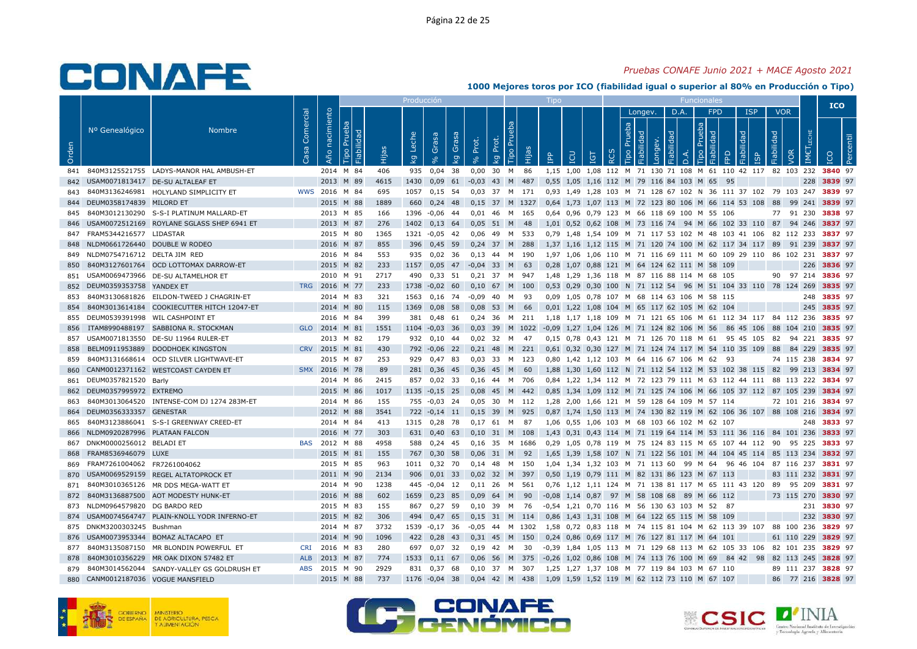### *Pruebas CONAFE Junio 2021 + MACE Agosto 2021*

|       |                               |                                            |                   |                   |                              |       | Producción  |                   |             |                     |             |                                 |           |            |     |                                      |   |                |            |                       |           |                                             |                                                               |            |            |            |                              | <b>ICO</b>  |           |
|-------|-------------------------------|--------------------------------------------|-------------------|-------------------|------------------------------|-------|-------------|-------------------|-------------|---------------------|-------------|---------------------------------|-----------|------------|-----|--------------------------------------|---|----------------|------------|-----------------------|-----------|---------------------------------------------|---------------------------------------------------------------|------------|------------|------------|------------------------------|-------------|-----------|
|       |                               |                                            |                   |                   |                              |       |             |                   |             |                     |             |                                 |           |            |     |                                      |   |                | Longev.    |                       | D.A.      | <b>FPD</b>                                  |                                                               | <b>ISP</b> | <b>VOR</b> |            |                              |             |           |
| Orden | Nº Genealógico                | <b>Nombre</b>                              | Comercial<br>Casa | nacimiento<br>Año | Prueba<br>Fiabilidad<br>Tipo | Hijas | Leche<br>kg | Grasa<br>$\infty$ | Grasa<br>kg | Prot.<br>$\sqrt{6}$ | Prot.<br>kg | $\overline{5}$<br>Pruel<br>Tipo | Hijas     | <b>AdI</b> | LCU | IGT                                  | ᅆ | Prueba<br>Tipo | Fiabilidad | Fiabilidad<br>Longev. | $\vec{a}$ | Prueba<br>Tipo                              | Fiabilidad<br><b>BD</b>                                       |            | Fiabilidad | <b>VOR</b> | <b>IMET</b> <sub>LECHE</sub> | <b>ICO</b>  | Percentil |
| 841   |                               | 840M3125521755 LADYS-MANOR HAL AMBUSH-ET   |                   |                   | 2014 M 84                    | 406   | 935         | 0,04              | 38          | 0,00                | 30          | M                               | 86        |            |     |                                      |   |                |            |                       |           |                                             | 1,15 1,00 1,08 112 M 71 130 71 108 M 61 110 42 117            |            |            | 82 103 232 |                              | 3840 97     |           |
| 842   |                               | USAM0071813417 DE-SU ALTALEAF ET           |                   |                   | 2013 M 89                    | 4615  | 1430        | 0,09              | 61          | $-0,03$             | 43 M        |                                 | 487       |            |     | 0,55 1,05 1,16 112 M 79 116 84 103 M |   |                |            |                       |           | 65                                          | 95                                                            |            |            |            | 228                          | 3839 97     |           |
| 843   |                               | 840M3136246981 HOLYLAND SIMPLICITY ET      | <b>WWS</b>        | 2016 M 84         |                              | 695   | 1057        | $0,15$ 54         |             | 0.03                | 37 M 171    |                                 |           |            |     |                                      |   |                |            |                       |           |                                             | 0,93 1,49 1,28 103 M 71 128 67 102 N 36 111 37 102 79 103 247 |            |            |            |                              | 3839 97     |           |
| 844   | DEUM0358174839 MILORD ET      |                                            |                   |                   | 2015 M 88                    | 1889  | 660         | $0.24$ 48         |             | 0.15                |             |                                 | 37 M 1327 |            |     |                                      |   |                |            |                       |           |                                             | 0.64 1.73 1.07 113 M 72 123 80 106 M 66 114 53 108 88         |            |            | 99 241     |                              | 3839 97     |           |
| 845   |                               | 840M3012130290 S-S-I PLATINUM MALLARD-ET   |                   |                   | 2013 M 85                    | 166   | 1396        | $-0,06$           | -44         | 0.01                | 46          | M                               | 165       |            |     |                                      |   |                |            |                       |           | 0.64 0.96 0.79 123 M 66 118 69 100 M 55 106 |                                                               |            | 77         | 91 230     |                              | 3838 97     |           |
| 846   |                               | USAM0072512169 ROYLANE SGLASS SHEP 6941 ET |                   |                   | 2013 M 87                    | 276   | 1402        | $0,13$ 64         |             | 0,05                | 51 M        |                                 | - 48      |            |     |                                      |   |                |            |                       |           |                                             | 1,01 0,52 0,62 108 M 73 116 74 94 M 66 102 33 110 87          |            |            | 94 246     |                              | 3837 97     |           |
| 847   | FRAM5344216577 LIDASTAR       |                                            |                   |                   | 2015 M 80                    | 1365  | 1321        | $-0.05$ 42        |             | 0,06                | 49          |                                 | M 533     |            |     |                                      |   |                |            |                       |           |                                             | 0,79 1,48 1,54 109 M 71 117 53 102 M 48 103 41 106            |            |            | 82 112 233 |                              | 3837 97     |           |
| 848   | NLDM0661726440 DOUBLE W RODEO |                                            |                   |                   | 2016 M 87                    | 855   | 396         | $0,45$ 59         |             | $0,24$ 37 M         |             |                                 | 288       |            |     |                                      |   |                |            |                       |           |                                             | 1,37 1,16 1,12 115 M 71 120 74 100 M 62 117 34 117 89         |            |            | 91 239     |                              | 3837 97     |           |
| 849   | NLDM0754716712 DELTA JIM RED  |                                            |                   |                   | 2016 M 84                    | 553   | 935         | 0.02              | - 36        | 0.13                | 44          | M                               | 190       |            |     | 1.97 1.06 1.06 110                   |   |                |            |                       |           |                                             | M 71 116 69 111 M 60 109 29 110                               |            |            | 86 102 231 |                              | 3837 97     |           |
| 850   |                               | 840M3127601764 OCD LOTTOMAX DARROW-ET      |                   |                   | 2015 M 82                    | 233   | 1157        | 0,05              | 47          | $-0,04$             | 33          | M                               | 63        |            |     |                                      |   |                |            |                       |           | 0,28 1,07 0,88 121 M 64 124 62 111 M 58 109 |                                                               |            |            |            | 226                          | 3836 97     |           |
| 851   |                               | USAM0069473966 DE-SU ALTAMELHOR ET         |                   |                   | 2010 M 91                    | 2717  | 490         | $0,33$ 51         |             | $0,21$ 37           |             | M                               | 947       |            |     |                                      |   |                |            |                       |           | 1,48 1,29 1,36 118 M 87 116 88 114 M 68 105 |                                                               |            |            | 90 97 214  |                              | 3836 97     |           |
| 852   | DEUM0359353758 YANDEX ET      |                                            | <b>TRG</b>        | 2016              | M 77                         | 233   | 1738        | $-0.02$ 60        |             | 0,10                | 67          | M                               | 100       |            |     |                                      |   |                |            |                       |           |                                             | 0,53 0,29 0,30 100 N 71 112 54 96 M 51 104 33 110 78 124 269  |            |            |            |                              | 3835 97     |           |
| 853   |                               | 840M3130681826 EILDON-TWEED J CHAGRIN-ET   |                   |                   | 2014 M 83                    | 321   | 1563        | $0,16$ 74         |             | $-0.09$             | 40          | M                               | 93        |            |     |                                      |   |                |            |                       |           | 0,09 1,05 0,78 107 M 68 114 63 106 M 58 115 |                                                               |            |            |            |                              | 248 3835 97 |           |
| 854   |                               | 840M3013614184 COOKIECUTTER HITCH 12047-ET |                   |                   | 2014 M 80                    | 115   | 1369        | $0,08$ 58         |             | 0.08                | 53          | M                               | 66        |            |     |                                      |   |                |            |                       |           | 0,01 1,22 1,08 104 M 65 117 62 105 M 62 104 |                                                               |            |            |            | 245                          | 3835 97     |           |
| 855   |                               | DEUM0539391998 WIL CASHPOINT ET            |                   |                   | 2016 M 84                    | 399   | 381         | 0,48              | 61          | 0,24                | 36          | M                               | 211       |            |     |                                      |   |                |            |                       |           |                                             | 1,18 1,17 1,18 109 M 71 121 65 106 M 61 112 34 117 84 112 236 |            |            |            |                              | 3835 97     |           |
| 856   | ITAM8990488197                | SABBIONA R. STOCKMAN                       |                   | GLO 2014 M 81     |                              | 1551  | 1104        | $-0,03$ 36        |             | 0,03                |             |                                 | 39 M 1022 |            |     |                                      |   |                |            |                       |           | -0,09 1,27 1,04 126 M 71 124 82 106 M 56    | 86 45 106                                                     |            |            | 88 104 210 |                              | 3835 97     |           |
| 857   |                               | USAM0071813550 DE-SU 11964 RULER-ET        |                   |                   | 2013 M 82                    | 179   | 932         | 0.10              | -44         | 0.02                | 32 M        |                                 | 47        |            |     |                                      |   |                |            |                       |           |                                             | 0.15 0.78 0.43 121 M 71 126 70 118 M 61 95 45 105             |            | - 82       | 94 221     |                              | 3835 97     |           |
| 858   | BELM0911953889                | <b>DOODHOEK KINGSTON</b>                   | <b>CRV</b>        | 2015 M 81         |                              | 430   | 792         | $-0,06$           | 22          | 0.21                | 48          | M                               | 221       |            |     | $0.61$ $0.32$ $0.30$ 127             |   |                |            |                       |           |                                             | M 71 124 74 117 M 54 110 35 109                               |            | 88         | 84 229     |                              | 3835 97     |           |
| 859   |                               | 840M3131668614 OCD SILVER LIGHTWAVE-ET     |                   |                   | 2015 M 87                    | 253   | 929         | 0,47              | 83          | 0.03                | 33          | M                               | 123       |            |     |                                      |   |                |            |                       |           | 0,80 1,42 1,12 103 M 64 116 67 106 M 62     | 93                                                            |            |            | 74 115 238 |                              | 3834 97     |           |
| 860   | CANM0012371162                | <b>WESTCOAST CAYDEN ET</b>                 | <b>SMX</b>        | 2016              | M 78                         | 89    | 281         | 0,36              | 45          | 0,36                | 45          | M                               | 60        | 1.88       |     |                                      |   |                |            |                       |           |                                             | 1,30 1,60 112 N 71 112 54 112 M 53 102 38 115                 |            | 82         | 99 213     |                              | 3834 97     |           |
| 861   | DEUM0357821520                | Barly                                      |                   |                   | 2014 M 86                    | 2415  | 857         | $0,02$ 33         |             | 0,16                | 44 M 706    |                                 |           |            |     |                                      |   |                |            |                       |           |                                             | 0,84 1,22 1,34 112 M 72 123 79 111 M 63 112 44 111 88 113 222 |            |            |            |                              | 3834 97     |           |
| 862   | DEUM0357995972 EXTREMO        |                                            |                   |                   | 2015 M 86                    | 1017  | 1135        | $-0,15$ 25        |             | 0.08                | 45 M        |                                 | 442       |            |     |                                      |   |                |            |                       |           |                                             | 0.85 1.34 1.09 112 M 71 125 74 106 M 66 105 37 112 87 105 239 |            |            |            |                              | 3834 97     |           |
| 863   |                               | 840M3013064520 INTENSE-COM DJ 1274 283M-ET |                   |                   | 2014 M 86                    | 155   | 755         | $-0.03$ 24        |             | 0.05                | 30          | M                               | 112       |            |     |                                      |   |                |            |                       |           | 1,28 2,00 1,66 121 M 59 128 64 109 M 57 114 |                                                               |            |            | 72 101 216 |                              | 3834 97     |           |
| 864   | DEUM0356333357 GENESTAR       |                                            |                   |                   | 2012 M 88                    | 3541  | 722         | $-0.14$ 11        |             | 0,15                | 39          | M                               | 925       |            |     |                                      |   |                |            |                       |           |                                             | 0,87 1,74 1,50 113 M 74 130 82 119 M 62 106 36 107 88 108 216 |            |            |            |                              | 3834 97     |           |
| 865   |                               | 840M3123886041 S-S-I GREENWAY CREED-ET     |                   |                   | 2014 M 84                    | 413   | 1315        | 0,28              | 78          | 0,17                | 61          | M                               | 87        |            |     |                                      |   |                |            |                       |           | 1,06 0,55 1,06 103 M 68 103 66 102 M 62 107 |                                                               |            |            |            | 248                          | 3833 97     |           |
| 866   | NLDM0920287996 PLATAAN FALCON |                                            |                   |                   | 2016 M 77                    | 303   | 631         | $0,40$ 63         |             | 0,10                | 31 M        |                                 | 108       |            |     |                                      |   |                |            |                       |           |                                             | 1,43 0,31 0,43 114 M 71 119 64 114 M 53 111 36 116 84 101 236 |            |            |            |                              | 3833 97     |           |
| 867   | DNKM0000256012 BELADI ET      |                                            | <b>BAS</b>        | 2012 M 88         |                              | 4958  | 588         | $0,24$ 45         |             | 0.16                | 35          |                                 | M 1686    |            |     |                                      |   |                |            |                       |           |                                             | 0.29 1.05 0.78 119 M 75 124 83 115 M 65 107 44 112 90         |            |            | 95 225     |                              | 3833 97     |           |
| 868   | FRAM8536946079 LUXE           |                                            |                   |                   | 2015 M 81                    | 155   | 767         | 0,30              | 58          | 0,06                | 31          | M                               | 92        | 1,65       |     |                                      |   |                |            |                       |           |                                             | 1,39 1,58 107 N 71 122 56 101 M 44 104 45 114 85 113 234      |            |            |            |                              | 3832 97     |           |
| 869   | FRAM7261004062 FR7261004062   |                                            |                   |                   | 2015 M 85                    | 963   | 1011        | $0,32$ 70         |             | 0.14                | -48         |                                 | M 150     |            |     |                                      |   |                |            |                       |           | 1.04 1.34 1.32 103 M 71 113 60 99 M 64      | 96 46 104 87 116 237                                          |            |            |            |                              | 3831 97     |           |
| 870   |                               | USAM0069529159 REGEL ALTATOPROCK ET        |                   |                   | 2011 M 90                    | 2134  | 906         | $0,01$ 33         |             | 0,02                | 32          | M                               | 397       |            |     |                                      |   |                |            |                       |           | 0,50 1,19 0,79 111 M 82 131 86 123 M 67 113 |                                                               |            |            | 83 111 232 |                              | 3831 97     |           |
| 871   |                               | 840M3010365126 MR DDS MEGA-WATT ET         |                   |                   | 2014 M 90                    | 1238  | 445         | $-0.04$ 12        |             | 0.11                | -26         | M                               | 561       |            |     |                                      |   |                |            |                       |           |                                             | 0.76 1.12 1.11 124 M 71 138 81 117 M 65 111 43 120            |            | 89         | 95 209     |                              | 3831 97     |           |
| 872   |                               | 840M3136887500 AOT MODESTY HUNK-ET         |                   |                   | 2016 M 88                    | 602   | 1659        | 0,23              | 85          | 0,09                | 64          | M                               | 90        |            |     |                                      |   |                |            |                       |           | -0,08 1,14 0,87 97 M 58 108 68 89 M 66 112  |                                                               |            |            | 73 115 270 |                              | 3830 97     |           |
| 873   | NLDM0964579820                | <b>DG BARDO RED</b>                        |                   |                   | 2015 M 83                    | 155   | 867         | 0,27              | 59          | 0,10                | 39          | M                               | 76        |            |     |                                      |   |                |            |                       |           | -0,54 1,21 0,70 116 M 56 130 63 103 M 52    | - 87                                                          |            |            |            | 231                          | 3830 97     |           |
| 874   |                               | USAM0074564747 PLAIN-KNOLL YODR INFERNO-ET |                   |                   | 2015 M 82                    | 306   | 494         | 0,47              | 65          | 0,15                | 31 M        |                                 | 114       |            |     |                                      |   |                |            |                       |           | 0,86 1,43 1,31 108 M 64 122 65 115 M 58     | 109                                                           |            |            |            | 232                          | 3830 97     |           |
| 875   | DNKM3200303245 Bushman        |                                            |                   |                   | 2014 M 87                    | 3732  | 1539        | $-0,17$           | - 36        | $-0,05$             | 44          | M                               | 1302      |            |     |                                      |   |                |            |                       |           |                                             | 1,58 0,72 0,83 118 M 74 115 81 104 M 62 113 39                | 107        |            | 88 100 236 |                              | 3829 97     |           |
| 876   |                               | USAM0073953344 BOMAZ ALTACAPO ET           |                   |                   | 2014 M 90                    | 1096  | 422         | $0,28$ 43         |             | 0.31                | 45          | <b>M</b>                        | 150       |            |     |                                      |   |                |            |                       |           | 0,24 0,86 0,69 117 M 76 127 81 117 M 64 101 |                                                               |            |            | 61 110 229 |                              | 3829 97     |           |
| 877   |                               | 840M3135087150 MR BLONDIN POWERFUL ET      | <b>CRI</b>        |                   | 2016 M 83                    | 280   | 697         | 0,07              | - 32        | 0.19                | 42          | M                               | 30        |            |     |                                      |   |                |            |                       |           |                                             | -0,39 1,84 1,05 113 M 71 129 68 113 M 62 105 33 106           |            |            | 82 101 235 |                              | 3829 97     |           |
| 878   | 840M3010356229                | MR OAK DIXON 57482 ET                      | <b>ALB</b>        | 2013              | M 87                         | 774   | 1533        | 0.11              | 67          | 0.06                | 56          | M                               | 375       | $-0,26$    |     | 1.02 0.86 108                        |   | <b>M</b>       |            |                       |           | 74 113 76 100 M 69                          | 84 42                                                         | 98         | 82         | 113 245    |                              | 3828 97     |           |
| 879   |                               | 840M3014562044 SANDY-VALLEY GS GOLDRUSH ET | <b>ABS</b>        |                   | 2015 M 90                    | 2929  | 831         | 0,37              | -68         | 0.10                | 37          | M                               | 307       |            |     |                                      |   |                |            |                       |           | 1,25 1,27 1,37 108 M 77 119 84 103 M 67 110 |                                                               |            |            | 89 111 237 |                              | 3828 97     |           |
| 880   |                               | CANM0012187036 VOGUE MANSFIELD             |                   |                   | 2015 M 88                    | 737   | 1176        | $-0.04$           | - 38        | 0.04                | 42          | M                               | 438       |            |     |                                      |   |                |            |                       |           | 1,09 1,59 1,52 119 M 62 112 73 110 M 67 107 |                                                               |            | 86         | 77 216     |                              | 3828 97     |           |





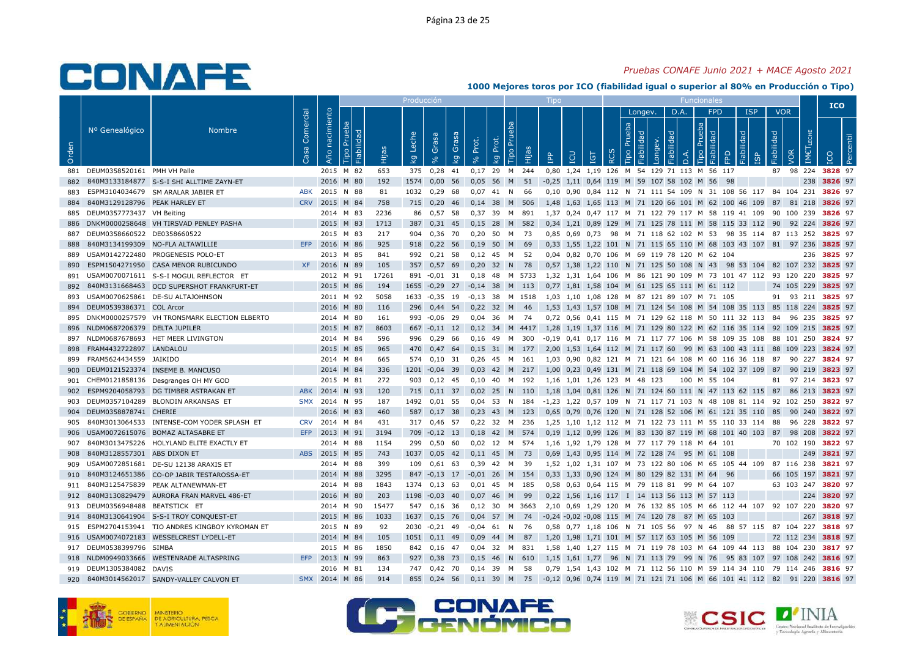### *Pruebas CONAFE Junio 2021 + MACE Agosto 2021*

|       |                               |                                              |            |                |                    |       | Producción |                           |       |                |       |        |       | Tipo       |     |                                 |                  |        |                       |             |          |                                               |                                                                                |            |            |            |       | <b>ICO</b>        |           |
|-------|-------------------------------|----------------------------------------------|------------|----------------|--------------------|-------|------------|---------------------------|-------|----------------|-------|--------|-------|------------|-----|---------------------------------|------------------|--------|-----------------------|-------------|----------|-----------------------------------------------|--------------------------------------------------------------------------------|------------|------------|------------|-------|-------------------|-----------|
|       |                               |                                              |            |                |                    |       |            |                           |       |                |       |        |       |            |     |                                 |                  |        | Longev.               |             | D.A.     | <b>FPD</b>                                    |                                                                                | <b>ISP</b> |            | <b>VOR</b> |       |                   |           |
|       | Nº Genealógico                | <b>Nombre</b>                                | Comercial  | Año nacimiento | Prueba             |       | Leche      | Grasa                     | Grasa | Prot.          | Prot. | 론      |       |            |     |                                 |                  | Prueba |                       |             |          | Prueba                                        |                                                                                |            |            |            | ШECHE |                   |           |
| Orden |                               |                                              | Casa       |                | Fiabilidad<br>Tipo | Hijas | ΔÃ         | $\mathbf{e}_{\mathbf{e}}$ | ΔÃ    | $\delta$       | kg    | Tipo   | Hijas | <b>AdI</b> | LCU | <b>TGT</b>                      | $\tilde{\alpha}$ | Tipo   | Fiabilidad<br>Longev. | Fiabilidad  | $\Delta$ | Fiabilidad<br>Tipo                            | FPD                                                                            | Fiabilidad | Fiabilidad | VOR        | IMET  | <b>DO</b>         | Percentil |
| 881   | DEUM0358520161 PMH VH Palle   |                                              |            | 2015           | M 82               | 653   | 375        | 0,28                      | 41    | $0,17$ 29      |       | M      | 244   | 0,80       |     |                                 |                  |        |                       |             |          | 1,24 1,19 126 M 54 129 71 113 M 56 117        |                                                                                |            | 87         | 98 224     |       | 3828 97           |           |
| 882   |                               | 840M3133184877 S-S-I SHI ALLTIME ZAYN-ET     |            | 2016 M 80      |                    | 192   | 1574       | 0,00                      | 56    | 0,05           | 56    | M      | 51    | $-0,25$    |     | 1,11 0,64 119 M 59 107 58 102 M |                  |        |                       |             |          | 56                                            | 98                                                                             |            |            |            | 238   | 3826 97           |           |
| 883   |                               | ESPM3104034679 SM ARALAR JABIER ET           | ABK        | 2015           | N 88               | 81    | 1032       | 0,29                      | 68    | 0,07           | 41    | N      | 66    |            |     |                                 |                  |        |                       |             |          |                                               | 0,10 0,90 0,84 112 N 71 111 54 109 N 31 108 56 117 84 104 231                  |            |            |            |       | 3826 97           |           |
| 884   | 840M3129128796 PEAK HARLEY ET |                                              | <b>CRV</b> | 2015 M 84      |                    | 758   | 715        | $0.20$ 46                 |       | $0.14$ 38      |       | M      | 506   |            |     |                                 |                  |        |                       |             |          |                                               | 1.48 1.63 1.65 113 M 71 120 66 101 M 62 100 46 109 87                          |            |            | 81 218     |       | 3826 97           |           |
| 885   | DEUM0357773437 VH Beiting     |                                              |            | 2014 M 83      |                    | 2236  | 86         | 0,57 58                   |       | 0,37 39        |       | M      | 891   |            |     |                                 |                  |        |                       |             |          |                                               | 1,37 0,24 0,47 117 M 71 122 79 117 M 58 119 41 109 90 100 239                  |            |            |            |       | 3826 97           |           |
| 886   |                               | DNKM0000258648 VH TIRSVAD PENLEY PASHA       |            | 2015 M 83      |                    | 1713  | 387        | $0,31$ 45                 |       | $0,15$ 28      |       | M      | 582   |            |     |                                 |                  |        |                       |             |          |                                               | 0,34 1,21 0,89 129 M 71 125 78 111 M 58 115 33 112 90 92 224 3826 97           |            |            |            |       |                   |           |
| 887   | DEUM0358660522 DE0358660522   |                                              |            | 2015           | M 83               | 217   | 904        | 0,36                      | - 70  | 0,20           | 50    | M      | - 73  |            |     |                                 |                  |        |                       |             |          |                                               | 0,85 0,69 0,73 98 M 71 118 62 102 M 53 98 35 114 87 113 252                    |            |            |            |       | 3825 97           |           |
| 888   |                               | 840M3134199309 NO-FLA ALTAWILLIE             | EFP        | 2016 M 86      |                    | 925   | 918        | $0,22$ 56                 |       | $0,19$ 50      |       | M      | - 69  |            |     |                                 |                  |        |                       |             |          |                                               | 0,33 1,55 1,22 101 N 71 115 65 110 M 68 103 43 107 81 97 236                   |            |            |            |       | 3825 97           |           |
| 889   |                               | USAM0142722480 PROGENESIS POLO-ET            |            | 2013           | M 85               | 841   | 992        | 0.21                      | 58    | 0.12           | 45    | M      | 52    |            |     |                                 |                  |        |                       |             |          | 0.04 0.82 0.70 106 M 69 119 78 120 M 62 104   |                                                                                |            |            |            | 236   | 3825 97           |           |
| 890   |                               | ESPM1504271950 CASA MENOR RUBICUNDO          | <b>XF</b>  | 2016           | N 89               | 105   | 357        | $0,57$ 69                 |       | 0,20           | 32    | N      | 78    |            |     |                                 |                  |        |                       |             |          |                                               | 0,57 1,38 1,22 110 N 71 125 50 108 N 43 98 53 104 82 107 232                   |            |            |            |       | 3825 97           |           |
| 891   |                               | USAM0070071611 S-S-I MOGUL REFLECTOR ET      |            | 2012 M 91      |                    | 17261 | 891        | $-0.01$ 31                |       | $0,18$ 48      |       | M 5733 |       |            |     |                                 |                  |        |                       |             |          |                                               | 1,32 1,31 1,64 106 M 86 121 90 109 M 73 101 47 112 93 120 220                  |            |            |            |       | 3825 97           |           |
| 892   |                               | 840M3131668463 OCD SUPERSHOT FRANKFURT-ET    |            | 2015 M 86      |                    | 194   | 1655       | $-0,29$ 27                |       | $-0,14$ 38     |       | M      | 113   |            |     |                                 |                  |        |                       |             |          | 0,77 1,81 1,58 104 M 61 125 65 111 M 61 112   |                                                                                |            |            | 74 105 229 |       | 3825 97           |           |
| 893   |                               | USAM0070625861 DE-SU ALTAJOHNSON             |            | 2011 M 92      |                    | 5058  | 1633       | $-0.35$ 19                |       | $-0.13$ 38     |       | M 1518 |       |            |     |                                 |                  |        |                       |             |          | 1,03 1,10 1,08 128 M 87 121 89 107 M 71 105   |                                                                                |            |            |            |       | 91 93 211 3825 97 |           |
| 894   | DEUM0539386371 COL Arcor      |                                              |            | 2016           | M 80               | 116   | 296        | 0,44 54                   |       | 0,22 32 M      |       |        | - 46  |            |     |                                 |                  |        |                       |             |          |                                               | 1,53 1,43 1,57 108 M 71 124 54 108 M 54 108 35 113 85 118 224 3825 97          |            |            |            |       |                   |           |
| 895   |                               | DNKM0000257579 VH TRONSMARK ELECTION ELBERTO |            | 2014 M 80      |                    | 161   | 993        | $-0,06$ 29                |       | 0,04           | 36    | M      | -74   |            |     |                                 |                  |        |                       |             |          |                                               | 0,72 0,56 0,41 115 M 71 129 62 118 M 50 111 32 113 84                          |            |            | 96 235     |       | 3825 97           |           |
| 896   | NLDM0687206379 DELTA JUPILER  |                                              |            | 2015 M 87      |                    | 8603  |            | $667 -0.11$ 12            |       | 0,12 34 M 4417 |       |        |       |            |     |                                 |                  |        |                       |             |          |                                               | 1,28 1,19 1,37 116 M 71 129 80 122 M 62 116 35 114 92 109 215                  |            |            |            |       | 3825 97           |           |
| 897   |                               | NLDM0687678693 HET MEER LIVINGTON            |            | 2014 M 84      |                    | 596   | 996        | 0.29                      | 66    | 0.16           | 49    | M      | 300   |            |     |                                 |                  |        |                       |             |          |                                               | -0.19  0.41  0.17  116  M  71  117  77  106  M  58  109  35  108  88  101  250 |            |            |            |       | 3824 97           |           |
| 898   | FRAM4432722897 LANDALOU       |                                              |            | 2015 M 85      |                    | 965   | 470        | 0.47                      | 64    | 0.15           | 31    | M      | 177   |            |     |                                 |                  |        |                       |             |          |                                               | 2,00 1,53 1,64 112 M 71 117 60 99 M 63 100 43 111 88 109 223                   |            |            |            |       | 3824 97           |           |
| 899   | FRAM5624434559 JAIKIDO        |                                              |            | 2014 M 84      |                    | 665   | 574        | $0,10$ 31                 |       | 0,26           | 45    | M      | 161   |            |     |                                 |                  |        |                       |             |          |                                               | 1,03 0,90 0,82 121 M 71 121 64 108 M 60 116 36 118 87                          |            |            | 90 227     |       | 3824 97           |           |
| 900   |                               | DEUM0121523374 INSEME B. MANCUSO             |            | 2014           | M 84               | 336   | 1201       | $-0.04$                   | 39    | 0,03           | 42    | M      | 217   | 1.00       |     |                                 |                  |        |                       |             |          |                                               | 0,23 0,49 131 M 71 118 69 104 M 54 102 37 109                                  |            | 87         | 90         | 219   | 3823 97           |           |
| 901   |                               | CHEM0121858136 Desgranges OH MY GOD          |            | 2015 M 81      |                    | 272   | 903        | $0,12$ 45                 |       | 0,10 40 M 192  |       |        |       |            |     | 1,16 1,01 1,26 123 M 48 123     |                  |        |                       |             |          | 100 M 55 104                                  |                                                                                |            |            | 81 97 214  |       | 3823 97           |           |
| 902   |                               | ESPM9204058793 DG TIMBER ASTRAKAN ET         | <b>ABK</b> | 2014           | N 93               | 120   | 715        | $0.11$ 37                 |       | $0.02$ 25 N    |       |        | - 110 |            |     |                                 |                  |        |                       |             |          |                                               | 1,18 1,04 0,81 126 N 71 124 60 111 N 47 113 62 115 87                          |            |            | 86 213     |       | 3823 97           |           |
| 903   |                               | DEUM0357104289 BLONDIN ARKANSAS ET           | <b>SMX</b> | 2014 N 95      |                    | 187   | 1492       | $0,01$ 55                 |       | 0.04           | - 53  | N      | 184   |            |     |                                 |                  |        |                       |             |          |                                               | -1,23 1,22 0,57 109 N 71 117 71 103 N 48 108 81 114 92 102 250                 |            |            |            |       | 3822 97           |           |
| 904   | DEUM0358878741 CHERIE         |                                              |            | 2016 M 83      |                    | 460   | 587        | $0,17$ 38                 |       | 0,23           | 43    | M      | 123   |            |     |                                 |                  |        |                       |             |          |                                               | 0,65 0,79 0,76 120 N 71 128 52 106 M 61 121 35 110 85                          |            |            | 90 240     |       | 3822 97           |           |
| 905   |                               | 840M3013064533 INTENSE-COM YODER SPLASH ET   | <b>CRV</b> | 2014           | M 84               | 431   | 317        | 0.46 57                   |       | 0,22           | 32    | M      | 236   |            |     |                                 |                  |        |                       |             |          |                                               | 1,25 1,10 1,12 112 M 71 122 73 111 M 55 110 33 114 88                          |            |            | 96 228     |       | 3822 97           |           |
| 906   |                               | USAM0072615076 BOMAZ ALTASABRE ET            | EFP        | 2013 M 91      |                    | 3194  | 709        | $-0,12$ 13                |       | 0,18 42 M 574  |       |        |       |            |     |                                 |                  |        |                       |             |          |                                               | 0,19 1,12 0,99 126 M 83 130 87 119 M 68 101 40 103 87                          |            |            | 98 208     |       | 3822 97           |           |
| 907   |                               | 840M3013475226 HOLYLAND ELITE EXACTLY ET     |            | 2014 M 88      |                    | 1154  | 299        | 0,50                      | 60    | 0.02 12 M 574  |       |        |       |            |     |                                 |                  |        |                       |             |          | 1.16 1.92 1.79 128 M 77 117 79 118 M 64 101   |                                                                                |            |            | 70 102 190 |       | 3822 97           |           |
| 908   | 840M3128557301 ABS DIXON ET   |                                              | <b>ABS</b> | 2015           | M 85               | 743   | 1037       | 0,05                      | 42    | 0,11           | 45    | M      | 73    |            |     |                                 |                  |        |                       |             |          | 0,69 1,43 0,95 114 M 72 128 74 95 M 61 108    |                                                                                |            |            |            | 249   | 3821 97           |           |
| 909   | USAM0072851681                | DE-SU 12138 ARAXIS ET                        |            | 2014 M 88      |                    | 399   | 109        | $0,61$ 63                 |       | 0,39           | 42    | M      | - 39  |            |     |                                 |                  |        |                       |             |          |                                               | 1,52 1,02 1,31 107 M 73 122 80 106 M 65 105 44 109                             |            |            | 87 116 238 |       | 3821 97           |           |
| 910   |                               | 840M3124651386 CO-OP JABIR TESTAROSSA-ET     |            | 2014           | M 88               | 3295  | 847        | $-0,13$ 17                |       | $-0.01$ 26     |       | M      | 154   |            |     |                                 |                  |        |                       |             |          | 0,33 1,33 0,90 124 M 80 129 82 131 M 64       | 96                                                                             |            |            | 66 105     | 197   | 3821 97           |           |
| 911   |                               | 840M3125475839 PEAK ALTANEWMAN-ET            |            | 2014 M 88      |                    | 1843  | 1374       | $0,13$ 63                 |       | 0.01           | -45   | M      | - 185 |            |     |                                 |                  |        |                       |             |          | 0.58 0.63 0.64 115 M 79 118 81 99 M 64 107    |                                                                                |            |            | 63 103 247 |       | 3820 97           |           |
| 912   |                               | 840M3130829479 AURORA FRAN MARVEL 486-ET     |            | 2016 M 80      |                    | 203   | 1198       | $-0,03$                   | 40    | 0,07           | 46    | M      | - 99  |            |     |                                 |                  |        |                       |             |          | 0,22 1,56 1,16 117 I 14 113 56 113 M 57 113   |                                                                                |            |            |            |       | 224 3820 97       |           |
| 913   | DEUM0356948488                | BEATSTICK ET                                 |            | 2014 M 90      |                    | 15477 | 547        | 0,16                      | -36   | 0,12           | 30    | M      | 3663  |            |     |                                 |                  |        |                       |             |          |                                               | 2,10 0,69 1,29 120 M 76 132 85 105 M 66 112 44 107                             |            |            | 92 107 220 |       | 3820 97           |           |
| 914   |                               | 840M3130641904 S-S-I TROY CONQUEST-ET        |            | 2015 M 86      |                    | 1033  | 1637       | $0,15$ 76                 |       | $0,04$ 57      |       | M      | 74    |            |     |                                 |                  |        |                       |             |          | -0,24 -0,02 -0,08 115 M 74 120 78 87 M 65 103 |                                                                                |            |            |            | 267   | 3818 97           |           |
| 915   |                               | ESPM2704153941 TIO ANDRES KINGBOY KYROMAN ET |            | 2015           | N 89               | 92    | 2030       | $-0,21$                   | 49    | $-0,04$        | 61    | N.     | - 76  |            |     |                                 |                  |        |                       |             |          | 0,58 0,77 1,18 106 N 71 105 56 97 N 46        | 88 57 115                                                                      |            |            | 87 104     | 227   | 3818 97           |           |
| 916   |                               | USAM0074072183 WESSELCREST LYDELL-ET         |            | 2014 M 84      |                    | 105   | 1051       | $0.11$ 49                 |       | 0.09           | 44    | M      | 87    |            |     |                                 |                  |        |                       |             |          | 1,20 1,98 1,71 101 M 57 117 63 105 M 56 109   |                                                                                |            |            | 72 112 234 |       | 3818 97           |           |
| 917   | DEUM0538399796 SIMBA          |                                              |            | 2015           | M 86               | 1850  | 842        | $0,16$ 47                 |       | 0,04           | 32    | M      | 831   |            |     |                                 |                  |        |                       |             |          |                                               | 1,58 1,40 1,27 115 M 71 119 78 103 M 64 109 44 113                             |            |            | 88 104 230 |       | 3817 97           |           |
| 918   |                               | NLDM0949033666 WESTENRADE ALTASPRING         | EFP        | 2013           | N 99               | 863   | 927        | 0,38                      | 73    | 0,15           | 46    | N.     | 610   |            |     | $1.15$ $1.61$ $1.77$            | 96               |        |                       | N 71 113 79 |          | 99 N 76                                       |                                                                                | 95 83 107  | 97         | 108        | 242   | 3816 97           |           |
| 919   | DEUM1305384082 DAVIS          |                                              |            |                | 2016 M 81          | 134   | 747        | 0,42                      | 70    | 0,14           | 39    | M      | 58    |            |     |                                 |                  |        |                       |             |          |                                               | 0,79 1,54 1,43 102 M 71 112 56 110 M 59 114 34 110 79 114 246                  |            |            |            |       | 3816 97           |           |
| 920   |                               | 840M3014562017 SANDY-VALLEY CALVON ET        | <b>SMX</b> | 2014 M 86      |                    | 914   | 855        | $0.24$ 56                 |       | $0.11$ 39      |       | M      | 75    |            |     |                                 |                  |        |                       |             |          |                                               | $-0.12$ 0.96 0.74 119 M 71 121 71 106 M 66 101 41 112 82                       |            |            | 91 220     |       | 3816 97           |           |
|       |                               |                                              |            |                |                    |       |            |                           |       |                |       |        |       |            |     |                                 |                  |        |                       |             |          |                                               |                                                                                |            |            |            |       |                   |           |





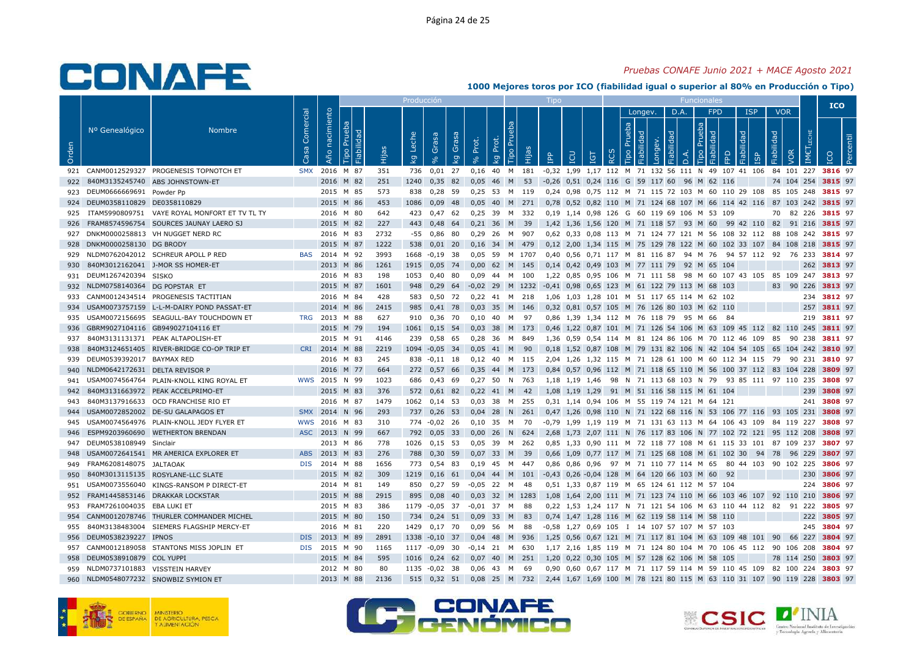### *Pruebas CONAFE Junio 2021 + MACE Agosto 2021*

|       |                                |                                               |                   |                   |                              |       | Producción        |              |             |             |             |             |           |            |           |                     |    |                       |                       |            |           | Funcionale                                   |                                                               |            |                   |            |                      | <b>ICO</b>         |  |
|-------|--------------------------------|-----------------------------------------------|-------------------|-------------------|------------------------------|-------|-------------------|--------------|-------------|-------------|-------------|-------------|-----------|------------|-----------|---------------------|----|-----------------------|-----------------------|------------|-----------|----------------------------------------------|---------------------------------------------------------------|------------|-------------------|------------|----------------------|--------------------|--|
|       |                                |                                               |                   |                   |                              |       |                   |              |             |             |             |             |           |            |           |                     |    |                       | Longev.               | D.A.       |           | <b>FPD</b>                                   |                                                               | <b>ISP</b> |                   | <b>VOR</b> |                      |                    |  |
| Orden | Nº Genealógico                 | <b>Nombre</b>                                 | Comercial<br>Casa | nacimiento<br>Año | Prueba<br>Fiabilidad<br>Tipo | Hijas | Leche<br><b>Q</b> | Grasa        | Grasa<br>kg | Prot.<br>್ಗ | Prot.<br>ΔŽ | Tipo Prueba | Hijas     | <b>AdI</b> | LCU       | <u>ra</u>           | Q  | Prueba<br><b>Tipo</b> | Fiabilidad<br>Longev. | Fiabilidad | $\vec{a}$ | Prueba<br>Ъe<br>Fiabilida<br><b>Tipo</b>     | Fiabilidad<br>FPD                                             | ഗ്ര        | <b>Fiabilidad</b> | VOR        | LECHE<br><b>IMET</b> |                    |  |
| 921   |                                | CANM0012529327 PROGENESIS TOPNOTCH ET         | <b>SMX</b>        | 2016 M 87         |                              | 351   | 736               | 0,01         | 27          | 0,16        | 40          | <b>M</b>    | 181       |            |           |                     |    |                       |                       |            |           |                                              | -0,32 1,99 1,17 112 M 71 132 56 111 N 49 107 41 106           |            |                   | 84 101 227 |                      | 3816 97            |  |
| 922   |                                | 840M3135245740 ABS JOHNSTOWN-ET               |                   | 2016              | M 82                         | 251   | 1240              | 0,35         | 82          | 0,05        | 46          | M           | 53        |            |           |                     |    |                       |                       |            |           | -0,26 0,51 0,24 116 G 59 117 60 96 M 62 116  |                                                               |            |                   | 74 104 254 |                      | 3815 97            |  |
| 923   | DEUM0666669691 Powder Pp       |                                               |                   |                   | 2015 M 85                    | 573   | 838               | 0,28 59      |             | 0,25        | 53          | M 119       |           |            |           |                     |    |                       |                       |            |           |                                              | 0,24 0,98 0,75 112 M 71 115 72 103 M 60 110 29 108            |            |                   | 85 105 248 |                      | 3815 97            |  |
| 924   | DEUM0358110829 DE0358110829    |                                               |                   |                   | 2015 M 86                    | 453   | 1086              | $0.09$ 48    |             | 0.05        | 40          | M           | 271       |            |           |                     |    |                       |                       |            |           |                                              | 0.78 0.52 0.82 110 M 71 124 68 107 M 66 114 42 116            |            |                   | 87 103 242 |                      | 3815 97            |  |
| 925   |                                | ITAM5990809751 VAYE ROYAL MONFORT ET TV TL TY |                   |                   | 2016 M 80                    | 642   | 423               | $0,47$ 62    |             | 0.25        | 39          | M           | - 332     |            |           |                     |    |                       |                       |            |           | 0,19 1,14 0,98 126 G 60 119 69 106 M 53 109  |                                                               |            | 70                |            | 82 226               | 3815 97            |  |
| 926   |                                | FRAM8574596754 SOURCES JAUNAY LAERO SJ        |                   |                   | 2015 M 82                    | 227   | 443               | $0,48$ 64    |             | $0,21$ 36   |             | M           | 39        |            |           |                     |    |                       |                       |            |           |                                              | 1,42 1,36 1,56 120 M 71 118 57 93 M 60 99 42 110              |            | 82                | 91 216     |                      | 3815 97            |  |
| 927   |                                | DNKM0000258813 VH NUGGET NERD RC              |                   |                   | 2016 M 83                    | 2732  | $-55$             | 0,86 80      |             | 0,29        | -26         | M           | 907       |            |           |                     |    |                       |                       |            |           |                                              | 0,62 0,33 0,08 113 M 71 124 77 121 M 56 108 32 112 88 108 242 |            |                   |            |                      | 3815 97            |  |
| 928   | DNKM0000258130 DG BRODY        |                                               |                   |                   | 2015 M 87                    | 1222  | 538               | $0,01$ 20    |             | 0,16        | 34          |             | M 479     |            |           |                     |    |                       |                       |            |           |                                              | 0,12 2,00 1,34 115 M 75 129 78 122 M 60 102 33 107 84 108 218 |            |                   |            |                      | 3815 97            |  |
| 929   |                                | NLDM0762042012 SCHREUR APOLL P RED            | <b>BAS</b>        | 2014 M 92         |                              | 3993  | 1668              | $-0.19$ 38   |             | 0.05        | 59          |             | M 1707    |            |           |                     |    |                       |                       |            |           | 0.40 0.56 0.71 117 M 81 116 87 94 M 76       | 94 57 112                                                     |            |                   | 92 76 233  |                      | 3814 97            |  |
| 930   |                                | 840M3012162041 J-MOR SS HOMER-ET              |                   |                   | 2013 M 86                    | 1261  | 1915              | $0,05$ 74    |             | 0,00        | 62          | M           | 145       |            |           | 0,14 0,42 0,49 103  |    |                       |                       |            |           | M 77 111 79 92 M 65                          | 104                                                           |            |                   |            | 262                  | 3813 97            |  |
| 931   | DEUM1267420394 SISKO           |                                               |                   |                   | 2016 M 83                    | 198   | 1053              | 0,40 80      |             | 0,09        | 44          | M 100       |           |            |           |                     |    |                       |                       |            |           |                                              | 1,22 0,85 0,95 106 M 71 111 58 98 M 60 107 43 105             |            |                   |            |                      | 85 109 247 3813 97 |  |
| 932   | NLDM0758140364 DG POPSTAR ET   |                                               |                   | 2015 M 87         |                              | 1601  | 948               | $0,29$ 64    |             | $-0,02$     |             |             | 29 M 1232 |            |           |                     |    |                       |                       |            |           | -0,41 0,98 0,65 123 M 61 122 79 113 M 68 103 |                                                               |            | 83                | 90         | 226                  | 3813 97            |  |
| 933   |                                | CANM0012434514 PROGENESIS TACTITIAN           |                   |                   | 2016 M 84                    | 428   | 583               | 0,50 72      |             | 0.22        | 41          | M 218       |           |            |           |                     |    |                       |                       |            |           | 1,06 1,03 1,28 101 M 51 117 65 114 M 62 102  |                                                               |            |                   |            |                      | 234 3812 97        |  |
| 934   |                                | USAM0073757159 L-L-M-DAIRY POND PASSAT-ET     |                   | 2014              | M 86                         | 2415  | 985               | $0.41$ 78    |             | 0.03        | 35          | M 146       |           |            |           |                     |    |                       |                       |            |           | 0,32 0,81 0,57 105 M 76 126 80 103 M 62 110  |                                                               |            |                   |            | 257                  | 3811 97            |  |
| 935   |                                | USAM0072156695 SEAGULL-BAY TOUCHDOWN ET       | <b>TRG</b>        | 2013 M 88         |                              | 627   | 910               | 0,36 70      |             | 0,10        | 40          | м           | 97        |            |           |                     |    |                       |                       |            |           | 0,86 1,39 1,34 112 M 76 118 79 95 M 66       | - 84                                                          |            |                   |            | 219                  | 3811 97            |  |
| 936   |                                | GBRM9027104116 GB949027104116 ET              |                   |                   | 2015 M 79                    | 194   | 1061              | $0,15$ 54    |             | 0,03        |             | 38 M 173    |           |            |           |                     |    |                       |                       |            |           |                                              | 0,46 1,22 0,87 101 M 71 126 54 106 M 63 109 45 112 82 110 245 |            |                   |            |                      | 3811 97            |  |
| 937   |                                | 840M3131131371 PEAK ALTAPOLISH-ET             |                   |                   | 2015 M 91                    | 4146  | 239               | 0,58 65      |             | 0.28        | 36          | M           | - 849     |            |           |                     |    |                       |                       |            |           |                                              | 1.36 0.59 0.54 114 M 81 124 86 106 M 70 112 46 109 85         |            |                   | 90 238     |                      | 3811 97            |  |
| 938   |                                | 840M3124651405 RIVER-BRIDGE CO-OP TRIP ET     | <b>CRI</b>        | 2014 M 88         |                              | 2219  | 1094 -0,05 34     |              |             | 0.05        | 41          | M           | -90       |            |           | 0,18 1,52 0,87 108  |    |                       |                       |            |           |                                              | M 79 131 82 106 N 42 104 54 105                               |            |                   | 65 104 242 |                      | 3810 97            |  |
| 939   | DEUM0539392017 BAYMAX RED      |                                               |                   |                   | 2016 M 83                    | 245   |                   | 838 -0,11 18 |             | 0,12        | 40          | M 115       |           |            |           |                     |    |                       |                       |            |           |                                              | 2,04 1,26 1,32 115 M 71 128 61 100 M 60 112 34 115 79         |            |                   | 90         | 231                  | 3810 97            |  |
| 940   | NLDM0642172631                 | <b>DELTA REVISOR P</b>                        |                   | 2016              | M<br>77                      | 664   | 272               | 0,5766       |             | 0,35        | 44          | M           | 173       |            |           |                     |    |                       |                       |            |           |                                              | 0,84 0,57 0,96 112 M 71 118 65 110 M 56 100 37 112 83         |            |                   | 104        | 228                  | 3809 97            |  |
| 941   |                                | USAM0074564764 PLAIN-KNOLL KING ROYAL ET      |                   | WWS 2015 N 99     |                              | 1023  | 686               | $0,43$ 69    |             | $0,27$ 50   |             | N 763       |           |            |           | 1,18 1,19 1,46      | 98 |                       |                       |            |           |                                              | N 71 113 68 103 N 79 93 85 111 97 110 235                     |            |                   |            |                      | 3808 97            |  |
| 942   |                                | 840M3131663972 PEAK ACCELPRIMO-ET             |                   |                   | 2015 M 83                    | 376   | 572               | $0.61$ 82    |             | 0.22        | 41          | M           | 42        |            |           | 1.08 1.19 1.29      |    |                       |                       |            |           | 91 M 51 116 58 115 M 61 104                  |                                                               |            |                   |            | 239                  | 3808 97            |  |
| 943   |                                | 840M3137916633 OCD FRANCHISE RIO ET           |                   |                   | 2016 M 87                    | 1479  | 1062              | $0,14$ 53    |             | 0.03        | 38          | M           | 255       |            |           |                     |    |                       |                       |            |           | 0,31 1,14 0,94 106 M 55 119 74 121 M 64 121  |                                                               |            |                   |            |                      | 241 3808 97        |  |
| 944   |                                | USAM0072852002 DE-SU GALAPAGOS ET             | <b>SMX</b>        | 2014              | N 96                         | 293   | 737               | 0,26         | - 53        | 0,04        | 28          | N           | 261       |            |           |                     |    |                       |                       |            |           |                                              | 0,47 1,26 0,98 110 N 71 122 68 116 N 53 106 77 116 93 105 231 |            |                   |            |                      | 3808 97            |  |
| 945   |                                | USAM0074564976 PLAIN-KNOLL JEDY FLYER ET      | <b>WWS</b>        | 2016              | M 83                         | 310   | 774               | $-0.02$ 26   |             | 0,10        | 35          | M           | 70        | -0,79      |           |                     |    |                       |                       |            |           |                                              | 1,99 1,19 119 M 71 131 63 113 M 64 106 43 109                 |            |                   | 84 119 227 |                      | 3808 97            |  |
| 946   |                                | ESPM9203960690 WETHERTON BRENDAN              |                   | ASC 2013 N 99     |                              | 667   | 792               | $0,05$ 33    |             | 0,00        | 26          | N           | 624       |            |           |                     |    |                       |                       |            |           |                                              | 2,68 1,73 2,07 111 N 76 117 83 106 N 77 102 72 121 95 112 208 |            |                   |            |                      | 3808 97            |  |
| 947   | DEUM0538108949 Sinclair        |                                               |                   |                   | 2013 M 86                    | 778   | 1026              | $0,15$ 53    |             | 0.05        | 39          | M           | 262       |            |           |                     |    |                       |                       |            |           |                                              | 0.85 1.33 0.90 111 M 72 118 77 108 M 61 115 33 101 87 109 237 |            |                   |            |                      | 3807 97            |  |
| 948   |                                | USAM0072641541 MR AMERICA EXPLORER ET         | <b>ABS</b>        | 2013              | M 83                         | 276   | 788               | 0,30         | 59          | 0,07        | 33          | M           | 39        |            | 0,66 1,09 |                     |    |                       |                       |            |           |                                              | 0,77 117 M 71 125 68 108 M 61 102 30 94                       |            | 78                | 96         | 229                  | 3807 97            |  |
| 949   | FRAM6208148075 JALTAOAK        |                                               | <b>DIS</b>        |                   | 2014 M 88                    | 1656  | 773               | 0,54 83      |             | 0.19        | 45          | M 447       |           |            |           | 0.86 0.86 0.96      |    |                       |                       |            |           |                                              | 97 M 71 110 77 114 M 65 80 44 103 90 102 225                  |            |                   |            |                      | 3806 97            |  |
| 950   |                                | 840M3013115135 ROSYLANE-LLC SLATE             |                   |                   | 2015 M 82                    | 309   | 1219              | $0,16$ 61    |             | 0,04        | 44          | M           | 101       |            |           |                     |    |                       |                       |            |           | -0,43 0,26 -0,04 128 M 64 120 66 103 M 60    | 92                                                            |            |                   |            | 230                  | 3806 97            |  |
| 951   |                                | USAM0073556040 KINGS-RANSOM P DIRECT-ET       |                   |                   | 2014 M 81                    | 149   | 850               | $0,27$ 59    |             | -0.05       | 22          | M           | 48        |            |           |                     |    |                       |                       |            |           | 0.51 1.33 0.87 119 M 65 124 61 112 M 57 104  |                                                               |            |                   |            | 224                  | 3806 97            |  |
| 952   |                                | FRAM1445853146 DRAKKAR LOCKSTAR               |                   |                   | 2015 M 88                    | 2915  | 895               | 0,08         | 40          | 0,03        | 32          |             | M 1283    |            |           |                     |    |                       |                       |            |           |                                              | 1,08 1,64 2,00 111 M 71 123 74 110 M 66 103 46 107 92 110 210 |            |                   |            |                      | 3806 97            |  |
| 953   | FRAM7261004035 EBA LUKI ET     |                                               |                   |                   | 2015 M 83                    | 386   | 1179              | $-0,05$      | - 37        | $-0,01$     | 37          | M           | 88        |            |           |                     |    |                       |                       |            |           |                                              | 0,22 1,53 1,24 117 N 71 121 54 106 M 63 110 44 112 82         |            |                   | 91         | 222                  | 3805 97            |  |
| 954   |                                | CANM0012078746 THURLER COMMANDER MICHEL       |                   |                   | 2015 M 80                    | 150   | 734               | $0,24$ 51    |             | 0,09        | 33          | M           | 83        |            |           |                     |    |                       |                       |            |           | 0,74 1,47 1,28 116 M 62 119 58 114 M 58 110  |                                                               |            |                   |            | 222                  | 3805 97            |  |
| 955   |                                | 840M3138483004 SIEMERS FLAGSHIP MERCY-ET      |                   |                   | 2016 M 81                    | 220   | 1429              | $0,17$ 70    |             | 0,09        | 56          | M           | 88        |            |           | -0,58 1,27 0,69 105 |    |                       |                       |            |           | I 14 107 57 107 M 57 103                     |                                                               |            |                   |            | 245                  | 3804 97            |  |
| 956   | DEUM0538239227 IPNOS           |                                               | DIS.              | 2013              | M 89                         | 2891  | 1338              | $-0,10$ 37   |             | 0.04        | 48          | M           | -936      |            |           |                     |    |                       |                       |            |           |                                              | 1,25 0,56 0,67 121 M 71 117 81 104 M 63 109 48 101 90         |            |                   | 66 227     |                      | 3804 97            |  |
|       |                                | CANM0012189058 STANTONS MISS JOPLIN ET        | <b>DIS</b>        | 2015 M 90         |                              | 1165  | 1117              |              |             |             |             |             |           |            |           |                     |    |                       |                       |            |           |                                              |                                                               |            |                   |            |                      | 3804 97            |  |
| 957   | DEUM0538910879 COL YUPPI       |                                               |                   |                   | M 84                         | 595   | 1016              | $-0.09$ 30   |             | $-0,14$ 21  |             | M           | 630       | 1.20       |           |                     |    |                       |                       |            |           | M 57 128 62 106 M 58 105                     | 1,17 2,16 1,85 119 M 71 124 80 104 M 70 106 45 112 90 106 208 |            | 78                | 114 250    |                      |                    |  |
| 958   |                                |                                               |                   | 2015              | 2012 M 80                    |       | 1135              | $0,24$ 62    |             | 0.07        | 40          | M           | 251       |            |           | $0.22$ 0.30 105     |    |                       |                       |            |           |                                              |                                                               |            |                   |            |                      | 3803 97<br>3803 97 |  |
| 959   | NLDM0737101883 VISSTEIN HARVEY |                                               |                   |                   |                              | 80    |                   | $-0.02$ 38   |             | 0,06        | 43          | M           | 69        |            |           |                     |    |                       |                       |            |           |                                              | 0,90 0,60 0,67 117 M 71 117 59 114 M 59 110 45 109            |            |                   | 82 100 224 |                      |                    |  |
| 960   |                                | NLDM0548077232 SNOWBIZ SYMION ET              |                   |                   | 2013 M 88                    | 2136  | 515               | $0,32$ 51    |             | $0.08$ 25   |             | M           | 732       |            |           | 2,44 1,67 1,69 100  |    |                       |                       |            |           |                                              | M 78 121 80 115 M 63 110 31 107                               |            |                   | 90 119 228 |                      | 3803 97            |  |